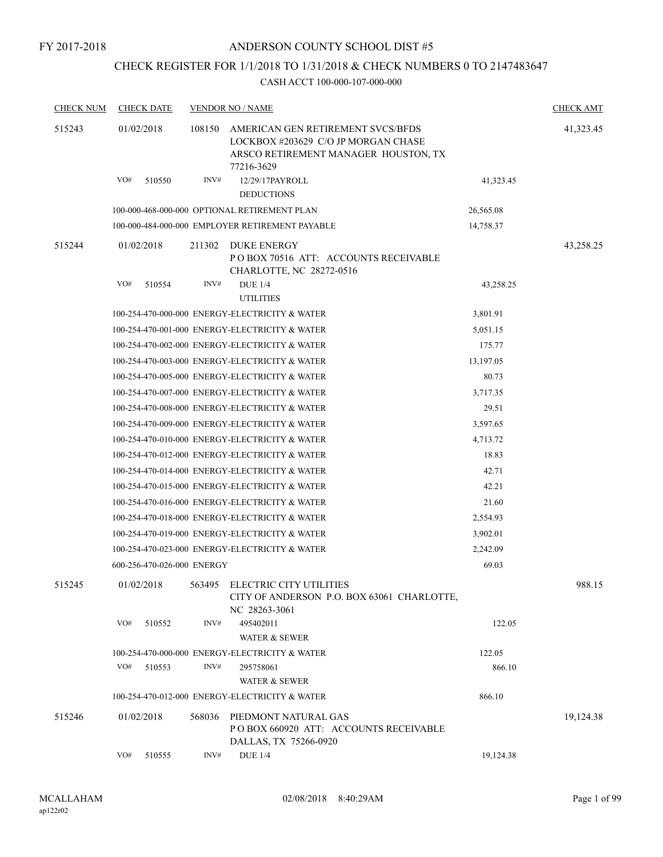# CHECK REGISTER FOR 1/1/2018 TO 1/31/2018 & CHECK NUMBERS 0 TO 2147483647

| <b>CHECK NUM</b> | <b>CHECK DATE</b>          |        | <b>VENDOR NO / NAME</b>                                                                                                        |           | <b>CHECK AMT</b> |
|------------------|----------------------------|--------|--------------------------------------------------------------------------------------------------------------------------------|-----------|------------------|
| 515243           | 01/02/2018                 | 108150 | AMERICAN GEN RETIREMENT SVCS/BFDS<br>LOCKBOX #203629 C/O JP MORGAN CHASE<br>ARSCO RETIREMENT MANAGER HOUSTON, TX<br>77216-3629 |           | 41,323.45        |
|                  | VO#<br>510550              | INV#   | 12/29/17PAYROLL<br><b>DEDUCTIONS</b>                                                                                           | 41,323.45 |                  |
|                  |                            |        | 100-000-468-000-000 OPTIONAL RETIREMENT PLAN                                                                                   | 26,565.08 |                  |
|                  |                            |        | 100-000-484-000-000 EMPLOYER RETIREMENT PAYABLE                                                                                | 14,758.37 |                  |
| 515244           | 01/02/2018                 | 211302 | DUKE ENERGY<br>PO BOX 70516 ATT: ACCOUNTS RECEIVABLE<br>CHARLOTTE, NC 28272-0516                                               |           | 43,258.25        |
|                  | VO#<br>510554              | INV#   | <b>DUE 1/4</b><br><b>UTILITIES</b>                                                                                             | 43,258.25 |                  |
|                  |                            |        | 100-254-470-000-000 ENERGY-ELECTRICITY & WATER                                                                                 | 3,801.91  |                  |
|                  |                            |        | 100-254-470-001-000 ENERGY-ELECTRICITY & WATER                                                                                 | 5,051.15  |                  |
|                  |                            |        | 100-254-470-002-000 ENERGY-ELECTRICITY & WATER                                                                                 | 175.77    |                  |
|                  |                            |        | 100-254-470-003-000 ENERGY-ELECTRICITY & WATER                                                                                 | 13,197.05 |                  |
|                  |                            |        | 100-254-470-005-000 ENERGY-ELECTRICITY & WATER                                                                                 | 80.73     |                  |
|                  |                            |        | 100-254-470-007-000 ENERGY-ELECTRICITY & WATER                                                                                 | 3,717.35  |                  |
|                  |                            |        | 100-254-470-008-000 ENERGY-ELECTRICITY & WATER                                                                                 | 29.51     |                  |
|                  |                            |        | 100-254-470-009-000 ENERGY-ELECTRICITY & WATER                                                                                 | 3,597.65  |                  |
|                  |                            |        | 100-254-470-010-000 ENERGY-ELECTRICITY & WATER                                                                                 | 4,713.72  |                  |
|                  |                            |        | 100-254-470-012-000 ENERGY-ELECTRICITY & WATER                                                                                 | 18.83     |                  |
|                  |                            |        | 100-254-470-014-000 ENERGY-ELECTRICITY & WATER                                                                                 | 42.71     |                  |
|                  |                            |        | 100-254-470-015-000 ENERGY-ELECTRICITY & WATER                                                                                 | 42.21     |                  |
|                  |                            |        | 100-254-470-016-000 ENERGY-ELECTRICITY & WATER                                                                                 | 21.60     |                  |
|                  |                            |        | 100-254-470-018-000 ENERGY-ELECTRICITY & WATER                                                                                 | 2,554.93  |                  |
|                  |                            |        | 100-254-470-019-000 ENERGY-ELECTRICITY & WATER                                                                                 | 3,902.01  |                  |
|                  |                            |        | 100-254-470-023-000 ENERGY-ELECTRICITY & WATER                                                                                 | 2,242.09  |                  |
|                  | 600-256-470-026-000 ENERGY |        |                                                                                                                                | 69.03     |                  |
| 515245           | 01/02/2018                 |        | 563495 ELECTRIC CITY UTILITIES<br>CITY OF ANDERSON P.O. BOX 63061 CHARLOTTE,<br>NC 28263-3061                                  |           | 988.15           |
|                  | VO#<br>510552              | INV#   | 495402011                                                                                                                      | 122.05    |                  |
|                  |                            |        | <b>WATER &amp; SEWER</b>                                                                                                       |           |                  |
|                  |                            |        | 100-254-470-000-000 ENERGY-ELECTRICITY & WATER                                                                                 | 122.05    |                  |
|                  | VO#<br>510553              | INV#   | 295758061                                                                                                                      | 866.10    |                  |
|                  |                            |        | <b>WATER &amp; SEWER</b>                                                                                                       |           |                  |
|                  |                            |        | 100-254-470-012-000 ENERGY-ELECTRICITY & WATER                                                                                 | 866.10    |                  |
| 515246           | 01/02/2018                 | 568036 | PIEDMONT NATURAL GAS<br>POBOX 660920 ATT: ACCOUNTS RECEIVABLE<br>DALLAS, TX 75266-0920                                         |           | 19,124.38        |
|                  | VO#<br>510555              | INV#   | <b>DUE 1/4</b>                                                                                                                 | 19,124.38 |                  |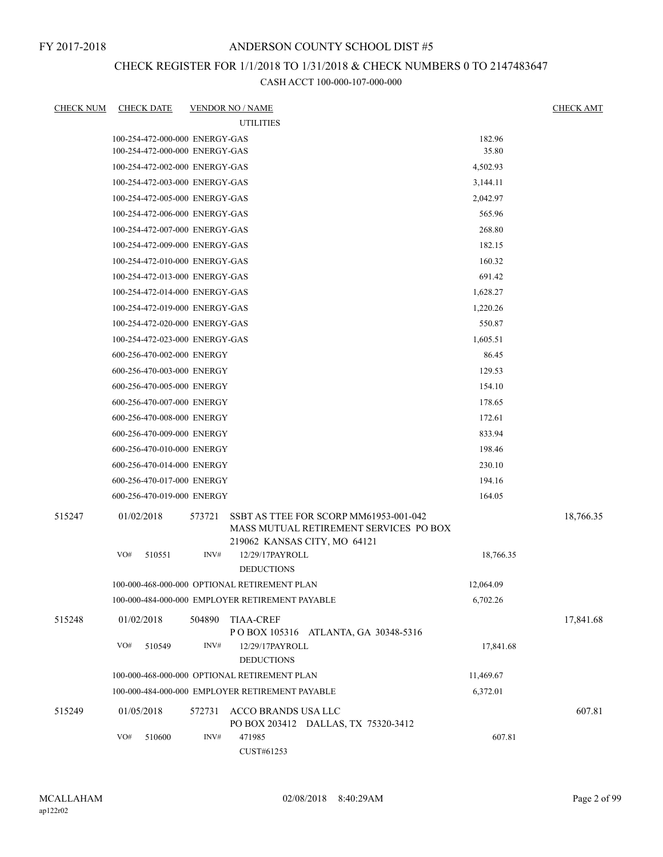## CHECK REGISTER FOR 1/1/2018 TO 1/31/2018 & CHECK NUMBERS 0 TO 2147483647

| <b>CHECK NUM</b> | <b>CHECK DATE</b>              |        | <b>VENDOR NO / NAME</b>                                                                                          |           | <b>CHECK AMT</b> |
|------------------|--------------------------------|--------|------------------------------------------------------------------------------------------------------------------|-----------|------------------|
|                  |                                |        | <b>UTILITIES</b>                                                                                                 |           |                  |
|                  | 100-254-472-000-000 ENERGY-GAS |        |                                                                                                                  | 182.96    |                  |
|                  | 100-254-472-000-000 ENERGY-GAS |        |                                                                                                                  | 35.80     |                  |
|                  | 100-254-472-002-000 ENERGY-GAS |        |                                                                                                                  | 4,502.93  |                  |
|                  | 100-254-472-003-000 ENERGY-GAS |        |                                                                                                                  | 3,144.11  |                  |
|                  | 100-254-472-005-000 ENERGY-GAS |        |                                                                                                                  | 2,042.97  |                  |
|                  | 100-254-472-006-000 ENERGY-GAS |        |                                                                                                                  | 565.96    |                  |
|                  | 100-254-472-007-000 ENERGY-GAS |        |                                                                                                                  | 268.80    |                  |
|                  | 100-254-472-009-000 ENERGY-GAS |        |                                                                                                                  | 182.15    |                  |
|                  | 100-254-472-010-000 ENERGY-GAS |        |                                                                                                                  | 160.32    |                  |
|                  | 100-254-472-013-000 ENERGY-GAS |        |                                                                                                                  | 691.42    |                  |
|                  | 100-254-472-014-000 ENERGY-GAS |        |                                                                                                                  | 1,628.27  |                  |
|                  | 100-254-472-019-000 ENERGY-GAS |        |                                                                                                                  | 1,220.26  |                  |
|                  | 100-254-472-020-000 ENERGY-GAS |        |                                                                                                                  | 550.87    |                  |
|                  | 100-254-472-023-000 ENERGY-GAS |        |                                                                                                                  | 1,605.51  |                  |
|                  | 600-256-470-002-000 ENERGY     |        |                                                                                                                  | 86.45     |                  |
|                  | 600-256-470-003-000 ENERGY     |        |                                                                                                                  | 129.53    |                  |
|                  | 600-256-470-005-000 ENERGY     |        |                                                                                                                  | 154.10    |                  |
|                  | 600-256-470-007-000 ENERGY     |        |                                                                                                                  | 178.65    |                  |
|                  | 600-256-470-008-000 ENERGY     |        |                                                                                                                  | 172.61    |                  |
|                  | 600-256-470-009-000 ENERGY     |        |                                                                                                                  | 833.94    |                  |
|                  | 600-256-470-010-000 ENERGY     |        |                                                                                                                  | 198.46    |                  |
|                  | 600-256-470-014-000 ENERGY     |        |                                                                                                                  | 230.10    |                  |
|                  | 600-256-470-017-000 ENERGY     |        |                                                                                                                  | 194.16    |                  |
|                  | 600-256-470-019-000 ENERGY     |        |                                                                                                                  | 164.05    |                  |
| 515247           | 01/02/2018                     | 573721 | SSBT AS TTEE FOR SCORP MM61953-001-042<br>MASS MUTUAL RETIREMENT SERVICES PO BOX<br>219062 KANSAS CITY, MO 64121 |           | 18,766.35        |
|                  | VO#<br>510551                  | INV#   | 12/29/17PAYROLL<br><b>DEDUCTIONS</b>                                                                             | 18,766.35 |                  |
|                  |                                |        | 100-000-468-000-000 OPTIONAL RETIREMENT PLAN                                                                     | 12,064.09 |                  |
|                  |                                |        | 100-000-484-000-000 EMPLOYER RETIREMENT PAYABLE                                                                  | 6,702.26  |                  |
| 515248           | 01/02/2018                     | 504890 | <b>TIAA-CREF</b><br>POBOX 105316 ATLANTA, GA 30348-5316                                                          |           | 17,841.68        |
|                  | VO#<br>510549                  | INV#   | 12/29/17PAYROLL<br><b>DEDUCTIONS</b>                                                                             | 17,841.68 |                  |
|                  |                                |        | 100-000-468-000-000 OPTIONAL RETIREMENT PLAN                                                                     | 11,469.67 |                  |
|                  |                                |        | 100-000-484-000-000 EMPLOYER RETIREMENT PAYABLE                                                                  | 6,372.01  |                  |
| 515249           | 01/05/2018                     | 572731 | ACCO BRANDS USA LLC<br>PO BOX 203412 DALLAS, TX 75320-3412                                                       |           | 607.81           |
|                  | VO#<br>510600                  | INV#   | 471985<br>CUST#61253                                                                                             | 607.81    |                  |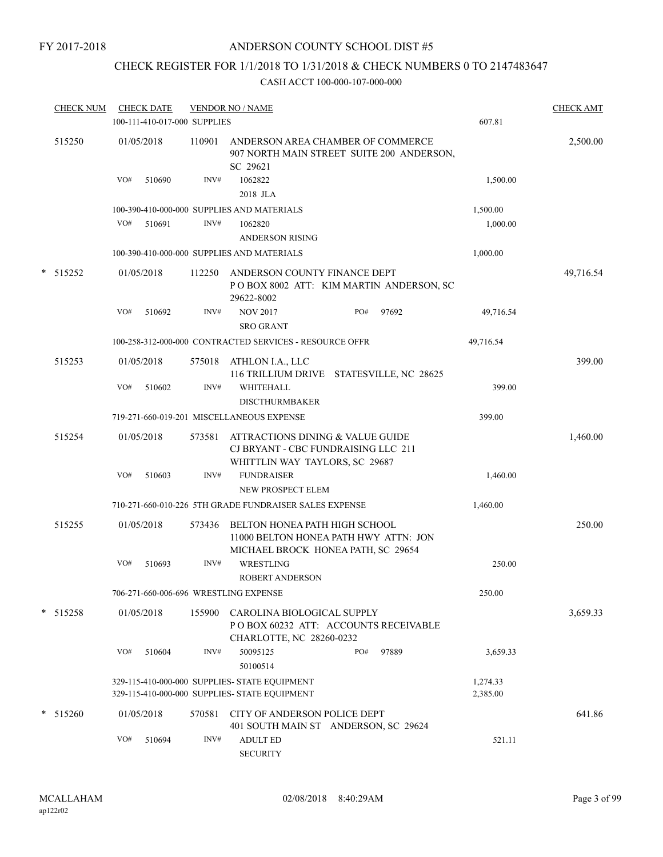## CHECK REGISTER FOR 1/1/2018 TO 1/31/2018 & CHECK NUMBERS 0 TO 2147483647

|        | <b>CHECK NUM</b> | <b>CHECK DATE</b><br>100-111-410-017-000 SUPPLIES |        | <b>VENDOR NO / NAME</b>                                                                                   |                                                                                | 607.81               | <b>CHECK AMT</b> |
|--------|------------------|---------------------------------------------------|--------|-----------------------------------------------------------------------------------------------------------|--------------------------------------------------------------------------------|----------------------|------------------|
|        | 515250           | 01/05/2018                                        | 110901 | SC 29621                                                                                                  | ANDERSON AREA CHAMBER OF COMMERCE<br>907 NORTH MAIN STREET SUITE 200 ANDERSON, |                      | 2,500.00         |
|        |                  | VO#<br>510690                                     | INV#   | 1062822<br>2018 JLA                                                                                       |                                                                                | 1,500.00             |                  |
|        |                  |                                                   |        | 100-390-410-000-000 SUPPLIES AND MATERIALS                                                                |                                                                                | 1,500.00             |                  |
|        |                  | VO#<br>510691                                     | INV#   | 1062820<br><b>ANDERSON RISING</b>                                                                         |                                                                                | 1,000.00             |                  |
|        |                  |                                                   |        | 100-390-410-000-000 SUPPLIES AND MATERIALS                                                                |                                                                                | 1,000.00             |                  |
| $\ast$ | 515252           | 01/05/2018                                        | 112250 | ANDERSON COUNTY FINANCE DEPT<br>29622-8002                                                                | POBOX 8002 ATT: KIM MARTIN ANDERSON, SC                                        |                      | 49,716.54        |
|        |                  | VO#<br>510692                                     | INV#   | <b>NOV 2017</b><br><b>SRO GRANT</b>                                                                       | PO#<br>97692                                                                   | 49,716.54            |                  |
|        |                  |                                                   |        | 100-258-312-000-000 CONTRACTED SERVICES - RESOURCE OFFR                                                   |                                                                                | 49,716.54            |                  |
|        | 515253           | 01/05/2018                                        | 575018 | ATHLON I.A., LLC                                                                                          | 116 TRILLIUM DRIVE STATESVILLE, NC 28625                                       |                      | 399.00           |
|        |                  | VO#<br>510602                                     | INV#   | <b>WHITEHALL</b><br><b>DISCTHURMBAKER</b>                                                                 |                                                                                | 399.00               |                  |
|        |                  |                                                   |        | 719-271-660-019-201 MISCELLANEOUS EXPENSE                                                                 |                                                                                | 399.00               |                  |
|        | 515254           | 01/05/2018                                        | 573581 | ATTRACTIONS DINING & VALUE GUIDE<br>CJ BRYANT - CBC FUNDRAISING LLC 211<br>WHITTLIN WAY TAYLORS, SC 29687 |                                                                                |                      | 1,460.00         |
|        |                  | VO#<br>510603                                     | INV#   | <b>FUNDRAISER</b>                                                                                         |                                                                                | 1,460.00             |                  |
|        |                  |                                                   |        | NEW PROSPECT ELEM                                                                                         |                                                                                |                      |                  |
|        |                  |                                                   |        | 710-271-660-010-226 5TH GRADE FUNDRAISER SALES EXPENSE                                                    |                                                                                | 1,460.00             |                  |
|        | 515255           | 01/05/2018                                        | 573436 | BELTON HONEA PATH HIGH SCHOOL<br>MICHAEL BROCK HONEA PATH, SC 29654                                       | 11000 BELTON HONEA PATH HWY ATTN: JON                                          |                      | 250.00           |
|        |                  | VO#<br>510693                                     | INV#   | WRESTLING<br><b>ROBERT ANDERSON</b>                                                                       |                                                                                | 250.00               |                  |
|        |                  | 706-271-660-006-696 WRESTLING EXPENSE             |        |                                                                                                           |                                                                                | 250.00               |                  |
|        | $*$ 515258       | 01/05/2018                                        | 155900 | CAROLINA BIOLOGICAL SUPPLY<br>CHARLOTTE, NC 28260-0232                                                    | POBOX 60232 ATT: ACCOUNTS RECEIVABLE                                           |                      | 3,659.33         |
|        |                  | VO#<br>510604                                     | INV#   | 50095125<br>50100514                                                                                      | 97889<br>PO#                                                                   | 3,659.33             |                  |
|        |                  |                                                   |        | 329-115-410-000-000 SUPPLIES- STATE EQUIPMENT<br>329-115-410-000-000 SUPPLIES- STATE EQUIPMENT            |                                                                                | 1,274.33<br>2,385.00 |                  |
| *      | 515260           | 01/05/2018                                        | 570581 | CITY OF ANDERSON POLICE DEPT                                                                              | 401 SOUTH MAIN ST ANDERSON, SC 29624                                           |                      | 641.86           |
|        |                  | VO#<br>510694                                     | INV#   | <b>ADULT ED</b><br><b>SECURITY</b>                                                                        |                                                                                | 521.11               |                  |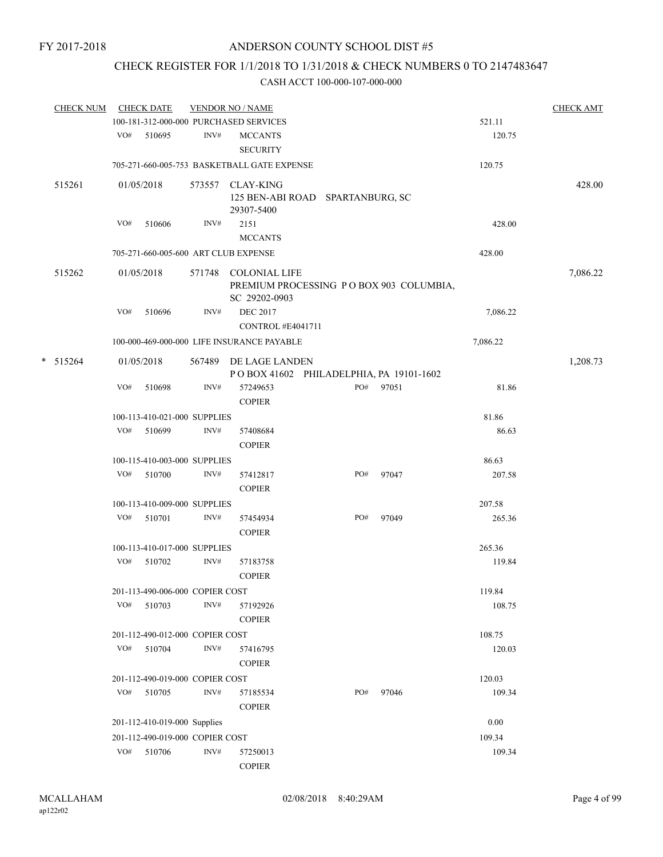# CHECK REGISTER FOR 1/1/2018 TO 1/31/2018 & CHECK NUMBERS 0 TO 2147483647

| <b>CHECK NUM</b> |     | <b>CHECK DATE</b>               |                | <b>VENDOR NO / NAME</b>                                                          |     |       |          | <b>CHECK AMT</b> |
|------------------|-----|---------------------------------|----------------|----------------------------------------------------------------------------------|-----|-------|----------|------------------|
|                  |     |                                 |                | 100-181-312-000-000 PURCHASED SERVICES                                           |     |       | 521.11   |                  |
|                  | VO# | 510695                          | INV#           | <b>MCCANTS</b><br><b>SECURITY</b>                                                |     |       | 120.75   |                  |
|                  |     |                                 |                | 705-271-660-005-753 BASKETBALL GATE EXPENSE                                      |     |       | 120.75   |                  |
| 515261           |     | 01/05/2018                      | 573557         | <b>CLAY-KING</b><br>125 BEN-ABI ROAD SPARTANBURG, SC<br>29307-5400               |     |       |          | 428.00           |
|                  | VO# | 510606                          | INV#           | 2151<br><b>MCCANTS</b>                                                           |     |       | 428.00   |                  |
|                  |     |                                 |                | 705-271-660-005-600 ART CLUB EXPENSE                                             |     |       | 428.00   |                  |
| 515262           |     | 01/05/2018                      |                | 571748 COLONIAL LIFE<br>PREMIUM PROCESSING PO BOX 903 COLUMBIA,<br>SC 29202-0903 |     |       |          | 7,086.22         |
|                  | VO# | 510696                          | INV#           | <b>DEC 2017</b><br>CONTROL #E4041711                                             |     |       | 7,086.22 |                  |
|                  |     |                                 |                | 100-000-469-000-000 LIFE INSURANCE PAYABLE                                       |     |       | 7,086.22 |                  |
| $* 515264$       |     | 01/05/2018                      |                | 567489 DE LAGE LANDEN<br>POBOX 41602 PHILADELPHIA, PA 19101-1602                 |     |       |          | 1,208.73         |
|                  | VO# | 510698                          | INV#           | 57249653<br><b>COPIER</b>                                                        | PO# | 97051 | 81.86    |                  |
|                  |     | 100-113-410-021-000 SUPPLIES    |                |                                                                                  |     |       | 81.86    |                  |
|                  |     | VO# 510699                      | INV#           | 57408684<br><b>COPIER</b>                                                        |     |       | 86.63    |                  |
|                  |     | 100-115-410-003-000 SUPPLIES    |                |                                                                                  |     |       | 86.63    |                  |
|                  |     | VO# 510700                      | INV#           | 57412817<br><b>COPIER</b>                                                        | PO# | 97047 | 207.58   |                  |
|                  |     | 100-113-410-009-000 SUPPLIES    |                |                                                                                  |     |       | 207.58   |                  |
|                  | VO# | 510701                          | $\text{INV}\#$ | 57454934<br><b>COPIER</b>                                                        | PO# | 97049 | 265.36   |                  |
|                  |     | 100-113-410-017-000 SUPPLIES    |                |                                                                                  |     |       | 265.36   |                  |
|                  |     | VO# 510702                      | INV#           | 57183758<br><b>COPIER</b>                                                        |     |       | 119.84   |                  |
|                  |     | 201-113-490-006-000 COPIER COST |                |                                                                                  |     |       | 119.84   |                  |
|                  | VO# | 510703                          | INV#           | 57192926<br><b>COPIER</b>                                                        |     |       | 108.75   |                  |
|                  |     | 201-112-490-012-000 COPIER COST |                |                                                                                  |     |       | 108.75   |                  |
|                  | VO# | 510704                          | INV#           | 57416795<br><b>COPIER</b>                                                        |     |       | 120.03   |                  |
|                  |     | 201-112-490-019-000 COPIER COST |                |                                                                                  |     |       | 120.03   |                  |
|                  | VO# | 510705                          | INV#           | 57185534<br><b>COPIER</b>                                                        | PO# | 97046 | 109.34   |                  |
|                  |     | 201-112-410-019-000 Supplies    |                |                                                                                  |     |       | 0.00     |                  |
|                  |     | 201-112-490-019-000 COPIER COST |                |                                                                                  |     |       | 109.34   |                  |
|                  | VO# | 510706                          | $\text{INV}\#$ | 57250013<br><b>COPIER</b>                                                        |     |       | 109.34   |                  |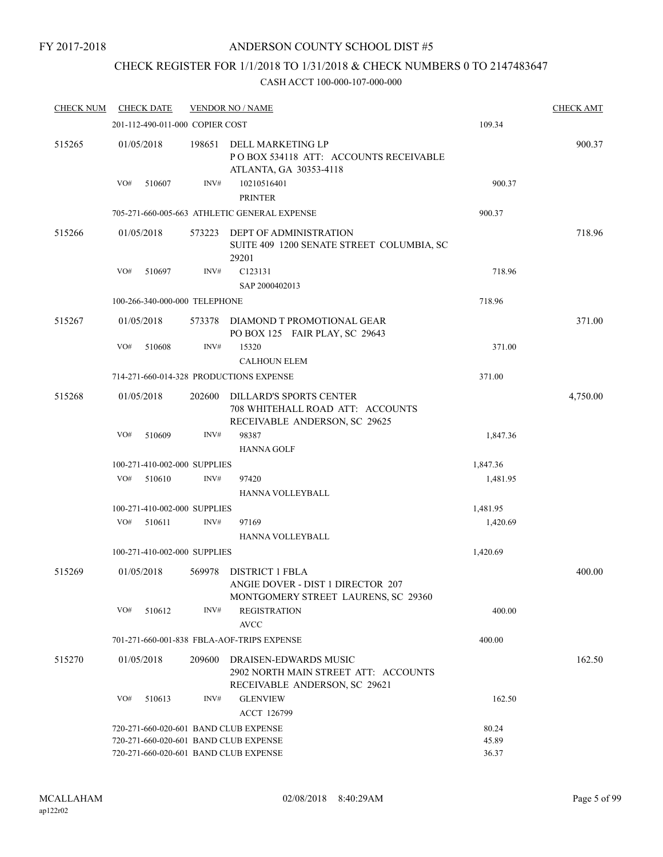### FY 2017-2018

## ANDERSON COUNTY SCHOOL DIST #5

## CHECK REGISTER FOR 1/1/2018 TO 1/31/2018 & CHECK NUMBERS 0 TO 2147483647

| <b>CHECK NUM</b> |                                       | <b>CHECK DATE</b>               |                              | <b>VENDOR NO / NAME</b>                                                                             |          | <b>CHECK AMT</b> |
|------------------|---------------------------------------|---------------------------------|------------------------------|-----------------------------------------------------------------------------------------------------|----------|------------------|
|                  |                                       | 201-112-490-011-000 COPIER COST |                              |                                                                                                     | 109.34   |                  |
| 515265           | 01/05/2018                            |                                 | 198651                       | DELL MARKETING LP<br>POBOX 534118 ATT: ACCOUNTS RECEIVABLE<br>ATLANTA, GA 30353-4118                |          | 900.37           |
|                  | VO#                                   | 510607                          | INV#                         | 10210516401<br><b>PRINTER</b>                                                                       | 900.37   |                  |
|                  |                                       |                                 |                              | 705-271-660-005-663 ATHLETIC GENERAL EXPENSE                                                        | 900.37   |                  |
| 515266           | 01/05/2018                            |                                 | 573223                       | DEPT OF ADMINISTRATION<br>SUITE 409 1200 SENATE STREET COLUMBIA, SC<br>29201                        |          | 718.96           |
|                  | VO#                                   | 510697                          | INV#                         | C123131<br>SAP 2000402013                                                                           | 718.96   |                  |
|                  |                                       | 100-266-340-000-000 TELEPHONE   |                              |                                                                                                     | 718.96   |                  |
| 515267           | 01/05/2018                            |                                 | 573378                       | DIAMOND T PROMOTIONAL GEAR<br>PO BOX 125 FAIR PLAY, SC 29643                                        |          | 371.00           |
|                  | VO#                                   | 510608                          | INV#                         | 15320<br><b>CALHOUN ELEM</b>                                                                        | 371.00   |                  |
|                  |                                       |                                 |                              | 714-271-660-014-328 PRODUCTIONS EXPENSE                                                             | 371.00   |                  |
| 515268           | 01/05/2018                            |                                 | 202600                       | <b>DILLARD'S SPORTS CENTER</b><br>708 WHITEHALL ROAD ATT: ACCOUNTS<br>RECEIVABLE ANDERSON, SC 29625 |          | 4,750.00         |
|                  | VO#                                   | 510609                          | INV#                         | 98387<br><b>HANNA GOLF</b>                                                                          | 1,847.36 |                  |
|                  |                                       | 100-271-410-002-000 SUPPLIES    |                              |                                                                                                     | 1,847.36 |                  |
|                  | VO#                                   | 510610                          | INV#                         | 97420<br>HANNA VOLLEYBALL                                                                           | 1,481.95 |                  |
|                  |                                       |                                 | 100-271-410-002-000 SUPPLIES |                                                                                                     | 1,481.95 |                  |
|                  | VO#                                   | 510611                          | INV#                         | 97169<br>HANNA VOLLEYBALL                                                                           | 1,420.69 |                  |
|                  |                                       | 100-271-410-002-000 SUPPLIES    |                              |                                                                                                     | 1,420.69 |                  |
| 515269           | 01/05/2018                            |                                 | 569978                       | <b>DISTRICT 1 FBLA</b><br>ANGIE DOVER - DIST 1 DIRECTOR 207<br>MONTGOMERY STREET LAURENS, SC 29360  |          | 400.00           |
|                  | VO#                                   | 510612                          | INV#                         | <b>REGISTRATION</b><br><b>AVCC</b>                                                                  | 400.00   |                  |
|                  |                                       |                                 |                              | 701-271-660-001-838 FBLA-AOF-TRIPS EXPENSE                                                          | 400.00   |                  |
| 515270           | 01/05/2018                            |                                 | 209600                       | DRAISEN-EDWARDS MUSIC<br>2902 NORTH MAIN STREET ATT: ACCOUNTS<br>RECEIVABLE ANDERSON, SC 29621      |          | 162.50           |
|                  | VO#                                   | 510613                          | INV#                         | <b>GLENVIEW</b><br>ACCT 126799                                                                      | 162.50   |                  |
|                  |                                       |                                 |                              | 720-271-660-020-601 BAND CLUB EXPENSE                                                               | 80.24    |                  |
|                  |                                       |                                 |                              | 720-271-660-020-601 BAND CLUB EXPENSE                                                               | 45.89    |                  |
|                  | 720-271-660-020-601 BAND CLUB EXPENSE |                                 |                              |                                                                                                     | 36.37    |                  |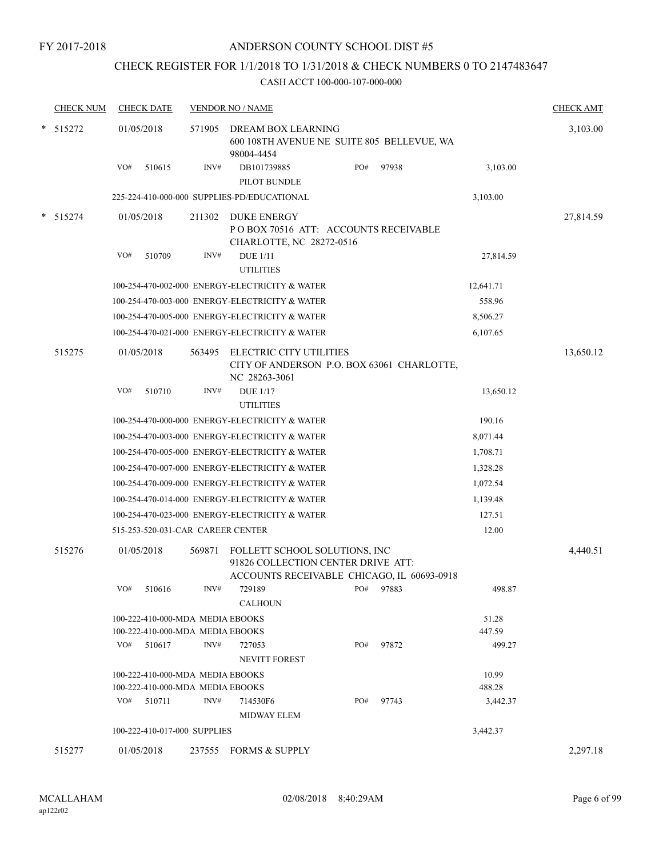# CHECK REGISTER FOR 1/1/2018 TO 1/31/2018 & CHECK NUMBERS 0 TO 2147483647

|        | <b>CHECK NUM</b> |                                            | <b>CHECK DATE</b>                                                    |        | <b>VENDOR NO / NAME</b>                                                                                           |     |       |                 | <b>CHECK AMT</b> |
|--------|------------------|--------------------------------------------|----------------------------------------------------------------------|--------|-------------------------------------------------------------------------------------------------------------------|-----|-------|-----------------|------------------|
|        | $*$ 515272       |                                            | 01/05/2018                                                           | 571905 | DREAM BOX LEARNING<br>600 108TH AVENUE NE SUITE 805 BELLEVUE, WA<br>98004-4454                                    |     |       |                 | 3,103.00         |
|        |                  | VO#                                        | 510615                                                               | INV#   | DB101739885<br>PILOT BUNDLE                                                                                       | PO# | 97938 | 3,103.00        |                  |
|        |                  |                                            |                                                                      |        | 225-224-410-000-000 SUPPLIES-PD/EDUCATIONAL                                                                       |     |       | 3,103.00        |                  |
| $\ast$ | 515274           |                                            | 01/05/2018                                                           | 211302 | DUKE ENERGY<br>POBOX 70516 ATT: ACCOUNTS RECEIVABLE                                                               |     |       |                 | 27,814.59        |
|        |                  | VO#                                        | 510709                                                               | INV#   | CHARLOTTE, NC 28272-0516<br><b>DUE 1/11</b><br><b>UTILITIES</b>                                                   |     |       | 27,814.59       |                  |
|        |                  |                                            |                                                                      |        | 100-254-470-002-000 ENERGY-ELECTRICITY & WATER                                                                    |     |       | 12,641.71       |                  |
|        |                  |                                            |                                                                      |        | 100-254-470-003-000 ENERGY-ELECTRICITY & WATER                                                                    |     |       | 558.96          |                  |
|        |                  |                                            |                                                                      |        | 100-254-470-005-000 ENERGY-ELECTRICITY & WATER                                                                    |     |       | 8,506.27        |                  |
|        |                  |                                            |                                                                      |        | 100-254-470-021-000 ENERGY-ELECTRICITY & WATER                                                                    |     |       | 6,107.65        |                  |
|        | 515275           |                                            | 01/05/2018                                                           | 563495 | ELECTRIC CITY UTILITIES<br>CITY OF ANDERSON P.O. BOX 63061 CHARLOTTE,<br>NC 28263-3061                            |     |       |                 | 13,650.12        |
|        |                  | VO#                                        | 510710                                                               | INV#   | <b>DUE 1/17</b><br><b>UTILITIES</b>                                                                               |     |       | 13,650.12       |                  |
|        |                  |                                            |                                                                      |        | 100-254-470-000-000 ENERGY-ELECTRICITY & WATER                                                                    |     |       | 190.16          |                  |
|        |                  |                                            |                                                                      |        | 100-254-470-003-000 ENERGY-ELECTRICITY & WATER                                                                    |     |       | 8,071.44        |                  |
|        |                  |                                            |                                                                      |        | 100-254-470-005-000 ENERGY-ELECTRICITY & WATER                                                                    |     |       | 1,708.71        |                  |
|        |                  |                                            |                                                                      |        | 100-254-470-007-000 ENERGY-ELECTRICITY & WATER                                                                    |     |       | 1,328.28        |                  |
|        |                  |                                            |                                                                      |        | 100-254-470-009-000 ENERGY-ELECTRICITY & WATER                                                                    |     |       | 1,072.54        |                  |
|        |                  |                                            |                                                                      |        | 100-254-470-014-000 ENERGY-ELECTRICITY & WATER                                                                    |     |       | 1,139.48        |                  |
|        |                  |                                            |                                                                      |        | 100-254-470-023-000 ENERGY-ELECTRICITY & WATER                                                                    |     |       | 127.51          |                  |
|        |                  | 515-253-520-031-CAR CAREER CENTER<br>12.00 |                                                                      |        |                                                                                                                   |     |       |                 |                  |
|        | 515276           |                                            | 01/05/2018                                                           | 569871 | FOLLETT SCHOOL SOLUTIONS, INC<br>91826 COLLECTION CENTER DRIVE ATT:<br>ACCOUNTS RECEIVABLE CHICAGO, IL 60693-0918 |     |       |                 | 4,440.51         |
|        |                  |                                            | VO# 510616                                                           | INV#   | 729189 PO# 97883<br><b>CALHOUN</b>                                                                                |     |       | 498.87          |                  |
|        |                  |                                            | 100-222-410-000-MDA MEDIA EBOOKS                                     |        |                                                                                                                   |     |       | 51.28           |                  |
|        |                  |                                            | 100-222-410-000-MDA MEDIA EBOOKS                                     |        |                                                                                                                   |     |       | 447.59          |                  |
|        |                  |                                            | $VO#$ 510617                                                         | INV#   | 727053<br><b>NEVITT FOREST</b>                                                                                    | PO# | 97872 | 499.27          |                  |
|        |                  |                                            | 100-222-410-000-MDA MEDIA EBOOKS<br>100-222-410-000-MDA MEDIA EBOOKS |        |                                                                                                                   |     |       | 10.99<br>488.28 |                  |
|        |                  |                                            | VO# 510711                                                           | INV#   | 714530F6<br><b>MIDWAY ELEM</b>                                                                                    | PO# | 97743 | 3,442.37        |                  |
|        |                  |                                            | 100-222-410-017-000 SUPPLIES                                         |        |                                                                                                                   |     |       | 3,442.37        |                  |
|        | 515277           |                                            | 01/05/2018                                                           |        | 237555 FORMS & SUPPLY                                                                                             |     |       |                 | 2,297.18         |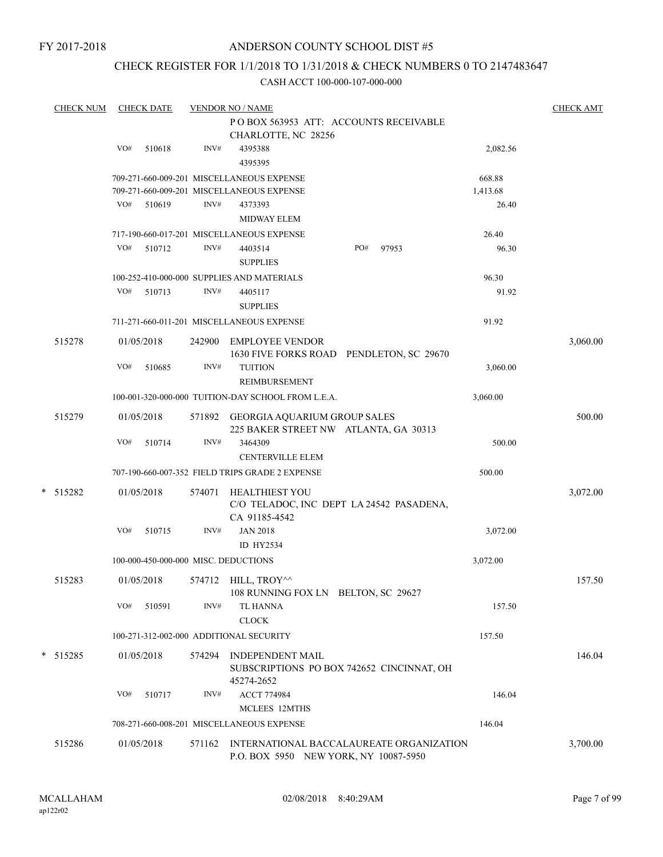FY 2017-2018

## ANDERSON COUNTY SCHOOL DIST #5

## CHECK REGISTER FOR 1/1/2018 TO 1/31/2018 & CHECK NUMBERS 0 TO 2147483647

| <b>CHECK NUM</b> |     | <b>CHECK DATE</b> |        | <b>VENDOR NO / NAME</b>                                                            |          | <b>CHECK AMT</b> |
|------------------|-----|-------------------|--------|------------------------------------------------------------------------------------|----------|------------------|
|                  |     |                   |        | POBOX 563953 ATT: ACCOUNTS RECEIVABLE                                              |          |                  |
|                  |     |                   |        | CHARLOTTE, NC 28256                                                                |          |                  |
|                  | VO# | 510618            | INV#   | 4395388                                                                            | 2,082.56 |                  |
|                  |     |                   |        | 4395395                                                                            |          |                  |
|                  |     |                   |        | 709-271-660-009-201 MISCELLANEOUS EXPENSE                                          | 668.88   |                  |
|                  |     |                   |        | 709-271-660-009-201 MISCELLANEOUS EXPENSE                                          | 1,413.68 |                  |
|                  | VO# | 510619            | INV#   | 4373393                                                                            | 26.40    |                  |
|                  |     |                   |        | <b>MIDWAY ELEM</b>                                                                 |          |                  |
|                  |     |                   |        | 717-190-660-017-201 MISCELLANEOUS EXPENSE                                          | 26.40    |                  |
|                  | VO# | 510712            | INV#   | 4403514<br>PO#<br>97953<br><b>SUPPLIES</b>                                         | 96.30    |                  |
|                  |     |                   |        | 100-252-410-000-000 SUPPLIES AND MATERIALS                                         | 96.30    |                  |
|                  | VO# | 510713            | INV#   | 4405117                                                                            | 91.92    |                  |
|                  |     |                   |        | <b>SUPPLIES</b>                                                                    |          |                  |
|                  |     |                   |        | 711-271-660-011-201 MISCELLANEOUS EXPENSE                                          | 91.92    |                  |
| 515278           |     | 01/05/2018        | 242900 | <b>EMPLOYEE VENDOR</b><br>1630 FIVE FORKS ROAD PENDLETON, SC 29670                 |          | 3,060.00         |
|                  | VO# | 510685            | INV#   | <b>TUITION</b><br><b>REIMBURSEMENT</b>                                             | 3,060.00 |                  |
|                  |     |                   |        | 100-001-320-000-000 TUITION-DAY SCHOOL FROM L.E.A.                                 | 3,060.00 |                  |
| 515279           |     | 01/05/2018        | 571892 | GEORGIA AQUARIUM GROUP SALES<br>225 BAKER STREET NW ATLANTA, GA 30313              |          | 500.00           |
|                  | VO# | 510714            | INV#   | 3464309<br><b>CENTERVILLE ELEM</b>                                                 | 500.00   |                  |
|                  |     |                   |        | 707-190-660-007-352 FIELD TRIPS GRADE 2 EXPENSE                                    | 500.00   |                  |
|                  |     |                   |        |                                                                                    |          |                  |
| * 515282         |     | 01/05/2018        | 574071 | <b>HEALTHIEST YOU</b><br>C/O TELADOC, INC DEPT LA 24542 PASADENA,<br>CA 91185-4542 |          | 3,072.00         |
|                  | VO# | 510715            | INV#   | <b>JAN 2018</b>                                                                    | 3,072.00 |                  |
|                  |     |                   |        | ID HY2534                                                                          |          |                  |
|                  |     |                   |        | 100-000-450-000-000 MISC. DEDUCTIONS                                               | 3,072.00 |                  |
| 515283           |     | 01/05/2018        |        | 574712 HILL, TROY^^                                                                |          | 157.50           |
|                  |     |                   |        | 108 RUNNING FOX LN BELTON, SC 29627                                                |          |                  |
|                  | VO# | 510591            | INV#   | <b>TL HANNA</b><br>CLOCK                                                           | 157.50   |                  |
|                  |     |                   |        | 100-271-312-002-000 ADDITIONAL SECURITY                                            | 157.50   |                  |
| * 515285         |     | 01/05/2018        | 574294 | <b>INDEPENDENT MAIL</b><br>SUBSCRIPTIONS PO BOX 742652 CINCINNAT, OH               |          | 146.04           |
|                  |     |                   |        | 45274-2652                                                                         |          |                  |
|                  | VO# | 510717            | INV#   | <b>ACCT 774984</b>                                                                 | 146.04   |                  |
|                  |     |                   |        | MCLEES 12MTHS                                                                      |          |                  |
|                  |     |                   |        | 708-271-660-008-201 MISCELLANEOUS EXPENSE                                          | 146.04   |                  |
| 515286           |     | 01/05/2018        | 571162 | INTERNATIONAL BACCALAUREATE ORGANIZATION<br>P.O. BOX 5950 NEW YORK, NY 10087-5950  |          | 3,700.00         |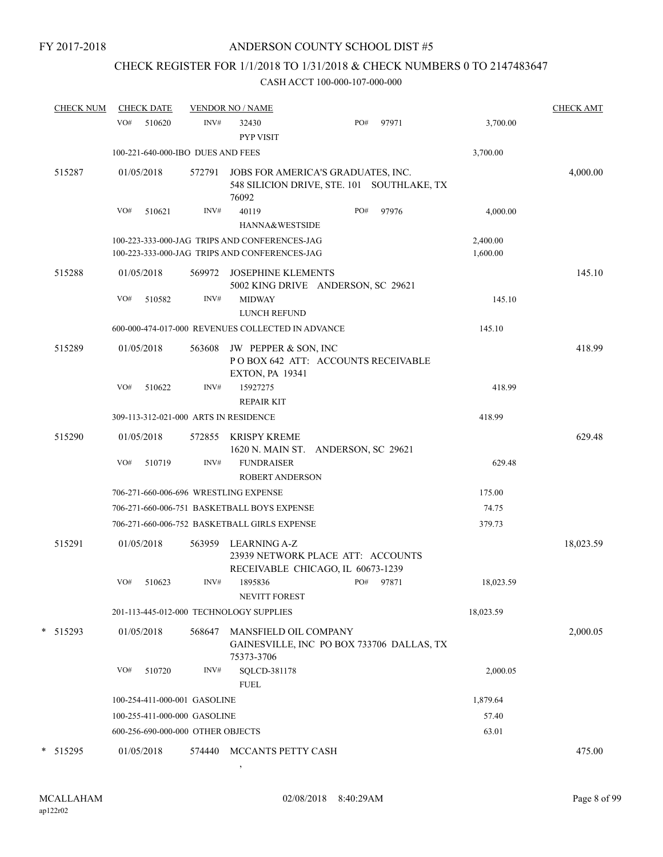# CHECK REGISTER FOR 1/1/2018 TO 1/31/2018 & CHECK NUMBERS 0 TO 2147483647

### CASH ACCT 100-000-107-000-000

| <b>CHECK NUM</b> | <b>CHECK DATE</b>                     |        | <b>VENDOR NO / NAME</b>                                                                        |     |       |                      | <b>CHECK AMT</b> |
|------------------|---------------------------------------|--------|------------------------------------------------------------------------------------------------|-----|-------|----------------------|------------------|
|                  | VO#<br>510620                         | INV#   | 32430<br><b>PYP VISIT</b>                                                                      | PO# | 97971 | 3,700.00             |                  |
|                  | 100-221-640-000-IBO DUES AND FEES     |        |                                                                                                |     |       | 3,700.00             |                  |
| 515287           | 01/05/2018                            | 572791 | JOBS FOR AMERICA'S GRADUATES, INC.<br>548 SILICION DRIVE, STE. 101 SOUTHLAKE, TX<br>76092      |     |       |                      | 4,000.00         |
|                  | VO#<br>510621                         | INV#   | 40119<br>HANNA&WESTSIDE                                                                        | PO# | 97976 | 4,000.00             |                  |
|                  |                                       |        |                                                                                                |     |       |                      |                  |
|                  |                                       |        | 100-223-333-000-JAG TRIPS AND CONFERENCES-JAG<br>100-223-333-000-JAG TRIPS AND CONFERENCES-JAG |     |       | 2,400.00<br>1,600.00 |                  |
| 515288           | 01/05/2018                            | 569972 | <b>JOSEPHINE KLEMENTS</b><br>5002 KING DRIVE ANDERSON, SC 29621                                |     |       |                      | 145.10           |
|                  | VO#<br>510582                         | INV#   | <b>MIDWAY</b><br><b>LUNCH REFUND</b>                                                           |     |       | 145.10               |                  |
|                  |                                       |        | 600-000-474-017-000 REVENUES COLLECTED IN ADVANCE                                              |     |       | 145.10               |                  |
| 515289           | 01/05/2018                            | 563608 | JW PEPPER & SON, INC<br>POBOX 642 ATT: ACCOUNTS RECEIVABLE<br><b>EXTON, PA 19341</b>           |     |       |                      | 418.99           |
|                  | VO#<br>510622                         | INV#   | 15927275<br><b>REPAIR KIT</b>                                                                  |     |       | 418.99               |                  |
|                  | 309-113-312-021-000 ARTS IN RESIDENCE |        |                                                                                                |     |       | 418.99               |                  |
| 515290           | 01/05/2018                            | 572855 | <b>KRISPY KREME</b><br>1620 N. MAIN ST. ANDERSON, SC 29621                                     |     |       |                      | 629.48           |
|                  | VO#<br>510719                         | INV#   | <b>FUNDRAISER</b><br><b>ROBERT ANDERSON</b>                                                    |     |       | 629.48               |                  |
|                  | 706-271-660-006-696 WRESTLING EXPENSE |        |                                                                                                |     |       | 175.00               |                  |
|                  |                                       |        | 706-271-660-006-751 BASKETBALL BOYS EXPENSE                                                    |     |       | 74.75                |                  |
|                  |                                       |        | 706-271-660-006-752 BASKETBALL GIRLS EXPENSE                                                   |     |       | 379.73               |                  |
| 515291           | 01/05/2018                            | 563959 | LEARNING A-Z<br>23939 NETWORK PLACE ATT: ACCOUNTS<br>RECEIVABLE CHICAGO, IL 60673-1239         |     |       |                      | 18,023.59        |
|                  | VO#<br>510623                         | INV#   | 1895836<br><b>NEVITT FOREST</b>                                                                | PO# | 97871 | 18,023.59            |                  |
|                  |                                       |        | 201-113-445-012-000 TECHNOLOGY SUPPLIES                                                        |     |       | 18,023.59            |                  |
| * 515293         | 01/05/2018                            | 568647 | MANSFIELD OIL COMPANY<br>GAINESVILLE, INC PO BOX 733706 DALLAS, TX<br>75373-3706               |     |       |                      | 2,000.05         |
|                  | VO#<br>510720                         | INV#   | SQLCD-381178<br><b>FUEL</b>                                                                    |     |       | 2,000.05             |                  |
|                  | 100-254-411-000-001 GASOLINE          |        |                                                                                                |     |       | 1,879.64             |                  |
|                  | 100-255-411-000-000 GASOLINE          |        |                                                                                                |     |       | 57.40                |                  |
|                  | 600-256-690-000-000 OTHER OBJECTS     |        |                                                                                                |     |       | 63.01                |                  |
| * 515295         | 01/05/2018                            |        | 574440 MCCANTS PETTY CASH                                                                      |     |       |                      | 475.00           |

,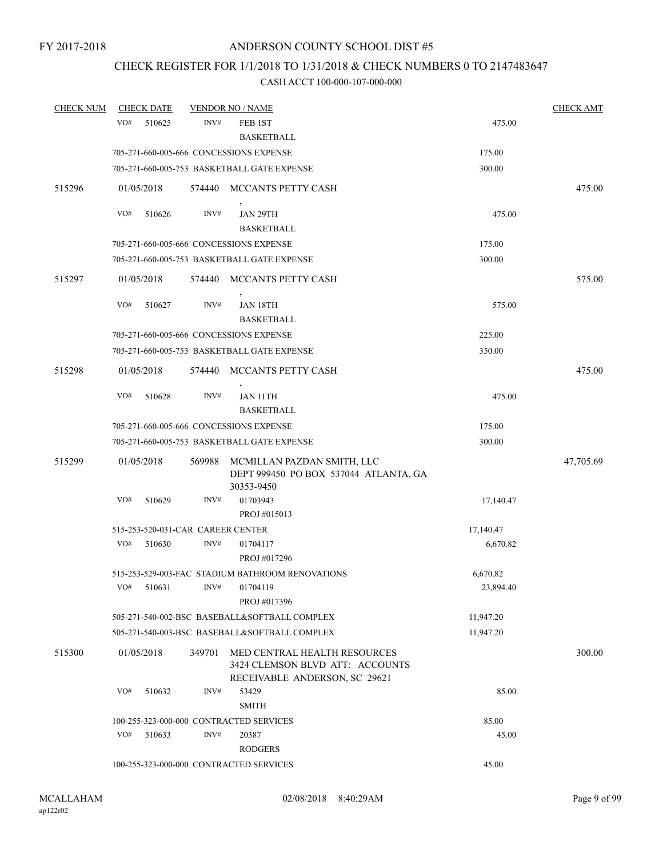## CHECK REGISTER FOR 1/1/2018 TO 1/31/2018 & CHECK NUMBERS 0 TO 2147483647

| <b>CHECK NUM</b> | <b>CHECK DATE</b>                 |        | <b>VENDOR NO / NAME</b>                                                                          |           | <b>CHECK AMT</b> |
|------------------|-----------------------------------|--------|--------------------------------------------------------------------------------------------------|-----------|------------------|
|                  | VO#<br>510625                     | INV#   | FEB 1ST<br><b>BASKETBALL</b>                                                                     | 475.00    |                  |
|                  |                                   |        | 705-271-660-005-666 CONCESSIONS EXPENSE                                                          | 175.00    |                  |
|                  |                                   |        | 705-271-660-005-753 BASKETBALL GATE EXPENSE                                                      | 300.00    |                  |
| 515296           | 01/05/2018                        |        | 574440 MCCANTS PETTY CASH                                                                        |           | 475.00           |
|                  |                                   |        |                                                                                                  |           |                  |
|                  | VO#<br>510626                     | INV#   | JAN 29TH<br><b>BASKETBALL</b>                                                                    | 475.00    |                  |
|                  |                                   |        | 705-271-660-005-666 CONCESSIONS EXPENSE                                                          | 175.00    |                  |
|                  |                                   |        | 705-271-660-005-753 BASKETBALL GATE EXPENSE                                                      | 300.00    |                  |
| 515297           | 01/05/2018                        |        | 574440 MCCANTS PETTY CASH                                                                        |           | 575.00           |
|                  | VO#<br>510627                     | INV#   | <b>JAN 18TH</b><br><b>BASKETBALL</b>                                                             | 575.00    |                  |
|                  |                                   |        | 705-271-660-005-666 CONCESSIONS EXPENSE                                                          | 225.00    |                  |
|                  |                                   |        | 705-271-660-005-753 BASKETBALL GATE EXPENSE                                                      | 350.00    |                  |
| 515298           | 01/05/2018                        |        | 574440 MCCANTS PETTY CASH                                                                        |           | 475.00           |
|                  | VO#<br>510628                     | INV#   | <b>JAN 11TH</b><br><b>BASKETBALL</b>                                                             | 475.00    |                  |
|                  |                                   |        | 705-271-660-005-666 CONCESSIONS EXPENSE                                                          | 175.00    |                  |
|                  |                                   |        | 705-271-660-005-753 BASKETBALL GATE EXPENSE                                                      | 300.00    |                  |
| 515299           | 01/05/2018                        | 569988 | MCMILLAN PAZDAN SMITH, LLC<br>DEPT 999450 PO BOX 537044 ATLANTA, GA<br>30353-9450                |           | 47,705.69        |
|                  | VO#<br>510629                     | INV#   | 01703943<br>PROJ #015013                                                                         | 17,140.47 |                  |
|                  | 515-253-520-031-CAR CAREER CENTER |        |                                                                                                  | 17,140.47 |                  |
|                  | VO#<br>510630                     | INV#   | 01704117<br>PROJ #017296                                                                         | 6,670.82  |                  |
|                  |                                   |        | 515-253-529-003-FAC STADIUM BATHROOM RENOVATIONS                                                 | 6,670.82  |                  |
|                  | VO#<br>510631                     |        | INV# 01704119<br>PROJ #017396                                                                    | 23,894.40 |                  |
|                  |                                   |        | 505-271-540-002-BSC BASEBALL&SOFTBALL COMPLEX                                                    | 11,947.20 |                  |
|                  |                                   |        | 505-271-540-003-BSC BASEBALL&SOFTBALL COMPLEX                                                    | 11,947.20 |                  |
| 515300           | 01/05/2018                        | 349701 | MED CENTRAL HEALTH RESOURCES<br>3424 CLEMSON BLVD ATT: ACCOUNTS<br>RECEIVABLE ANDERSON, SC 29621 |           | 300.00           |
|                  | VO#<br>510632                     | INV#   | 53429<br><b>SMITH</b>                                                                            | 85.00     |                  |
|                  |                                   |        | 100-255-323-000-000 CONTRACTED SERVICES                                                          | 85.00     |                  |
|                  | VO#<br>510633                     | INV#   | 20387                                                                                            | 45.00     |                  |
|                  |                                   |        | <b>RODGERS</b>                                                                                   |           |                  |
|                  |                                   |        | 100-255-323-000-000 CONTRACTED SERVICES                                                          | 45.00     |                  |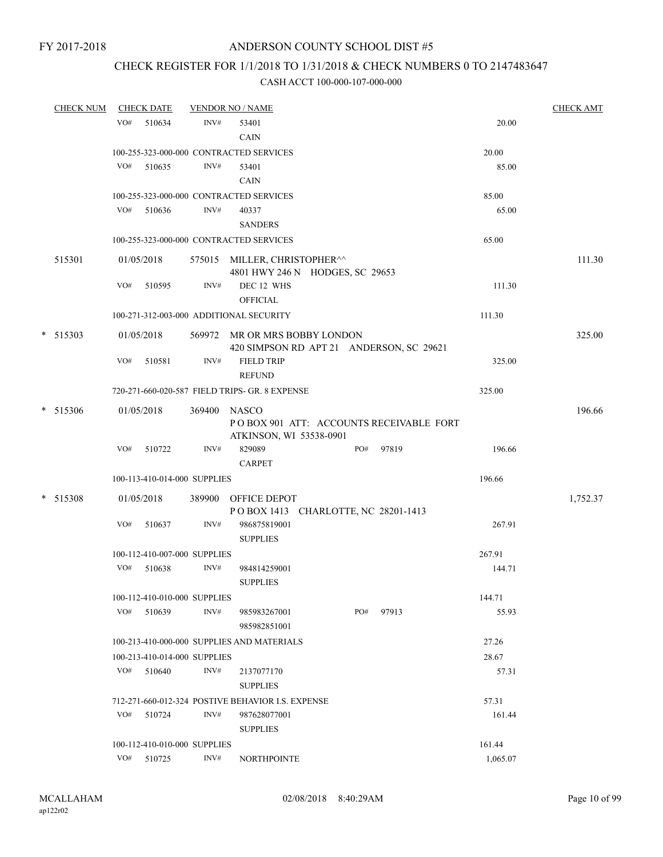## CHECK REGISTER FOR 1/1/2018 TO 1/31/2018 & CHECK NUMBERS 0 TO 2147483647

| <b>CHECK NUM</b> |     | <b>CHECK DATE</b>                      |              | <b>VENDOR NO / NAME</b>                                         |     |       |          | <b>CHECK AMT</b> |
|------------------|-----|----------------------------------------|--------------|-----------------------------------------------------------------|-----|-------|----------|------------------|
|                  | VO# | 510634                                 | INV#         | 53401                                                           |     |       | 20.00    |                  |
|                  |     |                                        |              | <b>CAIN</b>                                                     |     |       |          |                  |
|                  |     |                                        |              | 100-255-323-000-000 CONTRACTED SERVICES                         |     |       | 20.00    |                  |
|                  |     | VO# 510635                             | INV#         | 53401                                                           |     |       | 85.00    |                  |
|                  |     |                                        |              | <b>CAIN</b>                                                     |     |       |          |                  |
|                  |     |                                        |              | 100-255-323-000-000 CONTRACTED SERVICES                         |     |       | 85.00    |                  |
|                  |     | $VO#$ 510636                           | INV#         | 40337                                                           |     |       | 65.00    |                  |
|                  |     |                                        |              | <b>SANDERS</b>                                                  |     |       |          |                  |
|                  |     |                                        |              | 100-255-323-000-000 CONTRACTED SERVICES                         |     |       | 65.00    |                  |
| 515301           |     | 01/05/2018                             |              | 575015 MILLER, CHRISTOPHER^^<br>4801 HWY 246 N HODGES, SC 29653 |     |       |          | 111.30           |
|                  | VO# | 510595                                 | INV#         | DEC 12 WHS<br><b>OFFICIAL</b>                                   |     |       | 111.30   |                  |
|                  |     |                                        |              | 100-271-312-003-000 ADDITIONAL SECURITY                         |     |       | 111.30   |                  |
| $*$ 515303       |     | 01/05/2018                             |              | 569972 MR OR MRS BOBBY LONDON                                   |     |       |          | 325.00           |
|                  |     |                                        |              | 420 SIMPSON RD APT 21 ANDERSON, SC 29621                        |     |       |          |                  |
|                  | VO# | 510581                                 | INV#         | <b>FIELD TRIP</b>                                               |     |       | 325.00   |                  |
|                  |     |                                        |              | <b>REFUND</b>                                                   |     |       |          |                  |
|                  |     |                                        |              | 720-271-660-020-587 FIELD TRIPS- GR. 8 EXPENSE                  |     |       | 325.00   |                  |
| $*$ 515306       |     | 01/05/2018                             | 369400 NASCO |                                                                 |     |       |          | 196.66           |
|                  |     |                                        |              | POBOX 901 ATT: ACCOUNTS RECEIVABLE FORT                         |     |       |          |                  |
|                  |     |                                        |              | ATKINSON, WI 53538-0901                                         |     |       |          |                  |
|                  | VO# | 510722                                 | INV#         | 829089                                                          | PO# | 97819 | 196.66   |                  |
|                  |     |                                        |              | <b>CARPET</b>                                                   |     |       |          |                  |
|                  |     | 100-113-410-014-000 SUPPLIES           |              |                                                                 |     |       | 196.66   |                  |
| $*$ 515308       |     | 01/05/2018                             |              | 389900 OFFICE DEPOT                                             |     |       |          | 1,752.37         |
|                  |     |                                        |              | POBOX 1413 CHARLOTTE, NC 28201-1413                             |     |       |          |                  |
|                  | VO# | 510637                                 | INV#         | 986875819001                                                    |     |       | 267.91   |                  |
|                  |     |                                        |              | <b>SUPPLIES</b>                                                 |     |       | 267.91   |                  |
|                  | VO# | 100-112-410-007-000 SUPPLIES<br>510638 | INV#         | 984814259001                                                    |     |       | 144.71   |                  |
|                  |     |                                        |              | <b>SUPPLIES</b>                                                 |     |       |          |                  |
|                  |     | 100-112-410-010-000 SUPPLIES           |              |                                                                 |     |       | 144.71   |                  |
|                  |     | VO# 510639                             | INV#         | 985983267001                                                    | PO# | 97913 | 55.93    |                  |
|                  |     |                                        |              | 985982851001                                                    |     |       |          |                  |
|                  |     |                                        |              | 100-213-410-000-000 SUPPLIES AND MATERIALS                      |     |       | 27.26    |                  |
|                  |     | 100-213-410-014-000 SUPPLIES           |              |                                                                 |     |       | 28.67    |                  |
|                  |     | VO# 510640                             | INV#         | 2137077170                                                      |     |       | 57.31    |                  |
|                  |     |                                        |              | <b>SUPPLIES</b>                                                 |     |       |          |                  |
|                  |     |                                        |              | 712-271-660-012-324 POSTIVE BEHAVIOR I.S. EXPENSE               |     |       | 57.31    |                  |
|                  | VO# | 510724                                 | INV#         | 987628077001                                                    |     |       | 161.44   |                  |
|                  |     |                                        |              | <b>SUPPLIES</b>                                                 |     |       |          |                  |
|                  |     | 100-112-410-010-000 SUPPLIES           |              |                                                                 |     |       | 161.44   |                  |
|                  |     | VO# 510725                             | INV#         | <b>NORTHPOINTE</b>                                              |     |       | 1,065.07 |                  |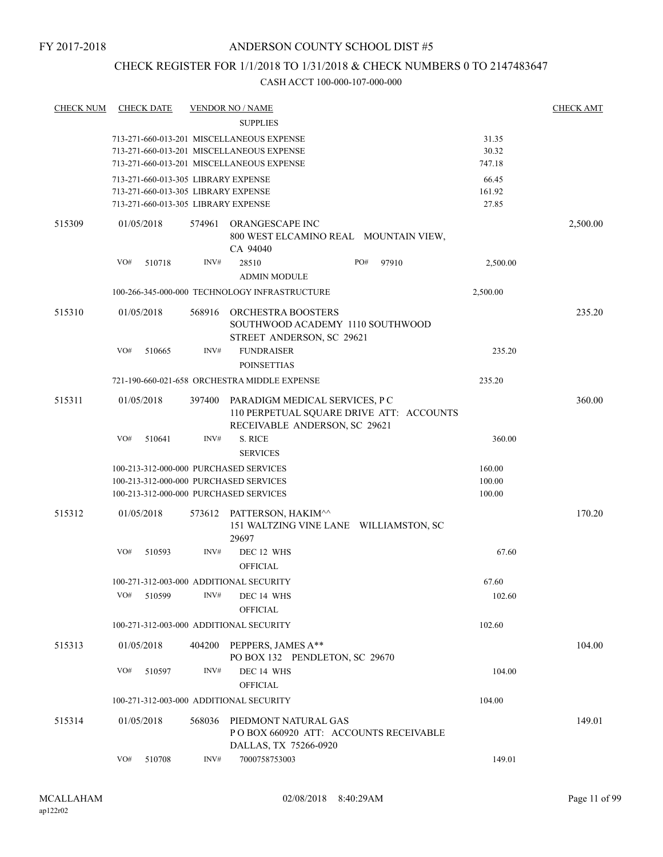## CHECK REGISTER FOR 1/1/2018 TO 1/31/2018 & CHECK NUMBERS 0 TO 2147483647

| <b>CHECK NUM</b> | <b>CHECK DATE</b>                       |        | <b>VENDOR NO / NAME</b>                                                                                     |          | <b>CHECK AMT</b> |
|------------------|-----------------------------------------|--------|-------------------------------------------------------------------------------------------------------------|----------|------------------|
|                  |                                         |        | <b>SUPPLIES</b>                                                                                             |          |                  |
|                  |                                         |        | 713-271-660-013-201 MISCELLANEOUS EXPENSE                                                                   | 31.35    |                  |
|                  |                                         |        | 713-271-660-013-201 MISCELLANEOUS EXPENSE                                                                   | 30.32    |                  |
|                  |                                         |        | 713-271-660-013-201 MISCELLANEOUS EXPENSE                                                                   | 747.18   |                  |
|                  | 713-271-660-013-305 LIBRARY EXPENSE     |        |                                                                                                             | 66.45    |                  |
|                  | 713-271-660-013-305 LIBRARY EXPENSE     |        |                                                                                                             | 161.92   |                  |
|                  | 713-271-660-013-305 LIBRARY EXPENSE     |        |                                                                                                             | 27.85    |                  |
| 515309           | 01/05/2018                              | 574961 | <b>ORANGESCAPE INC</b><br>800 WEST ELCAMINO REAL MOUNTAIN VIEW,<br>CA 94040                                 |          | 2,500.00         |
|                  | VO#<br>510718                           | INV#   | PO#<br>28510<br>97910<br><b>ADMIN MODULE</b>                                                                | 2,500.00 |                  |
|                  |                                         |        | 100-266-345-000-000 TECHNOLOGY INFRASTRUCTURE                                                               | 2,500.00 |                  |
|                  |                                         |        |                                                                                                             |          |                  |
| 515310           | 01/05/2018                              | 568916 | ORCHESTRA BOOSTERS<br>SOUTHWOOD ACADEMY 1110 SOUTHWOOD<br>STREET ANDERSON, SC 29621                         |          | 235.20           |
|                  | VO#<br>510665                           | INV#   | <b>FUNDRAISER</b>                                                                                           | 235.20   |                  |
|                  |                                         |        | <b>POINSETTIAS</b>                                                                                          |          |                  |
|                  |                                         |        | 721-190-660-021-658 ORCHESTRA MIDDLE EXPENSE                                                                | 235.20   |                  |
| 515311           | 01/05/2018                              | 397400 | PARADIGM MEDICAL SERVICES, P C<br>110 PERPETUAL SQUARE DRIVE ATT: ACCOUNTS<br>RECEIVABLE ANDERSON, SC 29621 |          | 360.00           |
|                  | VO#<br>510641                           | INV#   | S. RICE<br><b>SERVICES</b>                                                                                  | 360.00   |                  |
|                  | 100-213-312-000-000 PURCHASED SERVICES  |        |                                                                                                             | 160.00   |                  |
|                  | 100-213-312-000-000 PURCHASED SERVICES  |        |                                                                                                             | 100.00   |                  |
|                  | 100-213-312-000-000 PURCHASED SERVICES  |        |                                                                                                             | 100.00   |                  |
|                  |                                         |        |                                                                                                             |          |                  |
| 515312           | 01/05/2018                              | 573612 | PATTERSON, HAKIM^^<br>151 WALTZING VINE LANE WILLIAMSTON, SC<br>29697                                       |          | 170.20           |
|                  | VO#<br>510593                           | INV#   | DEC 12 WHS<br><b>OFFICIAL</b>                                                                               | 67.60    |                  |
|                  | 100-271-312-003-000 ADDITIONAL SECURITY |        |                                                                                                             | 67.60    |                  |
|                  | VO#<br>510599                           | INV#   | DEC 14 WHS<br><b>OFFICIAL</b>                                                                               | 102.60   |                  |
|                  | 100-271-312-003-000 ADDITIONAL SECURITY |        |                                                                                                             | 102.60   |                  |
| 515313           | 01/05/2018                              | 404200 | PEPPERS, JAMES A**<br>PO BOX 132 PENDLETON, SC 29670                                                        |          | 104.00           |
|                  | VO#<br>510597                           | INV#   | DEC 14 WHS                                                                                                  | 104.00   |                  |
|                  |                                         |        | <b>OFFICIAL</b>                                                                                             |          |                  |
|                  | 100-271-312-003-000 ADDITIONAL SECURITY |        |                                                                                                             | 104.00   |                  |
| 515314           | 01/05/2018                              | 568036 | PIEDMONT NATURAL GAS                                                                                        |          | 149.01           |
|                  |                                         |        | POBOX 660920 ATT: ACCOUNTS RECEIVABLE<br>DALLAS, TX 75266-0920                                              |          |                  |
|                  | VO#<br>510708                           | INV#   | 7000758753003                                                                                               | 149.01   |                  |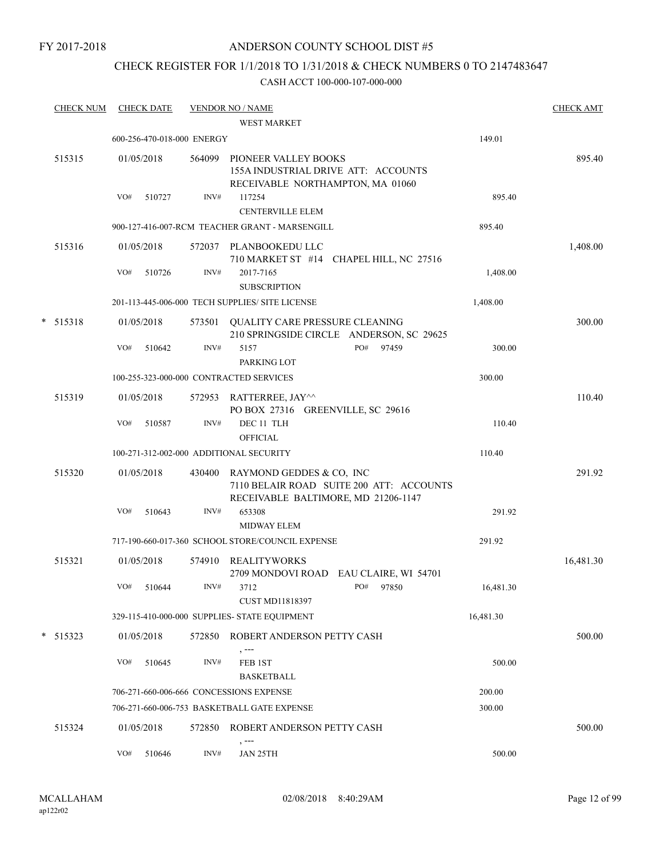FY 2017-2018

## ANDERSON COUNTY SCHOOL DIST #5

## CHECK REGISTER FOR 1/1/2018 TO 1/31/2018 & CHECK NUMBERS 0 TO 2147483647

| <b>CHECK NUM</b> |     | <b>CHECK DATE</b> |                            | <b>VENDOR NO / NAME</b><br><b>WEST MARKET</b>                                                   |                                          |           | <b>CHECK AMT</b> |
|------------------|-----|-------------------|----------------------------|-------------------------------------------------------------------------------------------------|------------------------------------------|-----------|------------------|
|                  |     |                   | 600-256-470-018-000 ENERGY |                                                                                                 |                                          | 149.01    |                  |
| 515315           |     | 01/05/2018        | 564099                     | PIONEER VALLEY BOOKS<br>155A INDUSTRIAL DRIVE ATT: ACCOUNTS<br>RECEIVABLE NORTHAMPTON, MA 01060 |                                          |           | 895.40           |
|                  | VO# | 510727            | INV#                       | 117254<br><b>CENTERVILLE ELEM</b>                                                               |                                          | 895.40    |                  |
|                  |     |                   |                            | 900-127-416-007-RCM TEACHER GRANT - MARSENGILL                                                  |                                          | 895.40    |                  |
| 515316           |     | 01/05/2018        |                            | 572037 PLANBOOKEDU LLC                                                                          | 710 MARKET ST #14 CHAPEL HILL, NC 27516  |           | 1,408.00         |
|                  | VO# | 510726            | $\text{INV}\#$             | 2017-7165<br><b>SUBSCRIPTION</b>                                                                |                                          | 1,408.00  |                  |
|                  |     |                   |                            | 201-113-445-006-000 TECH SUPPLIES/ SITE LICENSE                                                 |                                          | 1,408.00  |                  |
| $*$ 515318       |     | 01/05/2018        |                            | 573501 QUALITY CARE PRESSURE CLEANING                                                           | 210 SPRINGSIDE CIRCLE ANDERSON, SC 29625 |           | 300.00           |
|                  | VO# | 510642            | INV#                       | 5157                                                                                            | PO#<br>97459                             | 300.00    |                  |
|                  |     |                   |                            | PARKING LOT                                                                                     |                                          |           |                  |
|                  |     |                   |                            | 100-255-323-000-000 CONTRACTED SERVICES                                                         |                                          | 300.00    |                  |
| 515319           |     | 01/05/2018        | 572953                     | RATTERREE, JAY^^<br>PO BOX 27316 GREENVILLE, SC 29616                                           |                                          |           | 110.40           |
|                  | VO# | 510587            | INV#                       | DEC 11 TLH<br><b>OFFICIAL</b>                                                                   |                                          | 110.40    |                  |
|                  |     |                   |                            | 100-271-312-002-000 ADDITIONAL SECURITY                                                         |                                          | 110.40    |                  |
| 515320           |     | 01/05/2018        | 430400                     | RAYMOND GEDDES & CO, INC                                                                        | 7110 BELAIR ROAD SUITE 200 ATT: ACCOUNTS |           | 291.92           |
|                  | VO# | 510643            | INV#                       | RECEIVABLE BALTIMORE, MD 21206-1147<br>653308<br><b>MIDWAY ELEM</b>                             |                                          | 291.92    |                  |
|                  |     |                   |                            | 717-190-660-017-360 SCHOOL STORE/COUNCIL EXPENSE                                                |                                          | 291.92    |                  |
| 515321           |     | 01/05/2018        |                            | 574910 REALITYWORKS                                                                             | 2709 MONDOVI ROAD EAU CLAIRE, WI 54701   |           | 16,481.30        |
|                  |     | VO# 510644        |                            | $INV#$ 3712<br><b>CUST MD11818397</b>                                                           | PO# 97850                                | 16,481.30 |                  |
|                  |     |                   |                            | 329-115-410-000-000 SUPPLIES- STATE EQUIPMENT                                                   |                                          | 16,481.30 |                  |
| $*$ 515323       |     | 01/05/2018        | 572850                     | ROBERT ANDERSON PETTY CASH<br>, ---                                                             |                                          |           | 500.00           |
|                  | VO# | 510645            | INV#                       | FEB 1ST<br><b>BASKETBALL</b>                                                                    |                                          | 500.00    |                  |
|                  |     |                   |                            | 706-271-660-006-666 CONCESSIONS EXPENSE                                                         |                                          | 200.00    |                  |
|                  |     |                   |                            | 706-271-660-006-753 BASKETBALL GATE EXPENSE                                                     |                                          | 300.00    |                  |
| 515324           |     | 01/05/2018        | 572850                     | ROBERT ANDERSON PETTY CASH<br>, ---                                                             |                                          |           | 500.00           |
|                  | VO# | 510646            | INV#                       | JAN 25TH                                                                                        |                                          | 500.00    |                  |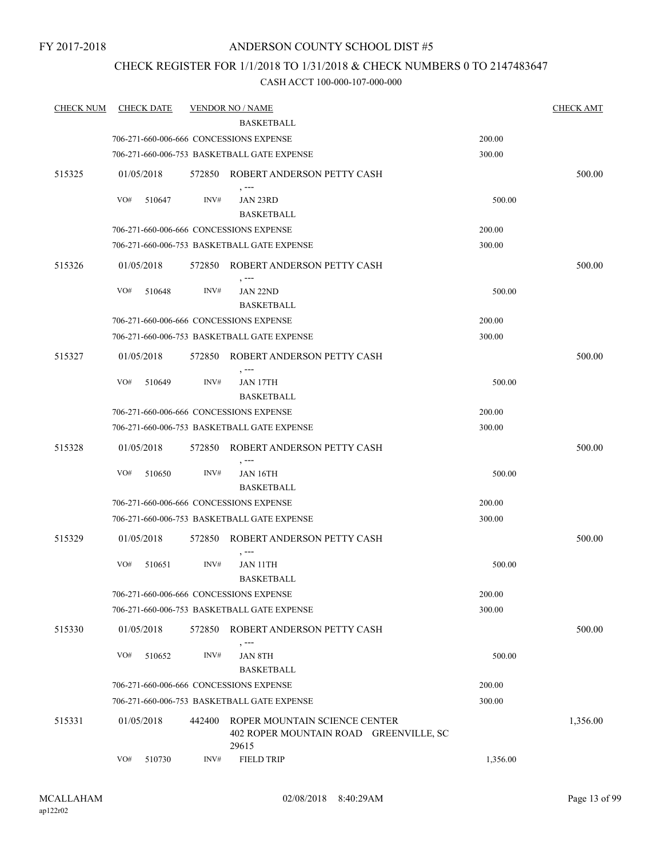### FY 2017-2018

## ANDERSON COUNTY SCHOOL DIST #5

## CHECK REGISTER FOR 1/1/2018 TO 1/31/2018 & CHECK NUMBERS 0 TO 2147483647

| <b>CHECK NUM</b> | <b>CHECK DATE</b> |        | <b>VENDOR NO / NAME</b>                                                          |          | <b>CHECK AMT</b> |
|------------------|-------------------|--------|----------------------------------------------------------------------------------|----------|------------------|
|                  |                   |        | <b>BASKETBALL</b>                                                                |          |                  |
|                  |                   |        | 706-271-660-006-666 CONCESSIONS EXPENSE                                          | 200.00   |                  |
|                  |                   |        | 706-271-660-006-753 BASKETBALL GATE EXPENSE                                      | 300.00   |                  |
| 515325           | 01/05/2018        |        | 572850 ROBERT ANDERSON PETTY CASH                                                |          | 500.00           |
|                  | VO#<br>510647     | INV#   | JAN 23RD                                                                         | 500.00   |                  |
|                  |                   |        | <b>BASKETBALL</b>                                                                |          |                  |
|                  |                   |        | 706-271-660-006-666 CONCESSIONS EXPENSE                                          | 200.00   |                  |
|                  |                   |        | 706-271-660-006-753 BASKETBALL GATE EXPENSE                                      | 300.00   |                  |
| 515326           | 01/05/2018        |        | 572850 ROBERT ANDERSON PETTY CASH                                                |          | 500.00           |
|                  | VO#<br>510648     | INV#   | JAN 22ND                                                                         | 500.00   |                  |
|                  |                   |        | <b>BASKETBALL</b>                                                                |          |                  |
|                  |                   |        | 706-271-660-006-666 CONCESSIONS EXPENSE                                          | 200.00   |                  |
|                  |                   |        | 706-271-660-006-753 BASKETBALL GATE EXPENSE                                      | 300.00   |                  |
| 515327           | 01/05/2018        |        | 572850 ROBERT ANDERSON PETTY CASH<br>$, --$                                      |          | 500.00           |
|                  | VO#<br>510649     | INV#   | <b>JAN 17TH</b>                                                                  | 500.00   |                  |
|                  |                   |        | <b>BASKETBALL</b>                                                                |          |                  |
|                  |                   |        | 706-271-660-006-666 CONCESSIONS EXPENSE                                          | 200.00   |                  |
|                  |                   |        | 706-271-660-006-753 BASKETBALL GATE EXPENSE                                      | 300.00   |                  |
| 515328           | 01/05/2018        |        | 572850 ROBERT ANDERSON PETTY CASH<br>, ---                                       |          | 500.00           |
|                  | VO#<br>510650     | INV#   | JAN 16TH                                                                         | 500.00   |                  |
|                  |                   |        | <b>BASKETBALL</b>                                                                |          |                  |
|                  |                   |        | 706-271-660-006-666 CONCESSIONS EXPENSE                                          | 200.00   |                  |
|                  |                   |        | 706-271-660-006-753 BASKETBALL GATE EXPENSE                                      | 300.00   |                  |
| 515329           | 01/05/2018        |        | 572850 ROBERT ANDERSON PETTY CASH<br>$, --$                                      |          | 500.00           |
|                  | VO#<br>510651     | INV#   | JAN 11TH<br><b>BASKETBALL</b>                                                    | 500.00   |                  |
|                  |                   |        | 706-271-660-006-666 CONCESSIONS EXPENSE                                          | 200.00   |                  |
|                  |                   |        | 706-271-660-006-753 BASKETBALL GATE EXPENSE                                      | 300.00   |                  |
| 515330           | 01/05/2018        |        | 572850 ROBERT ANDERSON PETTY CASH                                                |          | 500.00           |
|                  | VO#<br>510652     | INV#   | , ---<br><b>JAN 8TH</b><br><b>BASKETBALL</b>                                     | 500.00   |                  |
|                  |                   |        | 706-271-660-006-666 CONCESSIONS EXPENSE                                          | 200.00   |                  |
|                  |                   |        | 706-271-660-006-753 BASKETBALL GATE EXPENSE                                      | 300.00   |                  |
| 515331           | 01/05/2018        | 442400 | ROPER MOUNTAIN SCIENCE CENTER<br>402 ROPER MOUNTAIN ROAD GREENVILLE, SC<br>29615 |          | 1,356.00         |
|                  | VO#<br>510730     | INV#   | <b>FIELD TRIP</b>                                                                | 1,356.00 |                  |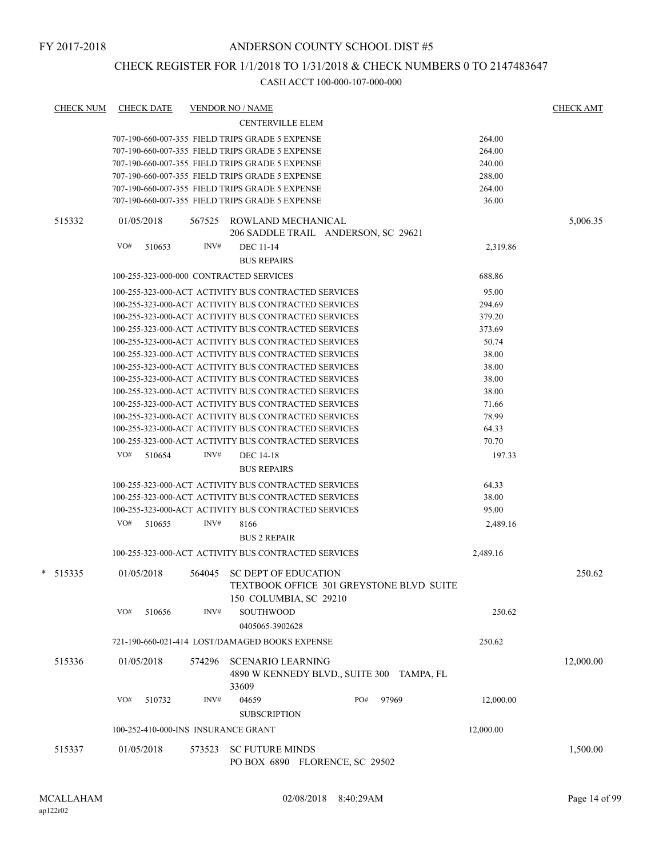## CHECK REGISTER FOR 1/1/2018 TO 1/31/2018 & CHECK NUMBERS 0 TO 2147483647

| CHECK NUM | <b>CHECK DATE</b>                       |        | <b>VENDOR NO / NAME</b>                                                                           |     |       |           | <b>CHECK AMT</b> |
|-----------|-----------------------------------------|--------|---------------------------------------------------------------------------------------------------|-----|-------|-----------|------------------|
|           |                                         |        | <b>CENTERVILLE ELEM</b>                                                                           |     |       |           |                  |
|           |                                         |        | 707-190-660-007-355 FIELD TRIPS GRADE 5 EXPENSE                                                   |     |       | 264.00    |                  |
|           |                                         |        | 707-190-660-007-355 FIELD TRIPS GRADE 5 EXPENSE                                                   |     |       | 264.00    |                  |
|           |                                         |        | 707-190-660-007-355 FIELD TRIPS GRADE 5 EXPENSE                                                   |     |       | 240.00    |                  |
|           |                                         |        | 707-190-660-007-355 FIELD TRIPS GRADE 5 EXPENSE                                                   |     |       | 288.00    |                  |
|           |                                         |        | 707-190-660-007-355 FIELD TRIPS GRADE 5 EXPENSE                                                   |     |       | 264.00    |                  |
|           |                                         |        | 707-190-660-007-355 FIELD TRIPS GRADE 5 EXPENSE                                                   |     |       | 36.00     |                  |
| 515332    | 01/05/2018                              | 567525 | ROWLAND MECHANICAL<br>206 SADDLE TRAIL ANDERSON, SC 29621                                         |     |       |           | 5,006.35         |
|           | VO#<br>510653                           | INV#   | DEC 11-14                                                                                         |     |       | 2,319.86  |                  |
|           |                                         |        | <b>BUS REPAIRS</b>                                                                                |     |       |           |                  |
|           | 100-255-323-000-000 CONTRACTED SERVICES |        |                                                                                                   |     |       | 688.86    |                  |
|           |                                         |        | 100-255-323-000-ACT ACTIVITY BUS CONTRACTED SERVICES                                              |     |       | 95.00     |                  |
|           |                                         |        | 100-255-323-000-ACT ACTIVITY BUS CONTRACTED SERVICES                                              |     |       | 294.69    |                  |
|           |                                         |        | 100-255-323-000-ACT ACTIVITY BUS CONTRACTED SERVICES                                              |     |       | 379.20    |                  |
|           |                                         |        | 100-255-323-000-ACT ACTIVITY BUS CONTRACTED SERVICES                                              |     |       | 373.69    |                  |
|           |                                         |        | 100-255-323-000-ACT ACTIVITY BUS CONTRACTED SERVICES                                              |     |       | 50.74     |                  |
|           |                                         |        | 100-255-323-000-ACT ACTIVITY BUS CONTRACTED SERVICES                                              |     |       | 38.00     |                  |
|           |                                         |        | 100-255-323-000-ACT ACTIVITY BUS CONTRACTED SERVICES                                              |     |       | 38.00     |                  |
|           |                                         |        | 100-255-323-000-ACT ACTIVITY BUS CONTRACTED SERVICES                                              |     |       | 38.00     |                  |
|           |                                         |        | 100-255-323-000-ACT ACTIVITY BUS CONTRACTED SERVICES                                              |     |       | 38.00     |                  |
|           |                                         |        | 100-255-323-000-ACT ACTIVITY BUS CONTRACTED SERVICES                                              |     |       | 71.66     |                  |
|           |                                         |        | 100-255-323-000-ACT ACTIVITY BUS CONTRACTED SERVICES                                              |     |       | 78.99     |                  |
|           |                                         |        | 100-255-323-000-ACT ACTIVITY BUS CONTRACTED SERVICES                                              |     |       | 64.33     |                  |
|           |                                         |        | 100-255-323-000-ACT ACTIVITY BUS CONTRACTED SERVICES                                              |     |       | 70.70     |                  |
|           | $VO#$ 510654                            | INV#   | <b>DEC</b> 14-18                                                                                  |     |       | 197.33    |                  |
|           |                                         |        | <b>BUS REPAIRS</b>                                                                                |     |       |           |                  |
|           |                                         |        | 100-255-323-000-ACT ACTIVITY BUS CONTRACTED SERVICES                                              |     |       | 64.33     |                  |
|           |                                         |        | 100-255-323-000-ACT ACTIVITY BUS CONTRACTED SERVICES                                              |     |       | 38.00     |                  |
|           |                                         |        | 100-255-323-000-ACT ACTIVITY BUS CONTRACTED SERVICES                                              |     |       | 95.00     |                  |
|           | VO#<br>510655                           | INV#   | 8166                                                                                              |     |       | 2,489.16  |                  |
|           |                                         |        | <b>BUS 2 REPAIR</b>                                                                               |     |       |           |                  |
|           |                                         |        | 100-255-323-000-ACT ACTIVITY BUS CONTRACTED SERVICES                                              |     |       | 2,489.16  |                  |
| * 515335  | 01/05/2018                              | 564045 | <b>SC DEPT OF EDUCATION</b><br>TEXTBOOK OFFICE 301 GREYSTONE BLVD SUITE<br>150 COLUMBIA, SC 29210 |     |       |           | 250.62           |
|           | VO#<br>510656                           | INV#   | SOUTHWOOD<br>0405065-3902628                                                                      |     |       | 250.62    |                  |
|           |                                         |        | 721-190-660-021-414 LOST/DAMAGED BOOKS EXPENSE                                                    |     |       | 250.62    |                  |
| 515336    | 01/05/2018                              | 574296 | <b>SCENARIO LEARNING</b><br>4890 W KENNEDY BLVD., SUITE 300 TAMPA, FL<br>33609                    |     |       |           | 12,000.00        |
|           | VO#<br>510732                           | INV#   | 04659<br><b>SUBSCRIPTION</b>                                                                      | PO# | 97969 | 12,000.00 |                  |
|           | 100-252-410-000-INS INSURANCE GRANT     |        |                                                                                                   |     |       | 12,000.00 |                  |
| 515337    | 01/05/2018                              | 573523 | <b>SC FUTURE MINDS</b>                                                                            |     |       |           |                  |
|           |                                         |        | PO BOX 6890 FLORENCE, SC 29502                                                                    |     |       |           | 1,500.00         |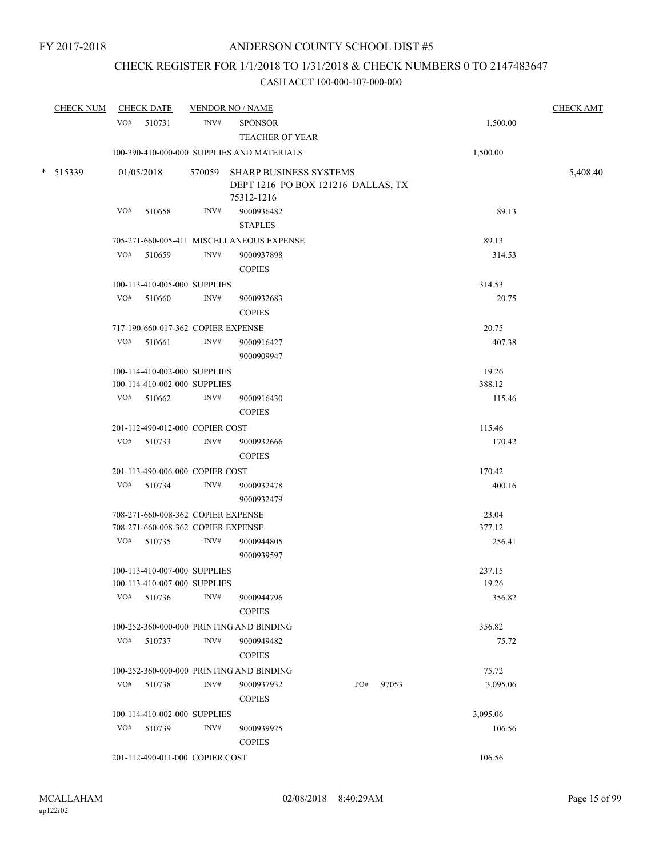## CHECK REGISTER FOR 1/1/2018 TO 1/31/2018 & CHECK NUMBERS 0 TO 2147483647

| <b>CHECK NUM</b> |     | <b>CHECK DATE</b>                                            |      | <b>VENDOR NO / NAME</b>                                                           |     |       |                 | <b>CHECK AMT</b> |
|------------------|-----|--------------------------------------------------------------|------|-----------------------------------------------------------------------------------|-----|-------|-----------------|------------------|
|                  |     | $VO#$ 510731                                                 | INV# | <b>SPONSOR</b><br><b>TEACHER OF YEAR</b>                                          |     |       | 1,500.00        |                  |
|                  |     |                                                              |      | 100-390-410-000-000 SUPPLIES AND MATERIALS                                        |     |       | 1,500.00        |                  |
| $*$ 515339       |     | 01/05/2018                                                   |      | 570059 SHARP BUSINESS SYSTEMS<br>DEPT 1216 PO BOX 121216 DALLAS, TX<br>75312-1216 |     |       |                 | 5,408.40         |
|                  | VO# | 510658                                                       | INV# | 9000936482<br><b>STAPLES</b>                                                      |     |       | 89.13           |                  |
|                  |     |                                                              |      | 705-271-660-005-411 MISCELLANEOUS EXPENSE                                         |     |       | 89.13           |                  |
|                  | VO# | 510659                                                       | INV# | 9000937898                                                                        |     |       | 314.53          |                  |
|                  |     |                                                              |      | <b>COPIES</b>                                                                     |     |       |                 |                  |
|                  |     | 100-113-410-005-000 SUPPLIES                                 |      |                                                                                   |     |       | 314.53          |                  |
|                  | VO# | 510660                                                       | INV# | 9000932683<br><b>COPIES</b>                                                       |     |       | 20.75           |                  |
|                  |     | 717-190-660-017-362 COPIER EXPENSE                           |      |                                                                                   |     |       | 20.75           |                  |
|                  |     | $VO#$ 510661                                                 | INV# | 9000916427<br>9000909947                                                          |     |       | 407.38          |                  |
|                  |     | 100-114-410-002-000 SUPPLIES                                 |      |                                                                                   |     |       | 19.26           |                  |
|                  |     | 100-114-410-002-000 SUPPLIES                                 |      |                                                                                   |     |       | 388.12          |                  |
|                  |     | $VO#$ 510662                                                 | INV# | 9000916430                                                                        |     |       | 115.46          |                  |
|                  |     |                                                              |      | <b>COPIES</b>                                                                     |     |       |                 |                  |
|                  |     | 201-112-490-012-000 COPIER COST                              |      |                                                                                   |     |       | 115.46          |                  |
|                  |     | VO# 510733                                                   | INV# | 9000932666<br><b>COPIES</b>                                                       |     |       | 170.42          |                  |
|                  |     | 201-113-490-006-000 COPIER COST                              |      |                                                                                   |     |       | 170.42          |                  |
|                  |     | VO# 510734                                                   | INV# | 9000932478<br>9000932479                                                          |     |       | 400.16          |                  |
|                  |     | 708-271-660-008-362 COPIER EXPENSE                           |      |                                                                                   |     |       | 23.04           |                  |
|                  |     | 708-271-660-008-362 COPIER EXPENSE                           |      |                                                                                   |     |       | 377.12          |                  |
|                  |     | VO# 510735                                                   | INV# | 9000944805<br>9000939597                                                          |     |       | 256.41          |                  |
|                  |     | 100-113-410-007-000 SUPPLIES<br>100-113-410-007-000 SUPPLIES |      |                                                                                   |     |       | 237.15<br>19.26 |                  |
|                  | VO# | 510736                                                       | INV# | 9000944796<br><b>COPIES</b>                                                       |     |       | 356.82          |                  |
|                  |     |                                                              |      |                                                                                   |     |       |                 |                  |
|                  | VO# | 510737                                                       | INV# | 100-252-360-000-000 PRINTING AND BINDING<br>9000949482                            |     |       | 356.82<br>75.72 |                  |
|                  |     |                                                              |      | <b>COPIES</b>                                                                     |     |       |                 |                  |
|                  |     |                                                              |      | 100-252-360-000-000 PRINTING AND BINDING                                          |     |       | 75.72           |                  |
|                  | VO# | 510738                                                       | INV# | 9000937932<br><b>COPIES</b>                                                       | PO# | 97053 | 3,095.06        |                  |
|                  |     | 100-114-410-002-000 SUPPLIES                                 |      |                                                                                   |     |       | 3,095.06        |                  |
|                  | VO# | 510739                                                       | INV# | 9000939925                                                                        |     |       | 106.56          |                  |
|                  |     | 201-112-490-011-000 COPIER COST                              |      | <b>COPIES</b>                                                                     |     |       | 106.56          |                  |
|                  |     |                                                              |      |                                                                                   |     |       |                 |                  |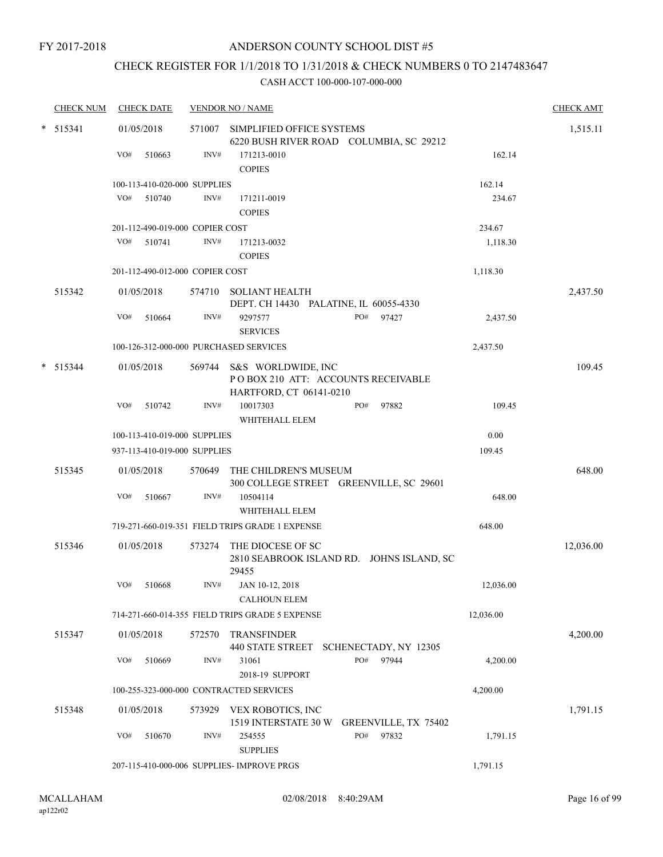## CHECK REGISTER FOR 1/1/2018 TO 1/31/2018 & CHECK NUMBERS 0 TO 2147483647

|   | <b>CHECK NUM</b> |     | <b>CHECK DATE</b>               |        | <b>VENDOR NO / NAME</b>                                                                    |                                           |           | <b>CHECK AMT</b> |
|---|------------------|-----|---------------------------------|--------|--------------------------------------------------------------------------------------------|-------------------------------------------|-----------|------------------|
| * | 515341           |     | 01/05/2018                      | 571007 | SIMPLIFIED OFFICE SYSTEMS<br>6220 BUSH RIVER ROAD COLUMBIA, SC 29212                       |                                           |           | 1,515.11         |
|   |                  | VO# | 510663                          | INV#   | 171213-0010<br><b>COPIES</b>                                                               |                                           | 162.14    |                  |
|   |                  |     | 100-113-410-020-000 SUPPLIES    |        |                                                                                            |                                           | 162.14    |                  |
|   |                  | VO# | 510740                          | INV#   | 171211-0019<br><b>COPIES</b>                                                               |                                           | 234.67    |                  |
|   |                  |     | 201-112-490-019-000 COPIER COST |        |                                                                                            |                                           | 234.67    |                  |
|   |                  | VO# | 510741                          | INV#   | 171213-0032<br><b>COPIES</b>                                                               |                                           | 1,118.30  |                  |
|   |                  |     | 201-112-490-012-000 COPIER COST |        |                                                                                            |                                           | 1,118.30  |                  |
|   | 515342           |     | 01/05/2018                      | 574710 | <b>SOLIANT HEALTH</b><br>DEPT. CH 14430 PALATINE, IL 60055-4330                            |                                           |           | 2,437.50         |
|   |                  | VO# | 510664                          | INV#   | 9297577<br><b>SERVICES</b>                                                                 | PO#<br>97427                              | 2,437.50  |                  |
|   |                  |     |                                 |        | 100-126-312-000-000 PURCHASED SERVICES                                                     |                                           | 2,437.50  |                  |
| * | 515344           |     | 01/05/2018                      |        | 569744 S&S WORLDWIDE, INC<br>POBOX 210 ATT: ACCOUNTS RECEIVABLE<br>HARTFORD, CT 06141-0210 |                                           |           | 109.45           |
|   |                  | VO# | 510742                          | INV#   | 10017303<br>WHITEHALL ELEM                                                                 | 97882<br>PO#                              | 109.45    |                  |
|   |                  |     | 100-113-410-019-000 SUPPLIES    |        |                                                                                            |                                           | 0.00      |                  |
|   |                  |     | 937-113-410-019-000 SUPPLIES    |        |                                                                                            |                                           | 109.45    |                  |
|   | 515345           |     | 01/05/2018                      | 570649 | THE CHILDREN'S MUSEUM<br>300 COLLEGE STREET GREENVILLE, SC 29601                           |                                           |           | 648.00           |
|   |                  | VO# | 510667                          | INV#   | 10504114<br>WHITEHALL ELEM                                                                 |                                           | 648.00    |                  |
|   |                  |     |                                 |        | 719-271-660-019-351 FIELD TRIPS GRADE 1 EXPENSE                                            |                                           | 648.00    |                  |
|   | 515346           |     | 01/05/2018                      | 573274 | THE DIOCESE OF SC<br>29455                                                                 | 2810 SEABROOK ISLAND RD. JOHNS ISLAND, SC |           | 12,036.00        |
|   |                  | VO# | 510668                          | INV#   | JAN 10-12, 2018<br><b>CALHOUN ELEM</b>                                                     |                                           | 12,036.00 |                  |
|   |                  |     |                                 |        | 714-271-660-014-355 FIELD TRIPS GRADE 5 EXPENSE                                            |                                           | 12,036.00 |                  |
|   | 515347           |     | 01/05/2018                      | 572570 | <b>TRANSFINDER</b><br>440 STATE STREET SCHENECTADY, NY 12305                               |                                           |           | 4,200.00         |
|   |                  | VO# | 510669                          | INV#   | 31061<br>2018-19 SUPPORT                                                                   | PO#<br>97944                              | 4,200.00  |                  |
|   |                  |     |                                 |        | 100-255-323-000-000 CONTRACTED SERVICES                                                    |                                           | 4,200.00  |                  |
|   | 515348           |     | 01/05/2018                      | 573929 | VEX ROBOTICS, INC<br>1519 INTERSTATE 30 W                                                  | GREENVILLE, TX 75402                      |           | 1,791.15         |
|   |                  | VO# | 510670                          | INV#   | 254555<br><b>SUPPLIES</b>                                                                  | PO#<br>97832                              | 1,791.15  |                  |
|   |                  |     |                                 |        | 207-115-410-000-006 SUPPLIES- IMPROVE PRGS                                                 |                                           | 1,791.15  |                  |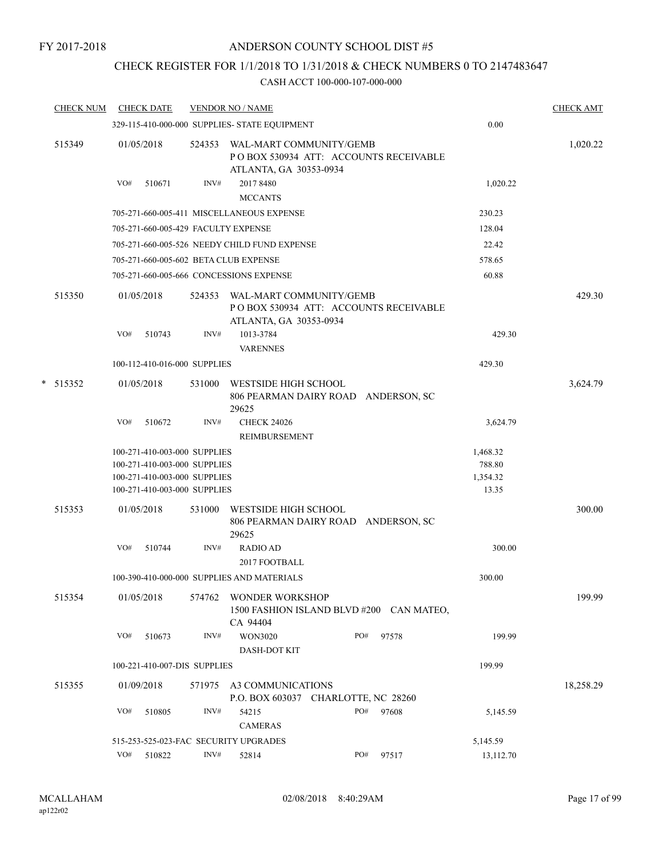## CHECK REGISTER FOR 1/1/2018 TO 1/31/2018 & CHECK NUMBERS 0 TO 2147483647

| <b>CHECK NUM</b> |     | <b>CHECK DATE</b>                                                                                                            |        | <b>VENDOR NO / NAME</b>                                                                     |     |       |                                         | <b>CHECK AMT</b> |
|------------------|-----|------------------------------------------------------------------------------------------------------------------------------|--------|---------------------------------------------------------------------------------------------|-----|-------|-----------------------------------------|------------------|
|                  |     |                                                                                                                              |        | 329-115-410-000-000 SUPPLIES- STATE EQUIPMENT                                               |     |       | 0.00                                    |                  |
| 515349           |     | 01/05/2018                                                                                                                   | 524353 | WAL-MART COMMUNITY/GEMB<br>POBOX 530934 ATT: ACCOUNTS RECEIVABLE<br>ATLANTA, GA 30353-0934  |     |       |                                         | 1,020.22         |
|                  | VO# | 510671                                                                                                                       | INV#   | 2017 8480<br><b>MCCANTS</b>                                                                 |     |       | 1,020.22                                |                  |
|                  |     |                                                                                                                              |        | 705-271-660-005-411 MISCELLANEOUS EXPENSE                                                   |     |       | 230.23                                  |                  |
|                  |     | 705-271-660-005-429 FACULTY EXPENSE                                                                                          |        |                                                                                             |     |       | 128.04                                  |                  |
|                  |     |                                                                                                                              |        | 705-271-660-005-526 NEEDY CHILD FUND EXPENSE                                                |     |       | 22.42                                   |                  |
|                  |     |                                                                                                                              |        | 705-271-660-005-602 BETA CLUB EXPENSE                                                       |     |       | 578.65                                  |                  |
|                  |     |                                                                                                                              |        | 705-271-660-005-666 CONCESSIONS EXPENSE                                                     |     |       | 60.88                                   |                  |
| 515350           |     | 01/05/2018                                                                                                                   | 524353 | WAL-MART COMMUNITY/GEMB<br>PO BOX 530934 ATT: ACCOUNTS RECEIVABLE<br>ATLANTA, GA 30353-0934 |     |       |                                         | 429.30           |
|                  | VO# | 510743                                                                                                                       | INV#   | 1013-3784<br><b>VARENNES</b>                                                                |     |       | 429.30                                  |                  |
|                  |     | 100-112-410-016-000 SUPPLIES                                                                                                 |        |                                                                                             |     |       | 429.30                                  |                  |
| $*$ 515352       |     | 01/05/2018                                                                                                                   | 531000 | WESTSIDE HIGH SCHOOL<br>806 PEARMAN DAIRY ROAD ANDERSON, SC<br>29625                        |     |       |                                         | 3,624.79         |
|                  | VO# | 510672                                                                                                                       | INV#   | <b>CHECK 24026</b><br>REIMBURSEMENT                                                         |     |       | 3,624.79                                |                  |
|                  |     | 100-271-410-003-000 SUPPLIES<br>100-271-410-003-000 SUPPLIES<br>100-271-410-003-000 SUPPLIES<br>100-271-410-003-000 SUPPLIES |        |                                                                                             |     |       | 1,468.32<br>788.80<br>1,354.32<br>13.35 |                  |
| 515353           |     | 01/05/2018                                                                                                                   | 531000 | WESTSIDE HIGH SCHOOL<br>806 PEARMAN DAIRY ROAD ANDERSON, SC<br>29625                        |     |       |                                         | 300.00           |
|                  | VO# | 510744                                                                                                                       | INV#   | <b>RADIO AD</b><br>2017 FOOTBALL                                                            |     |       | 300.00                                  |                  |
|                  |     |                                                                                                                              |        | 100-390-410-000-000 SUPPLIES AND MATERIALS                                                  |     |       | 300.00                                  |                  |
| 515354           |     | 01/05/2018                                                                                                                   | 574762 | <b>WONDER WORKSHOP</b><br>1500 FASHION ISLAND BLVD #200 CAN MATEO,<br>CA 94404              |     |       |                                         | 199.99           |
|                  | VO# | 510673                                                                                                                       | INV#   | <b>WON3020</b><br>DASH-DOT KIT                                                              | PO# | 97578 | 199.99                                  |                  |
|                  |     | 100-221-410-007-DIS SUPPLIES                                                                                                 |        |                                                                                             |     |       | 199.99                                  |                  |
| 515355           |     | 01/09/2018                                                                                                                   | 571975 | A3 COMMUNICATIONS<br>P.O. BOX 603037 CHARLOTTE, NC 28260                                    |     |       |                                         | 18,258.29        |
|                  | VO# | 510805                                                                                                                       | INV#   | 54215<br><b>CAMERAS</b>                                                                     | PO# | 97608 | 5,145.59                                |                  |
|                  |     |                                                                                                                              |        | 515-253-525-023-FAC SECURITY UPGRADES                                                       |     |       | 5,145.59                                |                  |
|                  | VO# | 510822                                                                                                                       | INV#   | 52814                                                                                       | PO# | 97517 | 13,112.70                               |                  |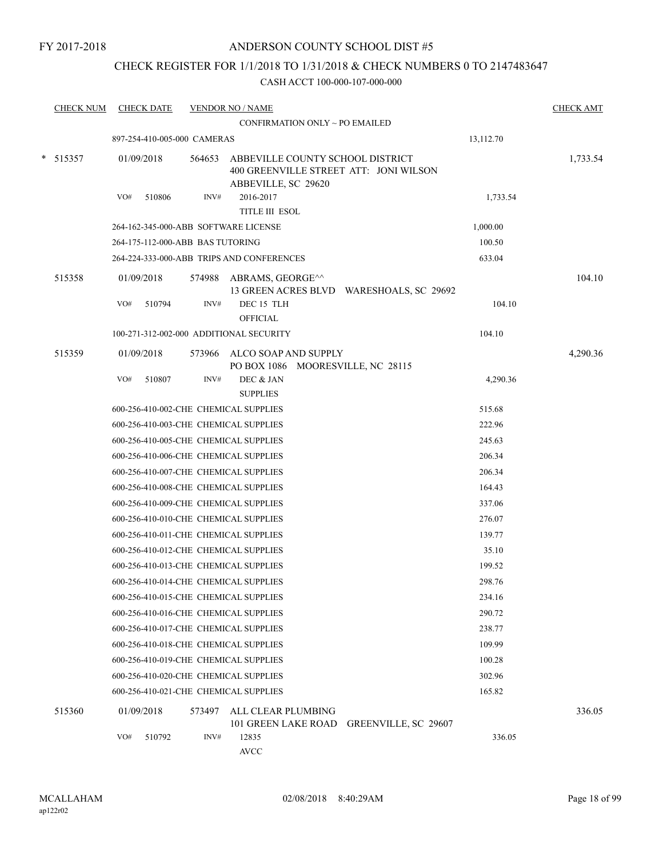## CHECK REGISTER FOR 1/1/2018 TO 1/31/2018 & CHECK NUMBERS 0 TO 2147483647

| <b>CHECK NUM</b> |     | <b>CHECK DATE</b> |                                  | <b>VENDOR NO / NAME</b>                                   |                                          |           | <b>CHECK AMT</b> |
|------------------|-----|-------------------|----------------------------------|-----------------------------------------------------------|------------------------------------------|-----------|------------------|
|                  |     |                   |                                  | CONFIRMATION ONLY ~ PO EMAILED                            |                                          |           |                  |
|                  |     |                   | 897-254-410-005-000 CAMERAS      |                                                           |                                          | 13,112.70 |                  |
| $* 515357$       |     | 01/09/2018        | 564653                           | ABBEVILLE COUNTY SCHOOL DISTRICT<br>ABBEVILLE, SC 29620   | 400 GREENVILLE STREET ATT: JONI WILSON   |           | 1,733.54         |
|                  | VO# | 510806            | INV#                             | 2016-2017                                                 |                                          | 1,733.54  |                  |
|                  |     |                   |                                  | <b>TITLE III ESOL</b>                                     |                                          |           |                  |
|                  |     |                   |                                  | 264-162-345-000-ABB SOFTWARE LICENSE                      |                                          | 1,000.00  |                  |
|                  |     |                   | 264-175-112-000-ABB BAS TUTORING |                                                           |                                          | 100.50    |                  |
|                  |     |                   |                                  | 264-224-333-000-ABB TRIPS AND CONFERENCES                 |                                          | 633.04    |                  |
| 515358           |     | 01/09/2018        |                                  | 574988 ABRAMS, GEORGE^^                                   | 13 GREEN ACRES BLVD WARESHOALS, SC 29692 |           | 104.10           |
|                  | VO# | 510794            | INV#                             | DEC 15 TLH<br>OFFICIAL                                    |                                          | 104.10    |                  |
|                  |     |                   |                                  | 100-271-312-002-000 ADDITIONAL SECURITY                   |                                          | 104.10    |                  |
| 515359           |     | 01/09/2018        | 573966                           | ALCO SOAP AND SUPPLY<br>PO BOX 1086 MOORESVILLE, NC 28115 |                                          |           | 4,290.36         |
|                  | VO# | 510807            | INV#                             | DEC & JAN<br><b>SUPPLIES</b>                              |                                          | 4,290.36  |                  |
|                  |     |                   |                                  | 600-256-410-002-CHE CHEMICAL SUPPLIES                     |                                          | 515.68    |                  |
|                  |     |                   |                                  | 600-256-410-003-CHE CHEMICAL SUPPLIES                     |                                          | 222.96    |                  |
|                  |     |                   |                                  | 600-256-410-005-CHE CHEMICAL SUPPLIES                     |                                          | 245.63    |                  |
|                  |     |                   |                                  | 600-256-410-006-CHE CHEMICAL SUPPLIES                     |                                          | 206.34    |                  |
|                  |     |                   |                                  | 600-256-410-007-CHE CHEMICAL SUPPLIES                     |                                          | 206.34    |                  |
|                  |     |                   |                                  | 600-256-410-008-CHE CHEMICAL SUPPLIES                     |                                          | 164.43    |                  |
|                  |     |                   |                                  | 600-256-410-009-CHE CHEMICAL SUPPLIES                     |                                          | 337.06    |                  |
|                  |     |                   |                                  | 600-256-410-010-CHE CHEMICAL SUPPLIES                     |                                          | 276.07    |                  |
|                  |     |                   |                                  | 600-256-410-011-CHE CHEMICAL SUPPLIES                     |                                          | 139.77    |                  |
|                  |     |                   |                                  | 600-256-410-012-CHE CHEMICAL SUPPLIES                     |                                          | 35.10     |                  |
|                  |     |                   |                                  | 600-256-410-013-CHE CHEMICAL SUPPLIES                     |                                          | 199.52    |                  |
|                  |     |                   |                                  | 600-256-410-014-CHE CHEMICAL SUPPLIES                     |                                          | 298.76    |                  |
|                  |     |                   |                                  | 600-256-410-015-CHE CHEMICAL SUPPLIES                     |                                          | 234.16    |                  |
|                  |     |                   |                                  | 600-256-410-016-CHE CHEMICAL SUPPLIES                     |                                          | 290.72    |                  |
|                  |     |                   |                                  | 600-256-410-017-CHE CHEMICAL SUPPLIES                     |                                          | 238.77    |                  |
|                  |     |                   |                                  | 600-256-410-018-CHE CHEMICAL SUPPLIES                     |                                          | 109.99    |                  |
|                  |     |                   |                                  | 600-256-410-019-CHE CHEMICAL SUPPLIES                     |                                          | 100.28    |                  |
|                  |     |                   |                                  | 600-256-410-020-CHE CHEMICAL SUPPLIES                     |                                          | 302.96    |                  |
|                  |     |                   |                                  | 600-256-410-021-CHE CHEMICAL SUPPLIES                     |                                          | 165.82    |                  |
| 515360           |     | 01/09/2018        | 573497                           | ALL CLEAR PLUMBING<br>101 GREEN LAKE ROAD                 | GREENVILLE, SC 29607                     |           | 336.05           |
|                  | VO# | 510792            | INV#                             | 12835<br>$\operatorname{AVCC}$                            |                                          | 336.05    |                  |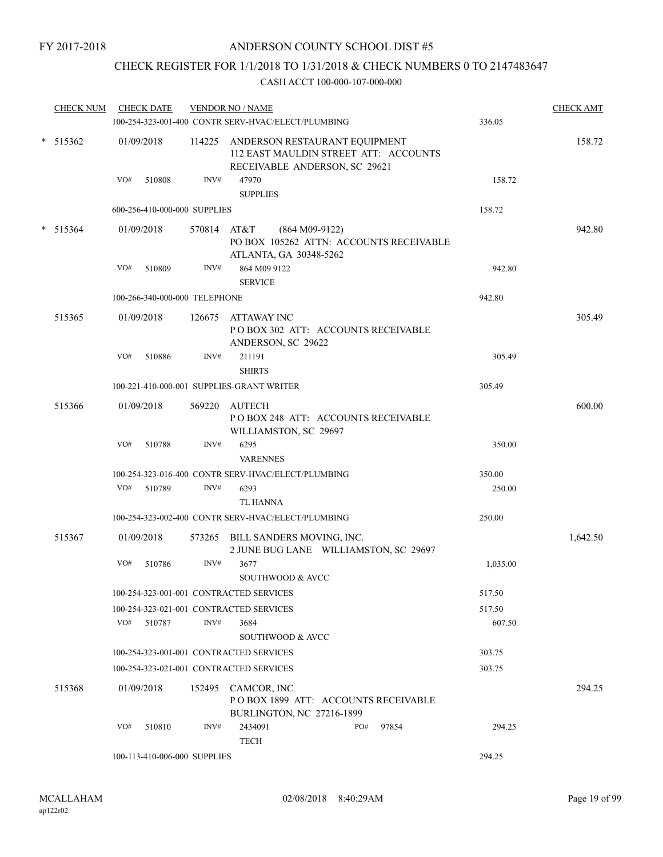## CHECK REGISTER FOR 1/1/2018 TO 1/31/2018 & CHECK NUMBERS 0 TO 2147483647

| <b>CHECK NUM</b> | <b>CHECK DATE</b>                         |             | <b>VENDOR NO / NAME</b>                                                                                        |          | <b>CHECK AMT</b> |
|------------------|-------------------------------------------|-------------|----------------------------------------------------------------------------------------------------------------|----------|------------------|
|                  |                                           |             | 100-254-323-001-400 CONTR SERV-HVAC/ELECT/PLUMBING                                                             | 336.05   |                  |
| $*$ 515362       | 01/09/2018                                |             | 114225 ANDERSON RESTAURANT EQUIPMENT<br>112 EAST MAULDIN STREET ATT: ACCOUNTS<br>RECEIVABLE ANDERSON, SC 29621 |          | 158.72           |
|                  | VO#<br>510808                             | INV#        | 47970<br><b>SUPPLIES</b>                                                                                       | 158.72   |                  |
|                  | 600-256-410-000-000 SUPPLIES              |             |                                                                                                                | 158.72   |                  |
| $* 515364$       |                                           | 570814 AT&T |                                                                                                                |          | 942.80           |
|                  | 01/09/2018                                |             | $(864 M09-9122)$<br>PO BOX 105262 ATTN: ACCOUNTS RECEIVABLE<br>ATLANTA, GA 30348-5262                          |          |                  |
|                  | VO#<br>510809                             | INV#        | 864 M09 9122<br><b>SERVICE</b>                                                                                 | 942.80   |                  |
|                  | 100-266-340-000-000 TELEPHONE             |             |                                                                                                                | 942.80   |                  |
| 515365           | 01/09/2018                                |             | 126675 ATTAWAY INC                                                                                             |          | 305.49           |
|                  |                                           |             | POBOX 302 ATT: ACCOUNTS RECEIVABLE<br>ANDERSON, SC 29622                                                       |          |                  |
|                  | VO#<br>510886                             | INV#        | 211191<br><b>SHIRTS</b>                                                                                        | 305.49   |                  |
|                  | 100-221-410-000-001 SUPPLIES-GRANT WRITER |             |                                                                                                                | 305.49   |                  |
| 515366           | 01/09/2018                                |             | 569220 AUTECH<br>POBOX 248 ATT: ACCOUNTS RECEIVABLE                                                            |          | 600.00           |
|                  | VO#<br>510788                             | INV#        | WILLIAMSTON, SC 29697<br>6295                                                                                  | 350.00   |                  |
|                  |                                           |             | <b>VARENNES</b>                                                                                                |          |                  |
|                  |                                           |             | 100-254-323-016-400 CONTR SERV-HVAC/ELECT/PLUMBING                                                             | 350.00   |                  |
|                  | 510789<br>VO#                             | INV#        | 6293<br><b>TL HANNA</b>                                                                                        | 250.00   |                  |
|                  |                                           |             | 100-254-323-002-400 CONTR SERV-HVAC/ELECT/PLUMBING                                                             | 250.00   |                  |
| 515367           | 01/09/2018                                |             | 573265 BILL SANDERS MOVING, INC.<br>2 JUNE BUG LANE WILLIAMSTON, SC 29697                                      |          | 1,642.50         |
|                  | VO#<br>510786                             | INV#        | 3677<br>SOUTHWOOD & AVCC                                                                                       | 1,035.00 |                  |
|                  | 100-254-323-001-001 CONTRACTED SERVICES   |             |                                                                                                                | 517.50   |                  |
|                  | 100-254-323-021-001 CONTRACTED SERVICES   |             |                                                                                                                | 517.50   |                  |
|                  | VO#<br>510787                             | INV#        | 3684                                                                                                           | 607.50   |                  |
|                  |                                           |             | SOUTHWOOD & AVCC                                                                                               |          |                  |
|                  | 100-254-323-001-001 CONTRACTED SERVICES   |             |                                                                                                                | 303.75   |                  |
|                  | 100-254-323-021-001 CONTRACTED SERVICES   |             |                                                                                                                | 303.75   |                  |
| 515368           | 01/09/2018                                |             | 152495 CAMCOR, INC<br>POBOX 1899 ATT: ACCOUNTS RECEIVABLE<br><b>BURLINGTON, NC 27216-1899</b>                  |          | 294.25           |
|                  | VO#<br>510810                             | INV#        | 2434091<br>PO#<br>97854<br><b>TECH</b>                                                                         | 294.25   |                  |
|                  | 100-113-410-006-000 SUPPLIES              |             |                                                                                                                | 294.25   |                  |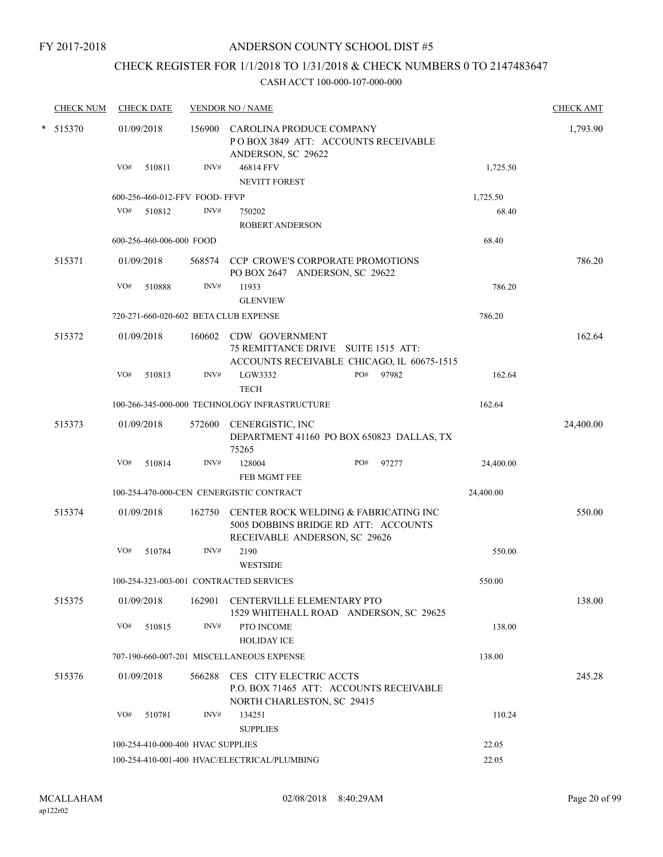FY 2017-2018

## ANDERSON COUNTY SCHOOL DIST #5

## CHECK REGISTER FOR 1/1/2018 TO 1/31/2018 & CHECK NUMBERS 0 TO 2147483647

|  | <b>CHECK NUM</b>                      |                                              | <b>CHECK DATE</b>        |                                   | <b>VENDOR NO / NAME</b>                                                                      |  |     |                                            |           | <b>CHECK AMT</b> |
|--|---------------------------------------|----------------------------------------------|--------------------------|-----------------------------------|----------------------------------------------------------------------------------------------|--|-----|--------------------------------------------|-----------|------------------|
|  | * 515370                              |                                              | 01/09/2018               |                                   | 156900 CAROLINA PRODUCE COMPANY<br>POBOX 3849 ATT: ACCOUNTS RECEIVABLE<br>ANDERSON, SC 29622 |  |     |                                            |           | 1,793.90         |
|  |                                       | VO#                                          | 510811                   | INV#                              | 46814 FFV<br><b>NEVITT FOREST</b>                                                            |  |     |                                            | 1,725.50  |                  |
|  |                                       |                                              |                          | 600-256-460-012-FFV FOOD-FFVP     |                                                                                              |  |     |                                            | 1,725.50  |                  |
|  |                                       | VO#                                          | 510812                   | INV#                              | 750202<br><b>ROBERT ANDERSON</b>                                                             |  |     |                                            | 68.40     |                  |
|  |                                       |                                              | 600-256-460-006-000 FOOD |                                   |                                                                                              |  |     |                                            | 68.40     |                  |
|  | 515371                                |                                              | 01/09/2018               |                                   | 568574 CCP CROWE'S CORPORATE PROMOTIONS<br>PO BOX 2647 ANDERSON, SC 29622                    |  |     |                                            |           | 786.20           |
|  |                                       | VO#                                          | 510888                   | INV#                              | 11933<br><b>GLENVIEW</b>                                                                     |  |     |                                            | 786.20    |                  |
|  | 720-271-660-020-602 BETA CLUB EXPENSE |                                              |                          |                                   |                                                                                              |  |     | 786.20                                     |           |                  |
|  | 515372                                |                                              | 01/09/2018               |                                   | 160602 CDW GOVERNMENT<br>75 REMITTANCE DRIVE SUITE 1515 ATT:                                 |  |     | ACCOUNTS RECEIVABLE CHICAGO, IL 60675-1515 |           | 162.64           |
|  |                                       | VO#                                          | 510813                   | INV#                              | LGW3332<br><b>TECH</b>                                                                       |  | PO# | 97982                                      | 162.64    |                  |
|  |                                       |                                              |                          |                                   | 100-266-345-000-000 TECHNOLOGY INFRASTRUCTURE                                                |  |     |                                            | 162.64    |                  |
|  | 515373                                |                                              | 01/09/2018               | 572600                            | CENERGISTIC, INC<br>75265                                                                    |  |     | DEPARTMENT 41160 PO BOX 650823 DALLAS, TX  |           | 24,400.00        |
|  |                                       | VO#                                          | 510814                   | INV#                              | 128004<br><b>FEB MGMT FEE</b>                                                                |  | PO# | 97277                                      | 24,400.00 |                  |
|  |                                       |                                              |                          |                                   | 100-254-470-000-CEN CENERGISTIC CONTRACT                                                     |  |     |                                            | 24,400.00 |                  |
|  | 515374                                |                                              | 01/09/2018               | 162750                            | 5005 DOBBINS BRIDGE RD ATT: ACCOUNTS<br>RECEIVABLE ANDERSON, SC 29626                        |  |     | CENTER ROCK WELDING & FABRICATING INC      |           | 550.00           |
|  |                                       | VO#                                          | 510784                   | INV#                              | 2190<br><b>WESTSIDE</b>                                                                      |  |     |                                            | 550.00    |                  |
|  |                                       |                                              |                          |                                   | 100-254-323-003-001 CONTRACTED SERVICES                                                      |  |     |                                            | 550.00    |                  |
|  | 515375                                |                                              | 01/09/2018               |                                   | 162901 CENTERVILLE ELEMENTARY PTO                                                            |  |     | 1529 WHITEHALL ROAD ANDERSON, SC 29625     |           | 138.00           |
|  |                                       | VO#                                          | 510815                   | INV#                              | PTO INCOME<br><b>HOLIDAY ICE</b>                                                             |  |     |                                            | 138.00    |                  |
|  |                                       |                                              |                          |                                   | 707-190-660-007-201 MISCELLANEOUS EXPENSE                                                    |  |     |                                            | 138.00    |                  |
|  | 515376                                |                                              | 01/09/2018               |                                   | 566288 CES CITY ELECTRIC ACCTS<br>NORTH CHARLESTON, SC 29415                                 |  |     | P.O. BOX 71465 ATT: ACCOUNTS RECEIVABLE    |           | 245.28           |
|  |                                       | VO#                                          | 510781                   | INV#                              | 134251<br><b>SUPPLIES</b>                                                                    |  |     |                                            | 110.24    |                  |
|  |                                       |                                              |                          | 100-254-410-000-400 HVAC SUPPLIES |                                                                                              |  |     |                                            | 22.05     |                  |
|  |                                       | 100-254-410-001-400 HVAC/ELECTRICAL/PLUMBING |                          |                                   |                                                                                              |  |     |                                            | 22.05     |                  |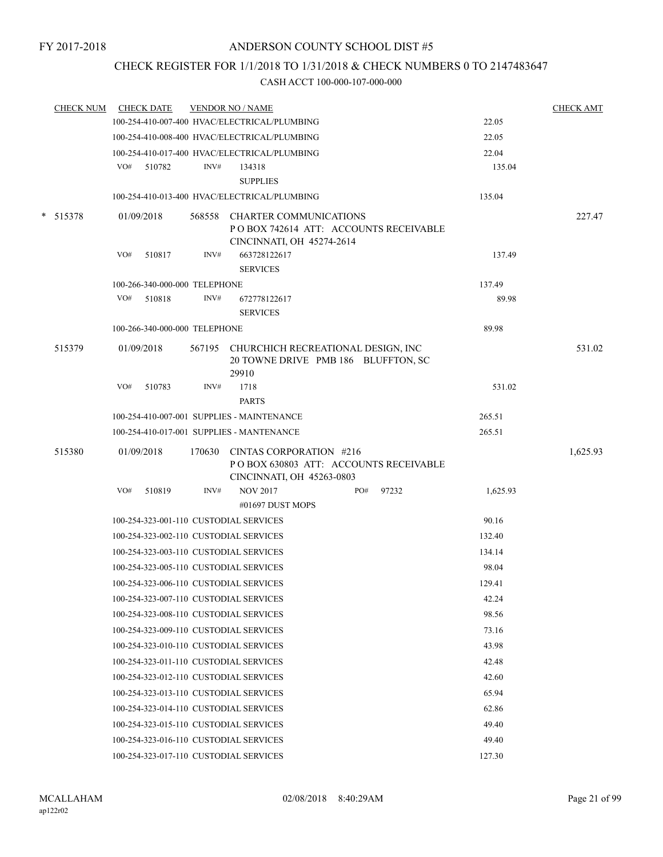## CHECK REGISTER FOR 1/1/2018 TO 1/31/2018 & CHECK NUMBERS 0 TO 2147483647

| <b>CHECK NUM</b> |                                                 | <b>CHECK DATE</b>             |      | <b>VENDOR NO / NAME</b>                                                          |     |       |          | <b>CHECK AMT</b> |
|------------------|-------------------------------------------------|-------------------------------|------|----------------------------------------------------------------------------------|-----|-------|----------|------------------|
|                  |                                                 |                               |      | 100-254-410-007-400 HVAC/ELECTRICAL/PLUMBING                                     |     |       | 22.05    |                  |
|                  |                                                 |                               |      | 100-254-410-008-400 HVAC/ELECTRICAL/PLUMBING                                     |     |       | 22.05    |                  |
|                  |                                                 |                               |      | 100-254-410-017-400 HVAC/ELECTRICAL/PLUMBING                                     |     |       | 22.04    |                  |
|                  |                                                 | VO# 510782                    | INV# | 134318                                                                           |     |       | 135.04   |                  |
|                  |                                                 |                               |      | <b>SUPPLIES</b>                                                                  |     |       |          |                  |
|                  |                                                 |                               |      | 100-254-410-013-400 HVAC/ELECTRICAL/PLUMBING                                     |     |       | 135.04   |                  |
| * 515378         |                                                 | 01/09/2018                    |      | 568558 CHARTER COMMUNICATIONS                                                    |     |       |          | 227.47           |
|                  |                                                 |                               |      | POBOX 742614 ATT: ACCOUNTS RECEIVABLE                                            |     |       |          |                  |
|                  |                                                 |                               |      | CINCINNATI, OH 45274-2614                                                        |     |       |          |                  |
|                  | VO#                                             | 510817                        | INV# | 663728122617<br><b>SERVICES</b>                                                  |     |       | 137.49   |                  |
|                  |                                                 | 100-266-340-000-000 TELEPHONE |      |                                                                                  |     |       | 137.49   |                  |
|                  | VO#                                             | 510818                        | INV# | 672778122617                                                                     |     |       | 89.98    |                  |
|                  |                                                 |                               |      | <b>SERVICES</b>                                                                  |     |       |          |                  |
|                  |                                                 | 100-266-340-000-000 TELEPHONE |      |                                                                                  |     |       | 89.98    |                  |
|                  |                                                 |                               |      |                                                                                  |     |       |          |                  |
| 515379           |                                                 | 01/09/2018                    |      | 567195 CHURCHICH RECREATIONAL DESIGN, INC<br>20 TOWNE DRIVE PMB 186 BLUFFTON, SC |     |       |          | 531.02           |
|                  |                                                 |                               |      | 29910                                                                            |     |       |          |                  |
|                  | VO#                                             | 510783                        | INV# | 1718                                                                             |     |       | 531.02   |                  |
|                  |                                                 |                               |      | <b>PARTS</b>                                                                     |     |       |          |                  |
|                  |                                                 |                               |      | 100-254-410-007-001 SUPPLIES - MAINTENANCE                                       |     |       | 265.51   |                  |
|                  |                                                 |                               |      | 100-254-410-017-001 SUPPLIES - MANTENANCE                                        |     |       | 265.51   |                  |
| 515380           |                                                 | 01/09/2018                    |      | 170630 CINTAS CORPORATION #216                                                   |     |       |          | 1,625.93         |
|                  |                                                 |                               |      | POBOX 630803 ATT: ACCOUNTS RECEIVABLE                                            |     |       |          |                  |
|                  |                                                 |                               |      | CINCINNATI, OH 45263-0803                                                        |     |       |          |                  |
|                  | VO#                                             | 510819                        | INV# | <b>NOV 2017</b>                                                                  | PO# | 97232 | 1,625.93 |                  |
|                  |                                                 |                               |      | #01697 DUST MOPS                                                                 |     |       |          |                  |
|                  |                                                 |                               |      | 100-254-323-001-110 CUSTODIAL SERVICES                                           |     |       | 90.16    |                  |
|                  |                                                 |                               |      | 100-254-323-002-110 CUSTODIAL SERVICES                                           |     |       | 132.40   |                  |
|                  |                                                 |                               |      | 100-254-323-003-110 CUSTODIAL SERVICES                                           |     |       | 134.14   |                  |
|                  |                                                 |                               |      | 100-254-323-005-110 CUSTODIAL SERVICES                                           |     |       | 98.04    |                  |
|                  |                                                 |                               |      | 100-254-323-006-110 CUSTODIAL SERVICES                                           |     |       | 129.41   |                  |
|                  |                                                 |                               |      | 100-254-323-007-110 CUSTODIAL SERVICES                                           |     |       | 42.24    |                  |
|                  |                                                 |                               |      | 100-254-323-008-110 CUSTODIAL SERVICES                                           |     |       | 98.56    |                  |
|                  |                                                 |                               |      | 100-254-323-009-110 CUSTODIAL SERVICES                                           |     |       | 73.16    |                  |
|                  |                                                 |                               |      | 100-254-323-010-110 CUSTODIAL SERVICES                                           |     |       | 43.98    |                  |
|                  |                                                 |                               |      | 100-254-323-011-110 CUSTODIAL SERVICES                                           |     |       | 42.48    |                  |
|                  |                                                 |                               |      | 100-254-323-012-110 CUSTODIAL SERVICES                                           |     |       | 42.60    |                  |
|                  | 100-254-323-013-110 CUSTODIAL SERVICES<br>65.94 |                               |      |                                                                                  |     |       |          |                  |
|                  |                                                 |                               |      | 100-254-323-014-110 CUSTODIAL SERVICES                                           |     |       | 62.86    |                  |
|                  |                                                 |                               |      | 100-254-323-015-110 CUSTODIAL SERVICES                                           |     |       | 49.40    |                  |
|                  |                                                 |                               |      | 100-254-323-016-110 CUSTODIAL SERVICES                                           |     |       | 49.40    |                  |
|                  |                                                 |                               |      | 100-254-323-017-110 CUSTODIAL SERVICES                                           |     |       | 127.30   |                  |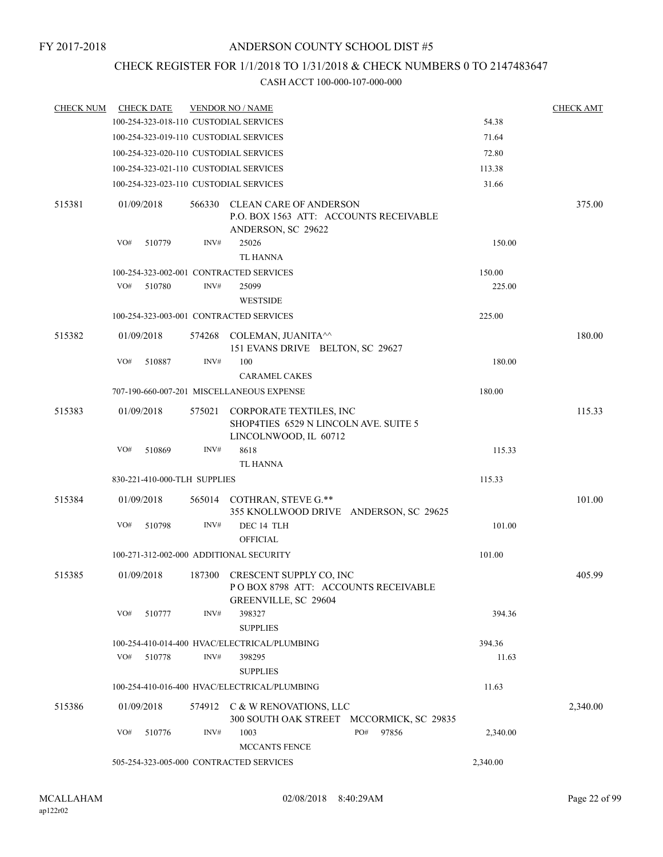## CHECK REGISTER FOR 1/1/2018 TO 1/31/2018 & CHECK NUMBERS 0 TO 2147483647

| <b>CHECK NUM</b> |     | <b>CHECK DATE</b>            |        | <b>VENDOR NO / NAME</b>                                                                              |              |          | <b>CHECK AMT</b> |
|------------------|-----|------------------------------|--------|------------------------------------------------------------------------------------------------------|--------------|----------|------------------|
|                  |     |                              |        | 100-254-323-018-110 CUSTODIAL SERVICES                                                               |              | 54.38    |                  |
|                  |     |                              |        | 100-254-323-019-110 CUSTODIAL SERVICES                                                               |              | 71.64    |                  |
|                  |     |                              |        | 100-254-323-020-110 CUSTODIAL SERVICES                                                               |              | 72.80    |                  |
|                  |     |                              |        | 100-254-323-021-110 CUSTODIAL SERVICES                                                               | 113.38       |          |                  |
|                  |     |                              |        | 100-254-323-023-110 CUSTODIAL SERVICES                                                               |              | 31.66    |                  |
| 515381           |     | 01/09/2018                   | 566330 | <b>CLEAN CARE OF ANDERSON</b><br>P.O. BOX 1563 ATT: ACCOUNTS RECEIVABLE<br>ANDERSON, SC 29622        |              |          | 375.00           |
|                  | VO# | 510779                       | INV#   | 25026<br><b>TL HANNA</b>                                                                             |              | 150.00   |                  |
|                  |     |                              |        | 100-254-323-002-001 CONTRACTED SERVICES                                                              |              | 150.00   |                  |
|                  | VO# | 510780                       | INV#   | 25099<br><b>WESTSIDE</b>                                                                             |              | 225.00   |                  |
|                  |     |                              |        | 100-254-323-003-001 CONTRACTED SERVICES                                                              |              | 225.00   |                  |
| 515382           |     | 01/09/2018                   |        | 574268 COLEMAN, JUANITA <sup>^^</sup>                                                                |              |          | 180.00           |
|                  | VO# | 510887                       | INV#   | 151 EVANS DRIVE BELTON, SC 29627<br>100<br><b>CARAMEL CAKES</b>                                      |              | 180.00   |                  |
|                  |     |                              |        | 707-190-660-007-201 MISCELLANEOUS EXPENSE                                                            |              | 180.00   |                  |
| 515383           |     | 01/09/2018                   | 575021 | CORPORATE TEXTILES, INC<br>SHOP4TIES 6529 N LINCOLN AVE. SUITE 5                                     |              |          | 115.33           |
|                  | VO# | 510869                       | INV#   | LINCOLNWOOD, IL 60712<br>8618                                                                        |              | 115.33   |                  |
|                  |     |                              |        | TL HANNA                                                                                             |              |          |                  |
|                  |     | 830-221-410-000-TLH SUPPLIES |        |                                                                                                      |              | 115.33   |                  |
| 515384           |     | 01/09/2018                   |        | 565014 COTHRAN, STEVE G.**                                                                           |              |          | 101.00           |
|                  | VO# | 510798                       | INV#   | 355 KNOLLWOOD DRIVE ANDERSON, SC 29625<br>DEC 14 TLH<br><b>OFFICIAL</b>                              |              | 101.00   |                  |
|                  |     |                              |        | 100-271-312-002-000 ADDITIONAL SECURITY                                                              |              | 101.00   |                  |
| 515385           |     | 01/09/2018                   |        | 187300 CRESCENT SUPPLY CO, INC<br>POBOX 8798 ATT: ACCOUNTS RECEIVABLE<br><b>GREENVILLE, SC 29604</b> |              |          | 405.99           |
|                  | VO# | 510777                       | INV#   | 398327<br><b>SUPPLIES</b>                                                                            |              | 394.36   |                  |
|                  |     |                              |        | 100-254-410-014-400 HVAC/ELECTRICAL/PLUMBING                                                         |              | 394.36   |                  |
|                  | VO# | 510778                       | INV#   | 398295<br><b>SUPPLIES</b>                                                                            |              | 11.63    |                  |
|                  |     |                              |        | 100-254-410-016-400 HVAC/ELECTRICAL/PLUMBING                                                         |              | 11.63    |                  |
| 515386           |     | 01/09/2018                   |        | 574912 C & W RENOVATIONS, LLC<br>300 SOUTH OAK STREET MCCORMICK, SC 29835                            |              |          | 2,340.00         |
|                  | VO# | 510776                       | INV#   | 1003<br><b>MCCANTS FENCE</b>                                                                         | PO#<br>97856 | 2,340.00 |                  |
|                  |     |                              |        | 505-254-323-005-000 CONTRACTED SERVICES                                                              |              | 2,340.00 |                  |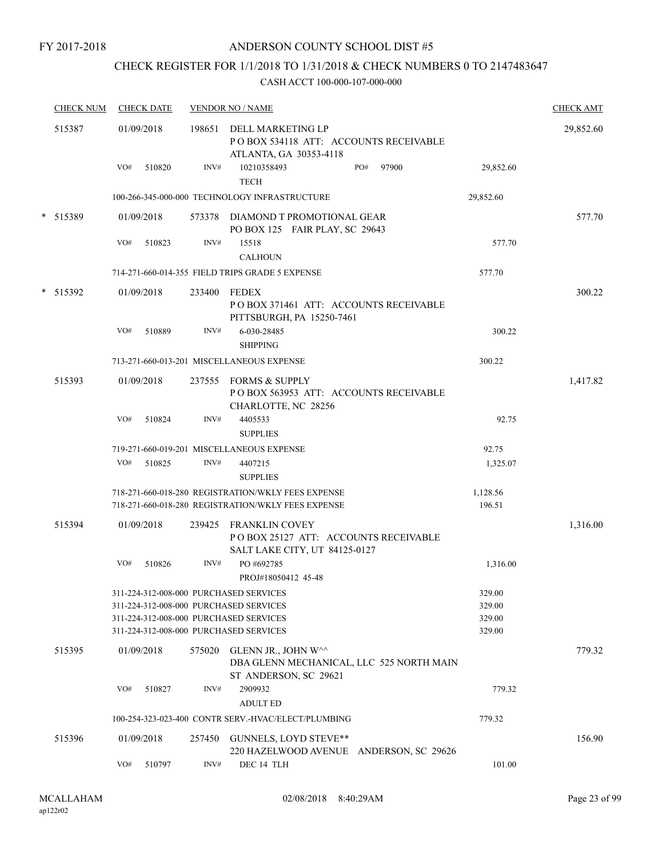### FY 2017-2018

## ANDERSON COUNTY SCHOOL DIST #5

## CHECK REGISTER FOR 1/1/2018 TO 1/31/2018 & CHECK NUMBERS 0 TO 2147483647

| <b>CHECK NUM</b> | <b>CHECK DATE</b>                                                                |        | <b>VENDOR NO / NAME</b>                                                                           |     |       |                  | <b>CHECK AMT</b> |
|------------------|----------------------------------------------------------------------------------|--------|---------------------------------------------------------------------------------------------------|-----|-------|------------------|------------------|
| 515387           | 01/09/2018                                                                       |        | 198651 DELL MARKETING LP<br>PO BOX 534118 ATT: ACCOUNTS RECEIVABLE<br>ATLANTA, GA 30353-4118      |     |       |                  | 29,852.60        |
|                  | VO#<br>510820                                                                    | INV#   | 10210358493<br><b>TECH</b>                                                                        | PO# | 97900 | 29,852.60        |                  |
|                  |                                                                                  |        | 100-266-345-000-000 TECHNOLOGY INFRASTRUCTURE                                                     |     |       | 29,852.60        |                  |
| $*$ 515389       | 01/09/2018                                                                       |        | 573378 DIAMOND T PROMOTIONAL GEAR<br>PO BOX 125 FAIR PLAY, SC 29643                               |     |       |                  | 577.70           |
|                  | VO#<br>510823                                                                    | INV#   | 15518<br><b>CALHOUN</b>                                                                           |     |       | 577.70           |                  |
|                  |                                                                                  |        | 714-271-660-014-355 FIELD TRIPS GRADE 5 EXPENSE                                                   |     |       | 577.70           |                  |
| * 515392         | 01/09/2018<br>VO#<br>510889                                                      | INV#   | 233400 FEDEX<br>POBOX 371461 ATT: ACCOUNTS RECEIVABLE<br>PITTSBURGH, PA 15250-7461<br>6-030-28485 |     |       | 300.22           | 300.22           |
|                  |                                                                                  |        | <b>SHIPPING</b>                                                                                   |     |       |                  |                  |
|                  |                                                                                  |        | 713-271-660-013-201 MISCELLANEOUS EXPENSE                                                         |     |       | 300.22           |                  |
| 515393           | 01/09/2018                                                                       |        | 237555 FORMS & SUPPLY<br>POBOX 563953 ATT: ACCOUNTS RECEIVABLE<br>CHARLOTTE, NC 28256             |     |       |                  | 1,417.82         |
|                  | VO#<br>510824                                                                    | INV#   | 4405533<br><b>SUPPLIES</b>                                                                        |     |       | 92.75            |                  |
|                  |                                                                                  |        | 719-271-660-019-201 MISCELLANEOUS EXPENSE                                                         |     |       | 92.75            |                  |
|                  | VO#<br>510825                                                                    | INV#   | 4407215<br><b>SUPPLIES</b>                                                                        |     |       | 1,325.07         |                  |
|                  |                                                                                  |        | 718-271-660-018-280 REGISTRATION/WKLY FEES EXPENSE                                                |     |       | 1,128.56         |                  |
|                  |                                                                                  |        | 718-271-660-018-280 REGISTRATION/WKLY FEES EXPENSE                                                |     |       | 196.51           |                  |
| 515394           | 01/09/2018                                                                       |        | 239425 FRANKLIN COVEY<br>POBOX 25127 ATT: ACCOUNTS RECEIVABLE<br>SALT LAKE CITY, UT 84125-0127    |     |       |                  | 1,316.00         |
|                  | VO#<br>510826                                                                    | INV#   | PO #692785<br>PROJ#18050412 45-48                                                                 |     |       | 1,316.00         |                  |
|                  | 311-224-312-008-000 PURCHASED SERVICES                                           |        |                                                                                                   |     |       | 329.00           |                  |
|                  | 311-224-312-008-000 PURCHASED SERVICES                                           |        |                                                                                                   |     |       | 329.00           |                  |
|                  | 311-224-312-008-000 PURCHASED SERVICES<br>311-224-312-008-000 PURCHASED SERVICES |        |                                                                                                   |     |       | 329.00<br>329.00 |                  |
| 515395           | 01/09/2018                                                                       | 575020 | GLENN JR., JOHN W^^<br>DBA GLENN MECHANICAL, LLC 525 NORTH MAIN                                   |     |       |                  | 779.32           |
|                  | VO#<br>510827                                                                    | INV#   | ST ANDERSON, SC 29621<br>2909932<br><b>ADULT ED</b>                                               |     |       | 779.32           |                  |
|                  |                                                                                  |        | 100-254-323-023-400 CONTR SERV.-HVAC/ELECT/PLUMBING                                               |     |       | 779.32           |                  |
| 515396           | 01/09/2018                                                                       | 257450 | GUNNELS, LOYD STEVE**<br>220 HAZELWOOD AVENUE ANDERSON, SC 29626                                  |     |       |                  | 156.90           |
|                  | VO#<br>510797                                                                    | INV#   | DEC 14 TLH                                                                                        |     |       | 101.00           |                  |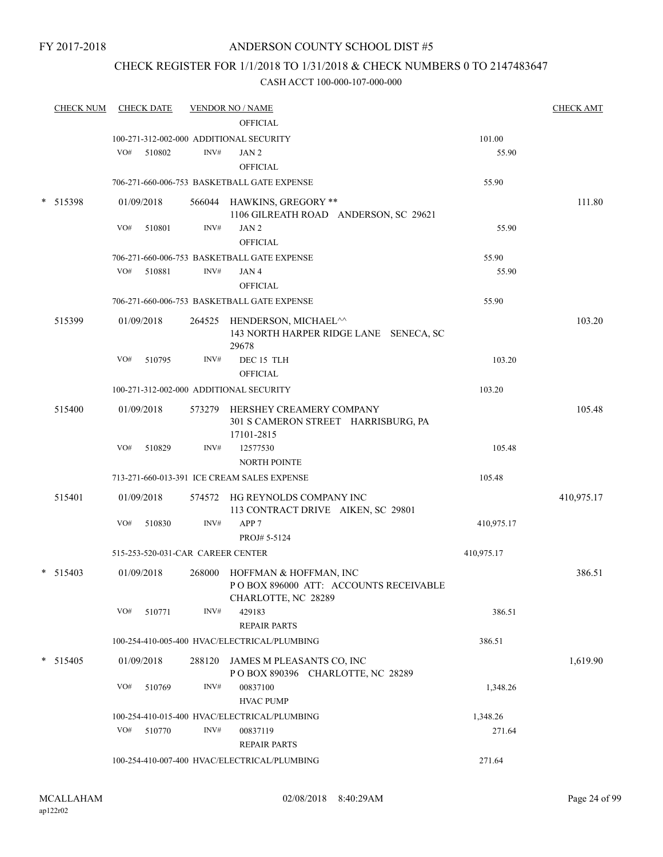## CHECK REGISTER FOR 1/1/2018 TO 1/31/2018 & CHECK NUMBERS 0 TO 2147483647

| <b>CHECK NUM</b> |     | <b>CHECK DATE</b> |                                   | <b>VENDOR NO / NAME</b>                                              |                    | <b>CHECK AMT</b> |
|------------------|-----|-------------------|-----------------------------------|----------------------------------------------------------------------|--------------------|------------------|
|                  |     |                   |                                   | <b>OFFICIAL</b>                                                      |                    |                  |
|                  |     |                   |                                   | 100-271-312-002-000 ADDITIONAL SECURITY                              | 101.00             |                  |
|                  | VO# | 510802            | INV#                              | JAN 2<br><b>OFFICIAL</b>                                             | 55.90              |                  |
|                  |     |                   |                                   |                                                                      |                    |                  |
|                  |     |                   |                                   | 706-271-660-006-753 BASKETBALL GATE EXPENSE                          | 55.90              |                  |
| * 515398         |     | 01/09/2018        |                                   | 566044 HAWKINS, GREGORY **                                           |                    | 111.80           |
|                  |     |                   |                                   | 1106 GILREATH ROAD ANDERSON, SC 29621                                |                    |                  |
|                  | VO# | 510801            | INV#                              | JAN <sub>2</sub><br><b>OFFICIAL</b>                                  | 55.90              |                  |
|                  |     |                   |                                   | 706-271-660-006-753 BASKETBALL GATE EXPENSE                          | 55.90              |                  |
|                  | VO# | 510881            | INV#                              | JAN 4                                                                | 55.90              |                  |
|                  |     |                   |                                   | <b>OFFICIAL</b>                                                      |                    |                  |
|                  |     |                   |                                   | 706-271-660-006-753 BASKETBALL GATE EXPENSE                          | 55.90              |                  |
| 515399           |     | 01/09/2018        |                                   | 264525 HENDERSON, MICHAEL^^                                          |                    | 103.20           |
|                  |     |                   |                                   | 143 NORTH HARPER RIDGE LANE SENECA, SC                               |                    |                  |
|                  |     |                   |                                   | 29678                                                                |                    |                  |
|                  | VO# | 510795            | INV#                              | DEC 15 TLH                                                           | 103.20             |                  |
|                  |     |                   |                                   | <b>OFFICIAL</b>                                                      |                    |                  |
|                  |     |                   |                                   | 100-271-312-002-000 ADDITIONAL SECURITY                              | 103.20             |                  |
| 515400           |     | 01/09/2018        |                                   | 573279 HERSHEY CREAMERY COMPANY                                      |                    | 105.48           |
|                  |     |                   |                                   | 301 S CAMERON STREET HARRISBURG, PA                                  |                    |                  |
|                  | VO# | 510829            | INV#                              | 17101-2815<br>12577530                                               | 105.48             |                  |
|                  |     |                   |                                   | <b>NORTH POINTE</b>                                                  |                    |                  |
|                  |     |                   |                                   | 713-271-660-013-391 ICE CREAM SALES EXPENSE                          | 105.48             |                  |
|                  |     |                   |                                   |                                                                      |                    |                  |
| 515401           |     | 01/09/2018        |                                   | 574572 HG REYNOLDS COMPANY INC<br>113 CONTRACT DRIVE AIKEN, SC 29801 |                    | 410,975.17       |
|                  | VO# | 510830            | INV#                              | APP <sub>7</sub>                                                     | 410,975.17         |                  |
|                  |     |                   |                                   | PROJ# 5-5124                                                         |                    |                  |
|                  |     |                   | 515-253-520-031-CAR CAREER CENTER |                                                                      | 410,975.17         |                  |
| $*$ 515403       |     | 01/09/2018        |                                   | 268000 HOFFMAN & HOFFMAN, INC                                        |                    | 386.51           |
|                  |     |                   |                                   | POBOX 896000 ATT: ACCOUNTS RECEIVABLE                                |                    |                  |
|                  |     |                   |                                   | CHARLOTTE, NC 28289                                                  |                    |                  |
|                  | VO# | 510771            | INV#                              | 429183                                                               | 386.51             |                  |
|                  |     |                   |                                   | <b>REPAIR PARTS</b>                                                  |                    |                  |
|                  |     |                   |                                   | 100-254-410-005-400 HVAC/ELECTRICAL/PLUMBING                         | 386.51             |                  |
| $*$ 515405       |     | 01/09/2018        |                                   | 288120 JAMES M PLEASANTS CO, INC                                     |                    | 1,619.90         |
|                  |     |                   |                                   | POBOX 890396 CHARLOTTE, NC 28289                                     |                    |                  |
|                  | VO# | 510769            | INV#                              | 00837100                                                             | 1,348.26           |                  |
|                  |     |                   |                                   | <b>HVAC PUMP</b>                                                     |                    |                  |
|                  | VO# | 510770            | INV#                              | 100-254-410-015-400 HVAC/ELECTRICAL/PLUMBING<br>00837119             | 1,348.26<br>271.64 |                  |
|                  |     |                   |                                   | <b>REPAIR PARTS</b>                                                  |                    |                  |
|                  |     |                   |                                   | 100-254-410-007-400 HVAC/ELECTRICAL/PLUMBING                         | 271.64             |                  |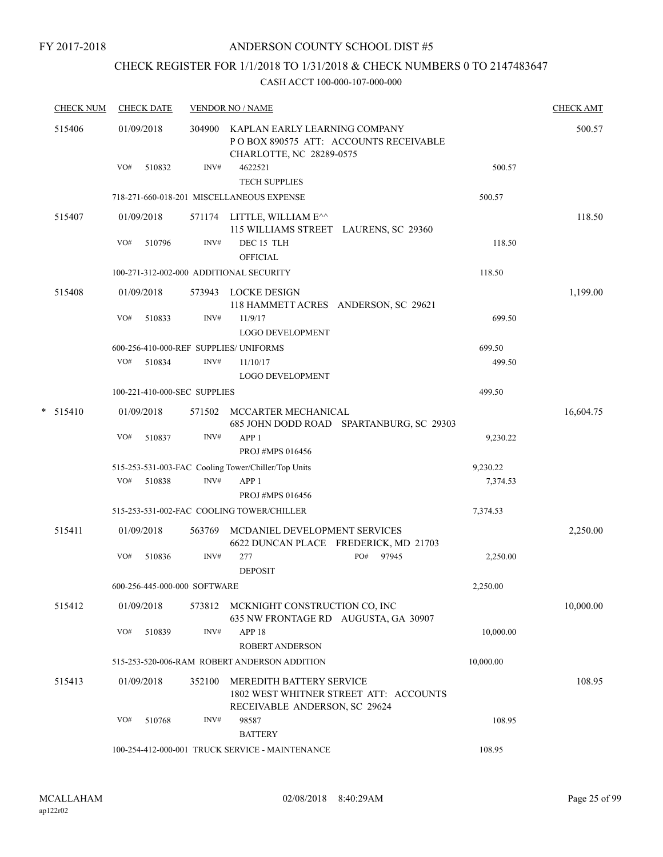## CHECK REGISTER FOR 1/1/2018 TO 1/31/2018 & CHECK NUMBERS 0 TO 2147483647

| <b>CHECK NUM</b> | <b>CHECK DATE</b>                       |                | <b>VENDOR NO / NAME</b>                                                                                       |              |                      | <b>CHECK AMT</b> |
|------------------|-----------------------------------------|----------------|---------------------------------------------------------------------------------------------------------------|--------------|----------------------|------------------|
| 515406           | 01/09/2018<br>VO#<br>510832             | 304900<br>INV# | KAPLAN EARLY LEARNING COMPANY<br>POBOX 890575 ATT: ACCOUNTS RECEIVABLE<br>CHARLOTTE, NC 28289-0575<br>4622521 |              | 500.57               | 500.57           |
|                  |                                         |                | <b>TECH SUPPLIES</b>                                                                                          |              |                      |                  |
|                  |                                         |                | 718-271-660-018-201 MISCELLANEOUS EXPENSE                                                                     |              | 500.57               |                  |
| 515407           | 01/09/2018                              |                | 571174 LITTLE, WILLIAM E^^<br>115 WILLIAMS STREET LAURENS, SC 29360                                           |              |                      | 118.50           |
|                  | VO#<br>510796                           | INV#           | DEC <sub>15</sub> TLH<br><b>OFFICIAL</b>                                                                      |              | 118.50               |                  |
|                  | 100-271-312-002-000 ADDITIONAL SECURITY |                |                                                                                                               |              | 118.50               |                  |
| 515408           | 01/09/2018                              |                | 573943 LOCKE DESIGN<br>118 HAMMETT ACRES ANDERSON, SC 29621                                                   |              |                      | 1,199.00         |
|                  | VO#<br>510833                           | INV#           | 11/9/17<br><b>LOGO DEVELOPMENT</b>                                                                            |              | 699.50               |                  |
|                  | 600-256-410-000-REF SUPPLIES/ UNIFORMS  |                |                                                                                                               |              | 699.50               |                  |
|                  | VO#<br>510834                           | INV#           | 11/10/17<br>LOGO DEVELOPMENT                                                                                  |              | 499.50               |                  |
|                  | 100-221-410-000-SEC SUPPLIES            |                |                                                                                                               |              | 499.50               |                  |
| $*$ 515410       | 01/09/2018                              | 571502         | MCCARTER MECHANICAL<br>685 JOHN DODD ROAD SPARTANBURG, SC 29303                                               |              |                      | 16,604.75        |
|                  | VO#<br>510837                           | INV#           | APP <sub>1</sub><br>PROJ #MPS 016456                                                                          |              | 9,230.22             |                  |
|                  | VO#<br>510838                           | INV#           | 515-253-531-003-FAC Cooling Tower/Chiller/Top Units<br>APP <sub>1</sub><br>PROJ #MPS 016456                   |              | 9,230.22<br>7,374.53 |                  |
|                  |                                         |                | 515-253-531-002-FAC COOLING TOWER/CHILLER                                                                     |              | 7,374.53             |                  |
| 515411           | 01/09/2018                              | 563769         | MCDANIEL DEVELOPMENT SERVICES<br>6622 DUNCAN PLACE FREDERICK, MD 21703                                        |              |                      | 2,250.00         |
|                  | VO#<br>510836                           | INV#           | 277<br><b>DEPOSIT</b>                                                                                         | PO#<br>97945 | 2,250.00             |                  |
|                  | 600-256-445-000-000 SOFTWARE            |                |                                                                                                               |              | 2,250.00             |                  |
| 515412           | 01/09/2018                              |                | 573812 MCKNIGHT CONSTRUCTION CO, INC<br>635 NW FRONTAGE RD AUGUSTA, GA 30907                                  |              |                      | 10,000.00        |
|                  | VO#<br>510839                           | INV#           | APP <sub>18</sub><br><b>ROBERT ANDERSON</b>                                                                   |              | 10,000.00            |                  |
|                  |                                         |                | 515-253-520-006-RAM ROBERT ANDERSON ADDITION                                                                  |              | 10,000.00            |                  |
| 515413           | 01/09/2018                              | 352100         | MEREDITH BATTERY SERVICE<br>1802 WEST WHITNER STREET ATT: ACCOUNTS<br>RECEIVABLE ANDERSON, SC 29624           |              |                      | 108.95           |
|                  | VO#<br>510768                           | INV#           | 98587<br><b>BATTERY</b>                                                                                       |              | 108.95               |                  |
|                  |                                         |                | 100-254-412-000-001 TRUCK SERVICE - MAINTENANCE                                                               |              | 108.95               |                  |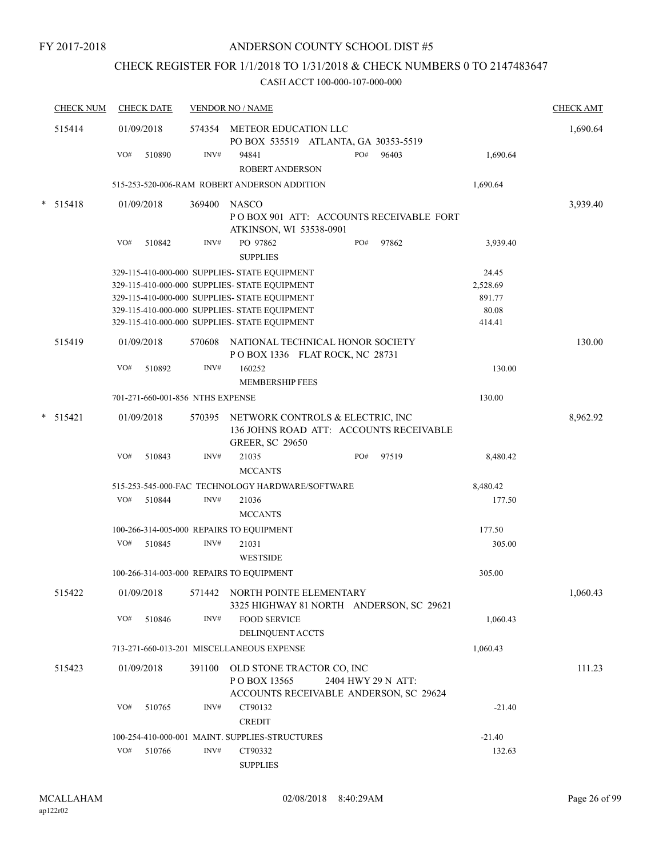## CHECK REGISTER FOR 1/1/2018 TO 1/31/2018 & CHECK NUMBERS 0 TO 2147483647

| <b>CHECK NUM</b> |     | <b>CHECK DATE</b>                |        | <b>VENDOR NO / NAME</b>                                                                               |                    |                 | <b>CHECK AMT</b> |
|------------------|-----|----------------------------------|--------|-------------------------------------------------------------------------------------------------------|--------------------|-----------------|------------------|
| 515414           |     | 01/09/2018                       |        | 574354 METEOR EDUCATION LLC<br>PO BOX 535519 ATLANTA, GA 30353-5519                                   |                    |                 | 1,690.64         |
|                  | VO# | 510890                           | INV#   | 94841<br><b>ROBERT ANDERSON</b>                                                                       | PO#<br>96403       | 1,690.64        |                  |
|                  |     |                                  |        | 515-253-520-006-RAM ROBERT ANDERSON ADDITION                                                          |                    | 1,690.64        |                  |
| $* 515418$       |     | 01/09/2018                       |        | 369400 NASCO<br>POBOX 901 ATT: ACCOUNTS RECEIVABLE FORT<br>ATKINSON, WI 53538-0901                    |                    |                 | 3,939.40         |
|                  | VO# | 510842                           | INV#   | PO 97862<br><b>SUPPLIES</b>                                                                           | PO#<br>97862       | 3,939.40        |                  |
|                  |     |                                  |        | 329-115-410-000-000 SUPPLIES- STATE EQUIPMENT                                                         |                    | 24.45           |                  |
|                  |     |                                  |        | 329-115-410-000-000 SUPPLIES- STATE EQUIPMENT                                                         |                    | 2,528.69        |                  |
|                  |     |                                  |        | 329-115-410-000-000 SUPPLIES- STATE EQUIPMENT                                                         |                    | 891.77          |                  |
|                  |     |                                  |        | 329-115-410-000-000 SUPPLIES- STATE EQUIPMENT<br>329-115-410-000-000 SUPPLIES- STATE EQUIPMENT        |                    | 80.08<br>414.41 |                  |
|                  |     |                                  |        |                                                                                                       |                    |                 |                  |
| 515419           |     | 01/09/2018                       | 570608 | NATIONAL TECHNICAL HONOR SOCIETY<br>POBOX 1336 FLAT ROCK, NC 28731                                    |                    |                 | 130.00           |
|                  | VO# | 510892                           | INV#   | 160252                                                                                                |                    | 130.00          |                  |
|                  |     |                                  |        | <b>MEMBERSHIP FEES</b>                                                                                |                    |                 |                  |
|                  |     | 701-271-660-001-856 NTHS EXPENSE |        |                                                                                                       |                    | 130.00          |                  |
| $*$ 515421       |     | 01/09/2018                       | 570395 | NETWORK CONTROLS & ELECTRIC, INC<br>136 JOHNS ROAD ATT: ACCOUNTS RECEIVABLE<br><b>GREER, SC 29650</b> |                    |                 | 8,962.92         |
|                  | VO# | 510843                           | INV#   | 21035                                                                                                 | PO#<br>97519       | 8,480.42        |                  |
|                  |     |                                  |        | <b>MCCANTS</b>                                                                                        |                    |                 |                  |
|                  |     |                                  |        | 515-253-545-000-FAC TECHNOLOGY HARDWARE/SOFTWARE                                                      |                    | 8,480.42        |                  |
|                  | VO# | 510844                           | INV#   | 21036                                                                                                 |                    | 177.50          |                  |
|                  |     |                                  |        | <b>MCCANTS</b>                                                                                        |                    |                 |                  |
|                  |     |                                  |        | 100-266-314-005-000 REPAIRS TO EQUIPMENT                                                              |                    | 177.50          |                  |
|                  | VO# | 510845                           | INV#   | 21031                                                                                                 |                    | 305.00          |                  |
|                  |     |                                  |        | <b>WESTSIDE</b>                                                                                       |                    |                 |                  |
|                  |     |                                  |        |                                                                                                       |                    |                 |                  |
|                  |     |                                  |        | 100-266-314-003-000 REPAIRS TO EQUIPMENT                                                              |                    | 305.00          |                  |
| 515422           |     | 01/09/2018                       |        | 571442 NORTH POINTE ELEMENTARY<br>3325 HIGHWAY 81 NORTH ANDERSON, SC 29621                            |                    |                 | 1,060.43         |
|                  | VO# | 510846                           | INV#   | <b>FOOD SERVICE</b>                                                                                   |                    | 1,060.43        |                  |
|                  |     |                                  |        | DELINQUENT ACCTS                                                                                      |                    |                 |                  |
|                  |     |                                  |        | 713-271-660-013-201 MISCELLANEOUS EXPENSE                                                             |                    | 1,060.43        |                  |
| 515423           |     | 01/09/2018                       | 391100 | OLD STONE TRACTOR CO, INC<br>POBOX 13565<br>ACCOUNTS RECEIVABLE ANDERSON, SC 29624                    | 2404 HWY 29 N ATT: |                 | 111.23           |
|                  | VO# | 510765                           | INV#   | CT90132<br><b>CREDIT</b>                                                                              |                    | $-21.40$        |                  |
|                  |     |                                  |        | 100-254-410-000-001 MAINT. SUPPLIES-STRUCTURES                                                        |                    | $-21.40$        |                  |
|                  | VO# | 510766                           | INV#   | CT90332                                                                                               |                    | 132.63          |                  |
|                  |     |                                  |        | <b>SUPPLIES</b>                                                                                       |                    |                 |                  |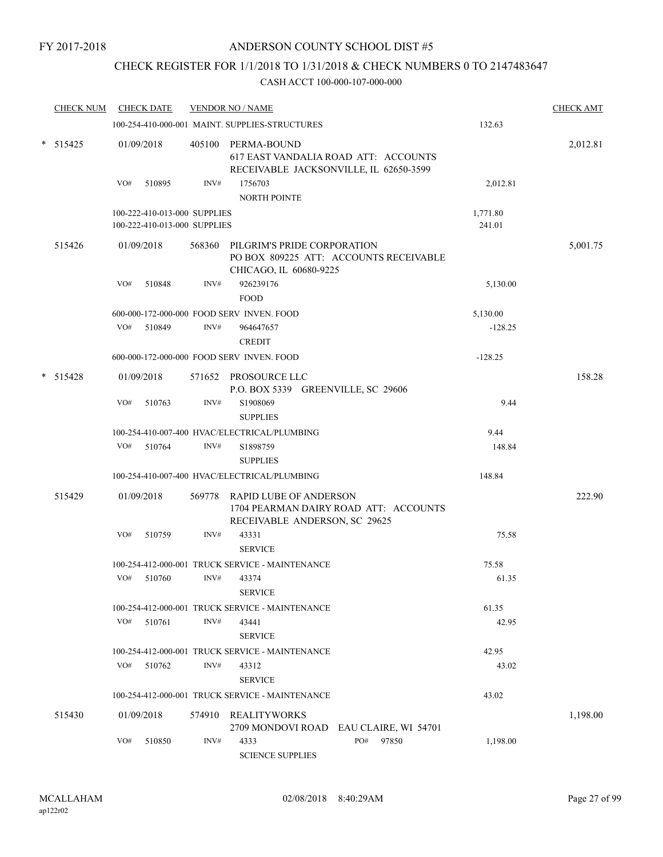## CHECK REGISTER FOR 1/1/2018 TO 1/31/2018 & CHECK NUMBERS 0 TO 2147483647

|        | <b>CHECK NUM</b> | <b>CHECK DATE</b>            |      | <b>VENDOR NO / NAME</b>                                                                                 |           | <b>CHECK AMT</b> |
|--------|------------------|------------------------------|------|---------------------------------------------------------------------------------------------------------|-----------|------------------|
|        |                  |                              |      | 100-254-410-000-001 MAINT. SUPPLIES-STRUCTURES                                                          | 132.63    |                  |
|        | $*$ 515425       | 01/09/2018                   |      | 405100 PERMA-BOUND<br>617 EAST VANDALIA ROAD ATT: ACCOUNTS<br>RECEIVABLE JACKSONVILLE, IL 62650-3599    |           | 2,012.81         |
|        |                  | VO#<br>510895                | INV# | 1756703<br><b>NORTH POINTE</b>                                                                          | 2,012.81  |                  |
|        |                  | 100-222-410-013-000 SUPPLIES |      |                                                                                                         | 1,771.80  |                  |
|        |                  | 100-222-410-013-000 SUPPLIES |      |                                                                                                         | 241.01    |                  |
|        | 515426           | 01/09/2018                   |      | 568360 PILGRIM'S PRIDE CORPORATION<br>PO BOX 809225 ATT: ACCOUNTS RECEIVABLE<br>CHICAGO, IL 60680-9225  |           | 5,001.75         |
|        |                  | VO#<br>510848                | INV# | 926239176<br><b>FOOD</b>                                                                                | 5,130.00  |                  |
|        |                  |                              |      | 600-000-172-000-000 FOOD SERV INVEN. FOOD                                                               | 5,130.00  |                  |
|        |                  | VO#<br>510849                | INV# | 964647657<br><b>CREDIT</b>                                                                              | $-128.25$ |                  |
|        |                  |                              |      | 600-000-172-000-000 FOOD SERV INVEN. FOOD                                                               | $-128.25$ |                  |
| $\ast$ | 515428           | 01/09/2018                   |      | 571652 PROSOURCE LLC<br>P.O. BOX 5339 GREENVILLE, SC 29606                                              |           | 158.28           |
|        |                  | VO#<br>510763                | INV# | S1908069<br><b>SUPPLIES</b>                                                                             | 9.44      |                  |
|        |                  |                              |      | 100-254-410-007-400 HVAC/ELECTRICAL/PLUMBING                                                            | 9.44      |                  |
|        |                  | VO#<br>510764                | INV# | S1898759                                                                                                | 148.84    |                  |
|        |                  |                              |      | <b>SUPPLIES</b>                                                                                         |           |                  |
|        |                  |                              |      | 100-254-410-007-400 HVAC/ELECTRICAL/PLUMBING                                                            | 148.84    |                  |
|        | 515429           | 01/09/2018                   |      | 569778 RAPID LUBE OF ANDERSON<br>1704 PEARMAN DAIRY ROAD ATT: ACCOUNTS<br>RECEIVABLE ANDERSON, SC 29625 |           | 222.90           |
|        |                  | VO#<br>510759                | INV# | 43331<br><b>SERVICE</b>                                                                                 | 75.58     |                  |
|        |                  |                              |      | 100-254-412-000-001 TRUCK SERVICE - MAINTENANCE                                                         | 75.58     |                  |
|        |                  | VO#<br>510760                | INV# | 43374<br><b>SERVICE</b>                                                                                 | 61.35     |                  |
|        |                  |                              |      | 100-254-412-000-001 TRUCK SERVICE - MAINTENANCE                                                         | 61.35     |                  |
|        |                  | $VO#$ 510761                 | INV# | 43441<br><b>SERVICE</b>                                                                                 | 42.95     |                  |
|        |                  |                              |      | 100-254-412-000-001 TRUCK SERVICE - MAINTENANCE                                                         | 42.95     |                  |
|        |                  | VO#<br>510762                | INV# | 43312                                                                                                   | 43.02     |                  |
|        |                  |                              |      | <b>SERVICE</b>                                                                                          |           |                  |
|        |                  |                              |      | 100-254-412-000-001 TRUCK SERVICE - MAINTENANCE                                                         | 43.02     |                  |
|        | 515430           | 01/09/2018                   |      | 574910 REALITYWORKS<br>2709 MONDOVI ROAD EAU CLAIRE, WI 54701                                           |           | 1,198.00         |
|        |                  | VO#<br>510850                | INV# | PO#<br>97850<br>4333<br><b>SCIENCE SUPPLIES</b>                                                         | 1,198.00  |                  |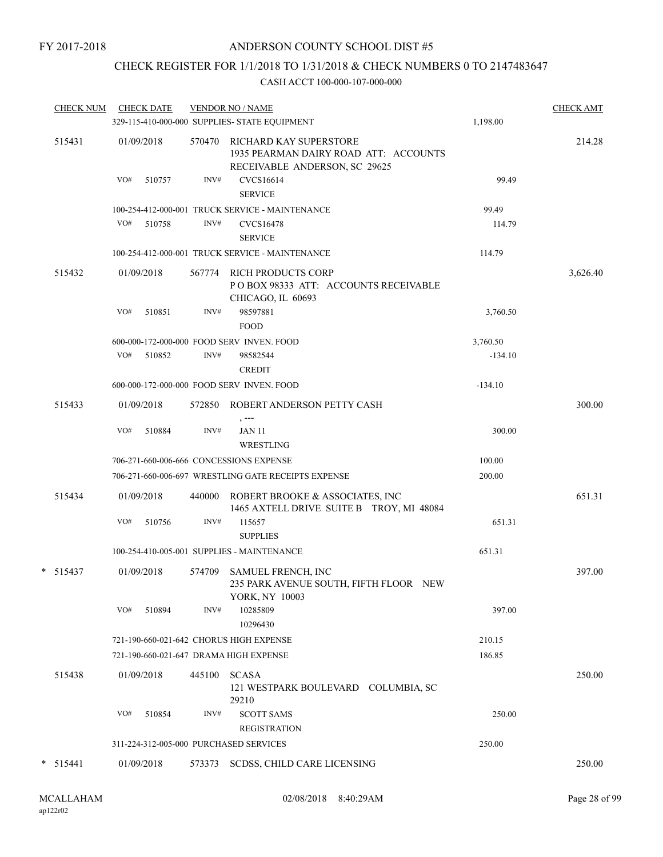## CHECK REGISTER FOR 1/1/2018 TO 1/31/2018 & CHECK NUMBERS 0 TO 2147483647

| <b>CHECK NUM</b> |     | <b>CHECK DATE</b> |        | <b>VENDOR NO / NAME</b><br>329-115-410-000-000 SUPPLIES- STATE EQUIPMENT                         | 1,198.00  | <b>CHECK AMT</b> |
|------------------|-----|-------------------|--------|--------------------------------------------------------------------------------------------------|-----------|------------------|
| 515431           |     | 01/09/2018        | 570470 | RICHARD KAY SUPERSTORE<br>1935 PEARMAN DAIRY ROAD ATT: ACCOUNTS<br>RECEIVABLE ANDERSON, SC 29625 |           | 214.28           |
|                  | VO# | 510757            | INV#   | <b>CVCS16614</b><br><b>SERVICE</b>                                                               | 99.49     |                  |
|                  |     |                   |        | 100-254-412-000-001 TRUCK SERVICE - MAINTENANCE                                                  | 99.49     |                  |
|                  | VO# | 510758            | INV#   | CVCS16478<br><b>SERVICE</b>                                                                      | 114.79    |                  |
|                  |     |                   |        | 100-254-412-000-001 TRUCK SERVICE - MAINTENANCE                                                  | 114.79    |                  |
| 515432           |     | 01/09/2018        | 567774 | RICH PRODUCTS CORP<br>POBOX 98333 ATT: ACCOUNTS RECEIVABLE<br>CHICAGO, IL 60693                  |           | 3,626.40         |
|                  | VO# | 510851            | INV#   | 98597881<br><b>FOOD</b>                                                                          | 3,760.50  |                  |
|                  |     |                   |        | 600-000-172-000-000 FOOD SERV INVEN. FOOD                                                        | 3,760.50  |                  |
|                  |     | VO# 510852        | INV#   | 98582544<br><b>CREDIT</b>                                                                        | $-134.10$ |                  |
|                  |     |                   |        | 600-000-172-000-000 FOOD SERV INVEN. FOOD                                                        | $-134.10$ |                  |
| 515433           |     | 01/09/2018        | 572850 | ROBERT ANDERSON PETTY CASH<br>$, --$                                                             |           | 300.00           |
|                  | VO# | 510884            | INV#   | <b>JAN 11</b><br>WRESTLING                                                                       | 300.00    |                  |
|                  |     |                   |        | 706-271-660-006-666 CONCESSIONS EXPENSE                                                          | 100.00    |                  |
|                  |     |                   |        | 706-271-660-006-697 WRESTLING GATE RECEIPTS EXPENSE                                              | 200.00    |                  |
| 515434           |     | 01/09/2018        | 440000 | ROBERT BROOKE & ASSOCIATES, INC<br>1465 AXTELL DRIVE SUITE B TROY, MI 48084                      |           | 651.31           |
|                  | VO# | 510756            | INV#   | 115657<br><b>SUPPLIES</b>                                                                        | 651.31    |                  |
|                  |     |                   |        | 100-254-410-005-001 SUPPLIES - MAINTENANCE                                                       | 651.31    |                  |
| $* 515437$       |     | 01/09/2018        | 574709 | <b>SAMUEL FRENCH, INC</b><br>235 PARK AVENUE SOUTH, FIFTH FLOOR NEW<br>YORK, NY 10003            |           | 397.00           |
|                  | VO# | 510894            | INV#   | 10285809<br>10296430                                                                             | 397.00    |                  |
|                  |     |                   |        | 721-190-660-021-642 CHORUS HIGH EXPENSE                                                          | 210.15    |                  |
|                  |     |                   |        | 721-190-660-021-647 DRAMA HIGH EXPENSE                                                           | 186.85    |                  |
| 515438           |     | 01/09/2018        | 445100 | <b>SCASA</b><br>121 WESTPARK BOULEVARD COLUMBIA, SC<br>29210                                     |           | 250.00           |
|                  | VO# | 510854            | INV#   | <b>SCOTT SAMS</b>                                                                                | 250.00    |                  |
|                  |     |                   |        | <b>REGISTRATION</b>                                                                              |           |                  |
|                  |     |                   |        | 311-224-312-005-000 PURCHASED SERVICES                                                           | 250.00    |                  |
| $*$ 515441       |     | 01/09/2018        | 573373 | SCDSS, CHILD CARE LICENSING                                                                      |           | 250.00           |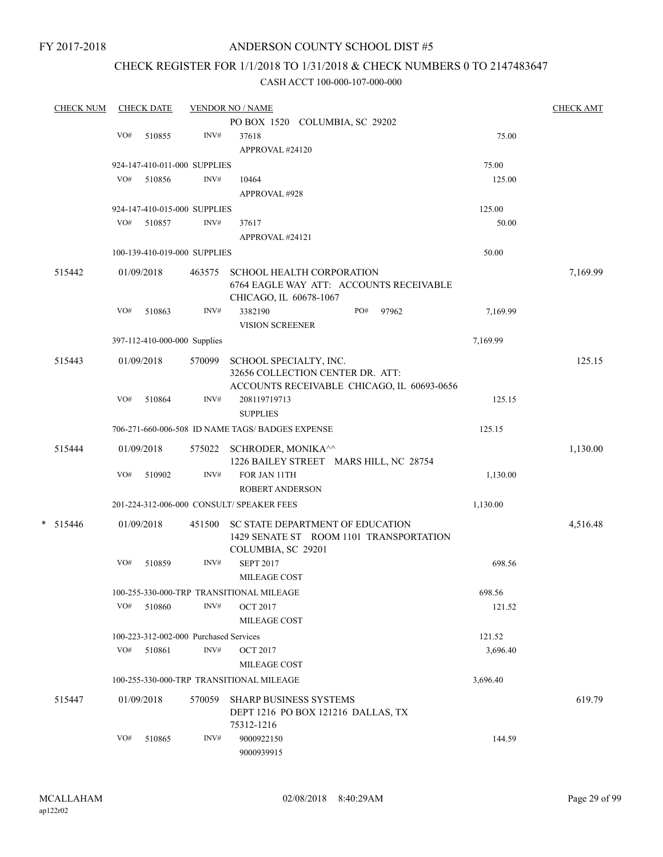FY 2017-2018

## ANDERSON COUNTY SCHOOL DIST #5

## CHECK REGISTER FOR 1/1/2018 TO 1/31/2018 & CHECK NUMBERS 0 TO 2147483647

| <b>CHECK NUM</b> |     | <b>CHECK DATE</b> |                                        | <b>VENDOR NO / NAME</b>                          |     |       |          | <b>CHECK AMT</b> |
|------------------|-----|-------------------|----------------------------------------|--------------------------------------------------|-----|-------|----------|------------------|
|                  |     |                   |                                        | PO BOX 1520 COLUMBIA, SC 29202                   |     |       |          |                  |
|                  | VO# | 510855            | INV#                                   | 37618                                            |     |       | 75.00    |                  |
|                  |     |                   |                                        | APPROVAL #24120                                  |     |       |          |                  |
|                  |     |                   | 924-147-410-011-000 SUPPLIES           |                                                  |     |       | 75.00    |                  |
|                  | VO# | 510856            | INV#                                   | 10464                                            |     |       | 125.00   |                  |
|                  |     |                   |                                        | APPROVAL #928                                    |     |       |          |                  |
|                  |     |                   | 924-147-410-015-000 SUPPLIES           |                                                  |     |       | 125.00   |                  |
|                  | VO# | 510857            | INV#                                   | 37617                                            |     |       | 50.00    |                  |
|                  |     |                   |                                        | APPROVAL #24121                                  |     |       |          |                  |
|                  |     |                   |                                        |                                                  |     |       | 50.00    |                  |
|                  |     |                   | 100-139-410-019-000 SUPPLIES           |                                                  |     |       |          |                  |
| 515442           |     | 01/09/2018        | 463575                                 | SCHOOL HEALTH CORPORATION                        |     |       |          | 7,169.99         |
|                  |     |                   |                                        | 6764 EAGLE WAY ATT: ACCOUNTS RECEIVABLE          |     |       |          |                  |
|                  |     |                   |                                        | CHICAGO, IL 60678-1067                           |     |       |          |                  |
|                  | VO# | 510863            | INV#                                   | 3382190                                          | PO# | 97962 | 7,169.99 |                  |
|                  |     |                   |                                        | VISION SCREENER                                  |     |       |          |                  |
|                  |     |                   | 397-112-410-000-000 Supplies           |                                                  |     |       | 7,169.99 |                  |
| 515443           |     | 01/09/2018        | 570099                                 | SCHOOL SPECIALTY, INC.                           |     |       |          | 125.15           |
|                  |     |                   |                                        | 32656 COLLECTION CENTER DR. ATT:                 |     |       |          |                  |
|                  |     |                   |                                        | ACCOUNTS RECEIVABLE CHICAGO, IL 60693-0656       |     |       |          |                  |
|                  | VO# | 510864            | INV#                                   | 208119719713                                     |     |       | 125.15   |                  |
|                  |     |                   |                                        | <b>SUPPLIES</b>                                  |     |       |          |                  |
|                  |     |                   |                                        | 706-271-660-006-508 ID NAME TAGS/ BADGES EXPENSE |     |       | 125.15   |                  |
| 515444           |     | 01/09/2018        | 575022                                 | SCHRODER, MONIKA <sup>^^</sup>                   |     |       |          | 1,130.00         |
|                  |     |                   |                                        | 1226 BAILEY STREET MARS HILL, NC 28754           |     |       |          |                  |
|                  | VO# | 510902            | INV#                                   | FOR JAN 11TH                                     |     |       | 1,130.00 |                  |
|                  |     |                   |                                        | <b>ROBERT ANDERSON</b>                           |     |       |          |                  |
|                  |     |                   |                                        | 201-224-312-006-000 CONSULT/ SPEAKER FEES        |     |       | 1,130.00 |                  |
|                  |     |                   |                                        |                                                  |     |       |          |                  |
| $*$ 515446       |     | 01/09/2018        | 451500                                 | <b>SC STATE DEPARTMENT OF EDUCATION</b>          |     |       |          | 4,516.48         |
|                  |     |                   |                                        | 1429 SENATE ST ROOM 1101 TRANSPORTATION          |     |       |          |                  |
|                  |     |                   |                                        | COLUMBIA, SC 29201                               |     |       |          |                  |
|                  | VO# | 510859            | INV#                                   | <b>SEPT 2017</b>                                 |     |       | 698.56   |                  |
|                  |     |                   |                                        | <b>MILEAGE COST</b>                              |     |       |          |                  |
|                  |     |                   |                                        | 100-255-330-000-TRP TRANSITIONAL MILEAGE         |     |       | 698.56   |                  |
|                  | VO# | 510860            | INV#                                   | <b>OCT 2017</b>                                  |     |       | 121.52   |                  |
|                  |     |                   |                                        | MILEAGE COST                                     |     |       |          |                  |
|                  |     |                   | 100-223-312-002-000 Purchased Services |                                                  |     |       | 121.52   |                  |
|                  | VO# | 510861            | INV#                                   | <b>OCT 2017</b>                                  |     |       | 3,696.40 |                  |
|                  |     |                   |                                        | MILEAGE COST                                     |     |       |          |                  |
|                  |     |                   |                                        | 100-255-330-000-TRP TRANSITIONAL MILEAGE         |     |       | 3,696.40 |                  |
| 515447           |     | 01/09/2018        | 570059                                 | <b>SHARP BUSINESS SYSTEMS</b>                    |     |       |          | 619.79           |
|                  |     |                   |                                        | DEPT 1216 PO BOX 121216 DALLAS, TX               |     |       |          |                  |
|                  |     |                   |                                        | 75312-1216                                       |     |       |          |                  |
|                  | VO# | 510865            | INV#                                   | 9000922150                                       |     |       | 144.59   |                  |
|                  |     |                   |                                        | 9000939915                                       |     |       |          |                  |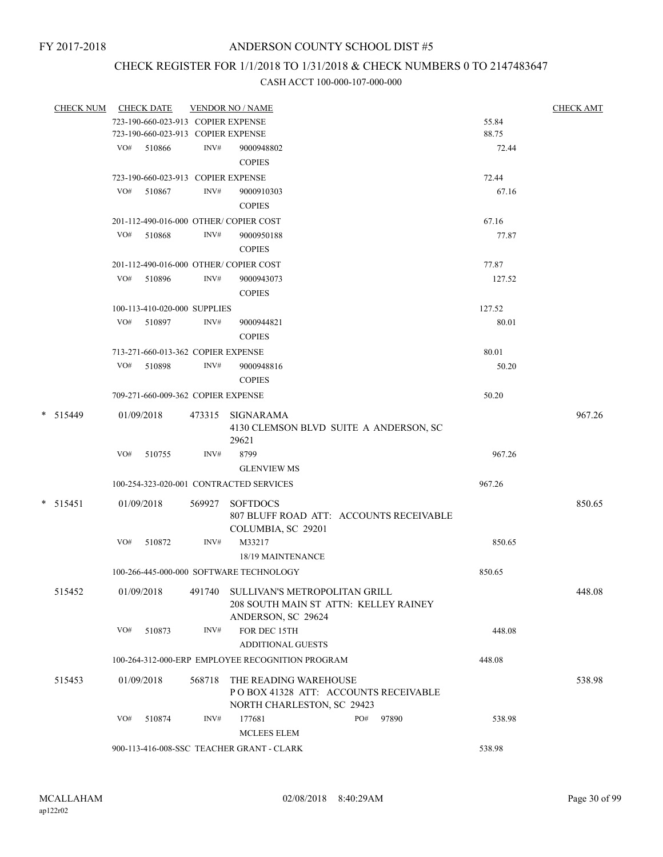## CHECK REGISTER FOR 1/1/2018 TO 1/31/2018 & CHECK NUMBERS 0 TO 2147483647

| CHECK NUM CHECK DATE |     |                                    |        | <b>VENDOR NO / NAME</b>                          |     |                                         |        | <b>CHECK AMT</b> |
|----------------------|-----|------------------------------------|--------|--------------------------------------------------|-----|-----------------------------------------|--------|------------------|
|                      |     | 723-190-660-023-913 COPIER EXPENSE |        |                                                  |     |                                         | 55.84  |                  |
|                      |     | 723-190-660-023-913 COPIER EXPENSE |        |                                                  |     |                                         | 88.75  |                  |
|                      |     | VO# 510866                         | INV#   | 9000948802                                       |     |                                         | 72.44  |                  |
|                      |     |                                    |        | <b>COPIES</b>                                    |     |                                         |        |                  |
|                      |     | 723-190-660-023-913 COPIER EXPENSE |        |                                                  |     |                                         | 72.44  |                  |
|                      | VO# | 510867                             | INV#   | 9000910303                                       |     |                                         | 67.16  |                  |
|                      |     |                                    |        | <b>COPIES</b>                                    |     |                                         |        |                  |
|                      |     |                                    |        | 201-112-490-016-000 OTHER/COPIER COST            |     |                                         | 67.16  |                  |
|                      | VO# | 510868                             | INV#   | 9000950188                                       |     |                                         | 77.87  |                  |
|                      |     |                                    |        | <b>COPIES</b>                                    |     |                                         |        |                  |
|                      |     |                                    |        |                                                  |     |                                         |        |                  |
|                      |     |                                    |        | 201-112-490-016-000 OTHER/COPIER COST            |     |                                         | 77.87  |                  |
|                      |     | VO# 510896                         | INV#   | 9000943073                                       |     |                                         | 127.52 |                  |
|                      |     |                                    |        | <b>COPIES</b>                                    |     |                                         |        |                  |
|                      |     | 100-113-410-020-000 SUPPLIES       |        |                                                  |     |                                         | 127.52 |                  |
|                      |     | VO# 510897                         | INV#   | 9000944821                                       |     |                                         | 80.01  |                  |
|                      |     |                                    |        | <b>COPIES</b>                                    |     |                                         |        |                  |
|                      |     | 713-271-660-013-362 COPIER EXPENSE |        |                                                  |     |                                         | 80.01  |                  |
|                      | VO# | 510898                             | INV#   | 9000948816                                       |     |                                         | 50.20  |                  |
|                      |     |                                    |        | <b>COPIES</b>                                    |     |                                         |        |                  |
|                      |     | 709-271-660-009-362 COPIER EXPENSE |        |                                                  |     |                                         | 50.20  |                  |
| $* 515449$           |     | 01/09/2018                         |        | 473315 SIGNARAMA                                 |     |                                         |        | 967.26           |
|                      |     |                                    |        | 4130 CLEMSON BLVD SUITE A ANDERSON, SC           |     |                                         |        |                  |
|                      |     |                                    |        | 29621                                            |     |                                         |        |                  |
|                      | VO# | 510755                             | INV#   | 8799                                             |     |                                         | 967.26 |                  |
|                      |     |                                    |        | <b>GLENVIEW MS</b>                               |     |                                         |        |                  |
|                      |     |                                    |        | 100-254-323-020-001 CONTRACTED SERVICES          |     |                                         | 967.26 |                  |
|                      |     |                                    |        |                                                  |     |                                         |        |                  |
| $* 515451$           |     | 01/09/2018                         | 569927 | <b>SOFTDOCS</b>                                  |     |                                         |        | 850.65           |
|                      |     |                                    |        |                                                  |     | 807 BLUFF ROAD ATT: ACCOUNTS RECEIVABLE |        |                  |
|                      |     |                                    |        | COLUMBIA, SC 29201                               |     |                                         |        |                  |
|                      | VO# | 510872                             | INV#   | M33217                                           |     |                                         | 850.65 |                  |
|                      |     |                                    |        | 18/19 MAINTENANCE                                |     |                                         |        |                  |
|                      |     |                                    |        | 100-266-445-000-000 SOFTWARE TECHNOLOGY          |     |                                         | 850.65 |                  |
| 515452               |     | 01/09/2018                         | 491740 | SULLIVAN'S METROPOLITAN GRILL                    |     |                                         |        | 448.08           |
|                      |     |                                    |        | 208 SOUTH MAIN ST ATTN: KELLEY RAINEY            |     |                                         |        |                  |
|                      |     |                                    |        | ANDERSON, SC 29624                               |     |                                         |        |                  |
|                      | VO# | 510873                             | INV#   | FOR DEC 15TH                                     |     |                                         | 448.08 |                  |
|                      |     |                                    |        | <b>ADDITIONAL GUESTS</b>                         |     |                                         |        |                  |
|                      |     |                                    |        | 100-264-312-000-ERP EMPLOYEE RECOGNITION PROGRAM |     |                                         | 448.08 |                  |
| 515453               |     | 01/09/2018                         | 568718 | THE READING WAREHOUSE                            |     |                                         |        | 538.98           |
|                      |     |                                    |        | PO BOX 41328 ATT: ACCOUNTS RECEIVABLE            |     |                                         |        |                  |
|                      |     |                                    |        | NORTH CHARLESTON, SC 29423                       |     |                                         |        |                  |
|                      | VO# | 510874                             | INV#   | 177681                                           | PO# | 97890                                   | 538.98 |                  |
|                      |     |                                    |        | <b>MCLEES ELEM</b>                               |     |                                         |        |                  |
|                      |     |                                    |        | 900-113-416-008-SSC TEACHER GRANT - CLARK        |     |                                         | 538.98 |                  |
|                      |     |                                    |        |                                                  |     |                                         |        |                  |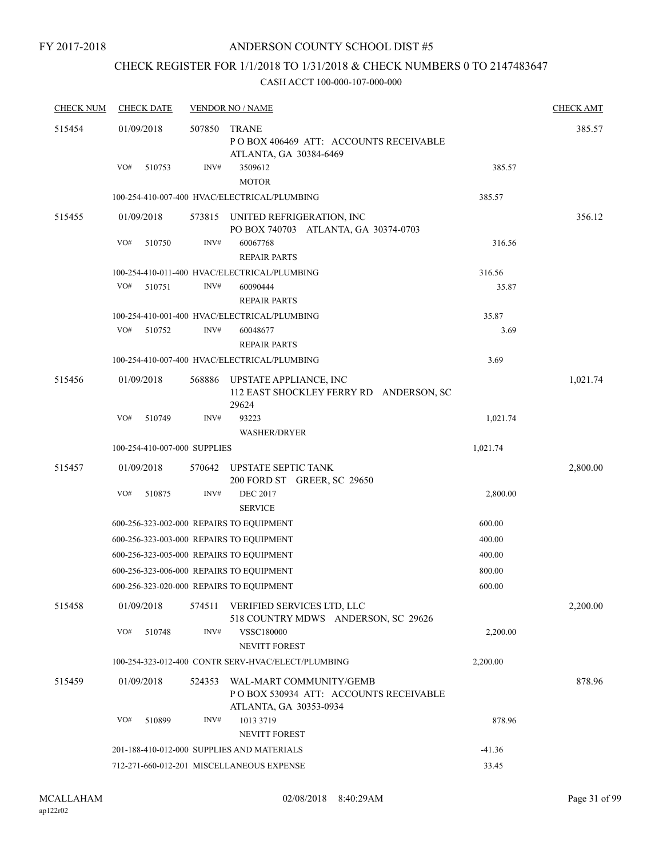## CHECK REGISTER FOR 1/1/2018 TO 1/31/2018 & CHECK NUMBERS 0 TO 2147483647

| <b>CHECK NUM</b> | <b>CHECK DATE</b>            |        | <b>VENDOR NO / NAME</b>                                                                     |          | <b>CHECK AMT</b> |
|------------------|------------------------------|--------|---------------------------------------------------------------------------------------------|----------|------------------|
| 515454           | 01/09/2018                   | 507850 | <b>TRANE</b><br>PO BOX 406469 ATT: ACCOUNTS RECEIVABLE<br>ATLANTA, GA 30384-6469            |          | 385.57           |
|                  | VO#<br>510753                | INV#   | 3509612<br><b>MOTOR</b>                                                                     | 385.57   |                  |
|                  |                              |        | 100-254-410-007-400 HVAC/ELECTRICAL/PLUMBING                                                | 385.57   |                  |
| 515455           | 01/09/2018                   | 573815 | UNITED REFRIGERATION, INC<br>PO BOX 740703 ATLANTA, GA 30374-0703                           |          | 356.12           |
|                  | VO#<br>510750                | INV#   | 60067768<br><b>REPAIR PARTS</b>                                                             | 316.56   |                  |
|                  |                              |        | 100-254-410-011-400 HVAC/ELECTRICAL/PLUMBING                                                | 316.56   |                  |
|                  | VO#<br>510751                | INV#   | 60090444<br><b>REPAIR PARTS</b>                                                             | 35.87    |                  |
|                  |                              |        | 100-254-410-001-400 HVAC/ELECTRICAL/PLUMBING                                                | 35.87    |                  |
|                  | VO#<br>510752                | INV#   | 60048677<br><b>REPAIR PARTS</b>                                                             | 3.69     |                  |
|                  |                              |        | 100-254-410-007-400 HVAC/ELECTRICAL/PLUMBING                                                | 3.69     |                  |
| 515456           | 01/09/2018                   | 568886 | UPSTATE APPLIANCE, INC<br>112 EAST SHOCKLEY FERRY RD ANDERSON, SC<br>29624                  |          | 1,021.74         |
|                  | VO#<br>510749                | INV#   | 93223<br><b>WASHER/DRYER</b>                                                                | 1,021.74 |                  |
|                  | 100-254-410-007-000 SUPPLIES |        |                                                                                             | 1,021.74 |                  |
| 515457           | 01/09/2018                   | 570642 | <b>UPSTATE SEPTIC TANK</b><br>200 FORD ST GREER, SC 29650                                   |          | 2,800.00         |
|                  | VO#<br>510875                | INV#   | <b>DEC 2017</b><br><b>SERVICE</b>                                                           | 2,800.00 |                  |
|                  |                              |        | 600-256-323-002-000 REPAIRS TO EOUIPMENT                                                    | 600.00   |                  |
|                  |                              |        | 600-256-323-003-000 REPAIRS TO EQUIPMENT                                                    | 400.00   |                  |
|                  |                              |        | 600-256-323-005-000 REPAIRS TO EQUIPMENT                                                    | 400.00   |                  |
|                  |                              |        | 600-256-323-006-000 REPAIRS TO EQUIPMENT                                                    | 800.00   |                  |
|                  |                              |        | 600-256-323-020-000 REPAIRS TO EQUIPMENT                                                    | 600.00   |                  |
| 515458           | 01/09/2018                   | 574511 | VERIFIED SERVICES LTD, LLC<br>518 COUNTRY MDWS ANDERSON, SC 29626                           |          | 2,200.00         |
|                  | VO#<br>510748                | INV#   | <b>VSSC180000</b>                                                                           | 2,200.00 |                  |
|                  |                              |        | NEVITT FOREST                                                                               |          |                  |
|                  |                              |        | 100-254-323-012-400 CONTR SERV-HVAC/ELECT/PLUMBING                                          | 2,200.00 |                  |
| 515459           | 01/09/2018                   | 524353 | WAL-MART COMMUNITY/GEMB<br>PO BOX 530934 ATT: ACCOUNTS RECEIVABLE<br>ATLANTA, GA 30353-0934 |          | 878.96           |
|                  | VO#<br>510899                | INV#   | 1013 3719<br>NEVITT FOREST                                                                  | 878.96   |                  |
|                  |                              |        | 201-188-410-012-000 SUPPLIES AND MATERIALS                                                  | $-41.36$ |                  |
|                  |                              |        | 712-271-660-012-201 MISCELLANEOUS EXPENSE                                                   | 33.45    |                  |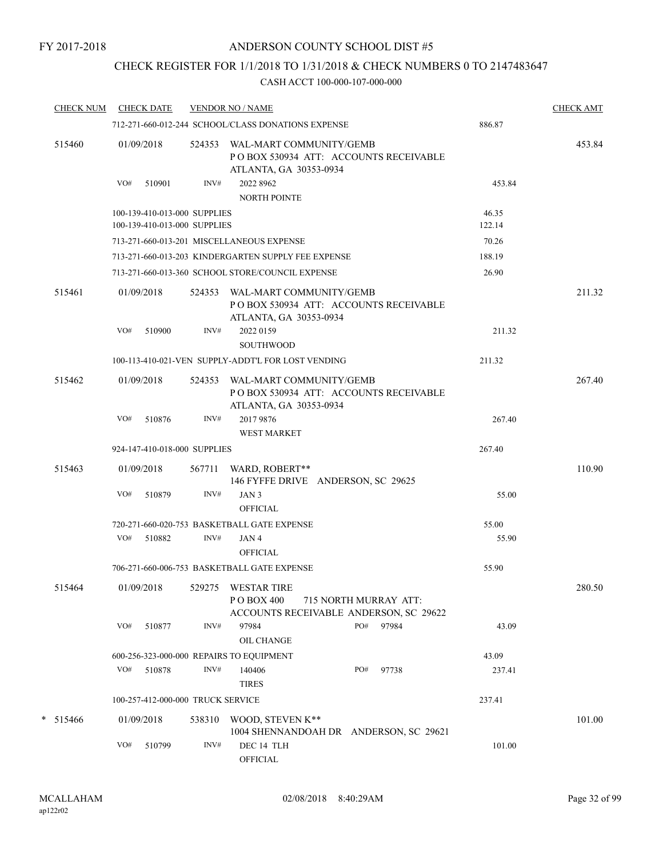## CHECK REGISTER FOR 1/1/2018 TO 1/31/2018 & CHECK NUMBERS 0 TO 2147483647

| <b>CHECK NUM</b> | <b>CHECK DATE</b> |                                                              | <b>VENDOR NO / NAME</b>                              |                                                                 |                 | <b>CHECK AMT</b> |
|------------------|-------------------|--------------------------------------------------------------|------------------------------------------------------|-----------------------------------------------------------------|-----------------|------------------|
|                  |                   |                                                              | 712-271-660-012-244 SCHOOL/CLASS DONATIONS EXPENSE   |                                                                 | 886.87          |                  |
| 515460           | 01/09/2018        | 524353                                                       | WAL-MART COMMUNITY/GEMB<br>ATLANTA, GA 30353-0934    | PO BOX 530934 ATT: ACCOUNTS RECEIVABLE                          |                 | 453.84           |
|                  | VO#<br>510901     | INV#                                                         | 2022 8962<br>NORTH POINTE                            |                                                                 | 453.84          |                  |
|                  |                   | 100-139-410-013-000 SUPPLIES<br>100-139-410-013-000 SUPPLIES |                                                      |                                                                 | 46.35<br>122.14 |                  |
|                  |                   |                                                              | 713-271-660-013-201 MISCELLANEOUS EXPENSE            |                                                                 | 70.26           |                  |
|                  |                   |                                                              | 713-271-660-013-203 KINDERGARTEN SUPPLY FEE EXPENSE  |                                                                 | 188.19          |                  |
|                  |                   |                                                              | 713-271-660-013-360 SCHOOL STORE/COUNCIL EXPENSE     |                                                                 | 26.90           |                  |
| 515461           | 01/09/2018        | 524353                                                       | WAL-MART COMMUNITY/GEMB<br>ATLANTA, GA 30353-0934    | POBOX 530934 ATT: ACCOUNTS RECEIVABLE                           |                 | 211.32           |
|                  | VO#<br>510900     | INV#                                                         | 2022 0159<br><b>SOUTHWOOD</b>                        |                                                                 | 211.32          |                  |
|                  |                   |                                                              | 100-113-410-021-VEN SUPPLY-ADDT'L FOR LOST VENDING   |                                                                 | 211.32          |                  |
| 515462           | 01/09/2018        | 524353                                                       | WAL-MART COMMUNITY/GEMB<br>ATLANTA, GA 30353-0934    | PO BOX 530934 ATT: ACCOUNTS RECEIVABLE                          |                 | 267.40           |
|                  | VO#<br>510876     | INV#                                                         | 2017 9876<br><b>WEST MARKET</b>                      |                                                                 | 267.40          |                  |
|                  |                   | 924-147-410-018-000 SUPPLIES                                 |                                                      |                                                                 | 267.40          |                  |
| 515463           | 01/09/2018        | 567711                                                       | WARD, ROBERT**<br>146 FYFFE DRIVE ANDERSON, SC 29625 |                                                                 |                 | 110.90           |
|                  | VO#<br>510879     | INV#                                                         | JAN <sub>3</sub><br><b>OFFICIAL</b>                  |                                                                 | 55.00           |                  |
|                  |                   |                                                              | 720-271-660-020-753 BASKETBALL GATE EXPENSE          |                                                                 | 55.00           |                  |
|                  | VO# 510882        | INV#                                                         | JAN 4<br><b>OFFICIAL</b>                             |                                                                 | 55.90           |                  |
|                  |                   |                                                              | 706-271-660-006-753 BASKETBALL GATE EXPENSE          |                                                                 | 55.90           |                  |
| 515464           | 01/09/2018        |                                                              | 529275 WESTAR TIRE<br>P O BOX 400                    | 715 NORTH MURRAY ATT:<br>ACCOUNTS RECEIVABLE ANDERSON, SC 29622 |                 | 280.50           |
|                  | VO#<br>510877     | INV#                                                         | 97984<br>OIL CHANGE                                  | PO#<br>97984                                                    | 43.09           |                  |
|                  |                   |                                                              | 600-256-323-000-000 REPAIRS TO EQUIPMENT             |                                                                 | 43.09           |                  |
|                  | VO#<br>510878     | INV#                                                         | 140406<br><b>TIRES</b>                               | PO#<br>97738                                                    | 237.41          |                  |
|                  |                   | 100-257-412-000-000 TRUCK SERVICE                            |                                                      |                                                                 | 237.41          |                  |
| $*$ 515466       | 01/09/2018        | 538310                                                       | WOOD, STEVEN K**                                     | 1004 SHENNANDOAH DR ANDERSON, SC 29621                          |                 | 101.00           |
|                  | VO#<br>510799     | INV#                                                         | DEC 14 TLH<br><b>OFFICIAL</b>                        |                                                                 | 101.00          |                  |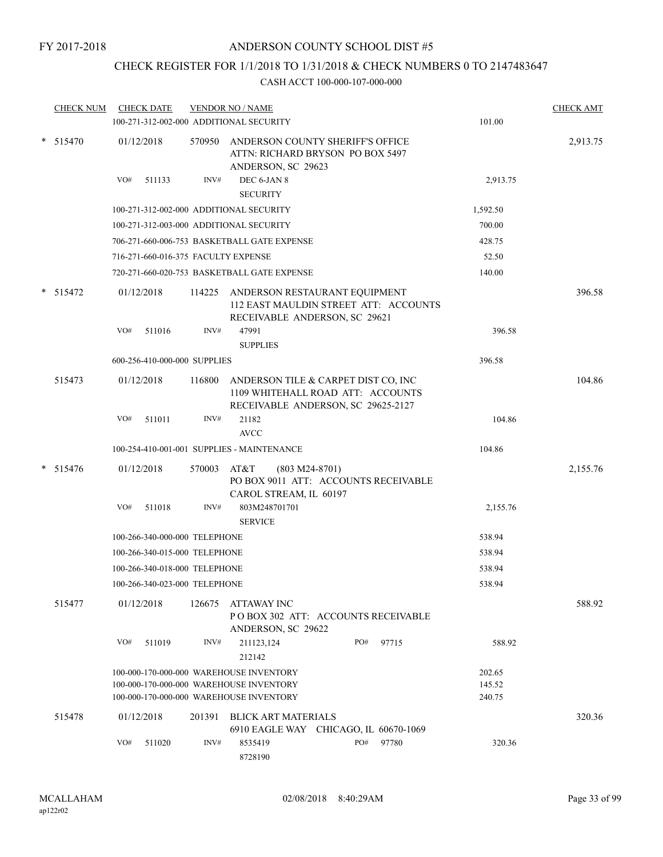## CHECK REGISTER FOR 1/1/2018 TO 1/31/2018 & CHECK NUMBERS 0 TO 2147483647

| <b>CHECK NUM</b> | <b>CHECK DATE</b><br>100-271-312-002-000 ADDITIONAL SECURITY                       | <b>VENDOR NO / NAME</b> |                                                                                                                |     |       | 101.00           | <b>CHECK AMT</b> |
|------------------|------------------------------------------------------------------------------------|-------------------------|----------------------------------------------------------------------------------------------------------------|-----|-------|------------------|------------------|
| $*$ 515470       | 01/12/2018                                                                         | 570950                  | ANDERSON COUNTY SHERIFF'S OFFICE<br>ATTN: RICHARD BRYSON PO BOX 5497<br>ANDERSON, SC 29623                     |     |       |                  | 2,913.75         |
|                  | VO#<br>511133                                                                      | INV#                    | DEC 6-JAN 8<br><b>SECURITY</b>                                                                                 |     |       | 2,913.75         |                  |
|                  | 100-271-312-002-000 ADDITIONAL SECURITY                                            |                         |                                                                                                                |     |       | 1,592.50         |                  |
|                  | 100-271-312-003-000 ADDITIONAL SECURITY                                            |                         |                                                                                                                |     |       | 700.00           |                  |
|                  |                                                                                    |                         | 706-271-660-006-753 BASKETBALL GATE EXPENSE                                                                    |     |       | 428.75           |                  |
|                  | 716-271-660-016-375 FACULTY EXPENSE                                                |                         |                                                                                                                |     |       | 52.50            |                  |
|                  |                                                                                    |                         | 720-271-660-020-753 BASKETBALL GATE EXPENSE                                                                    |     |       | 140.00           |                  |
| $*$ 515472       | 01/12/2018                                                                         | 114225                  | ANDERSON RESTAURANT EQUIPMENT<br>112 EAST MAULDIN STREET ATT: ACCOUNTS<br>RECEIVABLE ANDERSON, SC 29621        |     |       |                  | 396.58           |
|                  | VO#<br>511016                                                                      | INV#                    | 47991<br><b>SUPPLIES</b>                                                                                       |     |       | 396.58           |                  |
|                  | 600-256-410-000-000 SUPPLIES                                                       |                         |                                                                                                                |     |       | 396.58           |                  |
| 515473           | 01/12/2018                                                                         | 116800                  | ANDERSON TILE & CARPET DIST CO, INC<br>1109 WHITEHALL ROAD ATT: ACCOUNTS<br>RECEIVABLE ANDERSON, SC 29625-2127 |     |       |                  | 104.86           |
|                  | 511011<br>VO#                                                                      | INV#                    | 21182<br><b>AVCC</b>                                                                                           |     |       | 104.86           |                  |
|                  | 100-254-410-001-001 SUPPLIES - MAINTENANCE                                         |                         |                                                                                                                |     |       | 104.86           |                  |
| $*$ 515476       | 01/12/2018                                                                         | 570003                  | AT&T<br>$(803 M24-8701)$<br>PO BOX 9011 ATT: ACCOUNTS RECEIVABLE                                               |     |       |                  | 2,155.76         |
|                  | VO#<br>511018                                                                      | INV#                    | CAROL STREAM, IL 60197<br>803M248701701<br><b>SERVICE</b>                                                      |     |       | 2,155.76         |                  |
|                  | 100-266-340-000-000 TELEPHONE                                                      |                         |                                                                                                                |     |       | 538.94           |                  |
|                  | 100-266-340-015-000 TELEPHONE                                                      |                         |                                                                                                                |     |       | 538.94           |                  |
|                  | 100-266-340-018-000 TELEPHONE                                                      |                         |                                                                                                                |     |       | 538.94           |                  |
|                  | 100-266-340-023-000 TELEPHONE                                                      |                         |                                                                                                                |     |       | 538.94           |                  |
| 515477           | 01/12/2018                                                                         | 126675                  | ATTAWAY INC<br>PO BOX 302 ATT: ACCOUNTS RECEIVABLE<br>ANDERSON, SC 29622                                       |     |       |                  | 588.92           |
|                  | VO#<br>511019                                                                      | INV#                    | 211123,124<br>212142                                                                                           | PO# | 97715 | 588.92           |                  |
|                  | 100-000-170-000-000 WAREHOUSE INVENTORY                                            |                         |                                                                                                                |     |       | 202.65           |                  |
|                  | 100-000-170-000-000 WAREHOUSE INVENTORY<br>100-000-170-000-000 WAREHOUSE INVENTORY |                         |                                                                                                                |     |       | 145.52<br>240.75 |                  |
| 515478           | 01/12/2018                                                                         | 201391                  | <b>BLICK ART MATERIALS</b><br>6910 EAGLE WAY CHICAGO, IL 60670-1069                                            |     |       |                  | 320.36           |
|                  | VO#<br>511020                                                                      | INV#                    | 8535419<br>8728190                                                                                             | PO# | 97780 | 320.36           |                  |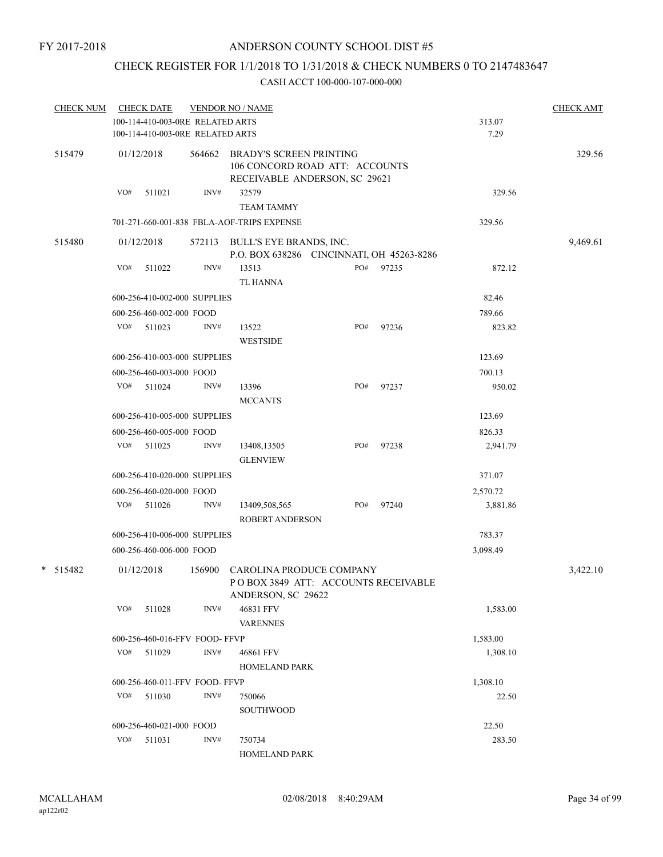## CHECK REGISTER FOR 1/1/2018 TO 1/31/2018 & CHECK NUMBERS 0 TO 2147483647

| <u>CHECK NUM</u> |     | <b>CHECK DATE</b>                                                    |        | <b>VENDOR NO / NAME</b>                                                                           |     |       |                | <b>CHECK AMT</b> |
|------------------|-----|----------------------------------------------------------------------|--------|---------------------------------------------------------------------------------------------------|-----|-------|----------------|------------------|
|                  |     | 100-114-410-003-0RE RELATED ARTS<br>100-114-410-003-0RE RELATED ARTS |        |                                                                                                   |     |       | 313.07<br>7.29 |                  |
| 515479           |     | 01/12/2018                                                           | 564662 | <b>BRADY'S SCREEN PRINTING</b><br>106 CONCORD ROAD ATT: ACCOUNTS<br>RECEIVABLE ANDERSON, SC 29621 |     |       |                | 329.56           |
|                  | VO# | 511021                                                               | INV#   | 32579<br><b>TEAM TAMMY</b>                                                                        |     |       | 329.56         |                  |
|                  |     |                                                                      |        | 701-271-660-001-838 FBLA-AOF-TRIPS EXPENSE                                                        |     |       | 329.56         |                  |
| 515480           |     | 01/12/2018                                                           |        | 572113 BULL'S EYE BRANDS, INC.<br>P.O. BOX 638286 CINCINNATI, OH 45263-8286                       |     |       |                | 9,469.61         |
|                  | VO# | 511022                                                               | INV#   | 13513<br>TL HANNA                                                                                 | PO# | 97235 | 872.12         |                  |
|                  |     | 600-256-410-002-000 SUPPLIES                                         |        |                                                                                                   |     |       | 82.46          |                  |
|                  |     | 600-256-460-002-000 FOOD                                             |        |                                                                                                   |     |       | 789.66         |                  |
|                  |     | VO# 511023                                                           | INV#   | 13522<br><b>WESTSIDE</b>                                                                          | PO# | 97236 | 823.82         |                  |
|                  |     | 600-256-410-003-000 SUPPLIES                                         |        |                                                                                                   |     |       | 123.69         |                  |
|                  |     | 600-256-460-003-000 FOOD                                             |        |                                                                                                   |     |       | 700.13         |                  |
|                  | VO# | 511024                                                               | INV#   | 13396<br><b>MCCANTS</b>                                                                           | PO# | 97237 | 950.02         |                  |
|                  |     | 600-256-410-005-000 SUPPLIES                                         |        |                                                                                                   |     |       | 123.69         |                  |
|                  |     | 600-256-460-005-000 FOOD                                             |        |                                                                                                   |     |       | 826.33         |                  |
|                  | VO# | 511025                                                               | INV#   | 13408,13505<br><b>GLENVIEW</b>                                                                    | PO# | 97238 | 2,941.79       |                  |
|                  |     | 600-256-410-020-000 SUPPLIES                                         |        |                                                                                                   |     |       | 371.07         |                  |
|                  |     | 600-256-460-020-000 FOOD                                             |        |                                                                                                   |     |       | 2,570.72       |                  |
|                  |     | VO# 511026                                                           | INV#   | 13409,508,565<br><b>ROBERT ANDERSON</b>                                                           | PO# | 97240 | 3,881.86       |                  |
|                  |     | 600-256-410-006-000 SUPPLIES                                         |        |                                                                                                   |     |       | 783.37         |                  |
|                  |     | 600-256-460-006-000 FOOD                                             |        |                                                                                                   |     |       | 3,098.49       |                  |
| $* 515482$       |     | 01/12/2018                                                           | 156900 | CAROLINA PRODUCE COMPANY<br>POBOX 3849 ATT: ACCOUNTS RECEIVABLE<br>ANDERSON, SC 29622             |     |       |                | 3,422.10         |
|                  | VO# | 511028                                                               | INV#   | 46831 FFV<br><b>VARENNES</b>                                                                      |     |       | 1,583.00       |                  |
|                  |     | 600-256-460-016-FFV FOOD-FFVP                                        |        |                                                                                                   |     |       | 1,583.00       |                  |
|                  | VO# | 511029                                                               | INV#   | 46861 FFV<br>HOMELAND PARK                                                                        |     |       | 1,308.10       |                  |
|                  |     | 600-256-460-011-FFV FOOD-FFVP                                        |        |                                                                                                   |     |       | 1,308.10       |                  |
|                  |     | $VO#$ 511030                                                         | INV#   | 750066<br><b>SOUTHWOOD</b>                                                                        |     |       | 22.50          |                  |
|                  |     | 600-256-460-021-000 FOOD                                             |        |                                                                                                   |     |       | 22.50          |                  |
|                  | VO# | 511031                                                               | INV#   | 750734<br>HOMELAND PARK                                                                           |     |       | 283.50         |                  |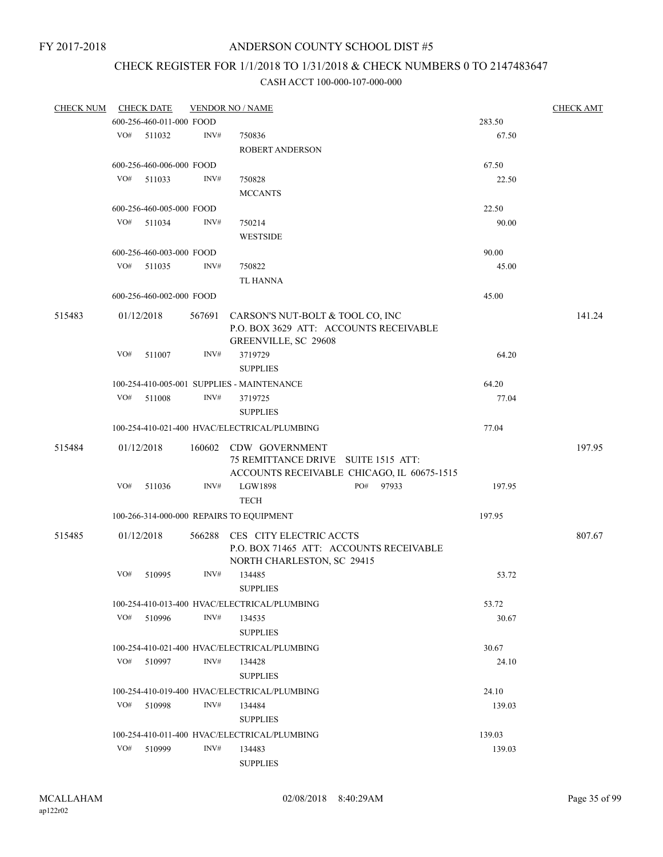## CHECK REGISTER FOR 1/1/2018 TO 1/31/2018 & CHECK NUMBERS 0 TO 2147483647

| <b>CHECK NUM</b> |     | <b>CHECK DATE</b>        |        | <b>VENDOR NO / NAME</b>                                                                                    |        | <b>CHECK AMT</b> |
|------------------|-----|--------------------------|--------|------------------------------------------------------------------------------------------------------------|--------|------------------|
|                  |     | 600-256-460-011-000 FOOD |        |                                                                                                            | 283.50 |                  |
|                  | VO# | 511032                   | INV#   | 750836                                                                                                     | 67.50  |                  |
|                  |     |                          |        | <b>ROBERT ANDERSON</b>                                                                                     |        |                  |
|                  |     | 600-256-460-006-000 FOOD |        |                                                                                                            | 67.50  |                  |
|                  | VO# | 511033                   | INV#   | 750828                                                                                                     | 22.50  |                  |
|                  |     |                          |        | <b>MCCANTS</b>                                                                                             |        |                  |
|                  |     | 600-256-460-005-000 FOOD |        |                                                                                                            | 22.50  |                  |
|                  | VO# | 511034                   | INV#   | 750214                                                                                                     | 90.00  |                  |
|                  |     |                          |        | <b>WESTSIDE</b>                                                                                            |        |                  |
|                  |     | 600-256-460-003-000 FOOD |        |                                                                                                            | 90.00  |                  |
|                  | VO# | 511035                   | INV#   | 750822                                                                                                     | 45.00  |                  |
|                  |     |                          |        | <b>TL HANNA</b>                                                                                            |        |                  |
|                  |     | 600-256-460-002-000 FOOD |        |                                                                                                            | 45.00  |                  |
|                  |     |                          |        |                                                                                                            |        |                  |
| 515483           |     | 01/12/2018               | 567691 | CARSON'S NUT-BOLT & TOOL CO, INC<br>P.O. BOX 3629 ATT: ACCOUNTS RECEIVABLE<br>GREENVILLE, SC 29608         |        | 141.24           |
|                  | VO# | 511007                   | INV#   | 3719729                                                                                                    | 64.20  |                  |
|                  |     |                          |        | <b>SUPPLIES</b>                                                                                            |        |                  |
|                  |     |                          |        |                                                                                                            | 64.20  |                  |
|                  | VO# |                          |        | 100-254-410-005-001 SUPPLIES - MAINTENANCE                                                                 |        |                  |
|                  |     | 511008                   | INV#   | 3719725                                                                                                    | 77.04  |                  |
|                  |     |                          |        | <b>SUPPLIES</b>                                                                                            |        |                  |
|                  |     |                          |        | 100-254-410-021-400 HVAC/ELECTRICAL/PLUMBING                                                               | 77.04  |                  |
| 515484           |     | 01/12/2018               |        | 160602 CDW GOVERNMENT<br>75 REMITTANCE DRIVE SUITE 1515 ATT:<br>ACCOUNTS RECEIVABLE CHICAGO, IL 60675-1515 |        | 197.95           |
|                  | VO# | 511036                   | INV#   | LGW1898<br>PO# 97933<br><b>TECH</b>                                                                        | 197.95 |                  |
|                  |     |                          |        | 100-266-314-000-000 REPAIRS TO EQUIPMENT                                                                   | 197.95 |                  |
|                  |     |                          |        |                                                                                                            |        |                  |
| 515485           |     | 01/12/2018               | 566288 | CES CITY ELECTRIC ACCTS<br>P.O. BOX 71465 ATT: ACCOUNTS RECEIVABLE<br>NORTH CHARLESTON, SC 29415           |        | 807.67           |
|                  | VO# | 510995                   | INV#   | 134485                                                                                                     | 53.72  |                  |
|                  |     |                          |        | <b>SUPPLIES</b>                                                                                            |        |                  |
|                  |     |                          |        | 100-254-410-013-400 HVAC/ELECTRICAL/PLUMBING                                                               | 53.72  |                  |
|                  | VO# | 510996                   | INV#   | 134535                                                                                                     | 30.67  |                  |
|                  |     |                          |        | <b>SUPPLIES</b>                                                                                            |        |                  |
|                  |     |                          |        | 100-254-410-021-400 HVAC/ELECTRICAL/PLUMBING                                                               | 30.67  |                  |
|                  | VO# | 510997                   | INV#   | 134428                                                                                                     | 24.10  |                  |
|                  |     |                          |        | <b>SUPPLIES</b>                                                                                            |        |                  |
|                  |     |                          |        | 100-254-410-019-400 HVAC/ELECTRICAL/PLUMBING                                                               | 24.10  |                  |
|                  | VO# | 510998                   | INV#   | 134484                                                                                                     | 139.03 |                  |
|                  |     |                          |        | <b>SUPPLIES</b>                                                                                            |        |                  |
|                  |     |                          |        |                                                                                                            |        |                  |
|                  |     |                          |        | 100-254-410-011-400 HVAC/ELECTRICAL/PLUMBING                                                               | 139.03 |                  |
|                  | VO# | 510999                   | INV#   | 134483                                                                                                     | 139.03 |                  |
|                  |     |                          |        | <b>SUPPLIES</b>                                                                                            |        |                  |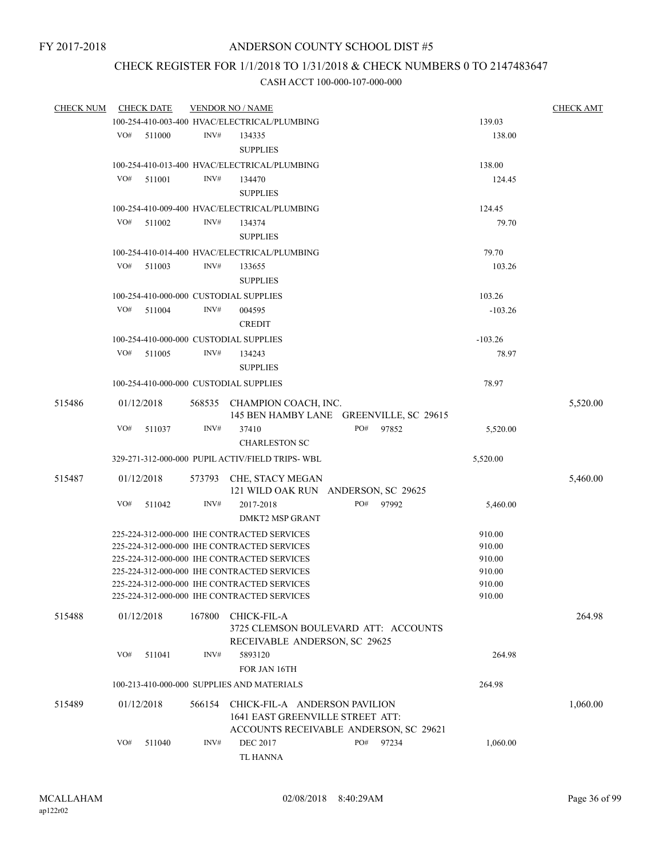## CHECK REGISTER FOR 1/1/2018 TO 1/31/2018 & CHECK NUMBERS 0 TO 2147483647

| <b>CHECK NUM</b> |     | <b>CHECK DATE</b> |        | <b>VENDOR NO / NAME</b>                                                |     |           |           | <b>CHECK AMT</b> |
|------------------|-----|-------------------|--------|------------------------------------------------------------------------|-----|-----------|-----------|------------------|
|                  |     |                   |        | 100-254-410-003-400 HVAC/ELECTRICAL/PLUMBING                           |     |           | 139.03    |                  |
|                  | VO# | 511000            | INV#   | 134335                                                                 |     |           | 138.00    |                  |
|                  |     |                   |        | <b>SUPPLIES</b>                                                        |     |           |           |                  |
|                  |     |                   |        | 100-254-410-013-400 HVAC/ELECTRICAL/PLUMBING                           |     |           | 138.00    |                  |
|                  | VO# | 511001            | INV#   | 134470                                                                 |     |           | 124.45    |                  |
|                  |     |                   |        | <b>SUPPLIES</b>                                                        |     |           |           |                  |
|                  |     |                   |        | 100-254-410-009-400 HVAC/ELECTRICAL/PLUMBING                           |     |           | 124.45    |                  |
|                  | VO# | 511002            | INV#   | 134374                                                                 |     |           | 79.70     |                  |
|                  |     |                   |        | <b>SUPPLIES</b>                                                        |     |           |           |                  |
|                  |     |                   |        | 100-254-410-014-400 HVAC/ELECTRICAL/PLUMBING                           |     |           | 79.70     |                  |
|                  | VO# | 511003            | INV#   | 133655                                                                 |     |           | 103.26    |                  |
|                  |     |                   |        | <b>SUPPLIES</b>                                                        |     |           |           |                  |
|                  |     |                   |        |                                                                        |     |           |           |                  |
|                  | VO# |                   | INV#   | 100-254-410-000-000 CUSTODIAL SUPPLIES                                 |     |           | 103.26    |                  |
|                  |     | 511004            |        | 004595                                                                 |     |           | $-103.26$ |                  |
|                  |     |                   |        | <b>CREDIT</b>                                                          |     |           |           |                  |
|                  |     |                   |        | 100-254-410-000-000 CUSTODIAL SUPPLIES                                 |     |           | $-103.26$ |                  |
|                  | VO# | 511005            | INV#   | 134243                                                                 |     |           | 78.97     |                  |
|                  |     |                   |        | <b>SUPPLIES</b>                                                        |     |           |           |                  |
|                  |     |                   |        | 100-254-410-000-000 CUSTODIAL SUPPLIES                                 |     |           | 78.97     |                  |
| 515486           |     | 01/12/2018        |        | 568535 CHAMPION COACH, INC.<br>145 BEN HAMBY LANE GREENVILLE, SC 29615 |     |           |           | 5,520.00         |
|                  | VO# | 511037            | INV#   | 37410                                                                  | PO# | 97852     | 5,520.00  |                  |
|                  |     |                   |        | <b>CHARLESTON SC</b>                                                   |     |           |           |                  |
|                  |     |                   |        | 329-271-312-000-000 PUPIL ACTIV/FIELD TRIPS-WBL                        |     |           | 5,520.00  |                  |
| 515487           |     | 01/12/2018        |        | 573793 CHE, STACY MEGAN                                                |     |           |           | 5,460.00         |
|                  |     |                   |        | 121 WILD OAK RUN ANDERSON, SC 29625                                    |     |           |           |                  |
|                  | VO# | 511042            | INV#   | 2017-2018                                                              |     | PO# 97992 | 5,460.00  |                  |
|                  |     |                   |        | <b>DMKT2 MSP GRANT</b>                                                 |     |           |           |                  |
|                  |     |                   |        | 225-224-312-000-000 IHE CONTRACTED SERVICES                            |     |           | 910.00    |                  |
|                  |     |                   |        | 225-224-312-000-000 IHE CONTRACTED SERVICES                            |     |           | 910.00    |                  |
|                  |     |                   |        | 225-224-312-000-000 IHE CONTRACTED SERVICES                            |     |           | 910.00    |                  |
|                  |     |                   |        | 225-224-312-000-000 IHE CONTRACTED SERVICES                            |     |           | 910.00    |                  |
|                  |     |                   |        | 225-224-312-000-000 IHE CONTRACTED SERVICES                            |     |           | 910.00    |                  |
|                  |     |                   |        | 225-224-312-000-000 IHE CONTRACTED SERVICES                            |     |           | 910.00    |                  |
| 515488           |     | 01/12/2018        | 167800 | CHICK-FIL-A                                                            |     |           |           | 264.98           |
|                  |     |                   |        | 3725 CLEMSON BOULEVARD ATT: ACCOUNTS                                   |     |           |           |                  |
|                  |     |                   |        | RECEIVABLE ANDERSON, SC 29625                                          |     |           |           |                  |
|                  | VO# | 511041            | INV#   | 5893120                                                                |     |           | 264.98    |                  |
|                  |     |                   |        | FOR JAN 16TH                                                           |     |           |           |                  |
|                  |     |                   |        | 100-213-410-000-000 SUPPLIES AND MATERIALS                             |     |           | 264.98    |                  |
| 515489           |     | 01/12/2018        | 566154 | CHICK-FIL-A ANDERSON PAVILION<br>1641 EAST GREENVILLE STREET ATT:      |     |           |           | 1,060.00         |
|                  | VO# | 511040            | INV#   | ACCOUNTS RECEIVABLE ANDERSON, SC 29621<br><b>DEC 2017</b>              | PO# | 97234     | 1,060.00  |                  |
|                  |     |                   |        | TL HANNA                                                               |     |           |           |                  |
|                  |     |                   |        |                                                                        |     |           |           |                  |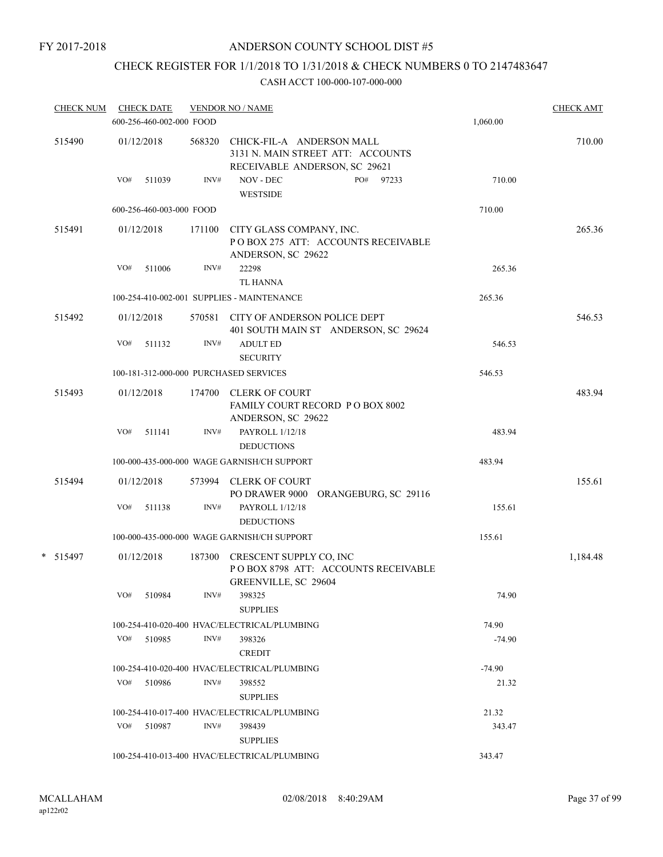## ANDERSON COUNTY SCHOOL DIST #5

# CHECK REGISTER FOR 1/1/2018 TO 1/31/2018 & CHECK NUMBERS 0 TO 2147483647

| <b>CHECK NUM</b> | <b>CHECK DATE</b><br>600-256-460-002-000 FOOD |        | <b>VENDOR NO / NAME</b>                                                                         | 1,060.00 | <b>CHECK AMT</b> |
|------------------|-----------------------------------------------|--------|-------------------------------------------------------------------------------------------------|----------|------------------|
| 515490           | 01/12/2018                                    | 568320 | CHICK-FIL-A ANDERSON MALL<br>3131 N. MAIN STREET ATT: ACCOUNTS<br>RECEIVABLE ANDERSON, SC 29621 |          | 710.00           |
|                  | VO#<br>511039                                 | INV#   | NOV - DEC<br>PO#<br>97233<br><b>WESTSIDE</b>                                                    | 710.00   |                  |
|                  | 600-256-460-003-000 FOOD                      |        |                                                                                                 | 710.00   |                  |
| 515491           | 01/12/2018                                    | 171100 | CITY GLASS COMPANY, INC.<br>POBOX 275 ATT: ACCOUNTS RECEIVABLE<br>ANDERSON, SC 29622            |          | 265.36           |
|                  | VO#<br>511006                                 | INV#   | 22298<br><b>TL HANNA</b>                                                                        | 265.36   |                  |
|                  |                                               |        | 100-254-410-002-001 SUPPLIES - MAINTENANCE                                                      | 265.36   |                  |
| 515492           | 01/12/2018                                    |        | 570581 CITY OF ANDERSON POLICE DEPT<br>401 SOUTH MAIN ST ANDERSON, SC 29624                     |          | 546.53           |
|                  | VO#<br>511132                                 | INV#   | <b>ADULT ED</b><br><b>SECURITY</b>                                                              | 546.53   |                  |
|                  | 100-181-312-000-000 PURCHASED SERVICES        |        |                                                                                                 | 546.53   |                  |
| 515493           | 01/12/2018                                    |        | 174700 CLERK OF COURT<br>FAMILY COURT RECORD PO BOX 8002                                        |          | 483.94           |
|                  | VO#<br>511141                                 | INV#   | ANDERSON, SC 29622<br>PAYROLL 1/12/18<br><b>DEDUCTIONS</b>                                      | 483.94   |                  |
|                  |                                               |        | 100-000-435-000-000 WAGE GARNISH/CH SUPPORT                                                     | 483.94   |                  |
| 515494           | 01/12/2018                                    |        | 573994 CLERK OF COURT<br>PO DRAWER 9000 ORANGEBURG, SC 29116                                    |          | 155.61           |
|                  | VO#<br>511138                                 | INV#   | PAYROLL 1/12/18<br><b>DEDUCTIONS</b>                                                            | 155.61   |                  |
|                  |                                               |        | 100-000-435-000-000 WAGE GARNISH/CH SUPPORT                                                     | 155.61   |                  |
| * 515497         | 01/12/2018                                    | 187300 | CRESCENT SUPPLY CO, INC<br>POBOX 8798 ATT: ACCOUNTS RECEIVABLE<br>GREENVILLE, SC 29604          |          | 1,184.48         |
|                  | VO#<br>510984                                 | INV#   | 398325<br><b>SUPPLIES</b>                                                                       | 74.90    |                  |
|                  |                                               |        | 100-254-410-020-400 HVAC/ELECTRICAL/PLUMBING                                                    | 74.90    |                  |
|                  | VO# 510985                                    | INV#   | 398326<br><b>CREDIT</b>                                                                         | $-74.90$ |                  |
|                  |                                               |        | 100-254-410-020-400 HVAC/ELECTRICAL/PLUMBING                                                    | $-74.90$ |                  |
|                  | VO#<br>510986                                 | INV#   | 398552<br><b>SUPPLIES</b>                                                                       | 21.32    |                  |
|                  |                                               |        | 100-254-410-017-400 HVAC/ELECTRICAL/PLUMBING                                                    | 21.32    |                  |
|                  | VO# 510987                                    | INV#   | 398439<br><b>SUPPLIES</b>                                                                       | 343.47   |                  |
|                  |                                               |        | 100-254-410-013-400 HVAC/ELECTRICAL/PLUMBING                                                    | 343.47   |                  |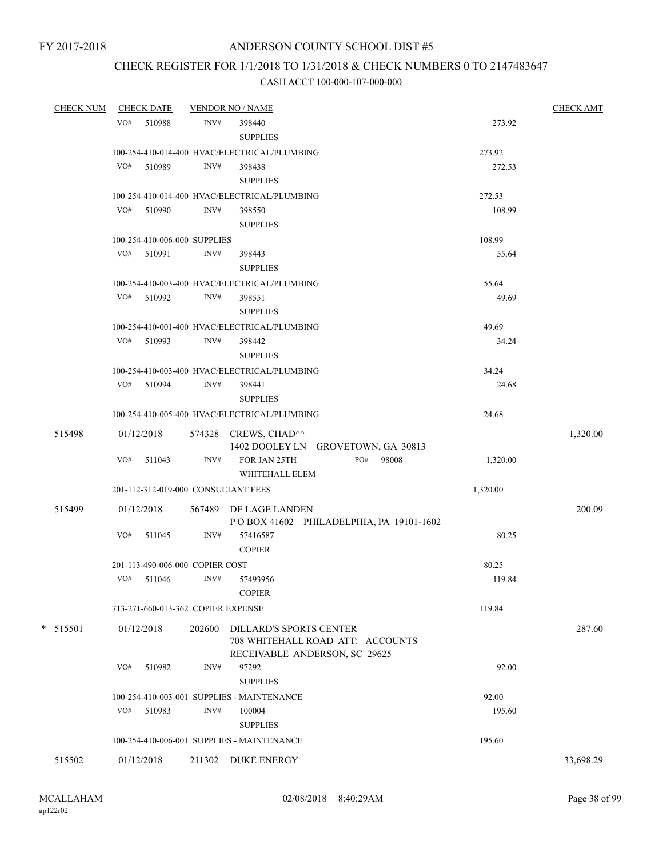## CHECK REGISTER FOR 1/1/2018 TO 1/31/2018 & CHECK NUMBERS 0 TO 2147483647

| <b>CHECK NUM</b> | <b>CHECK DATE</b>                   |                | <b>VENDOR NO / NAME</b>                                                                             |          | <b>CHECK AMT</b> |
|------------------|-------------------------------------|----------------|-----------------------------------------------------------------------------------------------------|----------|------------------|
|                  | VO# 510988                          | INV#           | 398440<br><b>SUPPLIES</b>                                                                           | 273.92   |                  |
|                  |                                     |                | 100-254-410-014-400 HVAC/ELECTRICAL/PLUMBING                                                        | 273.92   |                  |
|                  | VO# 510989                          | INV#           | 398438<br><b>SUPPLIES</b>                                                                           | 272.53   |                  |
|                  |                                     |                | 100-254-410-014-400 HVAC/ELECTRICAL/PLUMBING                                                        | 272.53   |                  |
|                  | VO# 510990                          | INV#           | 398550<br><b>SUPPLIES</b>                                                                           | 108.99   |                  |
|                  | 100-254-410-006-000 SUPPLIES        |                |                                                                                                     | 108.99   |                  |
|                  | VO# 510991                          | INV#           | 398443<br><b>SUPPLIES</b>                                                                           | 55.64    |                  |
|                  |                                     |                | 100-254-410-003-400 HVAC/ELECTRICAL/PLUMBING                                                        | 55.64    |                  |
|                  | VO# 510992                          | INV#           | 398551<br><b>SUPPLIES</b>                                                                           | 49.69    |                  |
|                  |                                     |                | 100-254-410-001-400 HVAC/ELECTRICAL/PLUMBING                                                        | 49.69    |                  |
|                  | VO# 510993                          | INV#           | 398442<br><b>SUPPLIES</b>                                                                           | 34.24    |                  |
|                  |                                     |                | 100-254-410-003-400 HVAC/ELECTRICAL/PLUMBING                                                        | 34.24    |                  |
|                  | VO# 510994                          | $\text{INV}\#$ | 398441<br><b>SUPPLIES</b>                                                                           | 24.68    |                  |
|                  |                                     |                | 100-254-410-005-400 HVAC/ELECTRICAL/PLUMBING                                                        | 24.68    |                  |
| 515498           | 01/12/2018                          |                | 574328 CREWS, CHAD <sup>^^</sup><br>1402 DOOLEY LN GROVETOWN, GA 30813                              |          | 1,320.00         |
|                  | VO#<br>511043                       | INV#           | PO#<br>FOR JAN 25TH<br>98008<br>WHITEHALL ELEM                                                      | 1,320.00 |                  |
|                  | 201-112-312-019-000 CONSULTANT FEES |                |                                                                                                     | 1,320.00 |                  |
| 515499           | 01/12/2018                          |                | 567489 DE LAGE LANDEN<br>POBOX 41602 PHILADELPHIA, PA 19101-1602                                    |          | 200.09           |
|                  | VO# 511045                          | INV#           | 57416587<br><b>COPIER</b>                                                                           | 80.25    |                  |
|                  | 201-113-490-006-000 COPIER COST     |                |                                                                                                     | 80.25    |                  |
|                  | VO# 511046                          | INV#           | 57493956<br><b>COPIER</b>                                                                           | 119.84   |                  |
|                  | 713-271-660-013-362 COPIER EXPENSE  |                |                                                                                                     | 119.84   |                  |
| * 515501         | 01/12/2018                          | 202600         | <b>DILLARD'S SPORTS CENTER</b><br>708 WHITEHALL ROAD ATT: ACCOUNTS<br>RECEIVABLE ANDERSON, SC 29625 |          | 287.60           |
|                  | VO#<br>510982                       | INV#           | 97292<br><b>SUPPLIES</b>                                                                            | 92.00    |                  |
|                  |                                     |                | 100-254-410-003-001 SUPPLIES - MAINTENANCE                                                          | 92.00    |                  |
|                  | VO# 510983                          | INV#           | 100004<br><b>SUPPLIES</b>                                                                           | 195.60   |                  |
|                  |                                     |                | 100-254-410-006-001 SUPPLIES - MAINTENANCE                                                          | 195.60   |                  |
| 515502           | 01/12/2018                          | 211302         | <b>DUKE ENERGY</b>                                                                                  |          | 33,698.29        |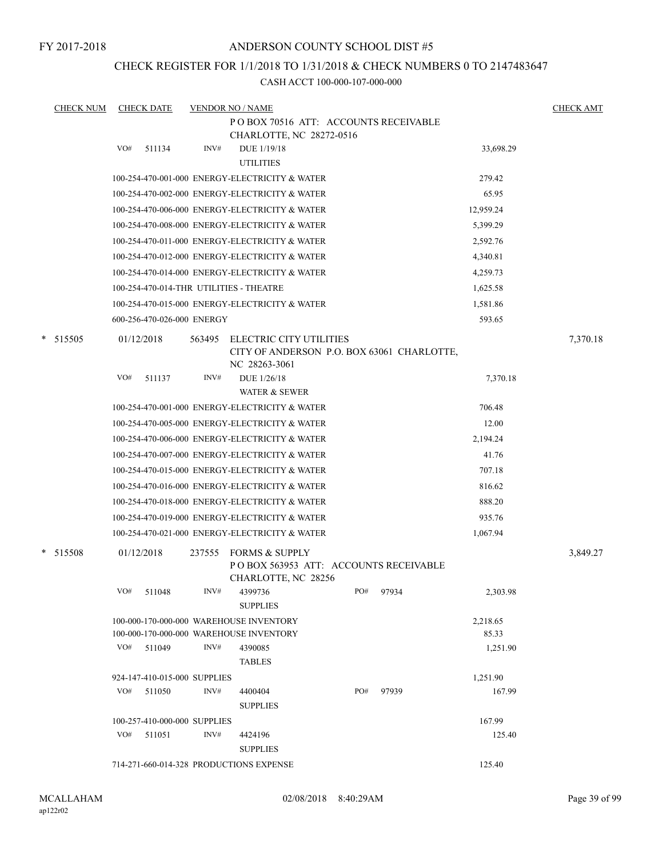## ANDERSON COUNTY SCHOOL DIST #5

## CHECK REGISTER FOR 1/1/2018 TO 1/31/2018 & CHECK NUMBERS 0 TO 2147483647

| <b>CHECK NUM</b> | <b>CHECK DATE</b>                       |        | <b>VENDOR NO / NAME</b>                                                                   |     |       |           | <b>CHECK AMT</b> |
|------------------|-----------------------------------------|--------|-------------------------------------------------------------------------------------------|-----|-------|-----------|------------------|
|                  |                                         |        | POBOX 70516 ATT: ACCOUNTS RECEIVABLE                                                      |     |       |           |                  |
|                  |                                         |        | CHARLOTTE, NC 28272-0516                                                                  |     |       |           |                  |
|                  | VO#<br>511134                           | INV#   | DUE $1/19/18$<br><b>UTILITIES</b>                                                         |     |       | 33,698.29 |                  |
|                  |                                         |        | 100-254-470-001-000 ENERGY-ELECTRICITY & WATER                                            |     |       | 279.42    |                  |
|                  |                                         |        | 100-254-470-002-000 ENERGY-ELECTRICITY & WATER                                            |     |       | 65.95     |                  |
|                  |                                         |        | 100-254-470-006-000 ENERGY-ELECTRICITY & WATER                                            |     |       | 12,959.24 |                  |
|                  |                                         |        | 100-254-470-008-000 ENERGY-ELECTRICITY & WATER                                            |     |       | 5,399.29  |                  |
|                  |                                         |        | 100-254-470-011-000 ENERGY-ELECTRICITY & WATER                                            |     |       | 2,592.76  |                  |
|                  |                                         |        | 100-254-470-012-000 ENERGY-ELECTRICITY & WATER                                            |     |       | 4,340.81  |                  |
|                  |                                         |        | 100-254-470-014-000 ENERGY-ELECTRICITY & WATER                                            |     |       | 4,259.73  |                  |
|                  | 100-254-470-014-THR UTILITIES - THEATRE |        |                                                                                           |     |       | 1,625.58  |                  |
|                  |                                         |        | 100-254-470-015-000 ENERGY-ELECTRICITY & WATER                                            |     |       | 1,581.86  |                  |
|                  | 600-256-470-026-000 ENERGY              |        |                                                                                           |     |       | 593.65    |                  |
| *<br>515505      | 01/12/2018                              | 563495 | ELECTRIC CITY UTILITIES<br>CITY OF ANDERSON P.O. BOX 63061 CHARLOTTE,                     |     |       |           | 7,370.18         |
|                  | VO#                                     | INV#   | NC 28263-3061                                                                             |     |       |           |                  |
|                  | 511137                                  |        | DUE 1/26/18<br><b>WATER &amp; SEWER</b>                                                   |     |       | 7,370.18  |                  |
|                  |                                         |        | 100-254-470-001-000 ENERGY-ELECTRICITY & WATER                                            |     |       | 706.48    |                  |
|                  |                                         |        | 100-254-470-005-000 ENERGY-ELECTRICITY & WATER                                            |     |       | 12.00     |                  |
|                  |                                         |        | 100-254-470-006-000 ENERGY-ELECTRICITY & WATER                                            |     |       | 2,194.24  |                  |
|                  |                                         |        | 100-254-470-007-000 ENERGY-ELECTRICITY & WATER                                            |     |       | 41.76     |                  |
|                  |                                         |        | 100-254-470-015-000 ENERGY-ELECTRICITY & WATER                                            |     |       | 707.18    |                  |
|                  |                                         |        | 100-254-470-016-000 ENERGY-ELECTRICITY & WATER                                            |     |       | 816.62    |                  |
|                  |                                         |        | 100-254-470-018-000 ENERGY-ELECTRICITY & WATER                                            |     |       | 888.20    |                  |
|                  |                                         |        | 100-254-470-019-000 ENERGY-ELECTRICITY & WATER                                            |     |       | 935.76    |                  |
|                  |                                         |        | 100-254-470-021-000 ENERGY-ELECTRICITY & WATER                                            |     |       | 1,067.94  |                  |
|                  |                                         |        |                                                                                           |     |       |           |                  |
| * 515508         | 01/12/2018                              | 237555 | <b>FORMS &amp; SUPPLY</b><br>POBOX 563953 ATT: ACCOUNTS RECEIVABLE<br>CHARLOTTE, NC 28256 |     |       |           | 3,849.27         |
|                  | VO#<br>511048                           | INV#   | 4399736<br><b>SUPPLIES</b>                                                                | PO# | 97934 | 2,303.98  |                  |
|                  |                                         |        | 100-000-170-000-000 WAREHOUSE INVENTORY                                                   |     |       | 2,218.65  |                  |
|                  |                                         |        | 100-000-170-000-000 WAREHOUSE INVENTORY                                                   |     |       | 85.33     |                  |
|                  | VO# 511049                              | INV#   | 4390085<br><b>TABLES</b>                                                                  |     |       | 1,251.90  |                  |
|                  | 924-147-410-015-000 SUPPLIES            |        |                                                                                           |     |       | 1,251.90  |                  |
|                  | VO#<br>511050                           | INV#   | 4400404<br><b>SUPPLIES</b>                                                                | PO# | 97939 | 167.99    |                  |
|                  | 100-257-410-000-000 SUPPLIES            |        |                                                                                           |     |       | 167.99    |                  |
|                  | VO#<br>511051                           | INV#   | 4424196<br><b>SUPPLIES</b>                                                                |     |       | 125.40    |                  |
|                  | 714-271-660-014-328 PRODUCTIONS EXPENSE |        |                                                                                           |     |       | 125.40    |                  |
|                  |                                         |        |                                                                                           |     |       |           |                  |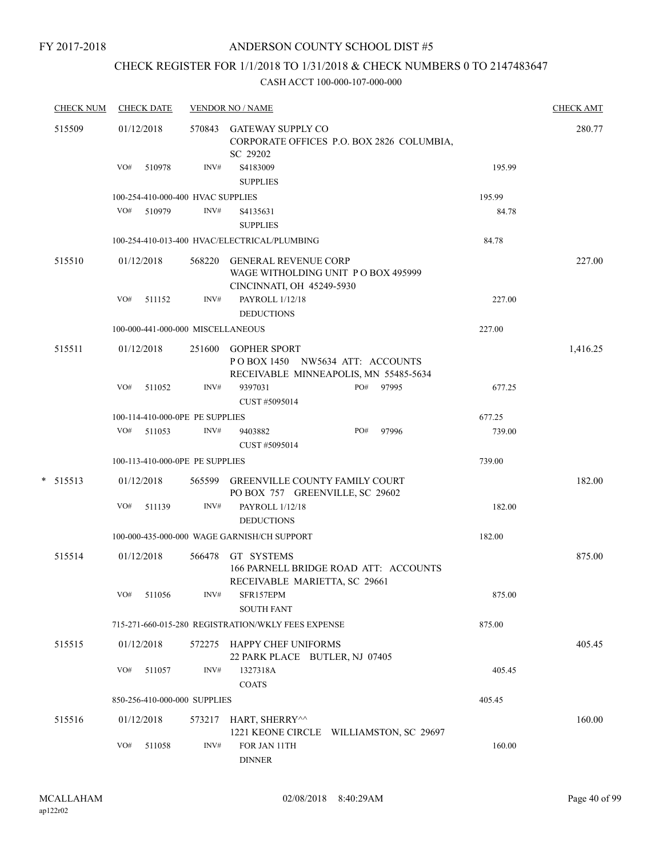## CHECK REGISTER FOR 1/1/2018 TO 1/31/2018 & CHECK NUMBERS 0 TO 2147483647

| <b>CHECK NUM</b> | <b>CHECK DATE</b>                 |                | <b>VENDOR NO / NAME</b>                                                                         |        | <b>CHECK AMT</b> |
|------------------|-----------------------------------|----------------|-------------------------------------------------------------------------------------------------|--------|------------------|
| 515509           | 01/12/2018                        |                | 570843 GATEWAY SUPPLY CO<br>CORPORATE OFFICES P.O. BOX 2826 COLUMBIA,<br>SC 29202               |        | 280.77           |
|                  | VO#<br>510978                     | INV#           | S4183009<br><b>SUPPLIES</b>                                                                     | 195.99 |                  |
|                  | 100-254-410-000-400 HVAC SUPPLIES |                |                                                                                                 | 195.99 |                  |
|                  | VO# 510979                        | INV#           | S4135631<br><b>SUPPLIES</b>                                                                     | 84.78  |                  |
|                  |                                   |                | 100-254-410-013-400 HVAC/ELECTRICAL/PLUMBING                                                    | 84.78  |                  |
| 515510           | 01/12/2018                        |                | 568220 GENERAL REVENUE CORP<br>WAGE WITHOLDING UNIT PO BOX 495999<br>CINCINNATI, OH 45249-5930  |        | 227.00           |
|                  | VO#<br>511152                     | INV#           | PAYROLL 1/12/18<br><b>DEDUCTIONS</b>                                                            | 227.00 |                  |
|                  | 100-000-441-000-000 MISCELLANEOUS |                |                                                                                                 | 227.00 |                  |
| 515511           | 01/12/2018                        |                | 251600 GOPHER SPORT<br>POBOX 1450 NW5634 ATT: ACCOUNTS<br>RECEIVABLE MINNEAPOLIS, MN 55485-5634 |        | 1,416.25         |
|                  | VO#<br>511052                     | INV#           | PO# 97995<br>9397031<br>CUST #5095014                                                           | 677.25 |                  |
|                  | 100-114-410-000-0PE PE SUPPLIES   |                |                                                                                                 | 677.25 |                  |
|                  | VO# 511053                        | INV#           | 97996<br>9403882<br>PO#<br>CUST #5095014                                                        | 739.00 |                  |
|                  | 100-113-410-000-0PE PE SUPPLIES   |                |                                                                                                 | 739.00 |                  |
| $*$ 515513       | 01/12/2018                        |                | 565599 GREENVILLE COUNTY FAMILY COURT<br>PO BOX 757 GREENVILLE, SC 29602                        |        | 182.00           |
|                  | VO#<br>511139                     | INV#           | PAYROLL 1/12/18<br><b>DEDUCTIONS</b>                                                            | 182.00 |                  |
|                  |                                   |                | 100-000-435-000-000 WAGE GARNISH/CH SUPPORT                                                     | 182.00 |                  |
| 515514           | 01/12/2018                        | 566478         | GT SYSTEMS<br>166 PARNELL BRIDGE ROAD ATT: ACCOUNTS                                             |        | 875.00           |
|                  | VO#<br>511056                     | INV#           | RECEIVABLE MARIETTA, SC 29661<br>SFR157EPM<br><b>SOUTH FANT</b>                                 | 875.00 |                  |
|                  |                                   |                | 715-271-660-015-280 REGISTRATION/WKLY FEES EXPENSE                                              | 875.00 |                  |
| 515515           | 01/12/2018                        |                | 572275 HAPPY CHEF UNIFORMS<br>22 PARK PLACE BUTLER, NJ 07405                                    |        | 405.45           |
|                  | VO#<br>511057                     | INV#           | 1327318A<br><b>COATS</b>                                                                        | 405.45 |                  |
|                  | 850-256-410-000-000 SUPPLIES      |                |                                                                                                 | 405.45 |                  |
| 515516           | 01/12/2018                        | 573217         | HART, SHERRY^^<br>1221 KEONE CIRCLE WILLIAMSTON, SC 29697                                       |        | 160.00           |
|                  | VO#<br>511058                     | $\text{INV}\#$ | FOR JAN 11TH<br>${\small\textsf{DINNER}}$                                                       | 160.00 |                  |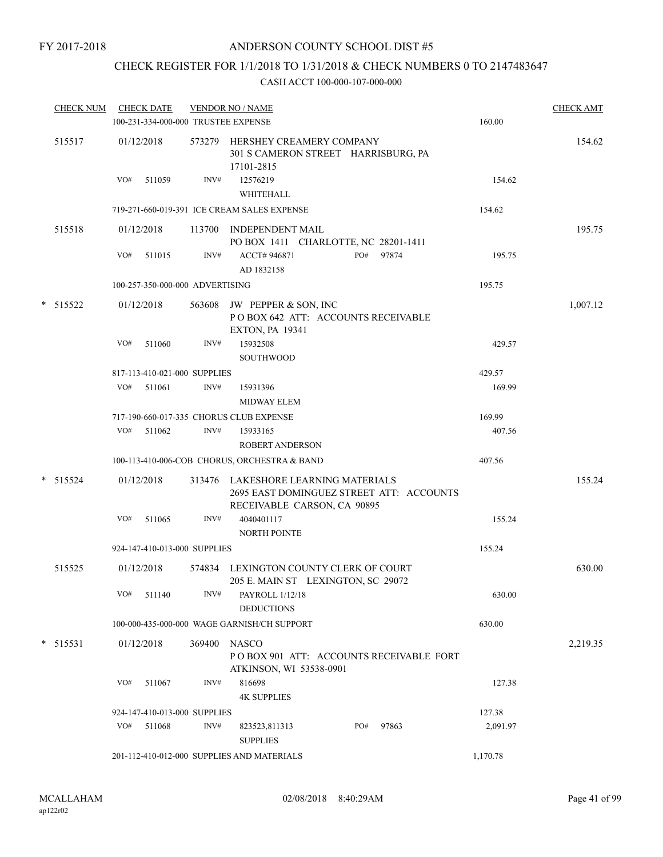## CHECK REGISTER FOR 1/1/2018 TO 1/31/2018 & CHECK NUMBERS 0 TO 2147483647

| <b>CHECK NUM</b> |     | <b>CHECK DATE</b><br>100-231-334-000-000 TRUSTEE EXPENSE |        | <b>VENDOR NO / NAME</b>                                                                                        |     |       | 160.00   | <b>CHECK AMT</b> |
|------------------|-----|----------------------------------------------------------|--------|----------------------------------------------------------------------------------------------------------------|-----|-------|----------|------------------|
| 515517           |     | 01/12/2018                                               |        | 573279 HERSHEY CREAMERY COMPANY<br>301 S CAMERON STREET HARRISBURG, PA<br>17101-2815                           |     |       |          | 154.62           |
|                  | VO# | 511059                                                   | INV#   | 12576219<br>WHITEHALL                                                                                          |     |       | 154.62   |                  |
|                  |     |                                                          |        | 719-271-660-019-391 ICE CREAM SALES EXPENSE                                                                    |     |       | 154.62   |                  |
| 515518           |     | 01/12/2018                                               |        | 113700 INDEPENDENT MAIL<br>PO BOX 1411 CHARLOTTE, NC 28201-1411                                                |     |       |          | 195.75           |
|                  | VO# | 511015                                                   | INV#   | ACCT# 946871<br>AD 1832158                                                                                     | PO# | 97874 | 195.75   |                  |
|                  |     | 100-257-350-000-000 ADVERTISING                          |        |                                                                                                                |     |       | 195.75   |                  |
| * 515522         |     | 01/12/2018                                               |        | 563608 JW PEPPER & SON, INC<br>POBOX 642 ATT: ACCOUNTS RECEIVABLE<br><b>EXTON, PA 19341</b>                    |     |       |          | 1,007.12         |
|                  | VO# | 511060                                                   | INV#   | 15932508<br>SOUTHWOOD                                                                                          |     |       | 429.57   |                  |
|                  |     | 817-113-410-021-000 SUPPLIES                             |        |                                                                                                                |     |       | 429.57   |                  |
|                  | VO# | 511061                                                   | INV#   | 15931396<br><b>MIDWAY ELEM</b>                                                                                 |     |       | 169.99   |                  |
|                  |     |                                                          |        | 717-190-660-017-335 CHORUS CLUB EXPENSE                                                                        |     |       | 169.99   |                  |
|                  | VO# | 511062                                                   | INV#   | 15933165<br><b>ROBERT ANDERSON</b>                                                                             |     |       | 407.56   |                  |
|                  |     |                                                          |        | 100-113-410-006-COB CHORUS, ORCHESTRA & BAND                                                                   |     |       | 407.56   |                  |
| $* 515524$       |     | 01/12/2018                                               |        | 313476 LAKESHORE LEARNING MATERIALS<br>2695 EAST DOMINGUEZ STREET ATT: ACCOUNTS<br>RECEIVABLE CARSON, CA 90895 |     |       |          | 155.24           |
|                  | VO# | 511065                                                   | INV#   | 4040401117<br><b>NORTH POINTE</b>                                                                              |     |       | 155.24   |                  |
|                  |     | 924-147-410-013-000 SUPPLIES                             |        |                                                                                                                |     |       | 155.24   |                  |
| 515525           |     | 01/12/2018                                               |        | 574834 LEXINGTON COUNTY CLERK OF COURT<br>205 E. MAIN ST LEXINGTON, SC 29072                                   |     |       |          | 630.00           |
|                  | VO# | 511140                                                   | INV#   | PAYROLL 1/12/18<br><b>DEDUCTIONS</b>                                                                           |     |       | 630.00   |                  |
|                  |     |                                                          |        | 100-000-435-000-000 WAGE GARNISH/CH SUPPORT                                                                    |     |       | 630.00   |                  |
| $*$ 515531       |     | 01/12/2018                                               | 369400 | <b>NASCO</b><br>POBOX 901 ATT: ACCOUNTS RECEIVABLE FORT<br>ATKINSON, WI 53538-0901                             |     |       |          | 2,219.35         |
|                  | VO# | 511067                                                   | INV#   | 816698<br><b>4K SUPPLIES</b>                                                                                   |     |       | 127.38   |                  |
|                  |     | 924-147-410-013-000 SUPPLIES                             |        |                                                                                                                |     |       | 127.38   |                  |
|                  | VO# | 511068                                                   | INV#   | 823523,811313<br><b>SUPPLIES</b>                                                                               | PO# | 97863 | 2,091.97 |                  |
|                  |     |                                                          |        | 201-112-410-012-000 SUPPLIES AND MATERIALS                                                                     |     |       | 1,170.78 |                  |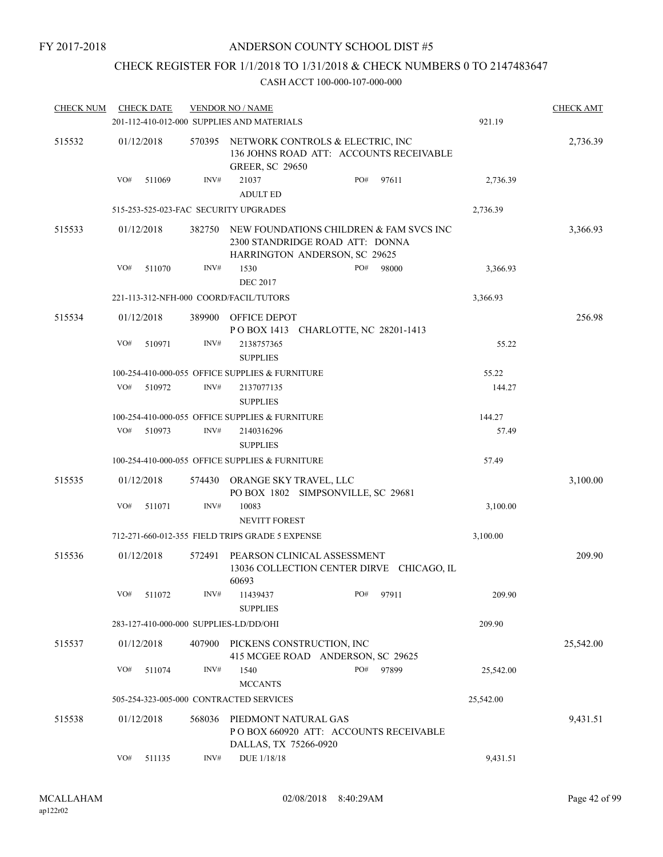## CHECK REGISTER FOR 1/1/2018 TO 1/31/2018 & CHECK NUMBERS 0 TO 2147483647

| <b>CHECK NUM</b> | <b>CHECK DATE</b>                      |        | <b>VENDOR NO / NAME</b>                         |                                                                                                             |       |           | <b>CHECK AMT</b> |
|------------------|----------------------------------------|--------|-------------------------------------------------|-------------------------------------------------------------------------------------------------------------|-------|-----------|------------------|
|                  |                                        |        | 201-112-410-012-000 SUPPLIES AND MATERIALS      |                                                                                                             |       | 921.19    |                  |
| 515532           | 01/12/2018                             | 570395 | <b>GREER, SC 29650</b>                          | NETWORK CONTROLS & ELECTRIC, INC<br>136 JOHNS ROAD ATT: ACCOUNTS RECEIVABLE                                 |       |           | 2,736.39         |
|                  | VO#<br>511069                          | INV#   | 21037<br><b>ADULT ED</b>                        | PO#                                                                                                         | 97611 | 2,736.39  |                  |
|                  | 515-253-525-023-FAC SECURITY UPGRADES  |        |                                                 |                                                                                                             |       | 2,736.39  |                  |
| 515533           | 01/12/2018                             | 382750 |                                                 | NEW FOUNDATIONS CHILDREN & FAM SVCS INC<br>2300 STANDRIDGE ROAD ATT: DONNA<br>HARRINGTON ANDERSON, SC 29625 |       |           | 3,366.93         |
|                  | VO#<br>511070                          | INV#   | 1530                                            | PO#                                                                                                         | 98000 | 3,366.93  |                  |
|                  |                                        |        | <b>DEC 2017</b>                                 |                                                                                                             |       |           |                  |
|                  |                                        |        | 221-113-312-NFH-000 COORD/FACIL/TUTORS          |                                                                                                             |       | 3,366.93  |                  |
| 515534           | 01/12/2018                             |        | 389900 OFFICE DEPOT                             | POBOX 1413 CHARLOTTE, NC 28201-1413                                                                         |       |           | 256.98           |
|                  | VO#<br>510971                          | INV#   | 2138757365<br><b>SUPPLIES</b>                   |                                                                                                             |       | 55.22     |                  |
|                  |                                        |        | 100-254-410-000-055 OFFICE SUPPLIES & FURNITURE |                                                                                                             |       | 55.22     |                  |
|                  | VO#<br>510972                          | INV#   | 2137077135<br><b>SUPPLIES</b>                   |                                                                                                             |       | 144.27    |                  |
|                  |                                        |        | 100-254-410-000-055 OFFICE SUPPLIES & FURNITURE |                                                                                                             |       | 144.27    |                  |
|                  | VO#<br>510973                          | INV#   | 2140316296<br><b>SUPPLIES</b>                   |                                                                                                             |       | 57.49     |                  |
|                  |                                        |        | 100-254-410-000-055 OFFICE SUPPLIES & FURNITURE |                                                                                                             |       | 57.49     |                  |
| 515535           | 01/12/2018                             | 574430 | ORANGE SKY TRAVEL, LLC                          | PO BOX 1802 SIMPSONVILLE, SC 29681                                                                          |       |           | 3,100.00         |
|                  | VO#<br>511071                          | INV#   | 10083<br><b>NEVITT FOREST</b>                   |                                                                                                             |       | 3,100.00  |                  |
|                  |                                        |        | 712-271-660-012-355 FIELD TRIPS GRADE 5 EXPENSE |                                                                                                             |       | 3,100.00  |                  |
| 515536           | 01/12/2018                             | 572491 | 60693                                           | PEARSON CLINICAL ASSESSMENT<br>13036 COLLECTION CENTER DIRVE CHICAGO, IL                                    |       |           | 209.90           |
|                  | VO#<br>511072                          | INV#   | 11439437<br><b>SUPPLIES</b>                     | PO#                                                                                                         | 97911 | 209.90    |                  |
|                  | 283-127-410-000-000 SUPPLIES-LD/DD/OHI |        |                                                 |                                                                                                             |       | 209.90    |                  |
| 515537           | 01/12/2018                             | 407900 |                                                 | PICKENS CONSTRUCTION, INC<br>415 MCGEE ROAD ANDERSON, SC 29625                                              |       |           | 25,542.00        |
|                  | VO#<br>511074                          | INV#   | 1540<br><b>MCCANTS</b>                          | PO#                                                                                                         | 97899 | 25,542.00 |                  |
|                  |                                        |        | 505-254-323-005-000 CONTRACTED SERVICES         |                                                                                                             |       | 25,542.00 |                  |
| 515538           | 01/12/2018                             | 568036 | PIEDMONT NATURAL GAS<br>DALLAS, TX 75266-0920   | POBOX 660920 ATT: ACCOUNTS RECEIVABLE                                                                       |       |           | 9,431.51         |
|                  | VO#<br>511135                          | INV#   | DUE 1/18/18                                     |                                                                                                             |       | 9,431.51  |                  |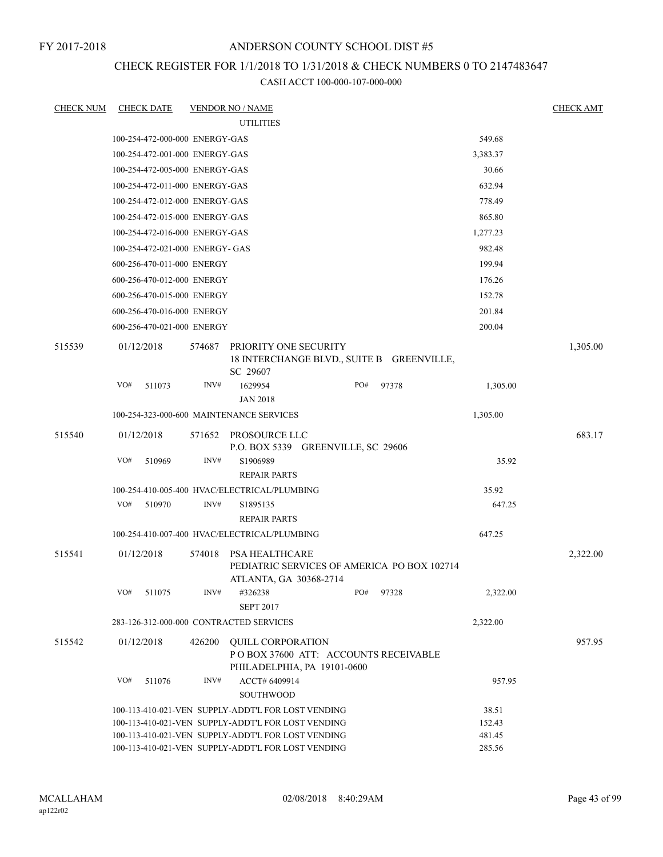## ANDERSON COUNTY SCHOOL DIST #5

## CHECK REGISTER FOR 1/1/2018 TO 1/31/2018 & CHECK NUMBERS 0 TO 2147483647

| <b>CHECK NUM</b> | <b>CHECK DATE</b>                       |        | <b>VENDOR NO / NAME</b>                                                                                  |     |       |                  | <b>CHECK AMT</b> |
|------------------|-----------------------------------------|--------|----------------------------------------------------------------------------------------------------------|-----|-------|------------------|------------------|
|                  |                                         |        | <b>UTILITIES</b>                                                                                         |     |       |                  |                  |
|                  | 100-254-472-000-000 ENERGY-GAS          |        |                                                                                                          |     |       | 549.68           |                  |
|                  | 100-254-472-001-000 ENERGY-GAS          |        |                                                                                                          |     |       | 3,383.37         |                  |
|                  | 100-254-472-005-000 ENERGY-GAS          |        |                                                                                                          |     |       | 30.66            |                  |
|                  | 100-254-472-011-000 ENERGY-GAS          |        |                                                                                                          |     |       | 632.94           |                  |
|                  | 100-254-472-012-000 ENERGY-GAS          |        |                                                                                                          |     |       | 778.49           |                  |
|                  | 100-254-472-015-000 ENERGY-GAS          |        |                                                                                                          |     |       | 865.80           |                  |
|                  | 100-254-472-016-000 ENERGY-GAS          |        |                                                                                                          |     |       | 1,277.23         |                  |
|                  | 100-254-472-021-000 ENERGY- GAS         |        |                                                                                                          |     |       | 982.48           |                  |
|                  | 600-256-470-011-000 ENERGY              |        |                                                                                                          |     |       | 199.94           |                  |
|                  | 600-256-470-012-000 ENERGY              |        |                                                                                                          |     |       | 176.26           |                  |
|                  | 600-256-470-015-000 ENERGY              |        |                                                                                                          |     |       | 152.78           |                  |
|                  | 600-256-470-016-000 ENERGY              |        |                                                                                                          |     |       | 201.84           |                  |
|                  | 600-256-470-021-000 ENERGY              |        |                                                                                                          |     |       | 200.04           |                  |
| 515539           | 01/12/2018                              | 574687 | PRIORITY ONE SECURITY<br>18 INTERCHANGE BLVD., SUITE B GREENVILLE,<br>SC 29607                           |     |       |                  | 1,305.00         |
|                  | VO#<br>511073                           | INV#   | 1629954<br><b>JAN 2018</b>                                                                               | PO# | 97378 | 1,305.00         |                  |
|                  |                                         |        | 100-254-323-000-600 MAINTENANCE SERVICES                                                                 |     |       | 1,305.00         |                  |
| 515540           | 01/12/2018                              |        | 571652 PROSOURCE LLC<br>P.O. BOX 5339 GREENVILLE, SC 29606                                               |     |       |                  | 683.17           |
|                  | VO#<br>510969                           | INV#   | S1906989<br><b>REPAIR PARTS</b>                                                                          |     |       | 35.92            |                  |
|                  |                                         |        | 100-254-410-005-400 HVAC/ELECTRICAL/PLUMBING                                                             |     |       | 35.92            |                  |
|                  | VO#<br>510970                           | INV#   | S1895135<br><b>REPAIR PARTS</b>                                                                          |     |       | 647.25           |                  |
|                  |                                         |        | 100-254-410-007-400 HVAC/ELECTRICAL/PLUMBING                                                             |     |       | 647.25           |                  |
| 515541           | 01/12/2018                              | 574018 | PSA HEALTHCARE<br>PEDIATRIC SERVICES OF AMERICA PO BOX 102714<br>ATLANTA, GA 30368-2714                  |     |       |                  | 2,322.00         |
|                  | VO#<br>511075                           | INV#   | #326238<br><b>SEPT 2017</b>                                                                              | PO# | 97328 | 2,322.00         |                  |
|                  | 283-126-312-000-000 CONTRACTED SERVICES |        |                                                                                                          |     |       | 2,322.00         |                  |
| 515542           | 01/12/2018                              | 426200 | <b>QUILL CORPORATION</b><br>POBOX 37600 ATT: ACCOUNTS RECEIVABLE<br>PHILADELPHIA, PA 19101-0600          |     |       |                  | 957.95           |
|                  | VO#<br>511076                           | INV#   | ACCT# 6409914<br>SOUTHWOOD                                                                               |     |       | 957.95           |                  |
|                  |                                         |        | 100-113-410-021-VEN SUPPLY-ADDT'L FOR LOST VENDING                                                       |     |       | 38.51            |                  |
|                  |                                         |        | 100-113-410-021-VEN SUPPLY-ADDT'L FOR LOST VENDING                                                       |     |       | 152.43           |                  |
|                  |                                         |        | 100-113-410-021-VEN SUPPLY-ADDT'L FOR LOST VENDING<br>100-113-410-021-VEN SUPPLY-ADDT'L FOR LOST VENDING |     |       | 481.45<br>285.56 |                  |
|                  |                                         |        |                                                                                                          |     |       |                  |                  |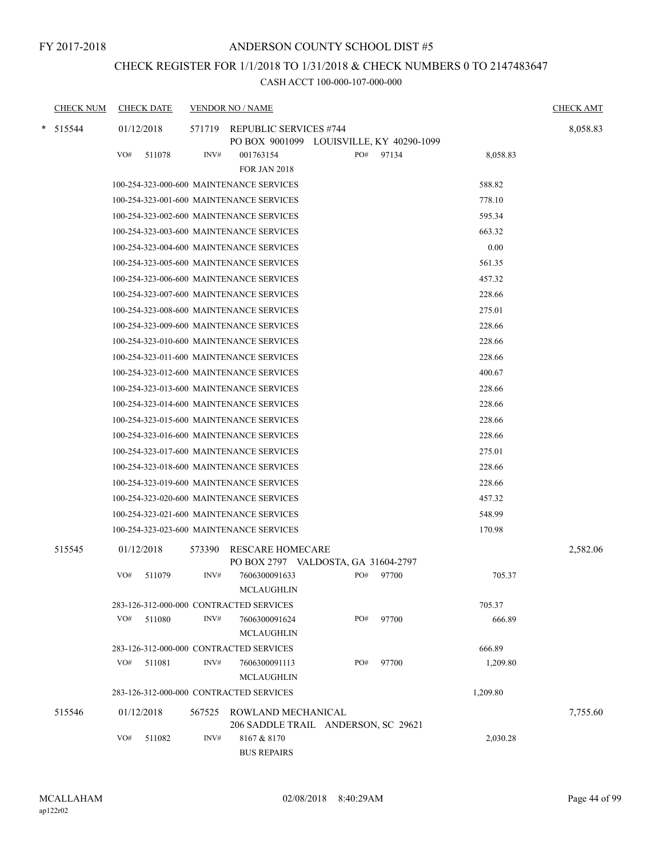## ANDERSON COUNTY SCHOOL DIST #5

## CHECK REGISTER FOR 1/1/2018 TO 1/31/2018 & CHECK NUMBERS 0 TO 2147483647

|   | <b>CHECK NUM</b> |     | <b>CHECK DATE</b> |        | <b>VENDOR NO / NAME</b>                                            |     |       |          | <b>CHECK AMT</b> |
|---|------------------|-----|-------------------|--------|--------------------------------------------------------------------|-----|-------|----------|------------------|
| * | 515544           |     | 01/12/2018        | 571719 | REPUBLIC SERVICES #744<br>PO BOX 9001099 LOUISVILLE, KY 40290-1099 |     |       |          | 8,058.83         |
|   |                  | VO# | 511078            | INV#   | 001763154                                                          | PO# | 97134 | 8,058.83 |                  |
|   |                  |     |                   |        | <b>FOR JAN 2018</b>                                                |     |       |          |                  |
|   |                  |     |                   |        | 100-254-323-000-600 MAINTENANCE SERVICES                           |     |       | 588.82   |                  |
|   |                  |     |                   |        | 100-254-323-001-600 MAINTENANCE SERVICES                           |     |       | 778.10   |                  |
|   |                  |     |                   |        | 100-254-323-002-600 MAINTENANCE SERVICES                           |     |       | 595.34   |                  |
|   |                  |     |                   |        | 100-254-323-003-600 MAINTENANCE SERVICES                           |     |       | 663.32   |                  |
|   |                  |     |                   |        | 100-254-323-004-600 MAINTENANCE SERVICES                           |     |       | 0.00     |                  |
|   |                  |     |                   |        | 100-254-323-005-600 MAINTENANCE SERVICES                           |     |       | 561.35   |                  |
|   |                  |     |                   |        | 100-254-323-006-600 MAINTENANCE SERVICES                           |     |       | 457.32   |                  |
|   |                  |     |                   |        | 100-254-323-007-600 MAINTENANCE SERVICES                           |     |       | 228.66   |                  |
|   |                  |     |                   |        | 100-254-323-008-600 MAINTENANCE SERVICES                           |     |       | 275.01   |                  |
|   |                  |     |                   |        | 100-254-323-009-600 MAINTENANCE SERVICES                           |     |       | 228.66   |                  |
|   |                  |     |                   |        | 100-254-323-010-600 MAINTENANCE SERVICES                           |     |       | 228.66   |                  |
|   |                  |     |                   |        | 100-254-323-011-600 MAINTENANCE SERVICES                           |     |       | 228.66   |                  |
|   |                  |     |                   |        | 100-254-323-012-600 MAINTENANCE SERVICES                           |     |       | 400.67   |                  |
|   |                  |     |                   |        | 100-254-323-013-600 MAINTENANCE SERVICES                           |     |       | 228.66   |                  |
|   |                  |     |                   |        | 100-254-323-014-600 MAINTENANCE SERVICES                           |     |       | 228.66   |                  |
|   |                  |     |                   |        | 100-254-323-015-600 MAINTENANCE SERVICES                           |     |       | 228.66   |                  |
|   |                  |     |                   |        | 100-254-323-016-600 MAINTENANCE SERVICES                           |     |       | 228.66   |                  |
|   |                  |     |                   |        | 100-254-323-017-600 MAINTENANCE SERVICES                           |     |       | 275.01   |                  |
|   |                  |     |                   |        | 100-254-323-018-600 MAINTENANCE SERVICES                           |     |       | 228.66   |                  |
|   |                  |     |                   |        | 100-254-323-019-600 MAINTENANCE SERVICES                           |     |       | 228.66   |                  |
|   |                  |     |                   |        | 100-254-323-020-600 MAINTENANCE SERVICES                           |     |       | 457.32   |                  |
|   |                  |     |                   |        | 100-254-323-021-600 MAINTENANCE SERVICES                           |     |       | 548.99   |                  |
|   |                  |     |                   |        | 100-254-323-023-600 MAINTENANCE SERVICES                           |     |       | 170.98   |                  |
|   | 515545           |     | 01/12/2018        | 573390 | <b>RESCARE HOMECARE</b><br>PO BOX 2797 VALDOSTA, GA 31604-2797     |     |       |          | 2,582.06         |
|   |                  | VO# | 511079            | INV#   | 7606300091633                                                      | PO# | 97700 | 705.37   |                  |
|   |                  |     |                   |        | MCLAUGHLIN                                                         |     |       |          |                  |
|   |                  |     |                   |        | 283-126-312-000-000 CONTRACTED SERVICES                            |     |       | 705.37   |                  |
|   |                  | VO# | 511080            | INV#   | 7606300091624                                                      | PO# | 97700 | 666.89   |                  |
|   |                  |     |                   |        | <b>MCLAUGHLIN</b>                                                  |     |       |          |                  |
|   |                  |     |                   |        | 283-126-312-000-000 CONTRACTED SERVICES                            |     |       | 666.89   |                  |
|   |                  | VO# | 511081            | INV#   | 7606300091113                                                      | PO# | 97700 | 1,209.80 |                  |
|   |                  |     |                   |        | <b>MCLAUGHLIN</b>                                                  |     |       |          |                  |
|   |                  |     |                   |        | 283-126-312-000-000 CONTRACTED SERVICES                            |     |       | 1,209.80 |                  |
|   | 515546           |     | 01/12/2018        | 567525 | ROWLAND MECHANICAL<br>206 SADDLE TRAIL ANDERSON, SC 29621          |     |       |          | 7,755.60         |
|   |                  | VO# | 511082            | INV#   | 8167 & 8170<br><b>BUS REPAIRS</b>                                  |     |       | 2,030.28 |                  |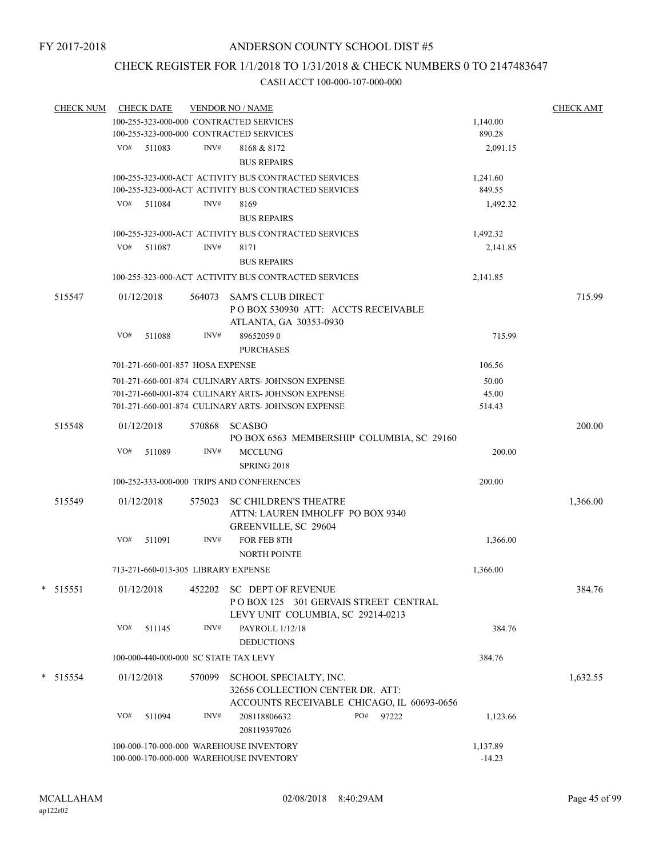## CHECK REGISTER FOR 1/1/2018 TO 1/31/2018 & CHECK NUMBERS 0 TO 2147483647

| <b>CHECK NUM</b> |            | <b>CHECK DATE</b> |                                                      | <b>VENDOR NO / NAME</b>                              |          | <b>CHECK AMT</b> |
|------------------|------------|-------------------|------------------------------------------------------|------------------------------------------------------|----------|------------------|
|                  |            |                   |                                                      | 100-255-323-000-000 CONTRACTED SERVICES              | 1,140.00 |                  |
|                  |            |                   |                                                      | 100-255-323-000-000 CONTRACTED SERVICES              | 890.28   |                  |
|                  |            | VO# 511083        | INV#                                                 | 8168 & 8172                                          | 2,091.15 |                  |
|                  |            |                   |                                                      | <b>BUS REPAIRS</b>                                   |          |                  |
|                  |            |                   | 100-255-323-000-ACT ACTIVITY BUS CONTRACTED SERVICES | 1,241.60                                             |          |                  |
|                  |            |                   |                                                      | 100-255-323-000-ACT ACTIVITY BUS CONTRACTED SERVICES | 849.55   |                  |
|                  |            | VO# 511084        | INV#                                                 | 8169                                                 | 1,492.32 |                  |
|                  |            |                   |                                                      | <b>BUS REPAIRS</b>                                   |          |                  |
|                  |            |                   |                                                      |                                                      |          |                  |
|                  |            |                   |                                                      | 100-255-323-000-ACT ACTIVITY BUS CONTRACTED SERVICES | 1,492.32 |                  |
|                  |            | VO# 511087        | INV#                                                 | 8171                                                 | 2,141.85 |                  |
|                  |            |                   |                                                      | <b>BUS REPAIRS</b>                                   |          |                  |
|                  |            |                   |                                                      | 100-255-323-000-ACT ACTIVITY BUS CONTRACTED SERVICES | 2,141.85 |                  |
| 515547           | 01/12/2018 |                   |                                                      | 564073 SAM'S CLUB DIRECT                             |          | 715.99           |
|                  |            |                   |                                                      | POBOX 530930 ATT: ACCTS RECEIVABLE                   |          |                  |
|                  |            |                   |                                                      | ATLANTA, GA 30353-0930                               |          |                  |
|                  | VO#        | 511088            | INV#                                                 | 896520590                                            | 715.99   |                  |
|                  |            |                   |                                                      | <b>PURCHASES</b>                                     |          |                  |
|                  |            |                   | 701-271-660-001-857 HOSA EXPENSE                     |                                                      | 106.56   |                  |
|                  |            |                   |                                                      | 701-271-660-001-874 CULINARY ARTS- JOHNSON EXPENSE   | 50.00    |                  |
|                  |            |                   |                                                      | 701-271-660-001-874 CULINARY ARTS- JOHNSON EXPENSE   | 45.00    |                  |
|                  |            |                   |                                                      | 701-271-660-001-874 CULINARY ARTS- JOHNSON EXPENSE   | 514.43   |                  |
|                  |            |                   |                                                      |                                                      |          |                  |
| 515548           | 01/12/2018 |                   |                                                      | 570868 SCASBO                                        |          | 200.00           |
|                  |            |                   |                                                      | PO BOX 6563 MEMBERSHIP COLUMBIA, SC 29160            |          |                  |
|                  | VO#        | 511089            | INV#                                                 | <b>MCCLUNG</b>                                       | 200.00   |                  |
|                  |            |                   |                                                      | SPRING 2018                                          |          |                  |
|                  |            |                   |                                                      | 100-252-333-000-000 TRIPS AND CONFERENCES            | 200.00   |                  |
| 515549           | 01/12/2018 |                   | 575023                                               | <b>SC CHILDREN'S THEATRE</b>                         |          | 1,366.00         |
|                  |            |                   |                                                      | ATTN: LAUREN IMHOLFF PO BOX 9340                     |          |                  |
|                  |            |                   |                                                      | GREENVILLE, SC 29604                                 |          |                  |
|                  | VO#        | 511091            | INV#                                                 | FOR FEB 8TH                                          | 1,366.00 |                  |
|                  |            |                   |                                                      | <b>NORTH POINTE</b>                                  |          |                  |
|                  |            |                   |                                                      | 713-271-660-013-305 LIBRARY EXPENSE                  | 1,366.00 |                  |
|                  |            |                   |                                                      |                                                      |          |                  |
| 515551           | 01/12/2018 |                   |                                                      | 452202 SC DEPT OF REVENUE                            |          | 384.76           |
|                  |            |                   |                                                      | POBOX 125 301 GERVAIS STREET CENTRAL                 |          |                  |
|                  |            |                   |                                                      | LEVY UNIT COLUMBIA, SC 29214-0213                    |          |                  |
|                  | VO#        | 511145            | INV#                                                 | PAYROLL 1/12/18                                      | 384.76   |                  |
|                  |            |                   |                                                      | <b>DEDUCTIONS</b>                                    |          |                  |
|                  |            |                   |                                                      | 100-000-440-000-000 SC STATE TAX LEVY                | 384.76   |                  |
| $* 515554$       | 01/12/2018 |                   | 570099                                               | SCHOOL SPECIALTY, INC.                               |          | 1,632.55         |
|                  |            |                   |                                                      | 32656 COLLECTION CENTER DR. ATT:                     |          |                  |
|                  |            |                   |                                                      | ACCOUNTS RECEIVABLE CHICAGO, IL 60693-0656           |          |                  |
|                  | VO#        | 511094            | INV#                                                 | PO#<br>208118806632<br>97222                         | 1,123.66 |                  |
|                  |            |                   |                                                      | 208119397026                                         |          |                  |
|                  |            |                   |                                                      |                                                      |          |                  |
|                  |            |                   |                                                      | 100-000-170-000-000 WAREHOUSE INVENTORY              | 1,137.89 |                  |
|                  |            |                   |                                                      | 100-000-170-000-000 WAREHOUSE INVENTORY              | $-14.23$ |                  |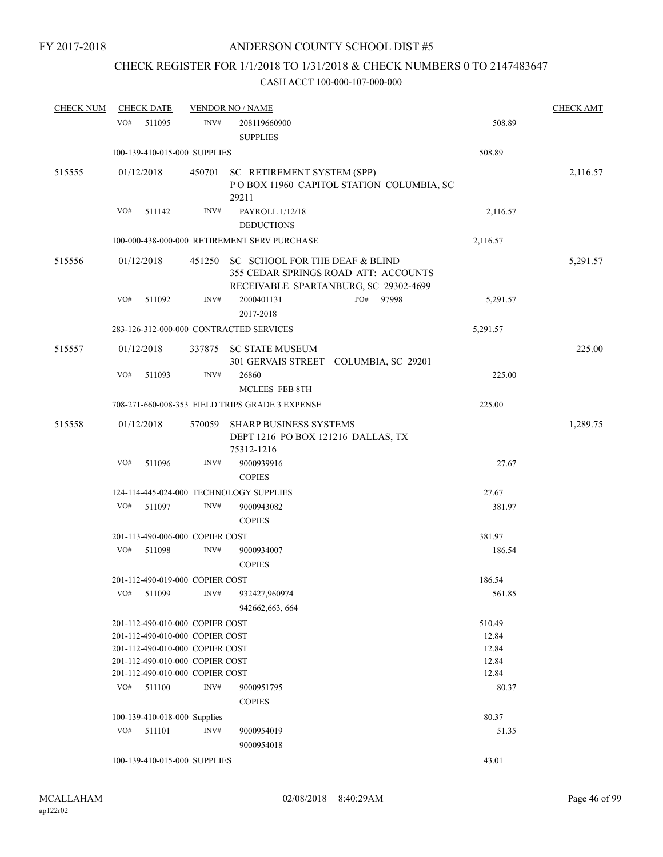## CHECK REGISTER FOR 1/1/2018 TO 1/31/2018 & CHECK NUMBERS 0 TO 2147483647

| <b>CHECK NUM</b> |     | <b>CHECK DATE</b>               |        | <b>VENDOR NO / NAME</b>                                                                                                |     |       |          | <b>CHECK AMT</b> |
|------------------|-----|---------------------------------|--------|------------------------------------------------------------------------------------------------------------------------|-----|-------|----------|------------------|
|                  | VO# | 511095                          | INV#   | 208119660900                                                                                                           |     |       | 508.89   |                  |
|                  |     |                                 |        | <b>SUPPLIES</b>                                                                                                        |     |       |          |                  |
|                  |     | 100-139-410-015-000 SUPPLIES    |        |                                                                                                                        |     |       | 508.89   |                  |
| 515555           |     | 01/12/2018                      | 450701 | SC RETIREMENT SYSTEM (SPP)<br>POBOX 11960 CAPITOL STATION COLUMBIA, SC<br>29211                                        |     |       |          | 2,116.57         |
|                  | VO# | 511142                          | INV#   | PAYROLL 1/12/18<br><b>DEDUCTIONS</b>                                                                                   |     |       | 2,116.57 |                  |
|                  |     |                                 |        | 100-000-438-000-000 RETIREMENT SERV PURCHASE                                                                           |     |       | 2,116.57 |                  |
| 515556           |     | 01/12/2018                      |        | 451250 SC SCHOOL FOR THE DEAF & BLIND<br>355 CEDAR SPRINGS ROAD ATT: ACCOUNTS<br>RECEIVABLE SPARTANBURG, SC 29302-4699 |     |       |          | 5,291.57         |
|                  | VO# | 511092                          | INV#   | 2000401131<br>2017-2018                                                                                                | PO# | 97998 | 5,291.57 |                  |
|                  |     |                                 |        | 283-126-312-000-000 CONTRACTED SERVICES                                                                                |     |       | 5,291.57 |                  |
| 515557           |     | 01/12/2018                      | 337875 | <b>SC STATE MUSEUM</b><br>301 GERVAIS STREET COLUMBIA, SC 29201                                                        |     |       |          | 225.00           |
|                  | VO# | 511093                          | INV#   | 26860<br><b>MCLEES FEB 8TH</b>                                                                                         |     |       | 225.00   |                  |
|                  |     |                                 |        | 708-271-660-008-353 FIELD TRIPS GRADE 3 EXPENSE                                                                        |     |       | 225.00   |                  |
| 515558           |     | 01/12/2018                      | 570059 | <b>SHARP BUSINESS SYSTEMS</b><br>DEPT 1216 PO BOX 121216 DALLAS, TX                                                    |     |       |          | 1,289.75         |
|                  |     |                                 |        | 75312-1216                                                                                                             |     |       |          |                  |
|                  | VO# | 511096                          | INV#   | 9000939916<br><b>COPIES</b>                                                                                            |     |       | 27.67    |                  |
|                  |     |                                 |        | 124-114-445-024-000 TECHNOLOGY SUPPLIES                                                                                |     |       | 27.67    |                  |
|                  | VO# | 511097                          | INV#   | 9000943082<br><b>COPIES</b>                                                                                            |     |       | 381.97   |                  |
|                  |     | 201-113-490-006-000 COPIER COST |        |                                                                                                                        |     |       | 381.97   |                  |
|                  | VO# | 511098                          | INV#   | 9000934007<br><b>COPIES</b>                                                                                            |     |       | 186.54   |                  |
|                  |     | 201-112-490-019-000 COPIER COST |        |                                                                                                                        |     |       | 186.54   |                  |
|                  | VO# | 511099                          | INV#   | 932427,960974<br>942662,663,664                                                                                        |     |       | 561.85   |                  |
|                  |     | 201-112-490-010-000 COPIER COST |        |                                                                                                                        |     |       | 510.49   |                  |
|                  |     | 201-112-490-010-000 COPIER COST |        |                                                                                                                        |     |       | 12.84    |                  |
|                  |     | 201-112-490-010-000 COPIER COST |        |                                                                                                                        |     |       | 12.84    |                  |
|                  |     | 201-112-490-010-000 COPIER COST |        |                                                                                                                        |     |       | 12.84    |                  |
|                  |     | 201-112-490-010-000 COPIER COST |        |                                                                                                                        |     |       | 12.84    |                  |
|                  | VO# | 511100                          | INV#   | 9000951795<br><b>COPIES</b>                                                                                            |     |       | 80.37    |                  |
|                  |     | 100-139-410-018-000 Supplies    |        |                                                                                                                        |     |       | 80.37    |                  |
|                  | VO# | 511101                          | INV#   | 9000954019<br>9000954018                                                                                               |     |       | 51.35    |                  |
|                  |     | 100-139-410-015-000 SUPPLIES    |        |                                                                                                                        |     |       | 43.01    |                  |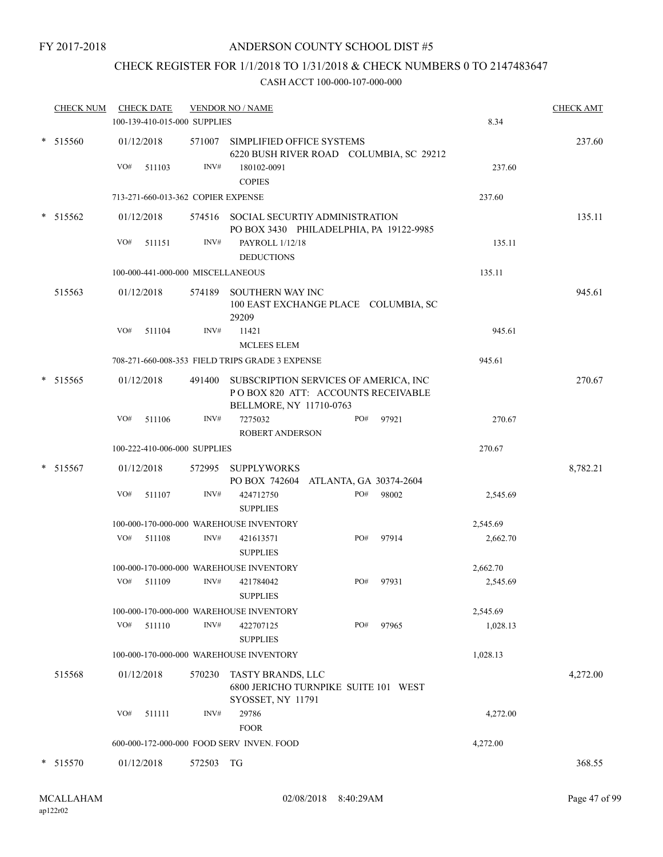## ANDERSON COUNTY SCHOOL DIST #5

## CHECK REGISTER FOR 1/1/2018 TO 1/31/2018 & CHECK NUMBERS 0 TO 2147483647

|        | <b>CHECK NUM</b> | <b>CHECK DATE</b><br>100-139-410-015-000 SUPPLIES |        |                | <b>VENDOR NO / NAME</b>                                                                                |     |       | 8.34     | <b>CHECK AMT</b> |
|--------|------------------|---------------------------------------------------|--------|----------------|--------------------------------------------------------------------------------------------------------|-----|-------|----------|------------------|
|        | * 515560         | 01/12/2018<br>VO#                                 | 511103 | 571007<br>INV# | SIMPLIFIED OFFICE SYSTEMS<br>6220 BUSH RIVER ROAD COLUMBIA, SC 29212<br>180102-0091<br><b>COPIES</b>   |     |       | 237.60   | 237.60           |
|        |                  | 713-271-660-013-362 COPIER EXPENSE                |        |                |                                                                                                        |     |       | 237.60   |                  |
|        | $* 515562$       | 01/12/2018<br>VO#                                 | 511151 | INV#           | 574516 SOCIAL SECURTIY ADMINISTRATION<br>PO BOX 3430 PHILADELPHIA, PA 19122-9985<br>PAYROLL 1/12/18    |     |       | 135.11   | 135.11           |
|        |                  |                                                   |        |                | <b>DEDUCTIONS</b>                                                                                      |     |       |          |                  |
|        |                  | 100-000-441-000-000 MISCELLANEOUS                 |        |                |                                                                                                        |     |       | 135.11   |                  |
|        | 515563           | 01/12/2018                                        |        | 574189         | SOUTHERN WAY INC<br>100 EAST EXCHANGE PLACE COLUMBIA, SC<br>29209                                      |     |       |          | 945.61           |
|        |                  | VO#                                               | 511104 | INV#           | 11421<br><b>MCLEES ELEM</b>                                                                            |     |       | 945.61   |                  |
|        |                  |                                                   |        |                | 708-271-660-008-353 FIELD TRIPS GRADE 3 EXPENSE                                                        |     |       | 945.61   |                  |
|        | $*$ 515565       | 01/12/2018                                        |        | 491400         | SUBSCRIPTION SERVICES OF AMERICA, INC<br>POBOX 820 ATT: ACCOUNTS RECEIVABLE<br>BELLMORE, NY 11710-0763 |     |       |          | 270.67           |
|        |                  | VO#                                               | 511106 | INV#           | 7275032<br><b>ROBERT ANDERSON</b>                                                                      | PO# | 97921 | 270.67   |                  |
|        |                  | 100-222-410-006-000 SUPPLIES                      |        |                |                                                                                                        |     |       | 270.67   |                  |
| $\ast$ | 515567           | 01/12/2018                                        |        | 572995         | <b>SUPPLYWORKS</b><br>PO BOX 742604 ATLANTA, GA 30374-2604                                             |     |       |          | 8,782.21         |
|        |                  | VO#                                               | 511107 | INV#           | 424712750<br><b>SUPPLIES</b>                                                                           | PO# | 98002 | 2,545.69 |                  |
|        |                  |                                                   |        |                | 100-000-170-000-000 WAREHOUSE INVENTORY                                                                |     |       | 2,545.69 |                  |
|        |                  | VO#                                               | 511108 | INV#           | 421613571<br><b>SUPPLIES</b>                                                                           | PO# | 97914 | 2,662.70 |                  |
|        |                  |                                                   |        |                | 100-000-170-000-000 WAREHOUSE INVENTORY                                                                |     |       | 2,662.70 |                  |
|        |                  | VO#                                               | 511109 | INV#           | 421784042<br><b>SUPPLIES</b>                                                                           | PO# | 97931 | 2,545.69 |                  |
|        |                  |                                                   |        |                | 100-000-170-000-000 WAREHOUSE INVENTORY                                                                |     |       | 2,545.69 |                  |
|        |                  | VO#                                               | 511110 | INV#           | 422707125<br><b>SUPPLIES</b>                                                                           | PO# | 97965 | 1,028.13 |                  |
|        |                  |                                                   |        |                | 100-000-170-000-000 WAREHOUSE INVENTORY                                                                |     |       | 1,028.13 |                  |
|        | 515568           | 01/12/2018                                        |        | 570230         | TASTY BRANDS, LLC<br>6800 JERICHO TURNPIKE SUITE 101 WEST<br>SYOSSET, NY 11791                         |     |       |          | 4,272.00         |
|        |                  | VO#                                               | 511111 | INV#           | 29786                                                                                                  |     |       | 4,272.00 |                  |
|        |                  |                                                   |        |                | <b>FOOR</b><br>600-000-172-000-000 FOOD SERV INVEN. FOOD                                               |     |       | 4,272.00 |                  |
|        | * 515570         | 01/12/2018                                        |        | 572503 TG      |                                                                                                        |     |       |          | 368.55           |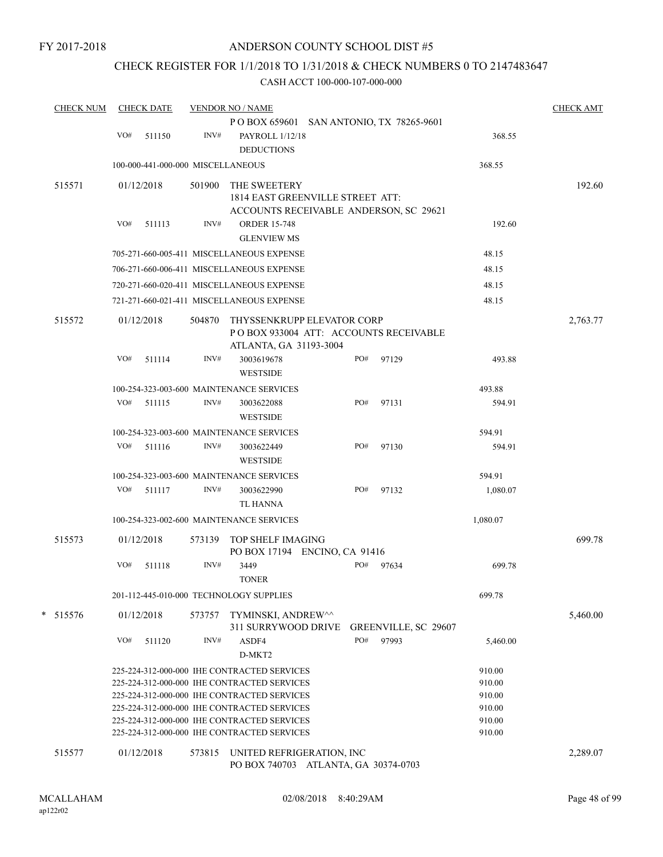## CHECK REGISTER FOR 1/1/2018 TO 1/31/2018 & CHECK NUMBERS 0 TO 2147483647

| <b>CHECK NUM</b> |     | <b>CHECK DATE</b>                 |        | <b>VENDOR NO / NAME</b>                                                                    |     |                      |                  | <b>CHECK AMT</b> |
|------------------|-----|-----------------------------------|--------|--------------------------------------------------------------------------------------------|-----|----------------------|------------------|------------------|
|                  |     |                                   |        | P O BOX 659601 SAN ANTONIO, TX 78265-9601                                                  |     |                      |                  |                  |
|                  | VO# | 511150                            | INV#   | PAYROLL 1/12/18                                                                            |     |                      | 368.55           |                  |
|                  |     |                                   |        | <b>DEDUCTIONS</b>                                                                          |     |                      |                  |                  |
|                  |     | 100-000-441-000-000 MISCELLANEOUS |        |                                                                                            |     |                      | 368.55           |                  |
| 515571           |     | 01/12/2018                        | 501900 | THE SWEETERY                                                                               |     |                      |                  | 192.60           |
|                  |     |                                   |        | 1814 EAST GREENVILLE STREET ATT:                                                           |     |                      |                  |                  |
|                  |     |                                   |        | ACCOUNTS RECEIVABLE ANDERSON, SC 29621                                                     |     |                      |                  |                  |
|                  | VO# | 511113                            | INV#   | <b>ORDER 15-748</b>                                                                        |     |                      | 192.60           |                  |
|                  |     |                                   |        | <b>GLENVIEW MS</b>                                                                         |     |                      |                  |                  |
|                  |     |                                   |        | 705-271-660-005-411 MISCELLANEOUS EXPENSE                                                  |     |                      | 48.15            |                  |
|                  |     |                                   |        | 706-271-660-006-411 MISCELLANEOUS EXPENSE                                                  |     |                      | 48.15            |                  |
|                  |     |                                   |        | 720-271-660-020-411 MISCELLANEOUS EXPENSE                                                  |     |                      | 48.15            |                  |
|                  |     |                                   |        | 721-271-660-021-411 MISCELLANEOUS EXPENSE                                                  |     |                      | 48.15            |                  |
| 515572           |     | 01/12/2018                        | 504870 | THYSSENKRUPP ELEVATOR CORP                                                                 |     |                      |                  | 2,763.77         |
|                  |     |                                   |        | PO BOX 933004 ATT: ACCOUNTS RECEIVABLE                                                     |     |                      |                  |                  |
|                  |     |                                   |        | ATLANTA, GA 31193-3004                                                                     |     |                      |                  |                  |
|                  | VO# | 511114                            | INV#   | 3003619678                                                                                 | PO# | 97129                | 493.88           |                  |
|                  |     |                                   |        | <b>WESTSIDE</b>                                                                            |     |                      |                  |                  |
|                  |     |                                   |        | 100-254-323-003-600 MAINTENANCE SERVICES                                                   |     |                      | 493.88           |                  |
|                  | VO# | 511115                            | INV#   | 3003622088                                                                                 | PO# | 97131                | 594.91           |                  |
|                  |     |                                   |        | <b>WESTSIDE</b>                                                                            |     |                      |                  |                  |
|                  |     |                                   |        | 100-254-323-003-600 MAINTENANCE SERVICES                                                   |     |                      | 594.91           |                  |
|                  |     | $VO#$ 511116                      | INV#   | 3003622449<br><b>WESTSIDE</b>                                                              | PO# | 97130                | 594.91           |                  |
|                  |     |                                   |        | 100-254-323-003-600 MAINTENANCE SERVICES                                                   |     |                      | 594.91           |                  |
|                  | VO# | 511117                            | INV#   | 3003622990                                                                                 | PO# | 97132                | 1,080.07         |                  |
|                  |     |                                   |        | <b>TL HANNA</b>                                                                            |     |                      |                  |                  |
|                  |     |                                   |        | 100-254-323-002-600 MAINTENANCE SERVICES                                                   |     |                      | 1,080.07         |                  |
| 515573           |     | 01/12/2018                        | 573139 | TOP SHELF IMAGING                                                                          |     |                      |                  | 699.78           |
|                  |     |                                   |        | PO BOX 17194 ENCINO, CA 91416                                                              |     |                      |                  |                  |
|                  | VO# | 511118                            | INV#   | 3449                                                                                       | PO# | 97634                | 699.78           |                  |
|                  |     |                                   |        | <b>TONER</b>                                                                               |     |                      |                  |                  |
|                  |     |                                   |        | 201-112-445-010-000 TECHNOLOGY SUPPLIES                                                    |     |                      | 699.78           |                  |
| * 515576         |     | 01/12/2018                        | 573757 | TYMINSKI, ANDREW^^                                                                         |     |                      |                  | 5,460.00         |
|                  |     |                                   |        | 311 SURRYWOOD DRIVE                                                                        |     | GREENVILLE, SC 29607 |                  |                  |
|                  | VO# | 511120                            | INV#   | ASDF4                                                                                      | PO# | 97993                | 5,460.00         |                  |
|                  |     |                                   |        | D-MKT2                                                                                     |     |                      |                  |                  |
|                  |     |                                   |        | 225-224-312-000-000 IHE CONTRACTED SERVICES                                                |     |                      | 910.00           |                  |
|                  |     |                                   |        | 225-224-312-000-000 IHE CONTRACTED SERVICES                                                |     |                      | 910.00           |                  |
|                  |     |                                   |        | 225-224-312-000-000 IHE CONTRACTED SERVICES                                                |     |                      | 910.00           |                  |
|                  |     |                                   |        | 225-224-312-000-000 IHE CONTRACTED SERVICES<br>225-224-312-000-000 IHE CONTRACTED SERVICES |     |                      | 910.00<br>910.00 |                  |
|                  |     |                                   |        | 225-224-312-000-000 IHE CONTRACTED SERVICES                                                |     |                      | 910.00           |                  |
|                  |     |                                   |        |                                                                                            |     |                      |                  |                  |
| 515577           |     | 01/12/2018                        | 573815 | UNITED REFRIGERATION, INC<br>PO BOX 740703 ATLANTA, GA 30374-0703                          |     |                      |                  | 2,289.07         |
|                  |     |                                   |        |                                                                                            |     |                      |                  |                  |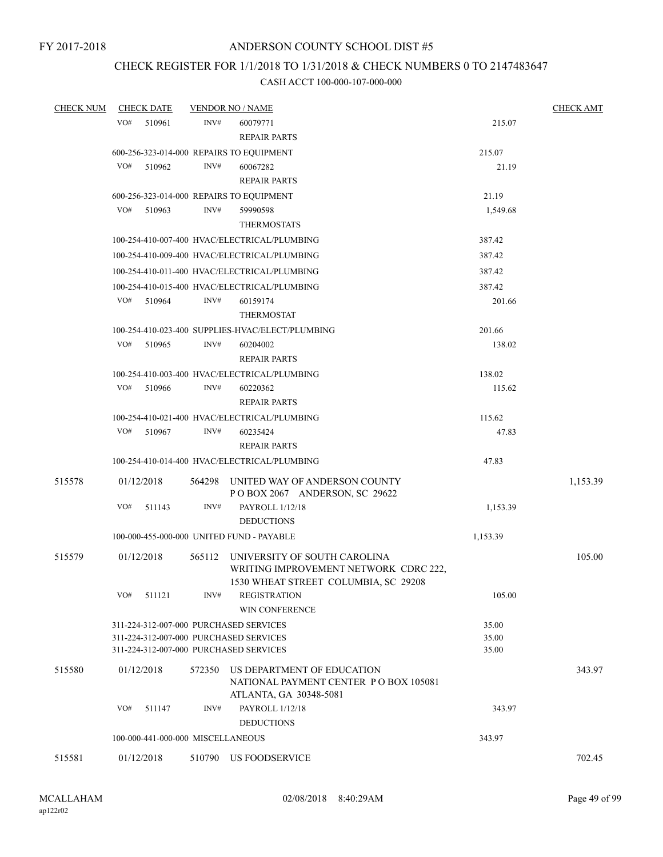## CHECK REGISTER FOR 1/1/2018 TO 1/31/2018 & CHECK NUMBERS 0 TO 2147483647

| <b>CHECK NUM</b> | <b>CHECK DATE</b> |        | <b>VENDOR NO / NAME</b>                                                       |          | <b>CHECK AMT</b> |
|------------------|-------------------|--------|-------------------------------------------------------------------------------|----------|------------------|
|                  | VO#<br>510961     |        | INV#<br>60079771                                                              | 215.07   |                  |
|                  |                   |        | <b>REPAIR PARTS</b>                                                           |          |                  |
|                  |                   |        | 600-256-323-014-000 REPAIRS TO EQUIPMENT                                      | 215.07   |                  |
|                  | VO#<br>510962     |        | INV#<br>60067282                                                              | 21.19    |                  |
|                  |                   |        | <b>REPAIR PARTS</b>                                                           |          |                  |
|                  |                   |        | 600-256-323-014-000 REPAIRS TO EQUIPMENT                                      | 21.19    |                  |
|                  | VO#<br>510963     |        | INV#<br>59990598                                                              | 1,549.68 |                  |
|                  |                   |        | <b>THERMOSTATS</b>                                                            |          |                  |
|                  |                   |        | 100-254-410-007-400 HVAC/ELECTRICAL/PLUMBING                                  | 387.42   |                  |
|                  |                   |        | 100-254-410-009-400 HVAC/ELECTRICAL/PLUMBING                                  | 387.42   |                  |
|                  |                   |        | 100-254-410-011-400 HVAC/ELECTRICAL/PLUMBING                                  | 387.42   |                  |
|                  |                   |        | 100-254-410-015-400 HVAC/ELECTRICAL/PLUMBING                                  | 387.42   |                  |
|                  | VO#<br>510964     |        | INV#<br>60159174                                                              | 201.66   |                  |
|                  |                   |        | <b>THERMOSTAT</b>                                                             |          |                  |
|                  |                   |        | 100-254-410-023-400 SUPPLIES-HVAC/ELECT/PLUMBING                              | 201.66   |                  |
|                  | VO#<br>510965     |        | INV#<br>60204002                                                              | 138.02   |                  |
|                  |                   |        | <b>REPAIR PARTS</b>                                                           |          |                  |
|                  |                   |        | 100-254-410-003-400 HVAC/ELECTRICAL/PLUMBING                                  | 138.02   |                  |
|                  | VO#<br>510966     |        | INV#<br>60220362                                                              | 115.62   |                  |
|                  |                   |        | <b>REPAIR PARTS</b>                                                           |          |                  |
|                  |                   |        | 100-254-410-021-400 HVAC/ELECTRICAL/PLUMBING                                  | 115.62   |                  |
|                  | VO#<br>510967     |        | INV#<br>60235424                                                              | 47.83    |                  |
|                  |                   |        | <b>REPAIR PARTS</b>                                                           |          |                  |
|                  |                   |        | 100-254-410-014-400 HVAC/ELECTRICAL/PLUMBING                                  | 47.83    |                  |
| 515578           | 01/12/2018        |        | 564298 UNITED WAY OF ANDERSON COUNTY<br>POBOX 2067 ANDERSON, SC 29622         |          | 1,153.39         |
|                  | VO#<br>511143     |        | INV#<br>PAYROLL 1/12/18                                                       | 1,153.39 |                  |
|                  |                   |        | <b>DEDUCTIONS</b>                                                             |          |                  |
|                  |                   |        | 100-000-455-000-000 UNITED FUND - PAYABLE                                     | 1,153.39 |                  |
| 515579           | 01/12/2018        | 565112 | UNIVERSITY OF SOUTH CAROLINA                                                  |          | 105.00           |
|                  |                   |        | WRITING IMPROVEMENT NETWORK CDRC 222,<br>1530 WHEAT STREET COLUMBIA, SC 29208 |          |                  |
|                  | VO#<br>511121     |        | INV#<br><b>REGISTRATION</b><br><b>WIN CONFERENCE</b>                          | 105.00   |                  |
|                  |                   |        | 311-224-312-007-000 PURCHASED SERVICES                                        | 35.00    |                  |
|                  |                   |        | 311-224-312-007-000 PURCHASED SERVICES                                        | 35.00    |                  |
|                  |                   |        | 311-224-312-007-000 PURCHASED SERVICES                                        | 35.00    |                  |
| 515580           | 01/12/2018        | 572350 | US DEPARTMENT OF EDUCATION<br>NATIONAL PAYMENT CENTER PO BOX 105081           |          | 343.97           |
|                  | VO#<br>511147     |        | ATLANTA, GA 30348-5081<br>INV#<br><b>PAYROLL 1/12/18</b>                      | 343.97   |                  |
|                  |                   |        | <b>DEDUCTIONS</b>                                                             |          |                  |
|                  |                   |        | 100-000-441-000-000 MISCELLANEOUS                                             | 343.97   |                  |
|                  |                   |        |                                                                               |          |                  |
| 515581           | 01/12/2018        |        | 510790 US FOODSERVICE                                                         |          | 702.45           |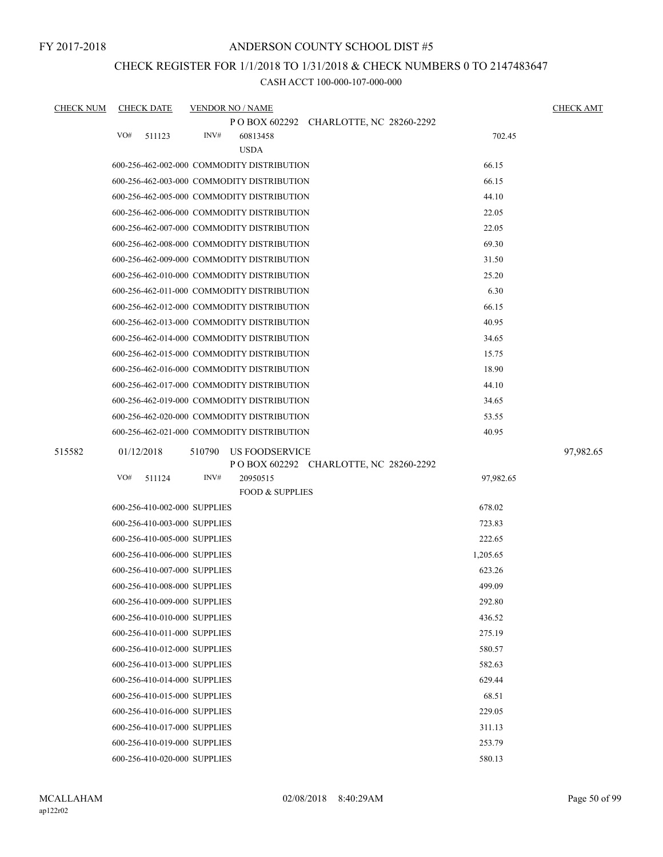## ANDERSON COUNTY SCHOOL DIST #5

## CHECK REGISTER FOR 1/1/2018 TO 1/31/2018 & CHECK NUMBERS 0 TO 2147483647

| <b>CHECK NUM</b> | <b>CHECK DATE</b>            | <b>VENDOR NO / NAME</b>                    |                                         |           | <b>CHECK AMT</b> |
|------------------|------------------------------|--------------------------------------------|-----------------------------------------|-----------|------------------|
|                  |                              |                                            | P O BOX 602292 CHARLOTTE, NC 28260-2292 |           |                  |
|                  | VO#<br>511123                | INV#<br>60813458                           |                                         | 702.45    |                  |
|                  |                              | <b>USDA</b>                                |                                         |           |                  |
|                  |                              | 600-256-462-002-000 COMMODITY DISTRIBUTION |                                         | 66.15     |                  |
|                  |                              | 600-256-462-003-000 COMMODITY DISTRIBUTION |                                         | 66.15     |                  |
|                  |                              | 600-256-462-005-000 COMMODITY DISTRIBUTION |                                         | 44.10     |                  |
|                  |                              | 600-256-462-006-000 COMMODITY DISTRIBUTION |                                         | 22.05     |                  |
|                  |                              | 600-256-462-007-000 COMMODITY DISTRIBUTION |                                         | 22.05     |                  |
|                  |                              | 600-256-462-008-000 COMMODITY DISTRIBUTION |                                         | 69.30     |                  |
|                  |                              | 600-256-462-009-000 COMMODITY DISTRIBUTION |                                         | 31.50     |                  |
|                  |                              | 600-256-462-010-000 COMMODITY DISTRIBUTION |                                         | 25.20     |                  |
|                  |                              | 600-256-462-011-000 COMMODITY DISTRIBUTION |                                         | 6.30      |                  |
|                  |                              | 600-256-462-012-000 COMMODITY DISTRIBUTION |                                         | 66.15     |                  |
|                  |                              | 600-256-462-013-000 COMMODITY DISTRIBUTION |                                         | 40.95     |                  |
|                  |                              | 600-256-462-014-000 COMMODITY DISTRIBUTION |                                         | 34.65     |                  |
|                  |                              | 600-256-462-015-000 COMMODITY DISTRIBUTION |                                         | 15.75     |                  |
|                  |                              | 600-256-462-016-000 COMMODITY DISTRIBUTION |                                         | 18.90     |                  |
|                  |                              | 600-256-462-017-000 COMMODITY DISTRIBUTION |                                         | 44.10     |                  |
|                  |                              | 600-256-462-019-000 COMMODITY DISTRIBUTION |                                         | 34.65     |                  |
|                  |                              | 600-256-462-020-000 COMMODITY DISTRIBUTION |                                         | 53.55     |                  |
|                  |                              | 600-256-462-021-000 COMMODITY DISTRIBUTION |                                         | 40.95     |                  |
| 515582           | 01/12/2018                   | 510790<br>US FOODSERVICE                   |                                         |           | 97,982.65        |
|                  |                              |                                            | P O BOX 602292 CHARLOTTE, NC 28260-2292 |           |                  |
|                  | VO#<br>511124                | INV#<br>20950515                           |                                         | 97,982.65 |                  |
|                  |                              |                                            | <b>FOOD &amp; SUPPLIES</b>              |           |                  |
|                  | 600-256-410-002-000 SUPPLIES |                                            |                                         | 678.02    |                  |
|                  | 600-256-410-003-000 SUPPLIES |                                            |                                         | 723.83    |                  |
|                  | 600-256-410-005-000 SUPPLIES |                                            |                                         | 222.65    |                  |
|                  | 600-256-410-006-000 SUPPLIES |                                            |                                         | 1,205.65  |                  |
|                  | 600-256-410-007-000 SUPPLIES |                                            |                                         | 623.26    |                  |
|                  | 600-256-410-008-000 SUPPLIES |                                            |                                         | 499.09    |                  |
|                  | 600-256-410-009-000 SUPPLIES |                                            |                                         | 292.80    |                  |
|                  | 600-256-410-010-000 SUPPLIES |                                            |                                         | 436.52    |                  |
|                  | 600-256-410-011-000 SUPPLIES |                                            |                                         | 275.19    |                  |
|                  | 600-256-410-012-000 SUPPLIES |                                            |                                         | 580.57    |                  |
|                  | 600-256-410-013-000 SUPPLIES |                                            |                                         | 582.63    |                  |
|                  | 600-256-410-014-000 SUPPLIES |                                            |                                         | 629.44    |                  |
|                  | 600-256-410-015-000 SUPPLIES |                                            |                                         | 68.51     |                  |
|                  | 600-256-410-016-000 SUPPLIES |                                            |                                         | 229.05    |                  |
|                  | 600-256-410-017-000 SUPPLIES |                                            |                                         | 311.13    |                  |
|                  | 600-256-410-019-000 SUPPLIES |                                            |                                         | 253.79    |                  |
|                  | 600-256-410-020-000 SUPPLIES |                                            |                                         | 580.13    |                  |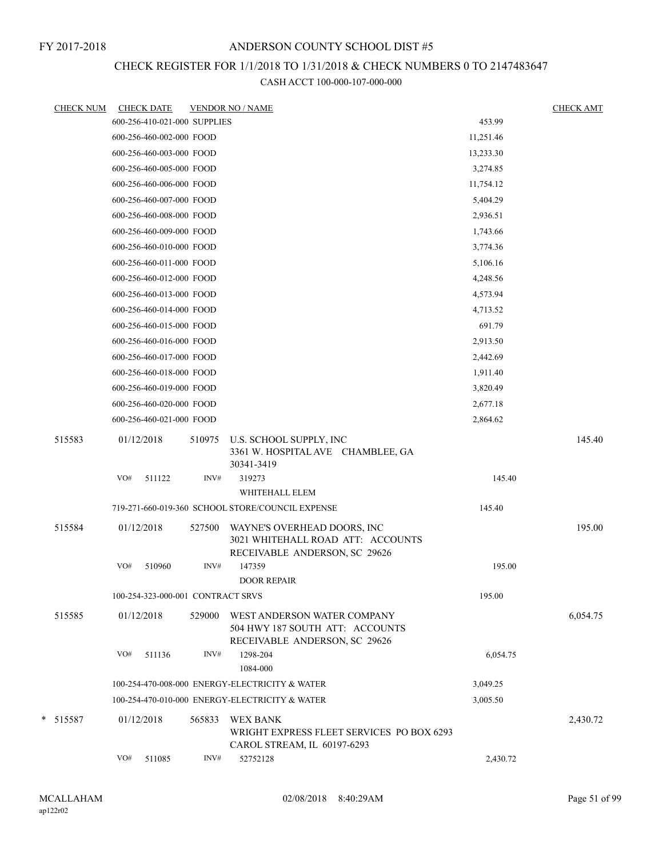## CHECK REGISTER FOR 1/1/2018 TO 1/31/2018 & CHECK NUMBERS 0 TO 2147483647

|        | <b>CHECK NUM</b> |            | <b>CHECK DATE</b>                 |        | <b>VENDOR NO / NAME</b>                                                                           |           | <b>CHECK AMT</b> |
|--------|------------------|------------|-----------------------------------|--------|---------------------------------------------------------------------------------------------------|-----------|------------------|
|        |                  |            | 600-256-410-021-000 SUPPLIES      |        |                                                                                                   | 453.99    |                  |
|        |                  |            | 600-256-460-002-000 FOOD          |        |                                                                                                   | 11,251.46 |                  |
|        |                  |            | 600-256-460-003-000 FOOD          |        |                                                                                                   | 13,233.30 |                  |
|        |                  |            | 600-256-460-005-000 FOOD          |        |                                                                                                   | 3,274.85  |                  |
|        |                  |            | 600-256-460-006-000 FOOD          |        |                                                                                                   | 11,754.12 |                  |
|        |                  |            | 600-256-460-007-000 FOOD          |        |                                                                                                   | 5,404.29  |                  |
|        |                  |            | 600-256-460-008-000 FOOD          |        |                                                                                                   | 2,936.51  |                  |
|        |                  |            | 600-256-460-009-000 FOOD          |        |                                                                                                   | 1,743.66  |                  |
|        |                  |            | 600-256-460-010-000 FOOD          |        |                                                                                                   | 3,774.36  |                  |
|        |                  |            | 600-256-460-011-000 FOOD          |        |                                                                                                   | 5,106.16  |                  |
|        |                  |            | 600-256-460-012-000 FOOD          |        |                                                                                                   | 4,248.56  |                  |
|        |                  |            | 600-256-460-013-000 FOOD          |        |                                                                                                   | 4,573.94  |                  |
|        |                  |            | 600-256-460-014-000 FOOD          |        |                                                                                                   | 4,713.52  |                  |
|        |                  |            | 600-256-460-015-000 FOOD          |        |                                                                                                   | 691.79    |                  |
|        |                  |            | 600-256-460-016-000 FOOD          |        |                                                                                                   | 2,913.50  |                  |
|        |                  |            | 600-256-460-017-000 FOOD          |        |                                                                                                   | 2,442.69  |                  |
|        |                  |            | 600-256-460-018-000 FOOD          |        |                                                                                                   | 1,911.40  |                  |
|        |                  |            | 600-256-460-019-000 FOOD          |        |                                                                                                   | 3,820.49  |                  |
|        |                  |            | 600-256-460-020-000 FOOD          |        |                                                                                                   | 2,677.18  |                  |
|        |                  |            | 600-256-460-021-000 FOOD          |        |                                                                                                   | 2,864.62  |                  |
|        | 515583           | 01/12/2018 |                                   | 510975 | U.S. SCHOOL SUPPLY, INC<br>3361 W. HOSPITAL AVE CHAMBLEE, GA<br>30341-3419                        |           | 145.40           |
|        |                  | VO#        | 511122                            | INV#   | 319273                                                                                            | 145.40    |                  |
|        |                  |            |                                   |        | WHITEHALL ELEM                                                                                    |           |                  |
|        |                  |            |                                   |        | 719-271-660-019-360 SCHOOL STORE/COUNCIL EXPENSE                                                  | 145.40    |                  |
|        | 515584           | 01/12/2018 |                                   | 527500 | WAYNE'S OVERHEAD DOORS, INC<br>3021 WHITEHALL ROAD ATT: ACCOUNTS<br>RECEIVABLE ANDERSON, SC 29626 |           | 195.00           |
|        |                  | VO#        | 510960                            | INV#   | 147359<br><b>DOOR REPAIR</b>                                                                      | 195.00    |                  |
|        |                  |            | 100-254-323-000-001 CONTRACT SRVS |        |                                                                                                   | 195.00    |                  |
|        | 515585           |            | 01/12/2018                        | 529000 | WEST ANDERSON WATER COMPANY<br>504 HWY 187 SOUTH ATT: ACCOUNTS<br>RECEIVABLE ANDERSON, SC 29626   |           | 6,054.75         |
|        |                  | VO#        | 511136                            | INV#   | 1298-204<br>1084-000                                                                              | 6,054.75  |                  |
|        |                  |            |                                   |        | 100-254-470-008-000 ENERGY-ELECTRICITY & WATER                                                    | 3,049.25  |                  |
|        |                  |            |                                   |        | 100-254-470-010-000 ENERGY-ELECTRICITY & WATER                                                    | 3,005.50  |                  |
| $\ast$ | 515587           |            | 01/12/2018                        | 565833 | <b>WEX BANK</b><br>WRIGHT EXPRESS FLEET SERVICES PO BOX 6293<br>CAROL STREAM, IL 60197-6293       |           | 2,430.72         |
|        |                  | VO#        | 511085                            | INV#   | 52752128                                                                                          | 2,430.72  |                  |
|        |                  |            |                                   |        |                                                                                                   |           |                  |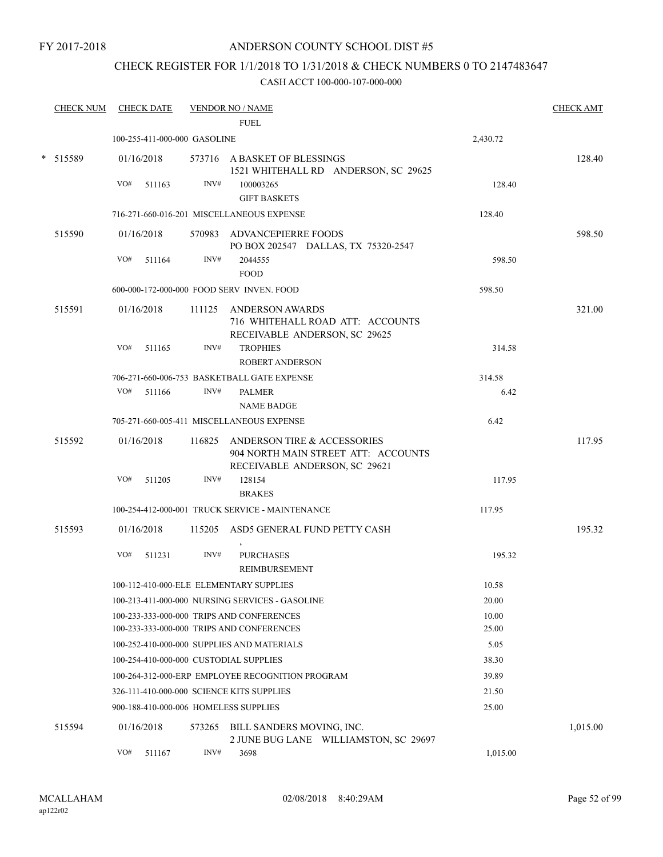## ANDERSON COUNTY SCHOOL DIST #5

## CHECK REGISTER FOR 1/1/2018 TO 1/31/2018 & CHECK NUMBERS 0 TO 2147483647

| <b>CHECK NUM</b> | <b>CHECK DATE</b>                         |        | <b>VENDOR NO / NAME</b><br>FUEL.                                                                           |          | <b>CHECK AMT</b> |
|------------------|-------------------------------------------|--------|------------------------------------------------------------------------------------------------------------|----------|------------------|
|                  | 100-255-411-000-000 GASOLINE              |        |                                                                                                            | 2,430.72 |                  |
| * 515589         | 01/16/2018                                |        | 573716 A BASKET OF BLESSINGS<br>1521 WHITEHALL RD ANDERSON, SC 29625                                       |          | 128.40           |
|                  | VO#<br>511163                             | INV#   | 100003265                                                                                                  | 128.40   |                  |
|                  |                                           |        | <b>GIFT BASKETS</b>                                                                                        |          |                  |
|                  |                                           |        | 716-271-660-016-201 MISCELLANEOUS EXPENSE                                                                  | 128.40   |                  |
| 515590           | 01/16/2018                                |        | 570983 ADVANCEPIERRE FOODS<br>PO BOX 202547 DALLAS, TX 75320-2547                                          |          | 598.50           |
|                  | VO#<br>511164                             | INV#   | 2044555<br><b>FOOD</b>                                                                                     | 598.50   |                  |
|                  |                                           |        | 600-000-172-000-000 FOOD SERV INVEN. FOOD                                                                  | 598.50   |                  |
| 515591           | 01/16/2018                                | 111125 | ANDERSON AWARDS<br>716 WHITEHALL ROAD ATT: ACCOUNTS<br>RECEIVABLE ANDERSON, SC 29625                       |          | 321.00           |
|                  | VO#<br>511165                             | INV#   | <b>TROPHIES</b><br><b>ROBERT ANDERSON</b>                                                                  | 314.58   |                  |
|                  |                                           |        | 706-271-660-006-753 BASKETBALL GATE EXPENSE                                                                | 314.58   |                  |
|                  | VO#<br>511166                             | INV#   | <b>PALMER</b>                                                                                              | 6.42     |                  |
|                  |                                           |        | <b>NAME BADGE</b>                                                                                          |          |                  |
|                  |                                           |        | 705-271-660-005-411 MISCELLANEOUS EXPENSE                                                                  | 6.42     |                  |
| 515592           | 01/16/2018                                |        | 116825 ANDERSON TIRE & ACCESSORIES<br>904 NORTH MAIN STREET ATT: ACCOUNTS<br>RECEIVABLE ANDERSON, SC 29621 |          | 117.95           |
|                  | VO#<br>511205                             | INV#   | 128154<br><b>BRAKES</b>                                                                                    | 117.95   |                  |
|                  |                                           |        | 100-254-412-000-001 TRUCK SERVICE - MAINTENANCE                                                            | 117.95   |                  |
| 515593           | 01/16/2018                                |        | 115205 ASD5 GENERAL FUND PETTY CASH                                                                        |          | 195.32           |
|                  | VO#<br>511231                             | INV#   | <b>PURCHASES</b><br>REIMBURSEMENT                                                                          | 195.32   |                  |
|                  | 100-112-410-000-ELE ELEMENTARY SUPPLIES   |        |                                                                                                            | 10.58    |                  |
|                  |                                           |        | 100-213-411-000-000 NURSING SERVICES - GASOLINE                                                            | 20.00    |                  |
|                  |                                           |        | 100-233-333-000-000 TRIPS AND CONFERENCES                                                                  | 10.00    |                  |
|                  |                                           |        | 100-233-333-000-000 TRIPS AND CONFERENCES                                                                  | 25.00    |                  |
|                  |                                           |        | 100-252-410-000-000 SUPPLIES AND MATERIALS                                                                 | 5.05     |                  |
|                  | 100-254-410-000-000 CUSTODIAL SUPPLIES    |        |                                                                                                            | 38.30    |                  |
|                  |                                           |        | 100-264-312-000-ERP EMPLOYEE RECOGNITION PROGRAM                                                           | 39.89    |                  |
|                  | 326-111-410-000-000 SCIENCE KITS SUPPLIES |        |                                                                                                            | 21.50    |                  |
|                  | 900-188-410-000-006 HOMELESS SUPPLIES     |        |                                                                                                            | 25.00    |                  |
| 515594           | 01/16/2018                                |        | 573265 BILL SANDERS MOVING, INC.<br>2 JUNE BUG LANE WILLIAMSTON, SC 29697                                  |          | 1,015.00         |
|                  | VO#<br>511167                             | INV#   | 3698                                                                                                       | 1,015.00 |                  |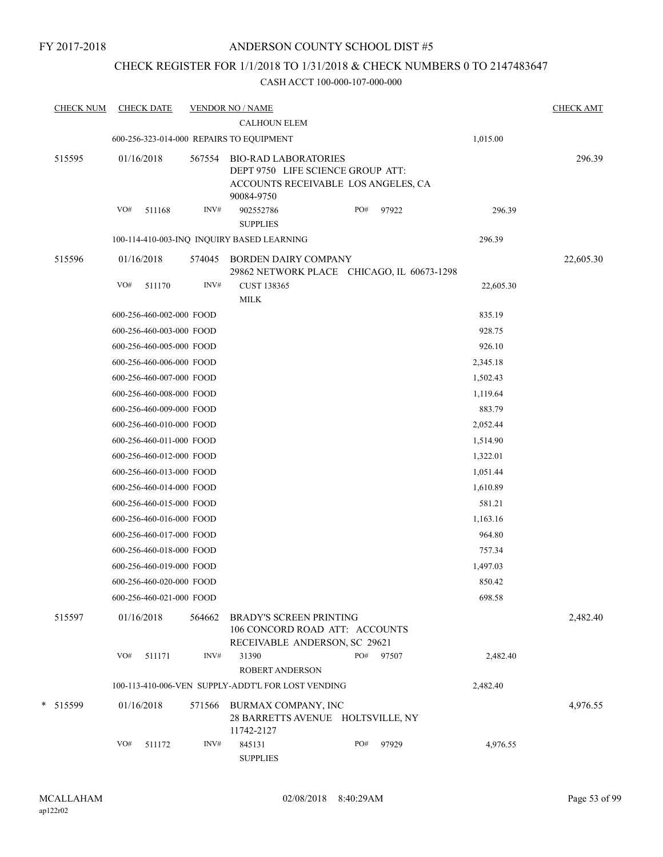## CHECK REGISTER FOR 1/1/2018 TO 1/31/2018 & CHECK NUMBERS 0 TO 2147483647

| <b>CHECK NUM</b> | <b>CHECK DATE</b>                        |        | <b>VENDOR NO / NAME</b><br><b>CALHOUN ELEM</b>                                                                        |     |       |           | <b>CHECK AMT</b> |
|------------------|------------------------------------------|--------|-----------------------------------------------------------------------------------------------------------------------|-----|-------|-----------|------------------|
|                  | 600-256-323-014-000 REPAIRS TO EQUIPMENT |        |                                                                                                                       |     |       | 1,015.00  |                  |
| 515595           | 01/16/2018                               | 567554 | <b>BIO-RAD LABORATORIES</b><br>DEPT 9750 LIFE SCIENCE GROUP ATT:<br>ACCOUNTS RECEIVABLE LOS ANGELES, CA<br>90084-9750 |     |       |           | 296.39           |
|                  | VO#<br>511168                            | INV#   | 902552786<br><b>SUPPLIES</b>                                                                                          | PO# | 97922 | 296.39    |                  |
|                  |                                          |        | 100-114-410-003-INQ INQUIRY BASED LEARNING                                                                            |     |       | 296.39    |                  |
| 515596           | 01/16/2018                               | 574045 | BORDEN DAIRY COMPANY<br>29862 NETWORK PLACE CHICAGO, IL 60673-1298                                                    |     |       |           | 22,605.30        |
|                  | VO#<br>511170                            | INV#   | <b>CUST 138365</b><br><b>MILK</b>                                                                                     |     |       | 22,605.30 |                  |
|                  | 600-256-460-002-000 FOOD                 |        |                                                                                                                       |     |       | 835.19    |                  |
|                  | 600-256-460-003-000 FOOD                 |        |                                                                                                                       |     |       | 928.75    |                  |
|                  | 600-256-460-005-000 FOOD                 |        |                                                                                                                       |     |       | 926.10    |                  |
|                  | 600-256-460-006-000 FOOD                 |        |                                                                                                                       |     |       | 2,345.18  |                  |
|                  | 600-256-460-007-000 FOOD                 |        |                                                                                                                       |     |       | 1,502.43  |                  |
|                  | 600-256-460-008-000 FOOD                 |        |                                                                                                                       |     |       | 1,119.64  |                  |
|                  | 600-256-460-009-000 FOOD                 |        |                                                                                                                       |     |       | 883.79    |                  |
|                  | 600-256-460-010-000 FOOD                 |        |                                                                                                                       |     |       | 2,052.44  |                  |
|                  | 600-256-460-011-000 FOOD                 |        |                                                                                                                       |     |       | 1,514.90  |                  |
|                  | 600-256-460-012-000 FOOD                 |        |                                                                                                                       |     |       | 1,322.01  |                  |
|                  | 600-256-460-013-000 FOOD                 |        |                                                                                                                       |     |       | 1,051.44  |                  |
|                  | 600-256-460-014-000 FOOD                 |        |                                                                                                                       |     |       | 1,610.89  |                  |
|                  | 600-256-460-015-000 FOOD                 |        |                                                                                                                       |     |       | 581.21    |                  |
|                  | 600-256-460-016-000 FOOD                 |        |                                                                                                                       |     |       | 1,163.16  |                  |
|                  | 600-256-460-017-000 FOOD                 |        |                                                                                                                       |     |       | 964.80    |                  |
|                  | 600-256-460-018-000 FOOD                 |        |                                                                                                                       |     |       | 757.34    |                  |
|                  | 600-256-460-019-000 FOOD                 |        |                                                                                                                       |     |       | 1,497.03  |                  |
|                  | 600-256-460-020-000 FOOD                 |        |                                                                                                                       |     |       | 850.42    |                  |
|                  | 600-256-460-021-000 FOOD                 |        |                                                                                                                       |     |       | 698.58    |                  |
| 515597           | 01/16/2018                               | 564662 | <b>BRADY'S SCREEN PRINTING</b><br>106 CONCORD ROAD ATT: ACCOUNTS<br>RECEIVABLE ANDERSON, SC 29621                     |     |       |           | 2,482.40         |
|                  | VO#<br>511171                            | INV#   | 31390<br><b>ROBERT ANDERSON</b>                                                                                       | PO# | 97507 | 2,482.40  |                  |
|                  |                                          |        | 100-113-410-006-VEN SUPPLY-ADDT'L FOR LOST VENDING                                                                    |     |       | 2,482.40  |                  |
| * 515599         | 01/16/2018                               | 571566 | BURMAX COMPANY, INC<br>28 BARRETTS AVENUE HOLTSVILLE, NY<br>11742-2127                                                |     |       |           | 4,976.55         |
|                  | VO#<br>511172                            | INV#   | 845131<br><b>SUPPLIES</b>                                                                                             | PO# | 97929 | 4,976.55  |                  |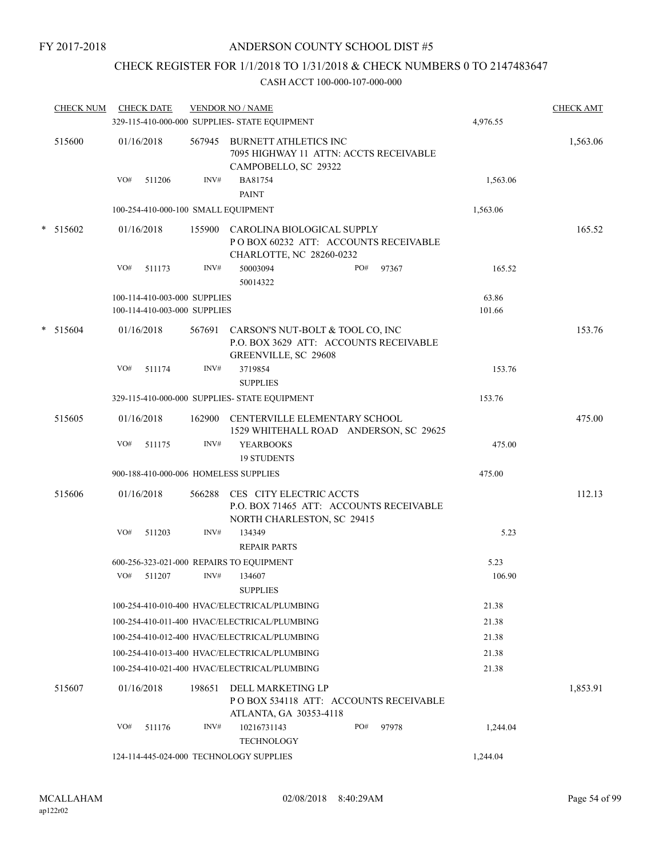## CHECK REGISTER FOR 1/1/2018 TO 1/31/2018 & CHECK NUMBERS 0 TO 2147483647

|   | <b>CHECK NUM</b> | <b>CHECK DATE</b>                                            |        | <b>VENDOR NO / NAME</b><br>329-115-410-000-000 SUPPLIES- STATE EQUIPMENT                                |     |       | 4,976.55        | <b>CHECK AMT</b> |
|---|------------------|--------------------------------------------------------------|--------|---------------------------------------------------------------------------------------------------------|-----|-------|-----------------|------------------|
|   | 515600           | 01/16/2018                                                   |        | 567945 BURNETT ATHLETICS INC<br>7095 HIGHWAY 11 ATTN: ACCTS RECEIVABLE<br>CAMPOBELLO, SC 29322          |     |       |                 | 1,563.06         |
|   |                  | VO#<br>511206                                                | INV#   | BA81754<br><b>PAINT</b>                                                                                 |     |       | 1,563.06        |                  |
|   |                  | 100-254-410-000-100 SMALL EQUIPMENT                          |        |                                                                                                         |     |       | 1,563.06        |                  |
|   | $*$ 515602       | 01/16/2018                                                   |        | 155900 CAROLINA BIOLOGICAL SUPPLY<br>POBOX 60232 ATT: ACCOUNTS RECEIVABLE<br>CHARLOTTE, NC 28260-0232   |     |       |                 | 165.52           |
|   |                  | VO#<br>511173                                                | INV#   | 50003094<br>50014322                                                                                    | PO# | 97367 | 165.52          |                  |
|   |                  | 100-114-410-003-000 SUPPLIES<br>100-114-410-003-000 SUPPLIES |        |                                                                                                         |     |       | 63.86<br>101.66 |                  |
| * | 515604           | 01/16/2018                                                   | 567691 | CARSON'S NUT-BOLT & TOOL CO, INC<br>P.O. BOX 3629 ATT: ACCOUNTS RECEIVABLE<br>GREENVILLE, SC 29608      |     |       |                 | 153.76           |
|   |                  | VO#<br>511174                                                | INV#   | 3719854<br><b>SUPPLIES</b>                                                                              |     |       | 153.76          |                  |
|   |                  |                                                              |        | 329-115-410-000-000 SUPPLIES- STATE EQUIPMENT                                                           |     |       | 153.76          |                  |
|   | 515605           | 01/16/2018                                                   |        | 162900 CENTERVILLE ELEMENTARY SCHOOL<br>1529 WHITEHALL ROAD ANDERSON, SC 29625                          |     |       |                 | 475.00           |
|   |                  | VO#<br>511175                                                | INV#   | <b>YEARBOOKS</b><br><b>19 STUDENTS</b>                                                                  |     |       | 475.00          |                  |
|   |                  | 900-188-410-000-006 HOMELESS SUPPLIES                        |        |                                                                                                         |     |       | 475.00          |                  |
|   | 515606           | 01/16/2018                                                   |        | 566288 CES CITY ELECTRIC ACCTS<br>P.O. BOX 71465 ATT: ACCOUNTS RECEIVABLE<br>NORTH CHARLESTON, SC 29415 |     |       |                 | 112.13           |
|   |                  | VO#<br>511203                                                | INV#   | 134349<br><b>REPAIR PARTS</b>                                                                           |     |       | 5.23            |                  |
|   |                  | 600-256-323-021-000 REPAIRS TO EQUIPMENT                     |        |                                                                                                         |     |       | 5.23            |                  |
|   |                  | VO#<br>511207                                                | INV#   | 134607<br><b>SUPPLIES</b>                                                                               |     |       | 106.90          |                  |
|   |                  |                                                              |        | 100-254-410-010-400 HVAC/ELECTRICAL/PLUMBING                                                            |     |       | 21.38           |                  |
|   |                  |                                                              |        | 100-254-410-011-400 HVAC/ELECTRICAL/PLUMBING                                                            |     |       | 21.38           |                  |
|   |                  |                                                              |        | 100-254-410-012-400 HVAC/ELECTRICAL/PLUMBING                                                            |     |       | 21.38           |                  |
|   |                  |                                                              |        | 100-254-410-013-400 HVAC/ELECTRICAL/PLUMBING                                                            |     |       | 21.38           |                  |
|   |                  |                                                              |        | 100-254-410-021-400 HVAC/ELECTRICAL/PLUMBING                                                            |     |       | 21.38           |                  |
|   | 515607           | 01/16/2018                                                   | 198651 | DELL MARKETING LP<br>PO BOX 534118 ATT: ACCOUNTS RECEIVABLE<br>ATLANTA, GA 30353-4118                   |     |       |                 | 1,853.91         |
|   |                  | VO#<br>511176                                                | INV#   | 10216731143<br><b>TECHNOLOGY</b>                                                                        | PO# | 97978 | 1,244.04        |                  |
|   |                  | 124-114-445-024-000 TECHNOLOGY SUPPLIES                      |        |                                                                                                         |     |       | 1,244.04        |                  |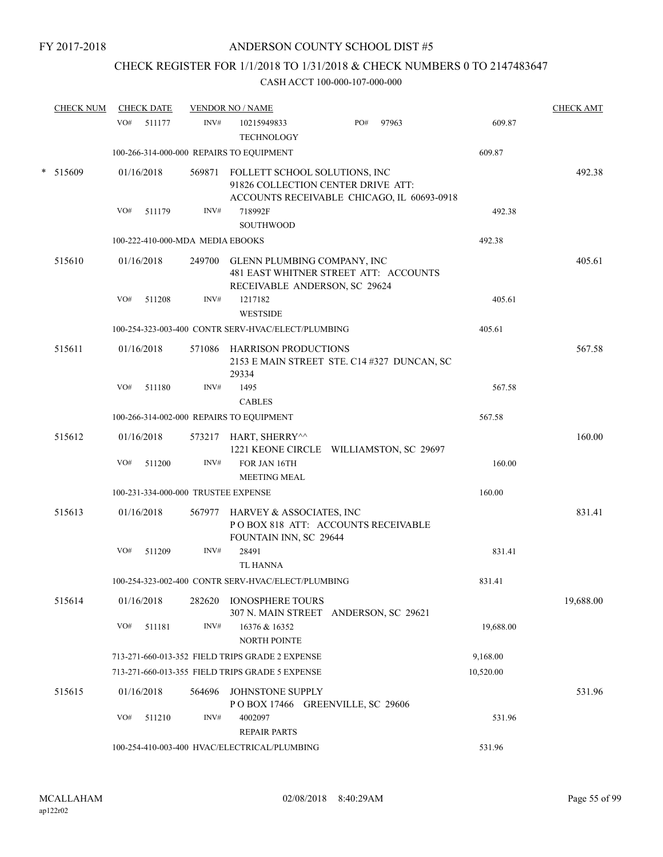## CHECK REGISTER FOR 1/1/2018 TO 1/31/2018 & CHECK NUMBERS 0 TO 2147483647

|   | <b>CHECK NUM</b> |     | <b>CHECK DATE</b> |                                  | <b>VENDOR NO / NAME</b>                                                                                           |     |       |           | <b>CHECK AMT</b> |
|---|------------------|-----|-------------------|----------------------------------|-------------------------------------------------------------------------------------------------------------------|-----|-------|-----------|------------------|
|   |                  | VO# | 511177            | INV#                             | 10215949833<br><b>TECHNOLOGY</b>                                                                                  | PO# | 97963 | 609.87    |                  |
|   |                  |     |                   |                                  | 100-266-314-000-000 REPAIRS TO EQUIPMENT                                                                          |     |       | 609.87    |                  |
| * | 515609           |     | 01/16/2018        | 569871                           | FOLLETT SCHOOL SOLUTIONS, INC<br>91826 COLLECTION CENTER DRIVE ATT:<br>ACCOUNTS RECEIVABLE CHICAGO, IL 60693-0918 |     |       |           | 492.38           |
|   |                  | VO# | 511179            | INV#                             | 718992F<br><b>SOUTHWOOD</b>                                                                                       |     |       | 492.38    |                  |
|   |                  |     |                   | 100-222-410-000-MDA MEDIA EBOOKS |                                                                                                                   |     |       | 492.38    |                  |
|   | 515610           |     | 01/16/2018        |                                  | 249700 GLENN PLUMBING COMPANY, INC<br>481 EAST WHITNER STREET ATT: ACCOUNTS<br>RECEIVABLE ANDERSON, SC 29624      |     |       |           | 405.61           |
|   |                  | VO# | 511208            | INV#                             | 1217182<br><b>WESTSIDE</b>                                                                                        |     |       | 405.61    |                  |
|   |                  |     |                   |                                  | 100-254-323-003-400 CONTR SERV-HVAC/ELECT/PLUMBING                                                                |     |       | 405.61    |                  |
|   | 515611           |     | 01/16/2018        | 571086                           | <b>HARRISON PRODUCTIONS</b><br>2153 E MAIN STREET STE. C14 #327 DUNCAN, SC<br>29334                               |     |       |           | 567.58           |
|   |                  | VO# | 511180            | INV#                             | 1495<br><b>CABLES</b>                                                                                             |     |       | 567.58    |                  |
|   |                  |     |                   |                                  | 100-266-314-002-000 REPAIRS TO EQUIPMENT                                                                          |     |       | 567.58    |                  |
|   | 515612           |     | 01/16/2018        |                                  | 573217 HART, SHERRY^^<br>1221 KEONE CIRCLE WILLIAMSTON, SC 29697                                                  |     |       |           | 160.00           |
|   |                  | VO# | 511200            | INV#                             | FOR JAN 16TH<br><b>MEETING MEAL</b>                                                                               |     |       | 160.00    |                  |
|   |                  |     |                   |                                  | 100-231-334-000-000 TRUSTEE EXPENSE                                                                               |     |       | 160.00    |                  |
|   | 515613           |     | 01/16/2018        | 567977                           | HARVEY & ASSOCIATES, INC<br>POBOX 818 ATT: ACCOUNTS RECEIVABLE<br>FOUNTAIN INN, SC 29644                          |     |       |           | 831.41           |
|   |                  | VO# | 511209            | INV#                             | 28491<br><b>TL HANNA</b>                                                                                          |     |       | 831.41    |                  |
|   |                  |     |                   |                                  | 100-254-323-002-400 CONTR SERV-HVAC/ELECT/PLUMBING                                                                |     |       | 831.41    |                  |
|   | 515614           |     | 01/16/2018        | 282620                           | <b>IONOSPHERE TOURS</b><br>307 N. MAIN STREET ANDERSON, SC 29621                                                  |     |       |           | 19,688.00        |
|   |                  | VO# | 511181            | INV#                             | 16376 & 16352<br>NORTH POINTE                                                                                     |     |       | 19,688.00 |                  |
|   |                  |     |                   |                                  | 713-271-660-013-352 FIELD TRIPS GRADE 2 EXPENSE                                                                   |     |       | 9,168.00  |                  |
|   |                  |     |                   |                                  | 713-271-660-013-355 FIELD TRIPS GRADE 5 EXPENSE                                                                   |     |       | 10,520.00 |                  |
|   | 515615           |     | 01/16/2018        | 564696                           | JOHNSTONE SUPPLY<br>POBOX 17466 GREENVILLE, SC 29606                                                              |     |       |           | 531.96           |
|   |                  | VO# | 511210            | INV#                             | 4002097<br><b>REPAIR PARTS</b>                                                                                    |     |       | 531.96    |                  |
|   |                  |     |                   |                                  | 100-254-410-003-400 HVAC/ELECTRICAL/PLUMBING                                                                      |     |       | 531.96    |                  |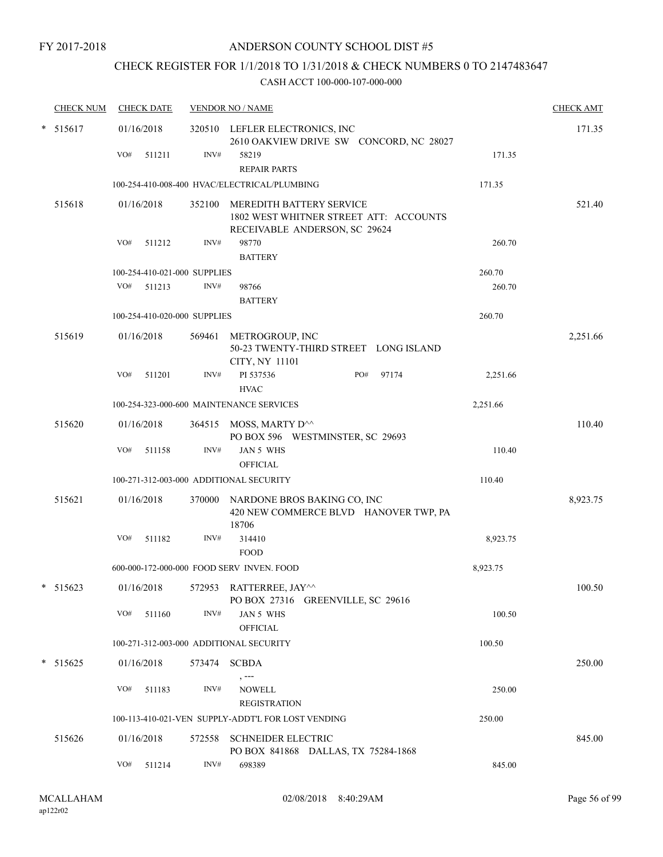## CHECK REGISTER FOR 1/1/2018 TO 1/31/2018 & CHECK NUMBERS 0 TO 2147483647

| <b>CHECK NUM</b> |     | <b>CHECK DATE</b>            |        | <b>VENDOR NO / NAME</b>                                                |                                         |          | <b>CHECK AMT</b> |
|------------------|-----|------------------------------|--------|------------------------------------------------------------------------|-----------------------------------------|----------|------------------|
| $* 515617$       |     | 01/16/2018                   |        | 320510 LEFLER ELECTRONICS, INC                                         | 2610 OAKVIEW DRIVE SW CONCORD, NC 28027 |          | 171.35           |
|                  | VO# | 511211                       | INV#   | 58219<br><b>REPAIR PARTS</b>                                           |                                         | 171.35   |                  |
|                  |     |                              |        | 100-254-410-008-400 HVAC/ELECTRICAL/PLUMBING                           |                                         | 171.35   |                  |
| 515618           |     | 01/16/2018                   | 352100 | MEREDITH BATTERY SERVICE<br>RECEIVABLE ANDERSON, SC 29624              | 1802 WEST WHITNER STREET ATT: ACCOUNTS  |          | 521.40           |
|                  | VO# | 511212                       | INV#   | 98770<br><b>BATTERY</b>                                                |                                         | 260.70   |                  |
|                  |     | 100-254-410-021-000 SUPPLIES |        |                                                                        |                                         | 260.70   |                  |
|                  |     | VO# 511213                   | INV#   | 98766                                                                  |                                         | 260.70   |                  |
|                  |     |                              |        | <b>BATTERY</b>                                                         |                                         |          |                  |
|                  |     | 100-254-410-020-000 SUPPLIES |        |                                                                        |                                         | 260.70   |                  |
| 515619           |     | 01/16/2018                   |        | 569461 METROGROUP, INC<br>CITY, NY 11101                               | 50-23 TWENTY-THIRD STREET LONG ISLAND   |          | 2,251.66         |
|                  | VO# | 511201                       | INV#   | PI 537536<br><b>HVAC</b>                                               | PO#<br>97174                            | 2,251.66 |                  |
|                  |     |                              |        | 100-254-323-000-600 MAINTENANCE SERVICES                               |                                         | 2,251.66 |                  |
| 515620           |     | 01/16/2018                   |        | 364515 MOSS, MARTY D <sup>^^</sup><br>PO BOX 596 WESTMINSTER, SC 29693 |                                         |          | 110.40           |
|                  |     | VO# 511158                   | INV#   | JAN 5 WHS<br><b>OFFICIAL</b>                                           |                                         | 110.40   |                  |
|                  |     |                              |        | 100-271-312-003-000 ADDITIONAL SECURITY                                |                                         | 110.40   |                  |
| 515621           |     | 01/16/2018                   |        | 370000 NARDONE BROS BAKING CO, INC<br>18706                            | 420 NEW COMMERCE BLVD HANOVER TWP, PA   |          | 8,923.75         |
|                  | VO# | 511182                       | INV#   | 314410<br><b>FOOD</b>                                                  |                                         | 8,923.75 |                  |
|                  |     |                              |        | 600-000-172-000-000 FOOD SERV INVEN. FOOD                              |                                         | 8,923.75 |                  |
| $* 515623$       |     | 01/16/2018                   |        | 572953 RATTERREE, JAY^^                                                | PO BOX 27316 GREENVILLE, SC 29616       |          | 100.50           |
|                  |     | VO# 511160                   | INV#   | JAN 5 WHS<br><b>OFFICIAL</b>                                           |                                         | 100.50   |                  |
|                  |     |                              |        | 100-271-312-003-000 ADDITIONAL SECURITY                                |                                         | 100.50   |                  |
| $*$ 515625       |     | 01/16/2018                   |        | 573474 SCBDA                                                           |                                         |          | 250.00           |
|                  | VO# | 511183                       | INV#   | , ---<br><b>NOWELL</b><br><b>REGISTRATION</b>                          |                                         | 250.00   |                  |
|                  |     |                              |        | 100-113-410-021-VEN SUPPLY-ADDT'L FOR LOST VENDING                     |                                         | 250.00   |                  |
| 515626           |     | 01/16/2018                   |        | 572558 SCHNEIDER ELECTRIC                                              | PO BOX 841868 DALLAS, TX 75284-1868     |          | 845.00           |
|                  |     | VO# 511214                   | INV#   | 698389                                                                 |                                         | 845.00   |                  |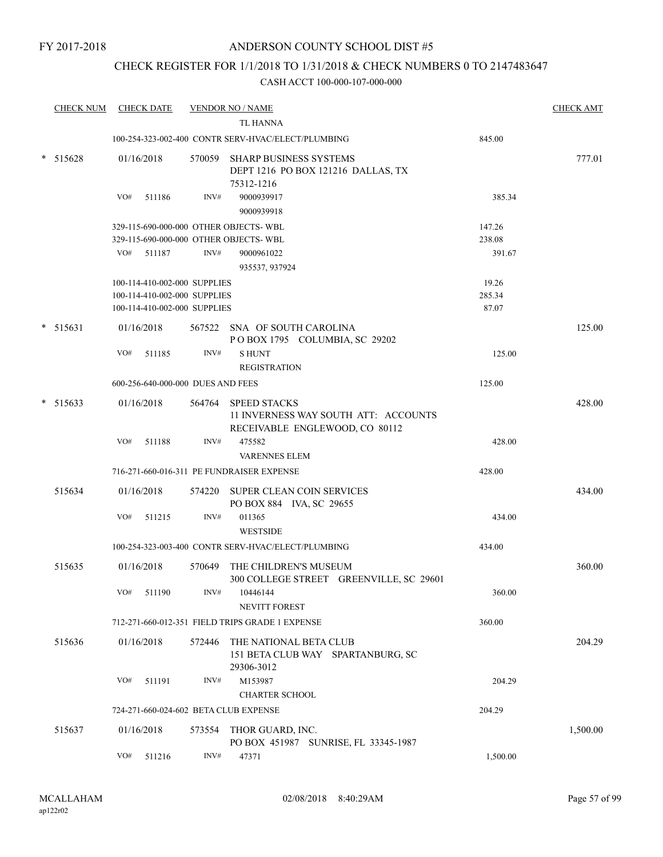## CHECK REGISTER FOR 1/1/2018 TO 1/31/2018 & CHECK NUMBERS 0 TO 2147483647

| <b>CHECK NUM</b> |     | <b>CHECK DATE</b>                 |        | <b>VENDOR NO / NAME</b>                                                                       |                  | <b>CHECK AMT</b> |
|------------------|-----|-----------------------------------|--------|-----------------------------------------------------------------------------------------------|------------------|------------------|
|                  |     |                                   |        | <b>TL HANNA</b>                                                                               |                  |                  |
|                  |     |                                   |        | 100-254-323-002-400 CONTR SERV-HVAC/ELECT/PLUMBING                                            | 845.00           |                  |
| * 515628         |     | 01/16/2018                        |        | 570059 SHARP BUSINESS SYSTEMS<br>DEPT 1216 PO BOX 121216 DALLAS, TX<br>75312-1216             |                  | 777.01           |
|                  | VO# | 511186                            | INV#   | 9000939917<br>9000939918                                                                      | 385.34           |                  |
|                  |     |                                   |        | 329-115-690-000-000 OTHER OBJECTS- WBL<br>329-115-690-000-000 OTHER OBJECTS- WBL              | 147.26<br>238.08 |                  |
|                  | VO# | 511187                            | INV#   | 9000961022                                                                                    | 391.67           |                  |
|                  |     |                                   |        | 935537, 937924                                                                                |                  |                  |
|                  |     | 100-114-410-002-000 SUPPLIES      |        |                                                                                               | 19.26            |                  |
|                  |     | 100-114-410-002-000 SUPPLIES      |        |                                                                                               | 285.34           |                  |
|                  |     | 100-114-410-002-000 SUPPLIES      |        |                                                                                               | 87.07            |                  |
| $* 515631$       |     | 01/16/2018                        |        | 567522 SNA OF SOUTH CAROLINA<br>POBOX 1795 COLUMBIA, SC 29202                                 |                  | 125.00           |
|                  | VO# | 511185                            | INV#   | <b>SHUNT</b>                                                                                  | 125.00           |                  |
|                  |     |                                   |        | <b>REGISTRATION</b>                                                                           |                  |                  |
|                  |     | 600-256-640-000-000 DUES AND FEES |        |                                                                                               | 125.00           |                  |
| $* 515633$       |     | 01/16/2018                        |        | 564764 SPEED STACKS<br>11 INVERNESS WAY SOUTH ATT: ACCOUNTS<br>RECEIVABLE ENGLEWOOD, CO 80112 |                  | 428.00           |
|                  | VO# | 511188                            | INV#   | 475582<br><b>VARENNES ELEM</b>                                                                | 428.00           |                  |
|                  |     |                                   |        | 716-271-660-016-311 PE FUNDRAISER EXPENSE                                                     | 428.00           |                  |
| 515634           |     | 01/16/2018                        | 574220 | <b>SUPER CLEAN COIN SERVICES</b><br>PO BOX 884 IVA, SC 29655                                  |                  | 434.00           |
|                  | VO# | 511215                            | INV#   | 011365                                                                                        | 434.00           |                  |
|                  |     |                                   |        | <b>WESTSIDE</b>                                                                               |                  |                  |
|                  |     |                                   |        | 100-254-323-003-400 CONTR SERV-HVAC/ELECT/PLUMBING                                            | 434.00           |                  |
| 515635           |     | 01/16/2018                        | 570649 | THE CHILDREN'S MUSEUM<br>300 COLLEGE STREET GREENVILLE, SC 29601                              |                  | 360.00           |
|                  | VO# | 511190                            | INV#   | 10446144<br><b>NEVITT FOREST</b>                                                              | 360.00           |                  |
|                  |     |                                   |        | 712-271-660-012-351 FIELD TRIPS GRADE 1 EXPENSE                                               | 360.00           |                  |
| 515636           |     | 01/16/2018                        | 572446 | THE NATIONAL BETA CLUB<br>151 BETA CLUB WAY SPARTANBURG, SC<br>29306-3012                     |                  | 204.29           |
|                  | VO# | 511191                            | INV#   | M153987                                                                                       | 204.29           |                  |
|                  |     |                                   |        | <b>CHARTER SCHOOL</b>                                                                         |                  |                  |
|                  |     |                                   |        | 724-271-660-024-602 BETA CLUB EXPENSE                                                         | 204.29           |                  |
| 515637           |     | 01/16/2018                        | 573554 | THOR GUARD, INC.<br>PO BOX 451987 SUNRISE, FL 33345-1987                                      |                  | 1,500.00         |
|                  | VO# | 511216                            | INV#   | 47371                                                                                         | 1,500.00         |                  |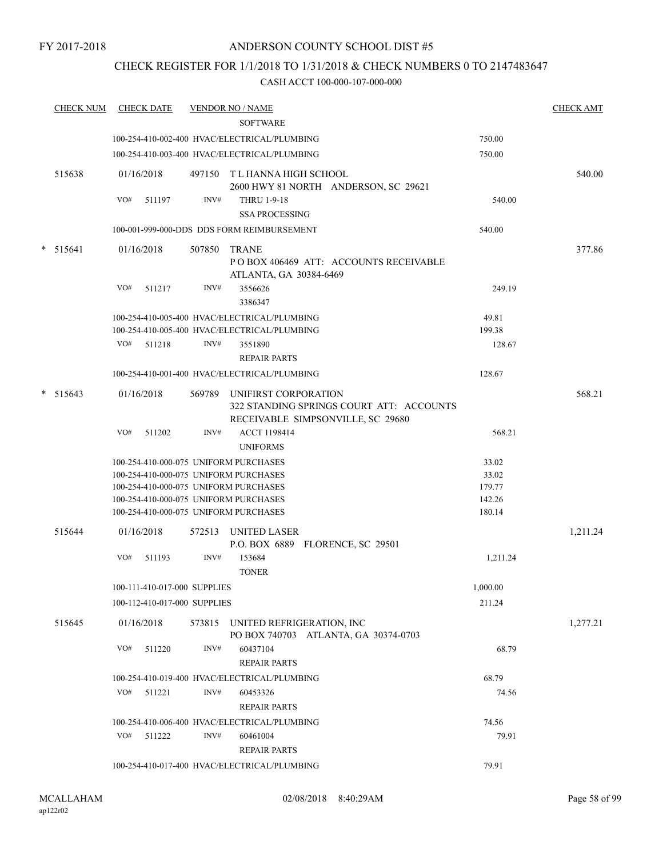## CHECK REGISTER FOR 1/1/2018 TO 1/31/2018 & CHECK NUMBERS 0 TO 2147483647

| <b>CHECK NUM</b> |     | <b>CHECK DATE</b>            |        | <b>VENDOR NO / NAME</b>                                                                                      |          | <b>CHECK AMT</b> |
|------------------|-----|------------------------------|--------|--------------------------------------------------------------------------------------------------------------|----------|------------------|
|                  |     |                              |        | <b>SOFTWARE</b>                                                                                              |          |                  |
|                  |     |                              |        | 100-254-410-002-400 HVAC/ELECTRICAL/PLUMBING                                                                 | 750.00   |                  |
|                  |     |                              |        | 100-254-410-003-400 HVAC/ELECTRICAL/PLUMBING                                                                 | 750.00   |                  |
| 515638           |     | 01/16/2018                   |        | 497150 T L HANNA HIGH SCHOOL<br>2600 HWY 81 NORTH ANDERSON, SC 29621                                         |          | 540.00           |
|                  | VO# | 511197                       | INV#   | <b>THRU 1-9-18</b><br><b>SSA PROCESSING</b>                                                                  | 540.00   |                  |
|                  |     |                              |        | 100-001-999-000-DDS DDS FORM REIMBURSEMENT                                                                   | 540.00   |                  |
| * 515641         |     | 01/16/2018                   | 507850 | TRANE<br>PO BOX 406469 ATT: ACCOUNTS RECEIVABLE<br>ATLANTA, GA 30384-6469                                    |          | 377.86           |
|                  | VO# | 511217                       | INV#   | 3556626<br>3386347                                                                                           | 249.19   |                  |
|                  |     |                              |        | 100-254-410-005-400 HVAC/ELECTRICAL/PLUMBING                                                                 | 49.81    |                  |
|                  |     |                              |        | 100-254-410-005-400 HVAC/ELECTRICAL/PLUMBING                                                                 | 199.38   |                  |
|                  |     | VO# 511218                   | INV#   | 3551890<br><b>REPAIR PARTS</b>                                                                               | 128.67   |                  |
|                  |     |                              |        | 100-254-410-001-400 HVAC/ELECTRICAL/PLUMBING                                                                 | 128.67   |                  |
| $*$ 515643       |     | 01/16/2018                   |        | 569789 UNIFIRST CORPORATION<br>322 STANDING SPRINGS COURT ATT: ACCOUNTS<br>RECEIVABLE SIMPSONVILLE, SC 29680 |          | 568.21           |
|                  | VO# | 511202                       | INV#   | ACCT 1198414<br><b>UNIFORMS</b>                                                                              | 568.21   |                  |
|                  |     |                              |        | 100-254-410-000-075 UNIFORM PURCHASES                                                                        | 33.02    |                  |
|                  |     |                              |        | 100-254-410-000-075 UNIFORM PURCHASES                                                                        | 33.02    |                  |
|                  |     |                              |        | 100-254-410-000-075 UNIFORM PURCHASES                                                                        | 179.77   |                  |
|                  |     |                              |        | 100-254-410-000-075 UNIFORM PURCHASES                                                                        | 142.26   |                  |
|                  |     |                              |        | 100-254-410-000-075 UNIFORM PURCHASES                                                                        | 180.14   |                  |
| 515644           |     | 01/16/2018                   |        | 572513 UNITED LASER<br>P.O. BOX 6889 FLORENCE, SC 29501                                                      |          | 1,211.24         |
|                  | VO# | 511193                       | INV#   | 153684                                                                                                       | 1,211.24 |                  |
|                  |     |                              |        | <b>TONER</b>                                                                                                 |          |                  |
|                  |     | 100-111-410-017-000 SUPPLIES |        |                                                                                                              | 1,000.00 |                  |
|                  |     | 100-112-410-017-000 SUPPLIES |        |                                                                                                              | 211.24   |                  |
| 515645           |     | 01/16/2018                   | 573815 | UNITED REFRIGERATION, INC<br>PO BOX 740703 ATLANTA, GA 30374-0703                                            |          | 1,277.21         |
|                  | VO# | 511220                       | INV#   | 60437104<br><b>REPAIR PARTS</b>                                                                              | 68.79    |                  |
|                  |     |                              |        | 100-254-410-019-400 HVAC/ELECTRICAL/PLUMBING                                                                 | 68.79    |                  |
|                  | VO# | 511221                       | INV#   | 60453326<br><b>REPAIR PARTS</b>                                                                              | 74.56    |                  |
|                  |     |                              |        | 100-254-410-006-400 HVAC/ELECTRICAL/PLUMBING                                                                 | 74.56    |                  |
|                  |     | VO# 511222                   | INV#   | 60461004<br><b>REPAIR PARTS</b>                                                                              | 79.91    |                  |
|                  |     |                              |        | 100-254-410-017-400 HVAC/ELECTRICAL/PLUMBING                                                                 | 79.91    |                  |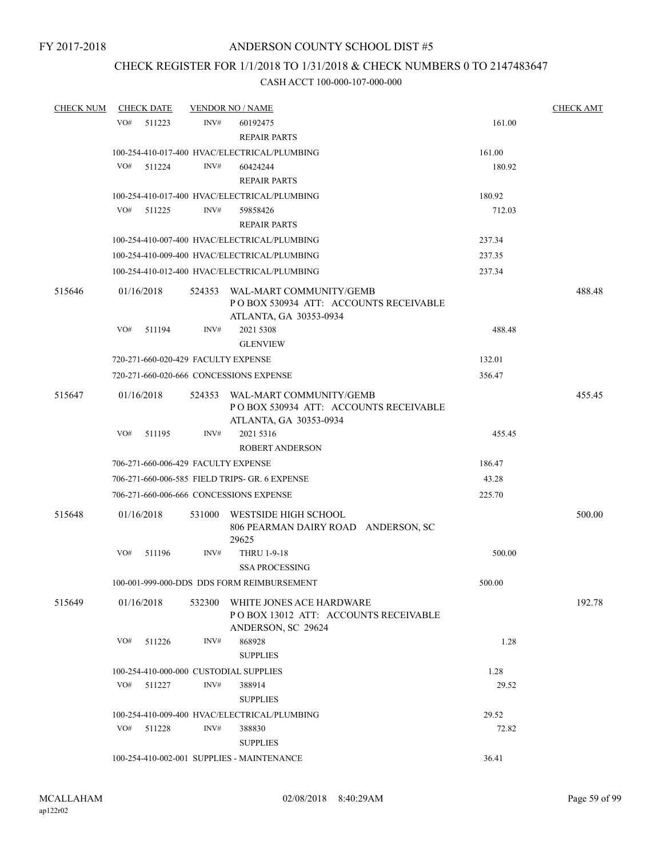## CHECK REGISTER FOR 1/1/2018 TO 1/31/2018 & CHECK NUMBERS 0 TO 2147483647

| <b>CHECK NUM</b> | <b>CHECK DATE</b>                       |        | <b>VENDOR NO / NAME</b>                                                                           |        | <b>CHECK AMT</b> |
|------------------|-----------------------------------------|--------|---------------------------------------------------------------------------------------------------|--------|------------------|
|                  | VO#<br>511223                           | INV#   | 60192475<br><b>REPAIR PARTS</b>                                                                   | 161.00 |                  |
|                  |                                         |        | 100-254-410-017-400 HVAC/ELECTRICAL/PLUMBING                                                      | 161.00 |                  |
|                  | VO#<br>511224                           | INV#   | 60424244<br><b>REPAIR PARTS</b>                                                                   | 180.92 |                  |
|                  |                                         |        | 100-254-410-017-400 HVAC/ELECTRICAL/PLUMBING                                                      | 180.92 |                  |
|                  | VO# 511225                              | INV#   | 59858426                                                                                          | 712.03 |                  |
|                  |                                         |        | <b>REPAIR PARTS</b>                                                                               |        |                  |
|                  |                                         |        | 100-254-410-007-400 HVAC/ELECTRICAL/PLUMBING                                                      | 237.34 |                  |
|                  |                                         |        | 100-254-410-009-400 HVAC/ELECTRICAL/PLUMBING                                                      | 237.35 |                  |
|                  |                                         |        | 100-254-410-012-400 HVAC/ELECTRICAL/PLUMBING                                                      | 237.34 |                  |
| 515646           | 01/16/2018                              |        | 524353 WAL-MART COMMUNITY/GEMB<br>POBOX 530934 ATT: ACCOUNTS RECEIVABLE<br>ATLANTA, GA 30353-0934 |        | 488.48           |
|                  | VO#<br>511194                           | INV#   | 2021 5308<br><b>GLENVIEW</b>                                                                      | 488.48 |                  |
|                  | 720-271-660-020-429 FACULTY EXPENSE     |        |                                                                                                   | 132.01 |                  |
|                  |                                         |        | 720-271-660-020-666 CONCESSIONS EXPENSE                                                           | 356.47 |                  |
| 515647           | 01/16/2018                              |        | 524353 WAL-MART COMMUNITY/GEMB<br>POBOX 530934 ATT: ACCOUNTS RECEIVABLE<br>ATLANTA, GA 30353-0934 |        | 455.45           |
|                  | VO#<br>511195                           | INV#   | 2021 5316<br><b>ROBERT ANDERSON</b>                                                               | 455.45 |                  |
|                  | 706-271-660-006-429 FACULTY EXPENSE     |        |                                                                                                   | 186.47 |                  |
|                  |                                         |        | 706-271-660-006-585 FIELD TRIPS- GR. 6 EXPENSE                                                    | 43.28  |                  |
|                  | 706-271-660-006-666 CONCESSIONS EXPENSE |        | 225.70                                                                                            |        |                  |
| 515648           | 01/16/2018                              | 531000 | WESTSIDE HIGH SCHOOL<br>806 PEARMAN DAIRY ROAD ANDERSON, SC<br>29625                              |        | 500.00           |
|                  | VO#<br>511196                           | INV#   | THRU 1-9-18<br><b>SSA PROCESSING</b>                                                              | 500.00 |                  |
|                  |                                         |        | 100-001-999-000-DDS DDS FORM REIMBURSEMENT                                                        | 500.00 |                  |
| 515649           | 01/16/2018                              | 532300 | WHITE JONES ACE HARDWARE<br>POBOX 13012 ATT: ACCOUNTS RECEIVABLE<br>ANDERSON, SC 29624            |        | 192.78           |
|                  | VO#<br>511226                           | INV#   | 868928<br><b>SUPPLIES</b>                                                                         | 1.28   |                  |
|                  | 100-254-410-000-000 CUSTODIAL SUPPLIES  |        |                                                                                                   | 1.28   |                  |
|                  | VO#<br>511227                           | INV#   | 388914<br><b>SUPPLIES</b>                                                                         | 29.52  |                  |
|                  |                                         |        | 100-254-410-009-400 HVAC/ELECTRICAL/PLUMBING                                                      | 29.52  |                  |
|                  | VO#<br>511228                           | INV#   | 388830<br><b>SUPPLIES</b>                                                                         | 72.82  |                  |
|                  |                                         |        | 100-254-410-002-001 SUPPLIES - MAINTENANCE                                                        | 36.41  |                  |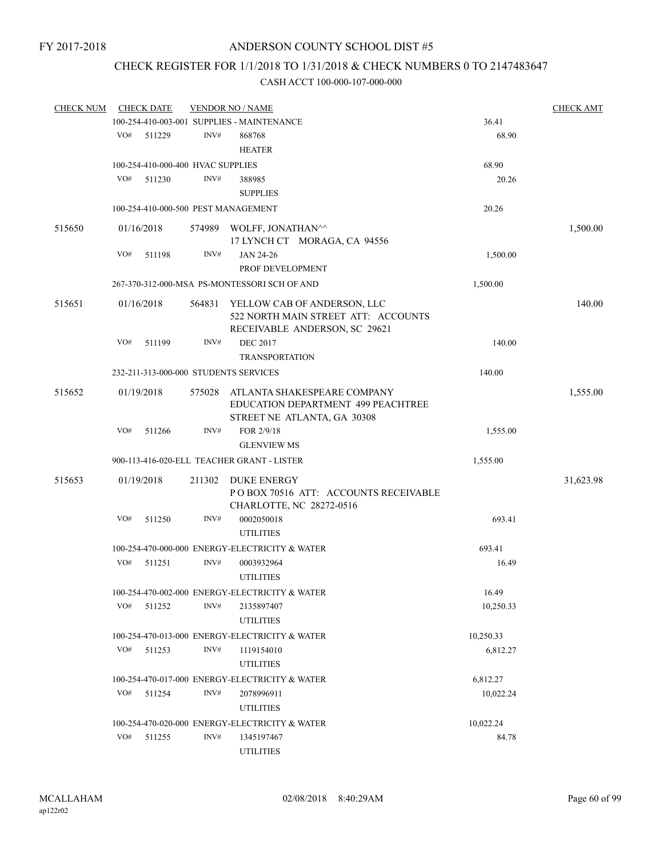## CHECK REGISTER FOR 1/1/2018 TO 1/31/2018 & CHECK NUMBERS 0 TO 2147483647

| <b>CHECK NUM</b> |     | <b>CHECK DATE</b>                           |        | <b>VENDOR NO / NAME</b>                                                                             |           | <b>CHECK AMT</b> |
|------------------|-----|---------------------------------------------|--------|-----------------------------------------------------------------------------------------------------|-----------|------------------|
|                  |     |                                             |        | 100-254-410-003-001 SUPPLIES - MAINTENANCE                                                          | 36.41     |                  |
|                  | VO# | 511229                                      | INV#   | 868768<br><b>HEATER</b>                                                                             | 68.90     |                  |
|                  |     |                                             |        |                                                                                                     | 68.90     |                  |
|                  | VO# | 100-254-410-000-400 HVAC SUPPLIES<br>511230 | INV#   | 388985                                                                                              | 20.26     |                  |
|                  |     |                                             |        | <b>SUPPLIES</b>                                                                                     |           |                  |
|                  |     |                                             |        |                                                                                                     |           |                  |
|                  |     |                                             |        | 100-254-410-000-500 PEST MANAGEMENT                                                                 | 20.26     |                  |
| 515650           |     | 01/16/2018                                  |        | 574989 WOLFF, JONATHAN^^<br>17 LYNCH CT MORAGA, CA 94556                                            |           | 1,500.00         |
|                  | VO# | 511198                                      | INV#   | JAN 24-26                                                                                           | 1,500.00  |                  |
|                  |     |                                             |        | PROF DEVELOPMENT                                                                                    |           |                  |
|                  |     |                                             |        | 267-370-312-000-MSA PS-MONTESSORI SCH OF AND                                                        | 1,500.00  |                  |
| 515651           |     | 01/16/2018                                  | 564831 | YELLOW CAB OF ANDERSON, LLC<br>522 NORTH MAIN STREET ATT: ACCOUNTS<br>RECEIVABLE ANDERSON, SC 29621 |           | 140.00           |
|                  | VO# | 511199                                      | INV#   | <b>DEC 2017</b><br><b>TRANSPORTATION</b>                                                            | 140.00    |                  |
|                  |     |                                             |        | 232-211-313-000-000 STUDENTS SERVICES                                                               | 140.00    |                  |
|                  |     |                                             |        |                                                                                                     |           |                  |
| 515652           |     | 01/19/2018                                  | 575028 | ATLANTA SHAKESPEARE COMPANY<br>EDUCATION DEPARTMENT 499 PEACHTREE<br>STREET NE ATLANTA, GA 30308    |           | 1,555.00         |
|                  | VO# | 511266                                      | INV#   | FOR 2/9/18                                                                                          | 1,555.00  |                  |
|                  |     |                                             |        | <b>GLENVIEW MS</b>                                                                                  |           |                  |
|                  |     |                                             |        | 900-113-416-020-ELL TEACHER GRANT - LISTER                                                          | 1,555.00  |                  |
|                  |     |                                             |        |                                                                                                     |           |                  |
| 515653           |     | 01/19/2018                                  | 211302 | DUKE ENERGY<br>PO BOX 70516 ATT: ACCOUNTS RECEIVABLE<br>CHARLOTTE, NC 28272-0516                    |           | 31,623.98        |
|                  | VO# | 511250                                      | INV#   | 0002050018<br><b>UTILITIES</b>                                                                      | 693.41    |                  |
|                  |     |                                             |        | 100-254-470-000-000 ENERGY-ELECTRICITY & WATER                                                      | 693.41    |                  |
|                  | VO# | 511251                                      | INV#   | 0003932964<br><b>UTILITIES</b>                                                                      | 16.49     |                  |
|                  |     |                                             |        | 100-254-470-002-000 ENERGY-ELECTRICITY & WATER                                                      | 16.49     |                  |
|                  | VO# | 511252                                      | INV#   | 2135897407                                                                                          | 10,250.33 |                  |
|                  |     |                                             |        | <b>UTILITIES</b>                                                                                    |           |                  |
|                  |     |                                             |        | 100-254-470-013-000 ENERGY-ELECTRICITY & WATER                                                      | 10,250.33 |                  |
|                  | VO# | 511253                                      | INV#   | 1119154010                                                                                          | 6,812.27  |                  |
|                  |     |                                             |        | <b>UTILITIES</b>                                                                                    |           |                  |
|                  |     |                                             |        | 100-254-470-017-000 ENERGY-ELECTRICITY & WATER                                                      | 6,812.27  |                  |
|                  | VO# | 511254                                      | INV#   | 2078996911                                                                                          | 10,022.24 |                  |
|                  |     |                                             |        | <b>UTILITIES</b>                                                                                    |           |                  |
|                  |     |                                             |        | 100-254-470-020-000 ENERGY-ELECTRICITY & WATER                                                      | 10,022.24 |                  |
|                  | VO# | 511255                                      | INV#   | 1345197467                                                                                          | 84.78     |                  |
|                  |     |                                             |        | <b>UTILITIES</b>                                                                                    |           |                  |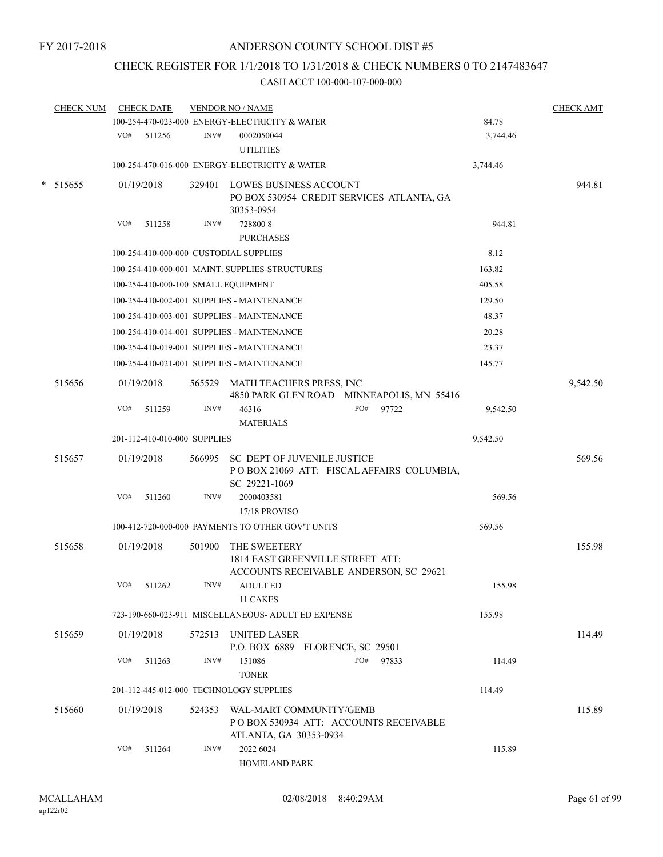## CHECK REGISTER FOR 1/1/2018 TO 1/31/2018 & CHECK NUMBERS 0 TO 2147483647

|   | <b>CHECK NUM</b> |     | <b>CHECK DATE</b>                   |        | <b>VENDOR NO / NAME</b>                                                                          |     |       |          | <b>CHECK AMT</b> |
|---|------------------|-----|-------------------------------------|--------|--------------------------------------------------------------------------------------------------|-----|-------|----------|------------------|
|   |                  |     |                                     |        | 100-254-470-023-000 ENERGY-ELECTRICITY & WATER                                                   |     |       | 84.78    |                  |
|   |                  |     | VO# 511256                          | INV#   | 0002050044<br><b>UTILITIES</b>                                                                   |     |       | 3,744.46 |                  |
|   |                  |     |                                     |        | 100-254-470-016-000 ENERGY-ELECTRICITY & WATER                                                   |     |       | 3,744.46 |                  |
| * | 515655           |     | 01/19/2018                          | 329401 | <b>LOWES BUSINESS ACCOUNT</b><br>PO BOX 530954 CREDIT SERVICES ATLANTA, GA<br>30353-0954         |     |       |          | 944.81           |
|   |                  | VO# | 511258                              | INV#   | 7288008<br><b>PURCHASES</b>                                                                      |     |       | 944.81   |                  |
|   |                  |     |                                     |        | 100-254-410-000-000 CUSTODIAL SUPPLIES                                                           |     |       | 8.12     |                  |
|   |                  |     |                                     |        | 100-254-410-000-001 MAINT. SUPPLIES-STRUCTURES                                                   |     |       | 163.82   |                  |
|   |                  |     | 100-254-410-000-100 SMALL EQUIPMENT |        |                                                                                                  |     |       | 405.58   |                  |
|   |                  |     |                                     |        | 100-254-410-002-001 SUPPLIES - MAINTENANCE                                                       |     |       | 129.50   |                  |
|   |                  |     |                                     |        | 100-254-410-003-001 SUPPLIES - MAINTENANCE                                                       |     |       | 48.37    |                  |
|   |                  |     |                                     |        | 100-254-410-014-001 SUPPLIES - MAINTENANCE                                                       |     |       | 20.28    |                  |
|   |                  |     |                                     |        | 100-254-410-019-001 SUPPLIES - MAINTENANCE                                                       |     |       | 23.37    |                  |
|   |                  |     |                                     |        | 100-254-410-021-001 SUPPLIES - MAINTENANCE                                                       |     |       | 145.77   |                  |
|   | 515656           |     | 01/19/2018                          |        | 565529 MATH TEACHERS PRESS, INC<br>4850 PARK GLEN ROAD MINNEAPOLIS, MN 55416                     |     |       |          | 9,542.50         |
|   |                  | VO# | 511259                              | INV#   | 46316<br><b>MATERIALS</b>                                                                        | PO# | 97722 | 9,542.50 |                  |
|   |                  |     | 201-112-410-010-000 SUPPLIES        |        |                                                                                                  |     |       | 9,542.50 |                  |
|   | 515657           |     | 01/19/2018                          | 566995 | <b>SC DEPT OF JUVENILE JUSTICE</b><br>POBOX 21069 ATT: FISCAL AFFAIRS COLUMBIA,<br>SC 29221-1069 |     |       |          | 569.56           |
|   |                  | VO# | 511260                              | INV#   | 2000403581<br>17/18 PROVISO                                                                      |     |       | 569.56   |                  |
|   |                  |     |                                     |        | 100-412-720-000-000 PAYMENTS TO OTHER GOV'T UNITS                                                |     |       | 569.56   |                  |
|   | 515658           |     | 01/19/2018                          | 501900 | THE SWEETERY<br>1814 EAST GREENVILLE STREET ATT:<br>ACCOUNTS RECEIVABLE ANDERSON, SC 29621       |     |       |          | 155.98           |
|   |                  | VO# | 511262                              | INV#   | <b>ADULT ED</b><br>11 CAKES                                                                      |     |       | 155.98   |                  |
|   |                  |     |                                     |        | 723-190-660-023-911 MISCELLANEOUS- ADULT ED EXPENSE                                              |     |       | 155.98   |                  |
|   | 515659           |     | 01/19/2018                          | 572513 | UNITED LASER<br>P.O. BOX 6889 FLORENCE, SC 29501                                                 |     |       |          | 114.49           |
|   |                  | VO# | 511263                              | INV#   | 151086<br><b>TONER</b>                                                                           | PO# | 97833 | 114.49   |                  |
|   |                  |     |                                     |        | 201-112-445-012-000 TECHNOLOGY SUPPLIES                                                          |     |       | 114.49   |                  |
|   | 515660           |     | 01/19/2018                          | 524353 | WAL-MART COMMUNITY/GEMB<br>PO BOX 530934 ATT: ACCOUNTS RECEIVABLE<br>ATLANTA, GA 30353-0934      |     |       |          | 115.89           |
|   |                  | VO# | 511264                              | INV#   | 2022 6024<br><b>HOMELAND PARK</b>                                                                |     |       | 115.89   |                  |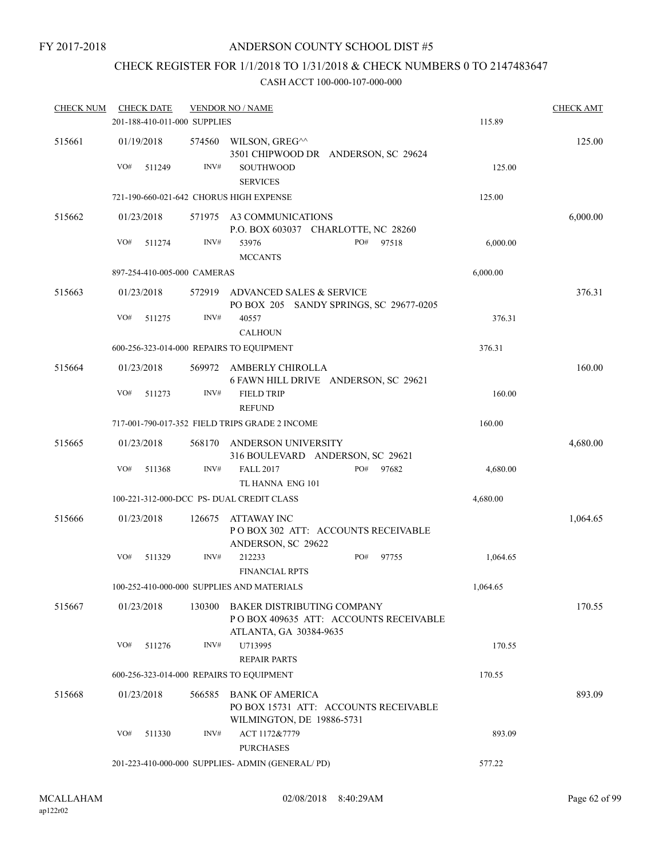## CHECK REGISTER FOR 1/1/2018 TO 1/31/2018 & CHECK NUMBERS 0 TO 2147483647

| <b>CHECK NUM</b> | <b>CHECK DATE</b>                        |        | <b>VENDOR NO / NAME</b>                                                                        |          | <b>CHECK AMT</b> |
|------------------|------------------------------------------|--------|------------------------------------------------------------------------------------------------|----------|------------------|
|                  | 201-188-410-011-000 SUPPLIES             |        |                                                                                                | 115.89   |                  |
| 515661           | 01/19/2018                               | 574560 | WILSON, GREG^^<br>3501 CHIPWOOD DR ANDERSON, SC 29624                                          |          | 125.00           |
|                  | VO#<br>511249                            | INV#   | <b>SOUTHWOOD</b><br><b>SERVICES</b>                                                            | 125.00   |                  |
|                  | 721-190-660-021-642 CHORUS HIGH EXPENSE  |        |                                                                                                | 125.00   |                  |
| 515662           | 01/23/2018                               | 571975 | A3 COMMUNICATIONS<br>P.O. BOX 603037 CHARLOTTE, NC 28260                                       |          | 6,000.00         |
|                  | VO#<br>511274                            | INV#   | 53976<br>PO# 97518<br><b>MCCANTS</b>                                                           | 6,000.00 |                  |
|                  | 897-254-410-005-000 CAMERAS              |        |                                                                                                | 6,000.00 |                  |
| 515663           | 01/23/2018                               | 572919 | ADVANCED SALES & SERVICE<br>PO BOX 205 SANDY SPRINGS, SC 29677-0205                            |          | 376.31           |
|                  | VO#<br>511275                            | INV#   | 40557<br><b>CALHOUN</b>                                                                        | 376.31   |                  |
|                  | 600-256-323-014-000 REPAIRS TO EQUIPMENT |        |                                                                                                | 376.31   |                  |
| 515664           | 01/23/2018                               | 569972 | AMBERLY CHIROLLA<br>6 FAWN HILL DRIVE ANDERSON, SC 29621                                       |          | 160.00           |
|                  | VO#<br>511273                            | INV#   | <b>FIELD TRIP</b><br><b>REFUND</b>                                                             | 160.00   |                  |
|                  |                                          |        | 717-001-790-017-352 FIELD TRIPS GRADE 2 INCOME                                                 | 160.00   |                  |
| 515665           | 01/23/2018                               | 568170 | ANDERSON UNIVERSITY<br>316 BOULEVARD ANDERSON, SC 29621                                        |          | 4,680.00         |
|                  | VO#<br>511368                            | INV#   | <b>FALL 2017</b><br>PO#<br>97682<br>TL HANNA ENG 101                                           | 4,680.00 |                  |
|                  |                                          |        | 100-221-312-000-DCC PS- DUAL CREDIT CLASS                                                      | 4,680.00 |                  |
| 515666           | 01/23/2018                               | 126675 | ATTAWAY INC<br>POBOX 302 ATT: ACCOUNTS RECEIVABLE<br>ANDERSON, SC 29622                        |          | 1,064.65         |
|                  | VO#<br>511329                            | INV#   | 212233<br>PO#<br>97755<br><b>FINANCIAL RPTS</b>                                                | 1,064.65 |                  |
|                  |                                          |        | 100-252-410-000-000 SUPPLIES AND MATERIALS                                                     | 1,064.65 |                  |
| 515667           | 01/23/2018                               | 130300 | BAKER DISTRIBUTING COMPANY<br>PO BOX 409635 ATT: ACCOUNTS RECEIVABLE<br>ATLANTA, GA 30384-9635 |          | 170.55           |
|                  | VO#<br>511276                            | INV#   | U713995<br><b>REPAIR PARTS</b>                                                                 | 170.55   |                  |
|                  | 600-256-323-014-000 REPAIRS TO EQUIPMENT |        |                                                                                                | 170.55   |                  |
| 515668           | 01/23/2018                               | 566585 | BANK OF AMERICA<br>PO BOX 15731 ATT: ACCOUNTS RECEIVABLE<br>WILMINGTON, DE 19886-5731          |          | 893.09           |
|                  | VO#<br>511330                            | INV#   | ACT 1172&7779<br><b>PURCHASES</b>                                                              | 893.09   |                  |
|                  |                                          |        | 201-223-410-000-000 SUPPLIES- ADMIN (GENERAL/PD)                                               | 577.22   |                  |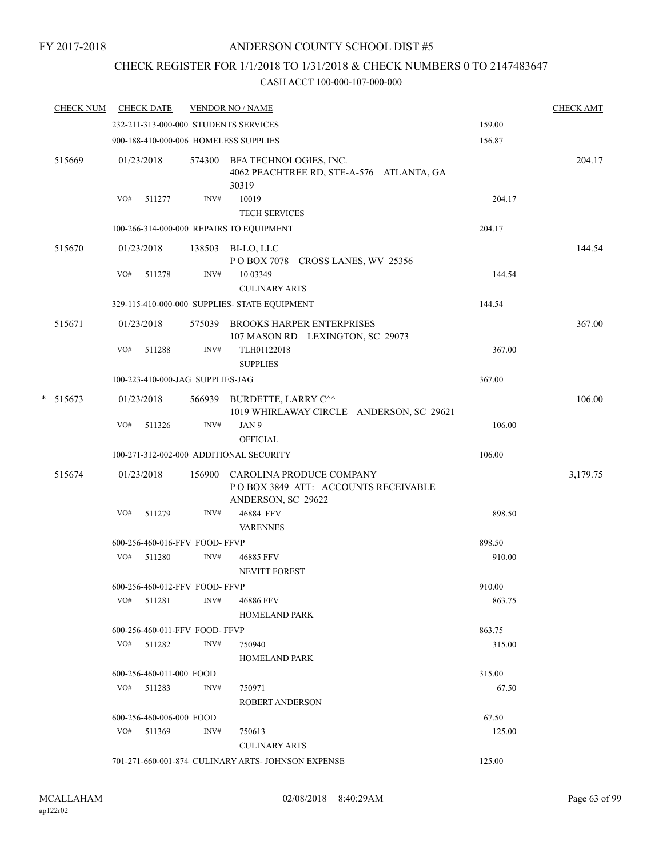## CHECK REGISTER FOR 1/1/2018 TO 1/31/2018 & CHECK NUMBERS 0 TO 2147483647

|   | <b>CHECK NUM</b> |     | <b>CHECK DATE</b>                |        | <b>VENDOR NO / NAME</b>                                                               |        | <b>CHECK AMT</b> |
|---|------------------|-----|----------------------------------|--------|---------------------------------------------------------------------------------------|--------|------------------|
|   |                  |     |                                  |        | 232-211-313-000-000 STUDENTS SERVICES                                                 | 159.00 |                  |
|   |                  |     |                                  |        | 900-188-410-000-006 HOMELESS SUPPLIES                                                 | 156.87 |                  |
|   | 515669           |     | 01/23/2018                       |        | 574300 BFA TECHNOLOGIES, INC.<br>4062 PEACHTREE RD, STE-A-576 ATLANTA, GA<br>30319    |        | 204.17           |
|   |                  | VO# | 511277                           | INV#   | 10019<br><b>TECH SERVICES</b>                                                         | 204.17 |                  |
|   |                  |     |                                  |        | 100-266-314-000-000 REPAIRS TO EQUIPMENT                                              | 204.17 |                  |
|   | 515670           |     | 01/23/2018                       |        | 138503 BI-LO, LLC<br>POBOX 7078 CROSS LANES, WV 25356                                 |        | 144.54           |
|   |                  | VO# | 511278                           | INV#   | 10 03349<br><b>CULINARY ARTS</b>                                                      | 144.54 |                  |
|   |                  |     |                                  |        | 329-115-410-000-000 SUPPLIES- STATE EQUIPMENT                                         | 144.54 |                  |
|   | 515671           |     | 01/23/2018                       |        | 575039 BROOKS HARPER ENTERPRISES<br>107 MASON RD LEXINGTON, SC 29073                  |        | 367.00           |
|   |                  | VO# | 511288                           | INV#   | TLH01122018<br><b>SUPPLIES</b>                                                        | 367.00 |                  |
|   |                  |     | 100-223-410-000-JAG SUPPLIES-JAG |        |                                                                                       | 367.00 |                  |
| * | 515673           |     | 01/23/2018                       |        | 566939 BURDETTE, LARRY C^^<br>1019 WHIRLAWAY CIRCLE ANDERSON, SC 29621                |        | 106.00           |
|   |                  | VO# | 511326                           | INV#   | JAN 9<br><b>OFFICIAL</b>                                                              | 106.00 |                  |
|   |                  |     |                                  |        | 100-271-312-002-000 ADDITIONAL SECURITY                                               | 106.00 |                  |
|   | 515674           |     | 01/23/2018                       | 156900 | CAROLINA PRODUCE COMPANY<br>POBOX 3849 ATT: ACCOUNTS RECEIVABLE<br>ANDERSON, SC 29622 |        | 3,179.75         |
|   |                  | VO# | 511279                           | INV#   | 46884 FFV<br><b>VARENNES</b>                                                          | 898.50 |                  |
|   |                  |     | 600-256-460-016-FFV FOOD-FFVP    |        |                                                                                       | 898.50 |                  |
|   |                  | VO# | 511280                           | INV#   | 46885 FFV<br><b>NEVITT FOREST</b>                                                     | 910.00 |                  |
|   |                  |     | 600-256-460-012-FFV FOOD- FFVP   |        |                                                                                       | 910.00 |                  |
|   |                  |     | $VO#$ 511281                     | INV#   | 46886 FFV<br>HOMELAND PARK                                                            | 863.75 |                  |
|   |                  |     | 600-256-460-011-FFV FOOD-FFVP    |        |                                                                                       | 863.75 |                  |
|   |                  |     | VO# 511282                       | INV#   | 750940<br><b>HOMELAND PARK</b>                                                        | 315.00 |                  |
|   |                  |     | 600-256-460-011-000 FOOD         |        |                                                                                       | 315.00 |                  |
|   |                  |     | VO# 511283                       | INV#   | 750971<br>ROBERT ANDERSON                                                             | 67.50  |                  |
|   |                  |     | 600-256-460-006-000 FOOD         |        |                                                                                       | 67.50  |                  |
|   |                  |     | $VO#$ 511369                     | INV#   | 750613<br><b>CULINARY ARTS</b>                                                        | 125.00 |                  |
|   |                  |     |                                  |        | 701-271-660-001-874 CULINARY ARTS- JOHNSON EXPENSE                                    | 125.00 |                  |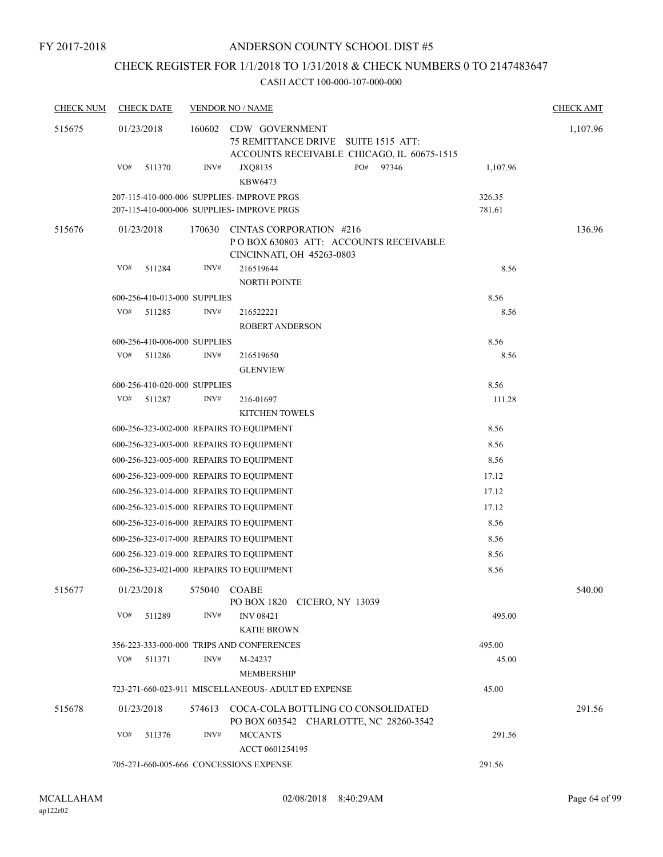## CHECK REGISTER FOR 1/1/2018 TO 1/31/2018 & CHECK NUMBERS 0 TO 2147483647

| <b>CHECK NUM</b> | <b>CHECK DATE</b>            | <b>VENDOR NO / NAME</b>                                                                                                 |                  | <b>CHECK AMT</b> |
|------------------|------------------------------|-------------------------------------------------------------------------------------------------------------------------|------------------|------------------|
| 515675           | 01/23/2018                   | 160602<br>CDW GOVERNMENT<br>75 REMITTANCE DRIVE<br><b>SUITE 1515 ATT:</b><br>ACCOUNTS RECEIVABLE CHICAGO, IL 60675-1515 |                  | 1,107.96         |
|                  | VO#<br>511370                | INV#<br>PO#<br>97346<br>JXQ8135<br>KBW6473                                                                              | 1,107.96         |                  |
|                  |                              | 207-115-410-000-006 SUPPLIES- IMPROVE PRGS<br>207-115-410-000-006 SUPPLIES- IMPROVE PRGS                                | 326.35<br>781.61 |                  |
| 515676           | 01/23/2018                   | 170630<br>CINTAS CORPORATION #216<br>POBOX 630803 ATT: ACCOUNTS RECEIVABLE<br>CINCINNATI, OH 45263-0803                 |                  | 136.96           |
|                  | VO#<br>511284                | INV#<br>216519644<br>NORTH POINTE                                                                                       | 8.56             |                  |
|                  | 600-256-410-013-000 SUPPLIES |                                                                                                                         | 8.56             |                  |
|                  | VO#<br>511285                | INV#<br>216522221<br><b>ROBERT ANDERSON</b>                                                                             | 8.56             |                  |
|                  | 600-256-410-006-000 SUPPLIES |                                                                                                                         | 8.56             |                  |
|                  | VO#<br>511286                | INV#<br>216519650<br><b>GLENVIEW</b>                                                                                    | 8.56             |                  |
|                  | 600-256-410-020-000 SUPPLIES |                                                                                                                         | 8.56             |                  |
|                  | VO#<br>511287                | INV#<br>216-01697<br><b>KITCHEN TOWELS</b>                                                                              | 111.28           |                  |
|                  |                              | 600-256-323-002-000 REPAIRS TO EQUIPMENT                                                                                | 8.56             |                  |
|                  |                              | 600-256-323-003-000 REPAIRS TO EQUIPMENT                                                                                | 8.56             |                  |
|                  |                              | 600-256-323-005-000 REPAIRS TO EQUIPMENT                                                                                | 8.56             |                  |
|                  |                              | 600-256-323-009-000 REPAIRS TO EQUIPMENT                                                                                | 17.12            |                  |
|                  |                              | 600-256-323-014-000 REPAIRS TO EQUIPMENT                                                                                | 17.12            |                  |
|                  |                              | 600-256-323-015-000 REPAIRS TO EQUIPMENT                                                                                | 17.12            |                  |
|                  |                              | 600-256-323-016-000 REPAIRS TO EQUIPMENT                                                                                | 8.56             |                  |
|                  |                              | 600-256-323-017-000 REPAIRS TO EQUIPMENT                                                                                | 8.56             |                  |
|                  |                              | 600-256-323-019-000 REPAIRS TO EQUIPMENT                                                                                | 8.56             |                  |
|                  |                              | 600-256-323-021-000 REPAIRS TO EQUIPMENT                                                                                | 8.56             |                  |
| 515677           |                              | 01/23/2018 575040 COABE<br>PO BOX 1820 CICERO, NY 13039                                                                 |                  | 540.00           |
|                  | VO#<br>511289                | INV#<br><b>INV 08421</b><br><b>KATIE BROWN</b>                                                                          | 495.00           |                  |
|                  |                              | 356-223-333-000-000 TRIPS AND CONFERENCES                                                                               | 495.00           |                  |
|                  | VO#<br>511371                | INV#<br>M-24237<br>MEMBERSHIP                                                                                           | 45.00            |                  |
|                  |                              | 723-271-660-023-911 MISCELLANEOUS- ADULT ED EXPENSE                                                                     | 45.00            |                  |
| 515678           | 01/23/2018                   | 574613 COCA-COLA BOTTLING CO CONSOLIDATED<br>PO BOX 603542 CHARLOTTE, NC 28260-3542                                     |                  | 291.56           |
|                  | VO#<br>511376                | INV#<br><b>MCCANTS</b><br>ACCT 0601254195                                                                               | 291.56           |                  |
|                  |                              | 705-271-660-005-666 CONCESSIONS EXPENSE                                                                                 | 291.56           |                  |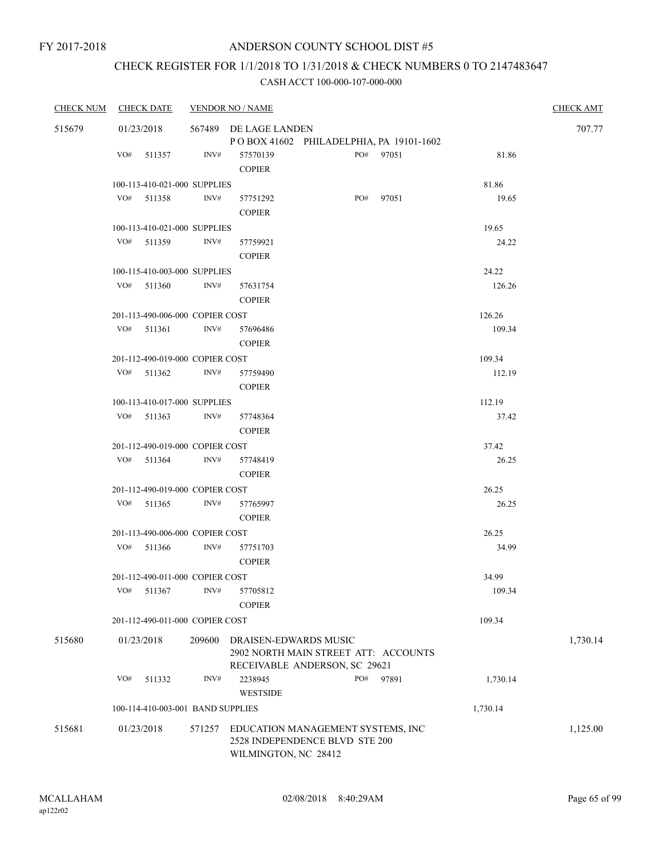## CHECK REGISTER FOR 1/1/2018 TO 1/31/2018 & CHECK NUMBERS 0 TO 2147483647

| <b>CHECK NUM</b> |            | <b>CHECK DATE</b>                 |        | <b>VENDOR NO / NAME</b>                                                                     |  |           |          | <b>CHECK AMT</b> |
|------------------|------------|-----------------------------------|--------|---------------------------------------------------------------------------------------------|--|-----------|----------|------------------|
| 515679           |            | 01/23/2018                        |        | 567489 DE LAGE LANDEN<br>POBOX 41602 PHILADELPHIA, PA 19101-1602                            |  |           |          | 707.77           |
|                  |            | VO# 511357                        | INV#   | 57570139                                                                                    |  | PO# 97051 | 81.86    |                  |
|                  |            |                                   |        | <b>COPIER</b>                                                                               |  |           |          |                  |
|                  |            |                                   |        |                                                                                             |  |           |          |                  |
|                  |            | 100-113-410-021-000 SUPPLIES      | INV#   |                                                                                             |  | PO# 97051 | 81.86    |                  |
|                  |            | $VO#$ 511358                      |        | 57751292<br><b>COPIER</b>                                                                   |  |           | 19.65    |                  |
|                  |            | 100-113-410-021-000 SUPPLIES      |        |                                                                                             |  |           | 19.65    |                  |
|                  | VO#        | 511359                            | INV#   | 57759921                                                                                    |  |           | 24.22    |                  |
|                  |            |                                   |        | <b>COPIER</b>                                                                               |  |           |          |                  |
|                  |            | 100-115-410-003-000 SUPPLIES      |        |                                                                                             |  |           | 24.22    |                  |
|                  | VO#        | 511360                            | INV#   | 57631754                                                                                    |  |           | 126.26   |                  |
|                  |            |                                   |        | <b>COPIER</b>                                                                               |  |           |          |                  |
|                  |            | 201-113-490-006-000 COPIER COST   |        |                                                                                             |  |           | 126.26   |                  |
|                  |            | VO# 511361                        | INV#   | 57696486                                                                                    |  |           | 109.34   |                  |
|                  |            |                                   |        | <b>COPIER</b>                                                                               |  |           |          |                  |
|                  |            | 201-112-490-019-000 COPIER COST   |        |                                                                                             |  |           | 109.34   |                  |
|                  |            | VO# 511362                        | INV#   | 57759490                                                                                    |  |           | 112.19   |                  |
|                  |            |                                   |        | <b>COPIER</b>                                                                               |  |           |          |                  |
|                  |            | 100-113-410-017-000 SUPPLIES      |        |                                                                                             |  |           | 112.19   |                  |
|                  |            | VO# 511363                        | INV#   | 57748364                                                                                    |  |           | 37.42    |                  |
|                  |            |                                   |        | <b>COPIER</b>                                                                               |  |           |          |                  |
|                  |            | 201-112-490-019-000 COPIER COST   |        |                                                                                             |  |           | 37.42    |                  |
|                  |            | VO# 511364                        | INV#   | 57748419                                                                                    |  |           | 26.25    |                  |
|                  |            |                                   |        | <b>COPIER</b>                                                                               |  |           |          |                  |
|                  |            | 201-112-490-019-000 COPIER COST   |        |                                                                                             |  |           | 26.25    |                  |
|                  |            | VO# 511365                        | INV#   | 57765997                                                                                    |  |           | 26.25    |                  |
|                  |            |                                   |        | <b>COPIER</b>                                                                               |  |           |          |                  |
|                  |            | 201-113-490-006-000 COPIER COST   |        |                                                                                             |  |           | 26.25    |                  |
|                  |            | VO# 511366                        | INV#   | 57751703                                                                                    |  |           | 34.99    |                  |
|                  |            |                                   |        | <b>COPIER</b>                                                                               |  |           |          |                  |
|                  |            | 201-112-490-011-000 COPIER COST   |        |                                                                                             |  |           | 34.99    |                  |
|                  | VO#        | 511367                            |        | INV# 57705812                                                                               |  |           | 109.34   |                  |
|                  |            |                                   |        | <b>COPIER</b>                                                                               |  |           |          |                  |
|                  |            | 201-112-490-011-000 COPIER COST   |        |                                                                                             |  |           | 109.34   |                  |
| 515680           | 01/23/2018 |                                   | 209600 | DRAISEN-EDWARDS MUSIC                                                                       |  |           |          | 1,730.14         |
|                  |            |                                   |        | 2902 NORTH MAIN STREET ATT: ACCOUNTS                                                        |  |           |          |                  |
|                  |            |                                   |        | RECEIVABLE ANDERSON, SC 29621                                                               |  |           |          |                  |
|                  | VO#        | 511332                            | INV#   | 2238945                                                                                     |  | PO# 97891 | 1,730.14 |                  |
|                  |            |                                   |        | <b>WESTSIDE</b>                                                                             |  |           |          |                  |
|                  |            | 100-114-410-003-001 BAND SUPPLIES |        |                                                                                             |  |           | 1,730.14 |                  |
| 515681           | 01/23/2018 |                                   | 571257 | EDUCATION MANAGEMENT SYSTEMS, INC<br>2528 INDEPENDENCE BLVD STE 200<br>WILMINGTON, NC 28412 |  |           |          | 1,125.00         |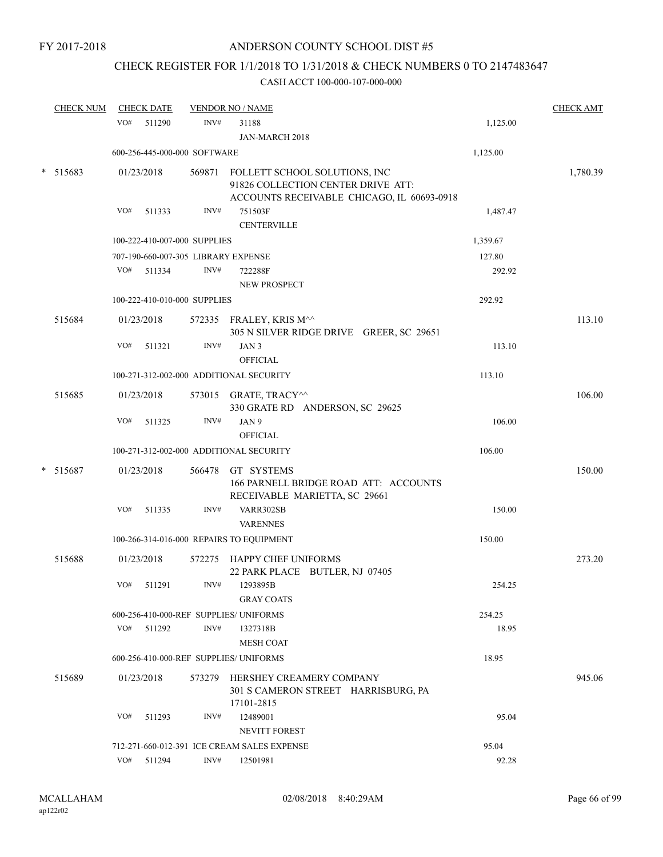## CHECK REGISTER FOR 1/1/2018 TO 1/31/2018 & CHECK NUMBERS 0 TO 2147483647

| <b>CHECK NUM</b> |     | <b>CHECK DATE</b> |                              | <b>VENDOR NO / NAME</b>                                                                                           |          | <b>CHECK AMT</b> |
|------------------|-----|-------------------|------------------------------|-------------------------------------------------------------------------------------------------------------------|----------|------------------|
|                  | VO# | 511290            | INV#                         | 31188                                                                                                             | 1,125.00 |                  |
|                  |     |                   |                              | JAN-MARCH 2018                                                                                                    |          |                  |
|                  |     |                   | 600-256-445-000-000 SOFTWARE |                                                                                                                   | 1,125.00 |                  |
| $* 515683$       |     | 01/23/2018        | 569871                       | FOLLETT SCHOOL SOLUTIONS, INC<br>91826 COLLECTION CENTER DRIVE ATT:<br>ACCOUNTS RECEIVABLE CHICAGO, IL 60693-0918 |          | 1,780.39         |
|                  | VO# | 511333            | INV#                         | 751503F<br><b>CENTERVILLE</b>                                                                                     | 1,487.47 |                  |
|                  |     |                   | 100-222-410-007-000 SUPPLIES |                                                                                                                   | 1,359.67 |                  |
|                  |     |                   |                              | 707-190-660-007-305 LIBRARY EXPENSE                                                                               | 127.80   |                  |
|                  | VO# | 511334            | INV#                         | 722288F<br><b>NEW PROSPECT</b>                                                                                    | 292.92   |                  |
|                  |     |                   | 100-222-410-010-000 SUPPLIES |                                                                                                                   | 292.92   |                  |
| 515684           |     | 01/23/2018        |                              | 572335 FRALEY, KRIS M^^<br>305 N SILVER RIDGE DRIVE GREER, SC 29651                                               |          | 113.10           |
|                  | VO# | 511321            | INV#                         | JAN <sub>3</sub><br><b>OFFICIAL</b>                                                                               | 113.10   |                  |
|                  |     |                   |                              | 100-271-312-002-000 ADDITIONAL SECURITY                                                                           | 113.10   |                  |
| 515685           |     | 01/23/2018        |                              | 573015 GRATE, TRACY <sup>^^</sup><br>330 GRATE RD ANDERSON, SC 29625                                              |          | 106.00           |
|                  | VO# | 511325            | INV#                         | JAN 9<br><b>OFFICIAL</b>                                                                                          | 106.00   |                  |
|                  |     |                   |                              | 100-271-312-002-000 ADDITIONAL SECURITY                                                                           | 106.00   |                  |
| $*$ 515687       |     | 01/23/2018        |                              | 566478 GT SYSTEMS<br>166 PARNELL BRIDGE ROAD ATT: ACCOUNTS<br>RECEIVABLE MARIETTA, SC 29661                       |          | 150.00           |
|                  | VO# | 511335            | INV#                         | VARR302SB<br><b>VARENNES</b>                                                                                      | 150.00   |                  |
|                  |     |                   |                              | 100-266-314-016-000 REPAIRS TO EQUIPMENT                                                                          | 150.00   |                  |
| 515688           |     | 01/23/2018        | 572275                       | HAPPY CHEF UNIFORMS<br>22 PARK PLACE BUTLER, NJ 07405                                                             |          | 273.20           |
|                  | VO# | 511291            | INV#                         | 1293895B<br><b>GRAY COATS</b>                                                                                     | 254.25   |                  |
|                  |     |                   |                              | 600-256-410-000-REF SUPPLIES/ UNIFORMS                                                                            | 254.25   |                  |
|                  | VO# | 511292            | INV#                         | 1327318B<br><b>MESH COAT</b>                                                                                      | 18.95    |                  |
|                  |     |                   |                              | 600-256-410-000-REF SUPPLIES/ UNIFORMS                                                                            | 18.95    |                  |
| 515689           |     | 01/23/2018        |                              | 573279 HERSHEY CREAMERY COMPANY<br>301 S CAMERON STREET HARRISBURG, PA<br>17101-2815                              |          | 945.06           |
|                  | VO# | 511293            | INV#                         | 12489001<br><b>NEVITT FOREST</b>                                                                                  | 95.04    |                  |
|                  |     |                   |                              | 712-271-660-012-391 ICE CREAM SALES EXPENSE                                                                       | 95.04    |                  |
|                  |     | VO# 511294        | INV#                         | 12501981                                                                                                          | 92.28    |                  |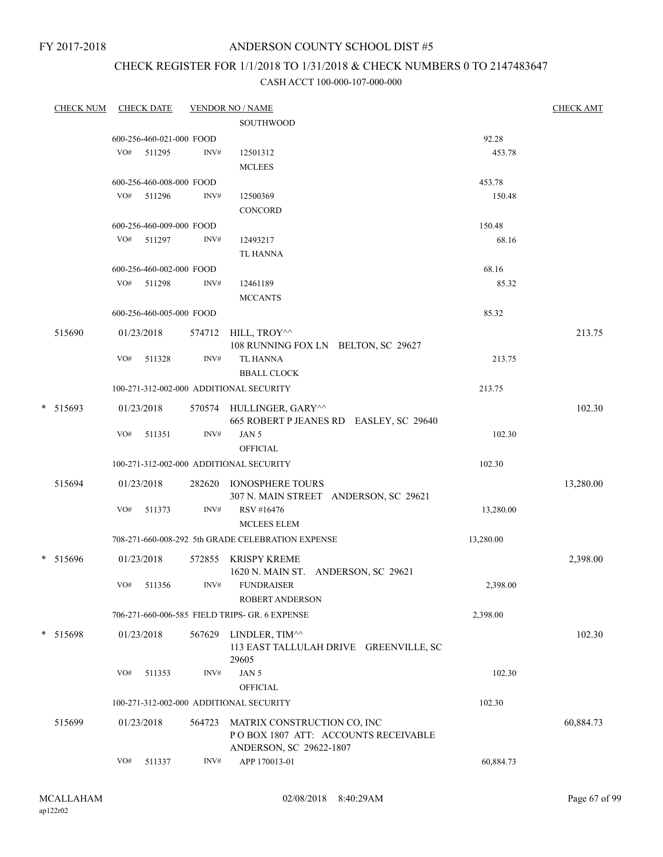## ANDERSON COUNTY SCHOOL DIST #5

## CHECK REGISTER FOR 1/1/2018 TO 1/31/2018 & CHECK NUMBERS 0 TO 2147483647

| <b>CHECK NUM</b> |     | <b>CHECK DATE</b>        |        | <b>VENDOR NO / NAME</b>                           |           | <b>CHECK AMT</b> |
|------------------|-----|--------------------------|--------|---------------------------------------------------|-----------|------------------|
|                  |     |                          |        | <b>SOUTHWOOD</b>                                  |           |                  |
|                  |     | 600-256-460-021-000 FOOD |        |                                                   | 92.28     |                  |
|                  | VO# | 511295                   | INV#   | 12501312                                          | 453.78    |                  |
|                  |     |                          |        | <b>MCLEES</b>                                     |           |                  |
|                  |     | 600-256-460-008-000 FOOD |        |                                                   | 453.78    |                  |
|                  |     | VO# 511296               | INV#   | 12500369                                          | 150.48    |                  |
|                  |     |                          |        | CONCORD                                           |           |                  |
|                  |     | 600-256-460-009-000 FOOD |        |                                                   | 150.48    |                  |
|                  | VO# | 511297                   | INV#   | 12493217                                          | 68.16     |                  |
|                  |     |                          |        | <b>TL HANNA</b>                                   |           |                  |
|                  |     | 600-256-460-002-000 FOOD |        |                                                   | 68.16     |                  |
|                  | VO# | 511298                   | INV#   | 12461189                                          | 85.32     |                  |
|                  |     |                          |        | <b>MCCANTS</b>                                    |           |                  |
|                  |     | 600-256-460-005-000 FOOD |        |                                                   | 85.32     |                  |
|                  |     |                          |        | 574712 HILL, TROY^^                               |           | 213.75           |
| 515690           |     | 01/23/2018               |        | 108 RUNNING FOX LN BELTON, SC 29627               |           |                  |
|                  | VO# | 511328                   | INV#   | <b>TL HANNA</b>                                   | 213.75    |                  |
|                  |     |                          |        | <b>BBALL CLOCK</b>                                |           |                  |
|                  |     |                          |        | 100-271-312-002-000 ADDITIONAL SECURITY           | 213.75    |                  |
|                  |     |                          |        |                                                   |           |                  |
| * 515693         |     | 01/23/2018               |        | 570574 HULLINGER, GARY^^                          |           | 102.30           |
|                  | VO# | 511351                   | INV#   | 665 ROBERT P JEANES RD EASLEY, SC 29640<br>JAN 5  | 102.30    |                  |
|                  |     |                          |        | <b>OFFICIAL</b>                                   |           |                  |
|                  |     |                          |        | 100-271-312-002-000 ADDITIONAL SECURITY           | 102.30    |                  |
|                  |     |                          |        |                                                   |           |                  |
| 515694           |     | 01/23/2018               |        | 282620 IONOSPHERE TOURS                           |           | 13,280.00        |
|                  |     |                          |        | 307 N. MAIN STREET ANDERSON, SC 29621             |           |                  |
|                  | VO# | 511373                   | INV#   | RSV #16476                                        | 13,280.00 |                  |
|                  |     |                          |        | <b>MCLEES ELEM</b>                                |           |                  |
|                  |     |                          |        | 708-271-660-008-292 5th GRADE CELEBRATION EXPENSE | 13,280.00 |                  |
| * 515696         |     | 01/23/2018               |        | 572855 KRISPY KREME                               |           | 2,398.00         |
|                  |     |                          |        | 1620 N. MAIN ST. ANDERSON, SC 29621               |           |                  |
|                  |     | VO# 511356               |        | INV# FUNDRAISER                                   | 2,398.00  |                  |
|                  |     |                          |        | ROBERT ANDERSON                                   |           |                  |
|                  |     |                          |        | 706-271-660-006-585 FIELD TRIPS- GR. 6 EXPENSE    | 2,398.00  |                  |
| * 515698         |     | 01/23/2018               | 567629 | LINDLER, TIM^^                                    |           | 102.30           |
|                  |     |                          |        | 113 EAST TALLULAH DRIVE GREENVILLE, SC            |           |                  |
|                  |     |                          |        | 29605                                             |           |                  |
|                  | VO# | 511353                   | INV#   | JAN 5                                             | 102.30    |                  |
|                  |     |                          |        | <b>OFFICIAL</b>                                   |           |                  |
|                  |     |                          |        | 100-271-312-002-000 ADDITIONAL SECURITY           | 102.30    |                  |
| 515699           |     | 01/23/2018               | 564723 | MATRIX CONSTRUCTION CO, INC                       |           | 60,884.73        |
|                  |     |                          |        | POBOX 1807 ATT: ACCOUNTS RECEIVABLE               |           |                  |
|                  |     |                          |        | ANDERSON, SC 29622-1807                           |           |                  |
|                  | VO# | 511337                   | INV#   | APP 170013-01                                     | 60,884.73 |                  |
|                  |     |                          |        |                                                   |           |                  |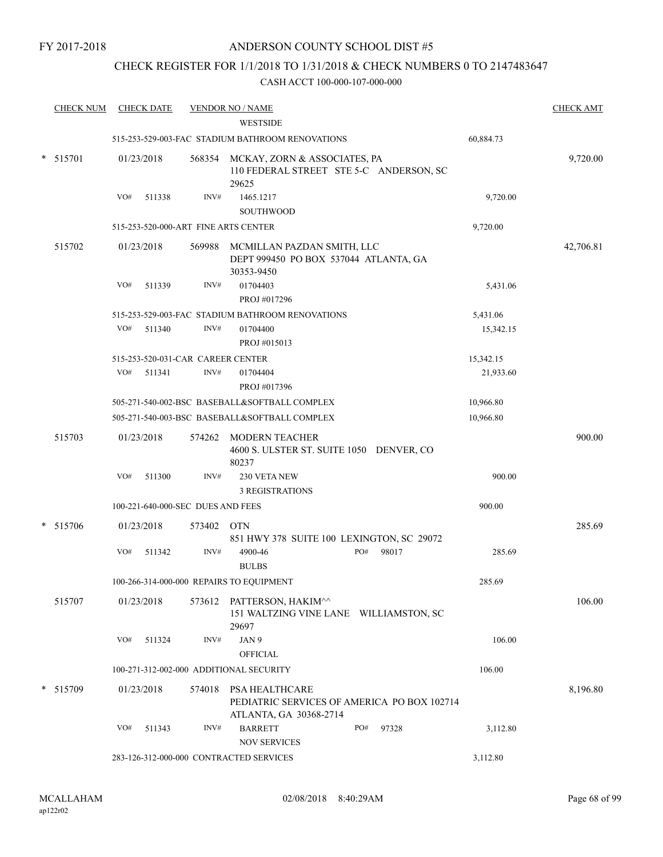## CHECK REGISTER FOR 1/1/2018 TO 1/31/2018 & CHECK NUMBERS 0 TO 2147483647

| <b>CHECK NUM</b> |     | <b>CHECK DATE</b>                 |        | <b>VENDOR NO / NAME</b>                                                                 |                   | <b>CHECK AMT</b> |
|------------------|-----|-----------------------------------|--------|-----------------------------------------------------------------------------------------|-------------------|------------------|
|                  |     |                                   |        | <b>WESTSIDE</b>                                                                         |                   |                  |
|                  |     |                                   |        | 515-253-529-003-FAC STADIUM BATHROOM RENOVATIONS                                        | 60,884.73         |                  |
| * 515701         |     | 01/23/2018                        |        | 568354 MCKAY, ZORN & ASSOCIATES, PA<br>110 FEDERAL STREET STE 5-C ANDERSON, SC<br>29625 |                   | 9,720.00         |
|                  | VO# | 511338                            | INV#   | 1465.1217                                                                               | 9,720.00          |                  |
|                  |     |                                   |        | <b>SOUTHWOOD</b>                                                                        |                   |                  |
|                  |     |                                   |        | 515-253-520-000-ART FINE ARTS CENTER                                                    | 9,720.00          |                  |
| 515702           |     | 01/23/2018                        | 569988 | MCMILLAN PAZDAN SMITH, LLC<br>DEPT 999450 PO BOX 537044 ATLANTA, GA<br>30353-9450       |                   | 42,706.81        |
|                  | VO# | 511339                            | INV#   | 01704403<br>PROJ #017296                                                                | 5,431.06          |                  |
|                  |     |                                   |        | 515-253-529-003-FAC STADIUM BATHROOM RENOVATIONS                                        | 5,431.06          |                  |
|                  | VO# | 511340                            | INV#   | 01704400<br>PROJ #015013                                                                | 15,342.15         |                  |
|                  |     |                                   |        | 515-253-520-031-CAR CAREER CENTER                                                       | 15,342.15         |                  |
|                  | VO# | 511341                            | INV#   | 01704404<br>PROJ #017396                                                                | 21,933.60         |                  |
|                  |     |                                   |        | 505-271-540-002-BSC BASEBALL&SOFTBALL COMPLEX                                           | 10,966.80         |                  |
|                  |     |                                   |        | 505-271-540-003-BSC BASEBALL&SOFTBALL COMPLEX                                           | 10,966.80         |                  |
| 515703           |     | 01/23/2018                        | 574262 | <b>MODERN TEACHER</b><br>4600 S. ULSTER ST. SUITE 1050 DENVER, CO<br>80237              |                   | 900.00           |
|                  | VO# | 511300                            | INV#   | 230 VETA NEW<br><b>3 REGISTRATIONS</b>                                                  | 900.00            |                  |
|                  |     | 100-221-640-000-SEC DUES AND FEES |        |                                                                                         | 900.00            |                  |
| * 515706         |     | 01/23/2018                        | 573402 | <b>OTN</b>                                                                              |                   | 285.69           |
|                  | VO# | 511342                            | INV#   | 851 HWY 378 SUITE 100 LEXINGTON, SC 29072<br>PO#<br>4900-46<br><b>BULBS</b>             | 98017<br>285.69   |                  |
|                  |     |                                   |        | 100-266-314-000-000 REPAIRS TO EQUIPMENT                                                | 285.69            |                  |
| 515707           |     | 01/23/2018                        |        | 573612 PATTERSON, HAKIM^^<br>151 WALTZING VINE LANE WILLIAMSTON, SC<br>29697            |                   | 106.00           |
|                  | VO# | 511324                            | INV#   | JAN 9<br><b>OFFICIAL</b>                                                                | 106.00            |                  |
|                  |     |                                   |        | 100-271-312-002-000 ADDITIONAL SECURITY                                                 | 106.00            |                  |
| * 515709         |     | 01/23/2018                        | 574018 | PSA HEALTHCARE<br>PEDIATRIC SERVICES OF AMERICA PO BOX 102714<br>ATLANTA, GA 30368-2714 |                   | 8,196.80         |
|                  | VO# | 511343                            | INV#   | <b>BARRETT</b><br>PO#<br><b>NOV SERVICES</b>                                            | 97328<br>3,112.80 |                  |
|                  |     |                                   |        | 283-126-312-000-000 CONTRACTED SERVICES                                                 | 3,112.80          |                  |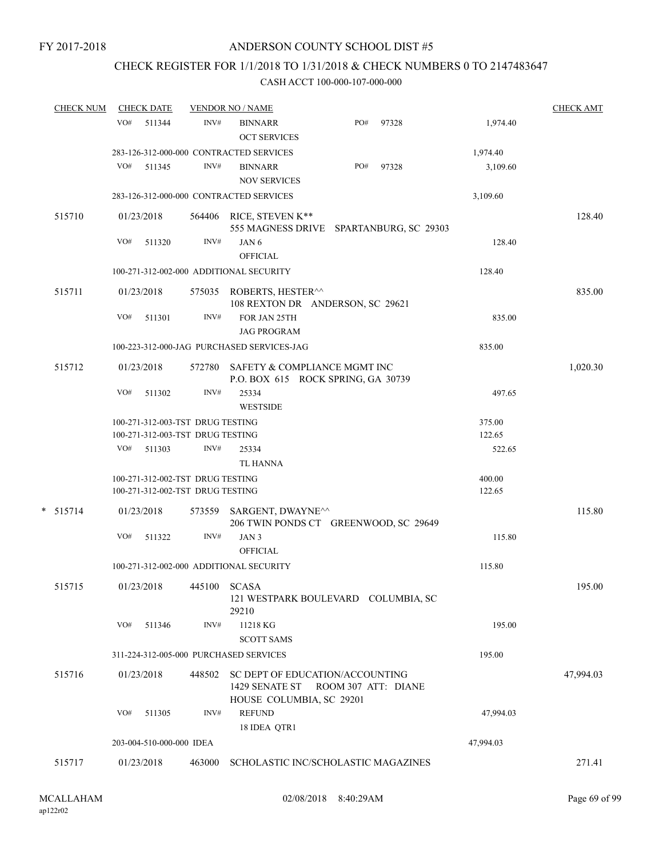## CHECK REGISTER FOR 1/1/2018 TO 1/31/2018 & CHECK NUMBERS 0 TO 2147483647

|            | <u>CHECK NUM</u> |     | <b>CHECK DATE</b>        |                                          | <b>VENDOR NO / NAME</b>                                                   |     |       |                  | <b>CHECK AMT</b> |
|------------|------------------|-----|--------------------------|------------------------------------------|---------------------------------------------------------------------------|-----|-------|------------------|------------------|
|            |                  | VO# | 511344                   | INV#                                     | <b>BINNARR</b><br><b>OCT SERVICES</b>                                     | PO# | 97328 | 1,974.40         |                  |
|            |                  |     |                          |                                          | 283-126-312-000-000 CONTRACTED SERVICES                                   |     |       | 1,974.40         |                  |
|            |                  | VO# | 511345                   | INV#                                     | <b>BINNARR</b><br><b>NOV SERVICES</b>                                     | PO# | 97328 | 3,109.60         |                  |
|            |                  |     |                          |                                          | 283-126-312-000-000 CONTRACTED SERVICES                                   |     |       | 3,109.60         |                  |
| 515710     |                  |     | 01/23/2018               |                                          | 564406 RICE, STEVEN K**<br>555 MAGNESS DRIVE SPARTANBURG, SC 29303        |     |       |                  | 128.40           |
|            |                  | VO# | 511320                   | INV#                                     | JAN 6<br><b>OFFICIAL</b>                                                  |     |       | 128.40           |                  |
|            |                  |     |                          |                                          | 100-271-312-002-000 ADDITIONAL SECURITY                                   |     |       | 128.40           |                  |
| 515711     |                  |     | 01/23/2018               |                                          | 575035 ROBERTS, HESTER <sup>^^</sup><br>108 REXTON DR ANDERSON, SC 29621  |     |       |                  | 835.00           |
|            |                  | VO# | 511301                   | INV#                                     | FOR JAN 25TH<br><b>JAG PROGRAM</b>                                        |     |       | 835.00           |                  |
|            |                  |     |                          |                                          | 100-223-312-000-JAG PURCHASED SERVICES-JAG                                |     |       | 835.00           |                  |
| 515712     |                  |     | 01/23/2018               |                                          | 572780 SAFETY & COMPLIANCE MGMT INC<br>P.O. BOX 615 ROCK SPRING, GA 30739 |     |       |                  | 1,020.30         |
|            |                  | VO# | 511302                   | INV#                                     | 25334<br><b>WESTSIDE</b>                                                  |     |       | 497.65           |                  |
|            |                  |     |                          | 100-271-312-003-TST DRUG TESTING         |                                                                           |     |       | 375.00           |                  |
|            |                  | VO# | 511303                   | 100-271-312-003-TST DRUG TESTING<br>INV# | 25334                                                                     |     |       | 122.65<br>522.65 |                  |
|            |                  |     |                          |                                          | TL HANNA                                                                  |     |       |                  |                  |
|            |                  |     |                          | 100-271-312-002-TST DRUG TESTING         |                                                                           |     |       | 400.00           |                  |
|            |                  |     |                          | 100-271-312-002-TST DRUG TESTING         |                                                                           |     |       | 122.65           |                  |
| $*$ 515714 |                  |     | 01/23/2018               | 573559                                   | SARGENT, DWAYNE^^<br>206 TWIN PONDS CT GREENWOOD, SC 29649                |     |       |                  | 115.80           |
|            |                  | VO# | 511322                   | INV#                                     | JAN <sub>3</sub><br><b>OFFICIAL</b>                                       |     |       | 115.80           |                  |
|            |                  |     |                          |                                          | 100-271-312-002-000 ADDITIONAL SECURITY                                   |     |       | 115.80           |                  |
|            | 515715           |     |                          | 01/23/2018 445100 SCASA                  | 121 WESTPARK BOULEVARD COLUMBIA, SC<br>29210                              |     |       |                  | 195.00           |
|            |                  |     | VO# 511346               | INV#                                     | 11218 KG<br><b>SCOTT SAMS</b>                                             |     |       | 195.00           |                  |
|            |                  |     |                          |                                          | 311-224-312-005-000 PURCHASED SERVICES                                    |     |       | 195.00           |                  |
| 515716     |                  |     | 01/23/2018               | 448502                                   | SC DEPT OF EDUCATION/ACCOUNTING<br>1429 SENATE ST ROOM 307 ATT: DIANE     |     |       |                  | 47,994.03        |
|            |                  | VO# | 511305                   | INV#                                     | HOUSE COLUMBIA, SC 29201<br><b>REFUND</b>                                 |     |       | 47,994.03        |                  |
|            |                  |     | 203-004-510-000-000 IDEA |                                          | 18 IDEA QTR1                                                              |     |       | 47,994.03        |                  |
|            |                  |     |                          |                                          |                                                                           |     |       |                  |                  |
| 515717     |                  |     | 01/23/2018               | 463000                                   | SCHOLASTIC INC/SCHOLASTIC MAGAZINES                                       |     |       |                  | 271.41           |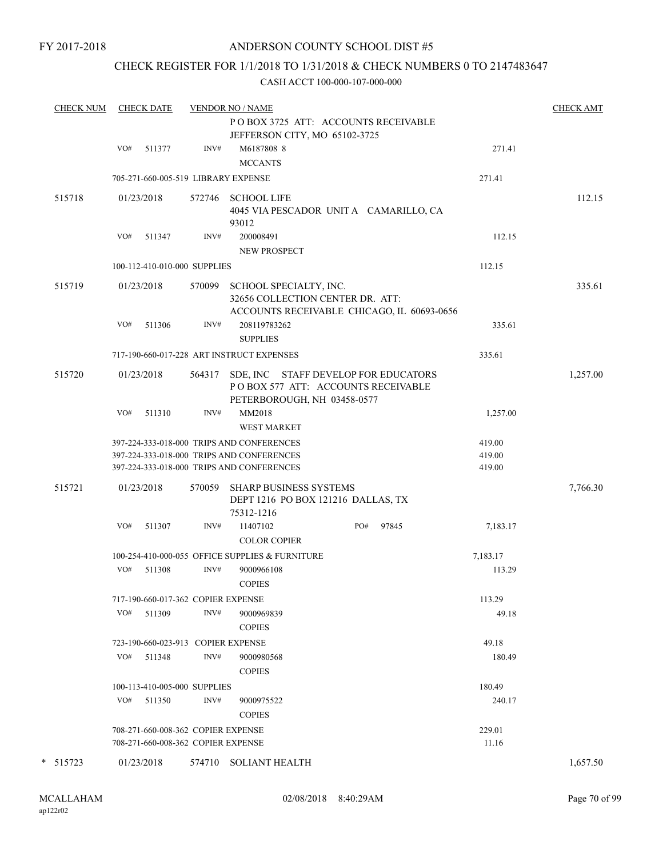## CHECK REGISTER FOR 1/1/2018 TO 1/31/2018 & CHECK NUMBERS 0 TO 2147483647

| <b>CHECK NUM</b> |            | <b>CHECK DATE</b> |                                    | <b>VENDOR NO / NAME</b>                                                                                    |     |       |          | <b>CHECK AMT</b> |
|------------------|------------|-------------------|------------------------------------|------------------------------------------------------------------------------------------------------------|-----|-------|----------|------------------|
|                  |            |                   |                                    | POBOX 3725 ATT: ACCOUNTS RECEIVABLE                                                                        |     |       |          |                  |
|                  |            |                   |                                    | JEFFERSON CITY, MO 65102-3725                                                                              |     |       |          |                  |
|                  | VO#        | 511377            | INV#                               | M6187808 8                                                                                                 |     |       | 271.41   |                  |
|                  |            |                   |                                    | <b>MCCANTS</b>                                                                                             |     |       |          |                  |
|                  |            |                   |                                    | 705-271-660-005-519 LIBRARY EXPENSE                                                                        |     |       | 271.41   |                  |
| 515718           | 01/23/2018 |                   |                                    | 572746 SCHOOL LIFE                                                                                         |     |       |          | 112.15           |
|                  |            |                   |                                    | 4045 VIA PESCADOR UNITA CAMARILLO, CA<br>93012                                                             |     |       |          |                  |
|                  | VO#        | 511347            | INV#                               | 200008491<br><b>NEW PROSPECT</b>                                                                           |     |       | 112.15   |                  |
|                  |            |                   | 100-112-410-010-000 SUPPLIES       |                                                                                                            |     |       | 112.15   |                  |
| 515719           | 01/23/2018 |                   | 570099                             | SCHOOL SPECIALTY, INC.<br>32656 COLLECTION CENTER DR. ATT:<br>ACCOUNTS RECEIVABLE CHICAGO, IL 60693-0656   |     |       |          | 335.61           |
|                  | VO#        | 511306            | INV#                               | 208119783262<br><b>SUPPLIES</b>                                                                            |     |       | 335.61   |                  |
|                  |            |                   |                                    | 717-190-660-017-228 ART INSTRUCT EXPENSES                                                                  |     |       | 335.61   |                  |
| 515720           | 01/23/2018 |                   | 564317                             | SDE, INC STAFF DEVELOP FOR EDUCATORS<br>PO BOX 577 ATT: ACCOUNTS RECEIVABLE<br>PETERBOROUGH, NH 03458-0577 |     |       |          | 1,257.00         |
|                  | VO#        | 511310            | INV#                               | MM2018<br>WEST MARKET                                                                                      |     |       | 1,257.00 |                  |
|                  |            |                   |                                    | 397-224-333-018-000 TRIPS AND CONFERENCES                                                                  |     |       | 419.00   |                  |
|                  |            |                   |                                    | 397-224-333-018-000 TRIPS AND CONFERENCES                                                                  |     |       | 419.00   |                  |
|                  |            |                   |                                    | 397-224-333-018-000 TRIPS AND CONFERENCES                                                                  |     |       | 419.00   |                  |
| 515721           | 01/23/2018 |                   | 570059                             | SHARP BUSINESS SYSTEMS<br>DEPT 1216 PO BOX 121216 DALLAS, TX<br>75312-1216                                 |     |       |          | 7,766.30         |
|                  | VO#        | 511307            | INV#                               | 11407102                                                                                                   | PO# | 97845 | 7,183.17 |                  |
|                  |            |                   |                                    | <b>COLOR COPIER</b>                                                                                        |     |       |          |                  |
|                  |            |                   |                                    | 100-254-410-000-055 OFFICE SUPPLIES & FURNITURE                                                            |     |       | 7,183.17 |                  |
|                  | VO#        | 511308            | INV#                               | 9000966108<br><b>COPIES</b>                                                                                |     |       | 113.29   |                  |
|                  |            |                   | 717-190-660-017-362 COPIER EXPENSE |                                                                                                            |     |       | 113.29   |                  |
|                  | VO#        | 511309            | INV#                               | 9000969839                                                                                                 |     |       | 49.18    |                  |
|                  |            |                   |                                    | <b>COPIES</b>                                                                                              |     |       |          |                  |
|                  |            |                   | 723-190-660-023-913 COPIER EXPENSE |                                                                                                            |     |       | 49.18    |                  |
|                  | VO#        | 511348            | INV#                               | 9000980568                                                                                                 |     |       | 180.49   |                  |
|                  |            |                   |                                    | <b>COPIES</b>                                                                                              |     |       |          |                  |
|                  |            |                   | 100-113-410-005-000 SUPPLIES       |                                                                                                            |     |       | 180.49   |                  |
|                  |            | $VO#$ 511350      | INV#                               | 9000975522<br><b>COPIES</b>                                                                                |     |       | 240.17   |                  |
|                  |            |                   | 708-271-660-008-362 COPIER EXPENSE |                                                                                                            |     |       | 229.01   |                  |
|                  |            |                   | 708-271-660-008-362 COPIER EXPENSE |                                                                                                            |     |       | 11.16    |                  |
| * 515723         | 01/23/2018 |                   | 574710                             | <b>SOLIANT HEALTH</b>                                                                                      |     |       |          | 1,657.50         |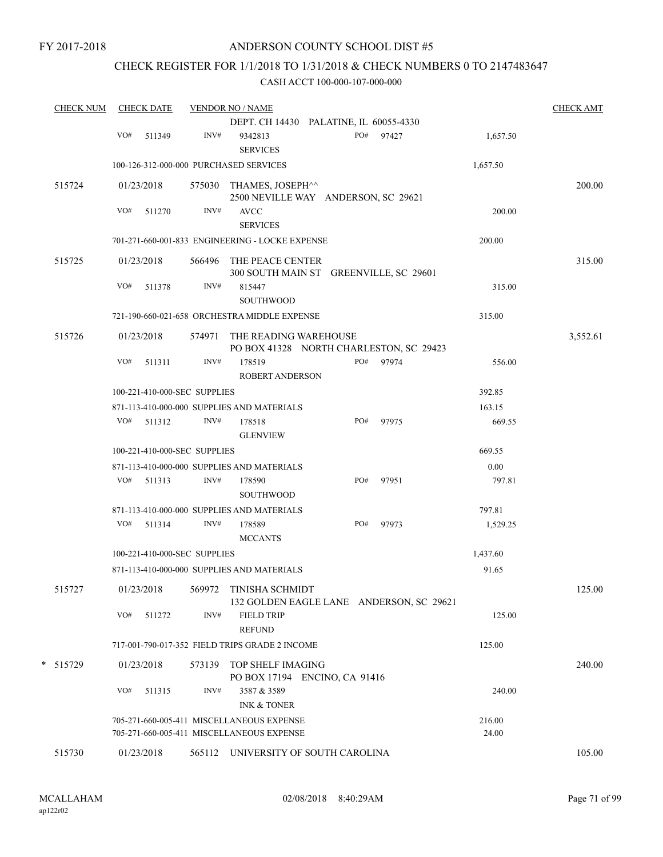## CHECK REGISTER FOR 1/1/2018 TO 1/31/2018 & CHECK NUMBERS 0 TO 2147483647

| <b>CHECK NUM</b> | <b>CHECK DATE</b> |                              | <b>VENDOR NO / NAME</b>                                                       |     |       |          | <b>CHECK AMT</b> |
|------------------|-------------------|------------------------------|-------------------------------------------------------------------------------|-----|-------|----------|------------------|
|                  |                   |                              | DEPT. CH 14430 PALATINE, IL 60055-4330                                        |     |       |          |                  |
|                  | VO#<br>511349     | INV#                         | 9342813<br><b>SERVICES</b>                                                    | PO# | 97427 | 1,657.50 |                  |
|                  |                   |                              | 100-126-312-000-000 PURCHASED SERVICES                                        |     |       | 1,657.50 |                  |
| 515724           | 01/23/2018        |                              | 575030 THAMES, JOSEPH^^<br>2500 NEVILLE WAY ANDERSON, SC 29621                |     |       |          | 200.00           |
|                  | VO#<br>511270     | INV#                         | <b>AVCC</b><br><b>SERVICES</b>                                                |     |       | 200.00   |                  |
|                  |                   |                              | 701-271-660-001-833 ENGINEERING - LOCKE EXPENSE                               |     |       | 200.00   |                  |
| 515725           | 01/23/2018        |                              | 566496 THE PEACE CENTER<br>300 SOUTH MAIN ST GREENVILLE, SC 29601             |     |       |          | 315.00           |
|                  | VO#<br>511378     | INV#                         | 815447<br>SOUTHWOOD                                                           |     |       | 315.00   |                  |
|                  |                   |                              | 721-190-660-021-658 ORCHESTRA MIDDLE EXPENSE                                  |     |       | 315.00   |                  |
| 515726           | 01/23/2018        |                              | 574971 THE READING WAREHOUSE<br>PO BOX 41328 NORTH CHARLESTON, SC 29423       |     |       |          | 3,552.61         |
|                  | VO#<br>511311     | INV#                         | 178519<br><b>ROBERT ANDERSON</b>                                              | PO# | 97974 | 556.00   |                  |
|                  |                   | 100-221-410-000-SEC SUPPLIES |                                                                               |     |       | 392.85   |                  |
|                  |                   |                              | 871-113-410-000-000 SUPPLIES AND MATERIALS                                    |     |       | 163.15   |                  |
|                  | VO# 511312        | INV#                         | 178518                                                                        | PO# | 97975 | 669.55   |                  |
|                  |                   |                              | <b>GLENVIEW</b>                                                               |     |       |          |                  |
|                  |                   | 100-221-410-000-SEC SUPPLIES |                                                                               |     |       | 669.55   |                  |
|                  |                   |                              | 871-113-410-000-000 SUPPLIES AND MATERIALS                                    |     |       | 0.00     |                  |
|                  | VO#<br>511313     | INV#                         | 178590<br><b>SOUTHWOOD</b>                                                    | PO# | 97951 | 797.81   |                  |
|                  |                   |                              | 871-113-410-000-000 SUPPLIES AND MATERIALS                                    |     |       | 797.81   |                  |
|                  | VO# 511314        | INV#                         | 178589<br><b>MCCANTS</b>                                                      | PO# | 97973 | 1,529.25 |                  |
|                  |                   | 100-221-410-000-SEC SUPPLIES |                                                                               |     |       | 1,437.60 |                  |
|                  |                   |                              | 871-113-410-000-000 SUPPLIES AND MATERIALS                                    |     |       | 91.65    |                  |
| 515727           |                   |                              | 01/23/2018 569972 TINISHA SCHMIDT<br>132 GOLDEN EAGLE LANE ANDERSON, SC 29621 |     |       |          | 125.00           |
|                  | VO#<br>511272     | INV#                         | <b>FIELD TRIP</b><br><b>REFUND</b>                                            |     |       | 125.00   |                  |
|                  |                   |                              | 717-001-790-017-352 FIELD TRIPS GRADE 2 INCOME                                |     |       | 125.00   |                  |
| * 515729         | 01/23/2018        |                              | 573139 TOP SHELF IMAGING<br>PO BOX 17194 ENCINO, CA 91416                     |     |       |          | 240.00           |
|                  | VO#<br>511315     | INV#                         | 3587 & 3589                                                                   |     |       | 240.00   |                  |
|                  |                   |                              | <b>INK &amp; TONER</b>                                                        |     |       |          |                  |
|                  |                   |                              | 705-271-660-005-411 MISCELLANEOUS EXPENSE                                     |     |       | 216.00   |                  |
|                  |                   |                              | 705-271-660-005-411 MISCELLANEOUS EXPENSE                                     |     |       | 24.00    |                  |
| 515730           | 01/23/2018        |                              | 565112 UNIVERSITY OF SOUTH CAROLINA                                           |     |       |          | 105.00           |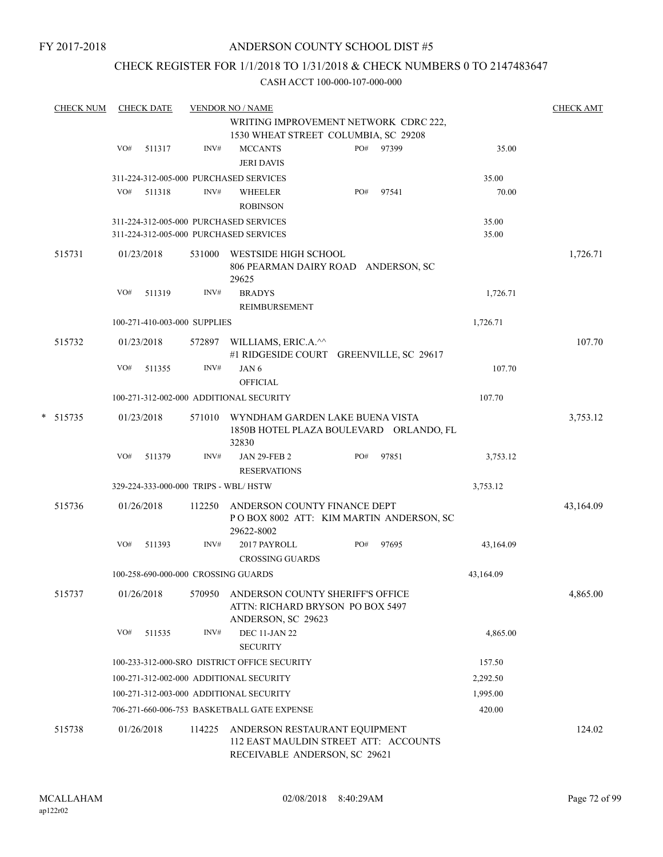## CHECK REGISTER FOR 1/1/2018 TO 1/31/2018 & CHECK NUMBERS 0 TO 2147483647

|             | <b>CHECK NUM</b> |     | <b>CHECK DATE</b> |                              | <b>VENDOR NO / NAME</b>                                                                                 |     |       |                | <b>CHECK AMT</b> |
|-------------|------------------|-----|-------------------|------------------------------|---------------------------------------------------------------------------------------------------------|-----|-------|----------------|------------------|
|             |                  |     |                   |                              | WRITING IMPROVEMENT NETWORK CDRC 222,                                                                   |     |       |                |                  |
|             |                  |     |                   |                              | 1530 WHEAT STREET COLUMBIA, SC 29208                                                                    |     |       |                |                  |
|             |                  | VO# | 511317            | INV#                         | <b>MCCANTS</b><br><b>JERI DAVIS</b>                                                                     | PO# | 97399 | 35.00          |                  |
|             |                  |     |                   |                              |                                                                                                         |     |       |                |                  |
|             |                  | VO# | 511318            | INV#                         | 311-224-312-005-000 PURCHASED SERVICES                                                                  | PO# | 97541 | 35.00<br>70.00 |                  |
|             |                  |     |                   |                              | WHEELER<br><b>ROBINSON</b>                                                                              |     |       |                |                  |
|             |                  |     |                   |                              | 311-224-312-005-000 PURCHASED SERVICES                                                                  |     |       | 35.00          |                  |
|             |                  |     |                   |                              | 311-224-312-005-000 PURCHASED SERVICES                                                                  |     |       | 35.00          |                  |
|             | 515731           |     | 01/23/2018        | 531000                       | WESTSIDE HIGH SCHOOL<br>806 PEARMAN DAIRY ROAD ANDERSON, SC<br>29625                                    |     |       |                | 1,726.71         |
|             |                  | VO# | 511319            | INV#                         | <b>BRADYS</b>                                                                                           |     |       | 1,726.71       |                  |
|             |                  |     |                   |                              | REIMBURSEMENT                                                                                           |     |       |                |                  |
|             |                  |     |                   | 100-271-410-003-000 SUPPLIES |                                                                                                         |     |       | 1,726.71       |                  |
|             | 515732           |     | 01/23/2018        | 572897                       | WILLIAMS, ERIC.A.^^                                                                                     |     |       |                | 107.70           |
|             |                  |     |                   |                              | #1 RIDGESIDE COURT GREENVILLE, SC 29617                                                                 |     |       |                |                  |
|             |                  | VO# | 511355            | INV#                         | JAN 6                                                                                                   |     |       | 107.70         |                  |
|             |                  |     |                   |                              | <b>OFFICIAL</b>                                                                                         |     |       |                |                  |
|             |                  |     |                   |                              | 100-271-312-002-000 ADDITIONAL SECURITY                                                                 |     |       | 107.70         |                  |
| 515735<br>* |                  |     | 01/23/2018        | 571010                       | WYNDHAM GARDEN LAKE BUENA VISTA<br>1850B HOTEL PLAZA BOULEVARD ORLANDO, FL<br>32830                     |     |       |                | 3,753.12         |
|             |                  | VO# | 511379            | INV#                         | <b>JAN 29-FEB 2</b><br><b>RESERVATIONS</b>                                                              | PO# | 97851 | 3,753.12       |                  |
|             |                  |     |                   |                              | 329-224-333-000-000 TRIPS - WBL/HSTW                                                                    |     |       | 3,753.12       |                  |
|             |                  |     |                   |                              |                                                                                                         |     |       |                |                  |
|             | 515736           |     | 01/26/2018        | 112250                       | ANDERSON COUNTY FINANCE DEPT<br>POBOX 8002 ATT: KIM MARTIN ANDERSON, SC<br>29622-8002                   |     |       |                | 43,164.09        |
|             |                  | VO# | 511393            | INV#                         | 2017 PAYROLL<br><b>CROSSING GUARDS</b>                                                                  | PO# | 97695 | 43,164.09      |                  |
|             |                  |     |                   |                              | 100-258-690-000-000 CROSSING GUARDS                                                                     |     |       | 43,164.09      |                  |
|             | 515737           |     | 01/26/2018        | 570950                       | ANDERSON COUNTY SHERIFF'S OFFICE<br>ATTN: RICHARD BRYSON PO BOX 5497<br>ANDERSON, SC 29623              |     |       |                | 4,865.00         |
|             |                  | VO# | 511535            | INV#                         | <b>DEC 11-JAN 22</b><br><b>SECURITY</b>                                                                 |     |       | 4,865.00       |                  |
|             |                  |     |                   |                              | 100-233-312-000-SRO DISTRICT OFFICE SECURITY                                                            |     |       | 157.50         |                  |
|             |                  |     |                   |                              | 100-271-312-002-000 ADDITIONAL SECURITY                                                                 |     |       | 2,292.50       |                  |
|             |                  |     |                   |                              |                                                                                                         |     |       |                |                  |
|             |                  |     |                   |                              | 100-271-312-003-000 ADDITIONAL SECURITY                                                                 |     |       | 1,995.00       |                  |
|             |                  |     |                   |                              | 706-271-660-006-753 BASKETBALL GATE EXPENSE                                                             |     |       | 420.00         |                  |
|             | 515738           |     | 01/26/2018        | 114225                       | ANDERSON RESTAURANT EQUIPMENT<br>112 EAST MAULDIN STREET ATT: ACCOUNTS<br>RECEIVABLE ANDERSON, SC 29621 |     |       |                | 124.02           |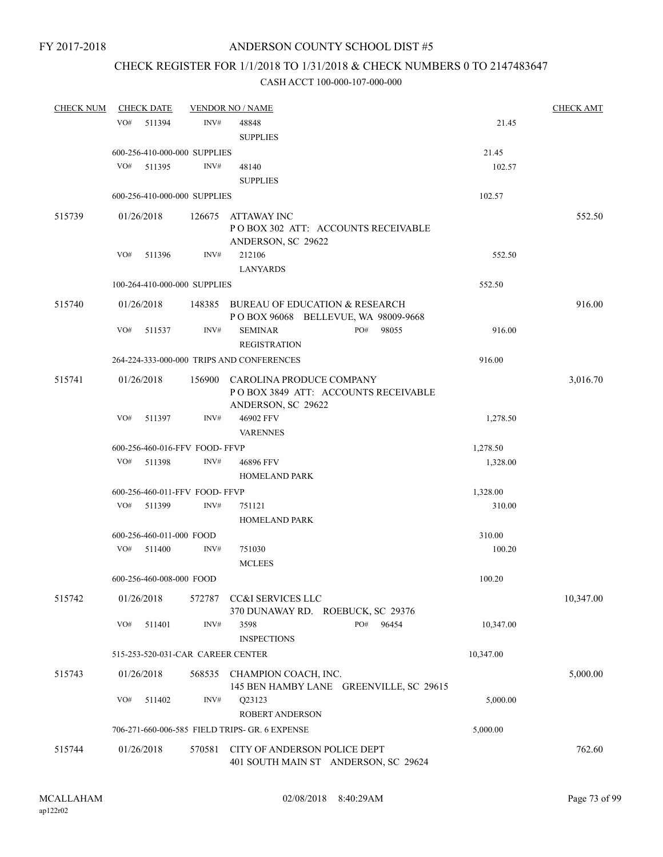### CHECK REGISTER FOR 1/1/2018 TO 1/31/2018 & CHECK NUMBERS 0 TO 2147483647

| <b>CHECK NUM</b> | <b>CHECK DATE</b>                 |        | <b>VENDOR NO / NAME</b>                                                                      |           | <b>CHECK AMT</b> |
|------------------|-----------------------------------|--------|----------------------------------------------------------------------------------------------|-----------|------------------|
|                  | VO#<br>511394                     | INV#   | 48848<br><b>SUPPLIES</b>                                                                     | 21.45     |                  |
|                  | 600-256-410-000-000 SUPPLIES      |        |                                                                                              | 21.45     |                  |
|                  | VO#<br>511395                     | INV#   | 48140<br><b>SUPPLIES</b>                                                                     | 102.57    |                  |
|                  | 600-256-410-000-000 SUPPLIES      |        |                                                                                              | 102.57    |                  |
|                  |                                   |        |                                                                                              |           |                  |
| 515739           | 01/26/2018                        | 126675 | ATTAWAY INC<br>PO BOX 302 ATT: ACCOUNTS RECEIVABLE<br>ANDERSON, SC 29622                     |           | 552.50           |
|                  | VO#<br>511396                     | INV#   | 212106                                                                                       | 552.50    |                  |
|                  |                                   |        | <b>LANYARDS</b>                                                                              |           |                  |
|                  | 100-264-410-000-000 SUPPLIES      |        |                                                                                              | 552.50    |                  |
| 515740           | 01/26/2018                        |        | 148385 BUREAU OF EDUCATION & RESEARCH<br>P O BOX 96068 BELLEVUE, WA 98009-9668               |           | 916.00           |
|                  | VO#<br>511537                     | INV#   | PO#<br><b>SEMINAR</b><br>98055<br><b>REGISTRATION</b>                                        | 916.00    |                  |
|                  |                                   |        | 264-224-333-000-000 TRIPS AND CONFERENCES                                                    | 916.00    |                  |
| 515741           | 01/26/2018                        |        | 156900 CAROLINA PRODUCE COMPANY<br>POBOX 3849 ATT: ACCOUNTS RECEIVABLE<br>ANDERSON, SC 29622 |           | 3,016.70         |
|                  | VO#<br>511397                     | INV#   | 46902 FFV<br><b>VARENNES</b>                                                                 | 1,278.50  |                  |
|                  | 600-256-460-016-FFV FOOD-FFVP     |        |                                                                                              | 1,278.50  |                  |
|                  | VO#<br>511398                     | INV#   | 46896 FFV                                                                                    | 1,328.00  |                  |
|                  |                                   |        | <b>HOMELAND PARK</b>                                                                         |           |                  |
|                  | 600-256-460-011-FFV FOOD-FFVP     |        |                                                                                              | 1,328.00  |                  |
|                  | VO#<br>511399                     | INV#   | 751121<br><b>HOMELAND PARK</b>                                                               | 310.00    |                  |
|                  | 600-256-460-011-000 FOOD          |        |                                                                                              | 310.00    |                  |
|                  | VO# 511400                        | INV#   | 751030<br><b>MCLEES</b>                                                                      | 100.20    |                  |
|                  | 600-256-460-008-000 FOOD          |        |                                                                                              | 100.20    |                  |
| 515742           | 01/26/2018                        | 572787 | CC&I SERVICES LLC<br>370 DUNAWAY RD. ROEBUCK, SC 29376                                       |           | 10,347.00        |
|                  | VO#<br>511401                     | INV#   | PO#<br>3598<br>96454<br><b>INSPECTIONS</b>                                                   | 10,347.00 |                  |
|                  | 515-253-520-031-CAR CAREER CENTER |        |                                                                                              | 10,347.00 |                  |
|                  |                                   |        |                                                                                              |           |                  |
| 515743           | 01/26/2018                        | 568535 | CHAMPION COACH, INC.<br>145 BEN HAMBY LANE GREENVILLE, SC 29615                              |           | 5,000.00         |
|                  | VO#<br>511402                     | INV#   | Q23123<br><b>ROBERT ANDERSON</b>                                                             | 5,000.00  |                  |
|                  |                                   |        | 706-271-660-006-585 FIELD TRIPS- GR. 6 EXPENSE                                               | 5,000.00  |                  |
|                  |                                   |        |                                                                                              |           |                  |
| 515744           | 01/26/2018                        | 570581 | CITY OF ANDERSON POLICE DEPT<br>401 SOUTH MAIN ST ANDERSON, SC 29624                         |           | 762.60           |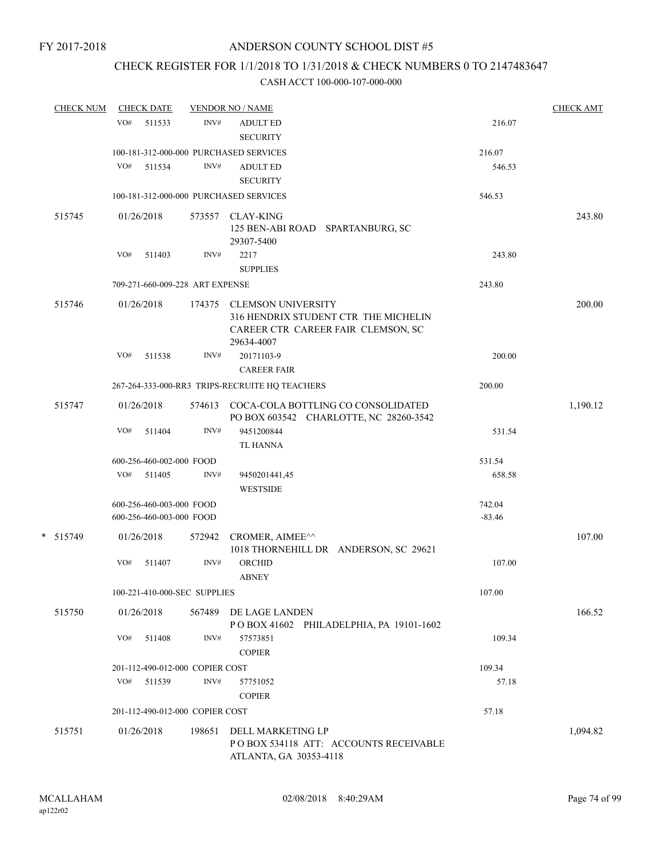# CHECK REGISTER FOR 1/1/2018 TO 1/31/2018 & CHECK NUMBERS 0 TO 2147483647

| <b>CHECK NUM</b> |     | <b>CHECK DATE</b>        |                                 | <b>VENDOR NO / NAME</b>                                                                                               |          | <b>CHECK AMT</b> |
|------------------|-----|--------------------------|---------------------------------|-----------------------------------------------------------------------------------------------------------------------|----------|------------------|
|                  | VO# | 511533                   | INV#                            | <b>ADULT ED</b>                                                                                                       | 216.07   |                  |
|                  |     |                          |                                 | <b>SECURITY</b>                                                                                                       |          |                  |
|                  |     |                          |                                 | 100-181-312-000-000 PURCHASED SERVICES                                                                                | 216.07   |                  |
|                  | VO# | 511534                   | INV#                            | <b>ADULT ED</b>                                                                                                       | 546.53   |                  |
|                  |     |                          |                                 | <b>SECURITY</b>                                                                                                       |          |                  |
|                  |     |                          |                                 | 100-181-312-000-000 PURCHASED SERVICES                                                                                | 546.53   |                  |
| 515745           |     | 01/26/2018               |                                 | 573557 CLAY-KING<br>125 BEN-ABI ROAD SPARTANBURG, SC                                                                  |          | 243.80           |
|                  |     |                          |                                 | 29307-5400                                                                                                            |          |                  |
|                  | VO# | 511403                   | INV#                            | 2217                                                                                                                  | 243.80   |                  |
|                  |     |                          |                                 | <b>SUPPLIES</b>                                                                                                       |          |                  |
|                  |     |                          | 709-271-660-009-228 ART EXPENSE |                                                                                                                       | 243.80   |                  |
| 515746           |     | 01/26/2018               |                                 | 174375 CLEMSON UNIVERSITY<br>316 HENDRIX STUDENT CTR THE MICHELIN<br>CAREER CTR CAREER FAIR CLEMSON, SC<br>29634-4007 |          | 200.00           |
|                  | VO# | 511538                   | INV#                            | 20171103-9<br><b>CAREER FAIR</b>                                                                                      | 200.00   |                  |
|                  |     |                          |                                 | 267-264-333-000-RR3 TRIPS-RECRUITE HQ TEACHERS                                                                        | 200.00   |                  |
| 515747           |     | 01/26/2018               | 574613                          | COCA-COLA BOTTLING CO CONSOLIDATED<br>PO BOX 603542 CHARLOTTE, NC 28260-3542                                          |          | 1,190.12         |
|                  | VO# | 511404                   | INV#                            | 9451200844<br><b>TL HANNA</b>                                                                                         | 531.54   |                  |
|                  |     | 600-256-460-002-000 FOOD |                                 |                                                                                                                       | 531.54   |                  |
|                  | VO# | 511405                   | INV#                            | 9450201441,45                                                                                                         | 658.58   |                  |
|                  |     |                          |                                 | <b>WESTSIDE</b>                                                                                                       |          |                  |
|                  |     | 600-256-460-003-000 FOOD |                                 |                                                                                                                       | 742.04   |                  |
|                  |     | 600-256-460-003-000 FOOD |                                 |                                                                                                                       | $-83.46$ |                  |
| * 515749         |     | 01/26/2018               | 572942                          | CROMER, AIMEE <sup>^^</sup><br>1018 THORNEHILL DR ANDERSON, SC 29621                                                  |          | 107.00           |
|                  | VO# | 511407                   | INV#                            | <b>ORCHID</b><br><b>ABNEY</b>                                                                                         | 107.00   |                  |
|                  |     |                          | 100-221-410-000-SEC SUPPLIES    |                                                                                                                       | 107.00   |                  |
| 515750           |     | 01/26/2018               | 567489                          | DE LAGE LANDEN<br>POBOX 41602 PHILADELPHIA, PA 19101-1602                                                             |          | 166.52           |
|                  | VO# | 511408                   | INV#                            | 57573851<br><b>COPIER</b>                                                                                             | 109.34   |                  |
|                  |     |                          | 201-112-490-012-000 COPIER COST |                                                                                                                       | 109.34   |                  |
|                  | VO# | 511539                   | INV#                            | 57751052                                                                                                              | 57.18    |                  |
|                  |     |                          | 201-112-490-012-000 COPIER COST | <b>COPIER</b>                                                                                                         | 57.18    |                  |
| 515751           |     | 01/26/2018               | 198651                          | DELL MARKETING LP<br>PO BOX 534118 ATT: ACCOUNTS RECEIVABLE<br>ATLANTA, GA 30353-4118                                 |          | 1,094.82         |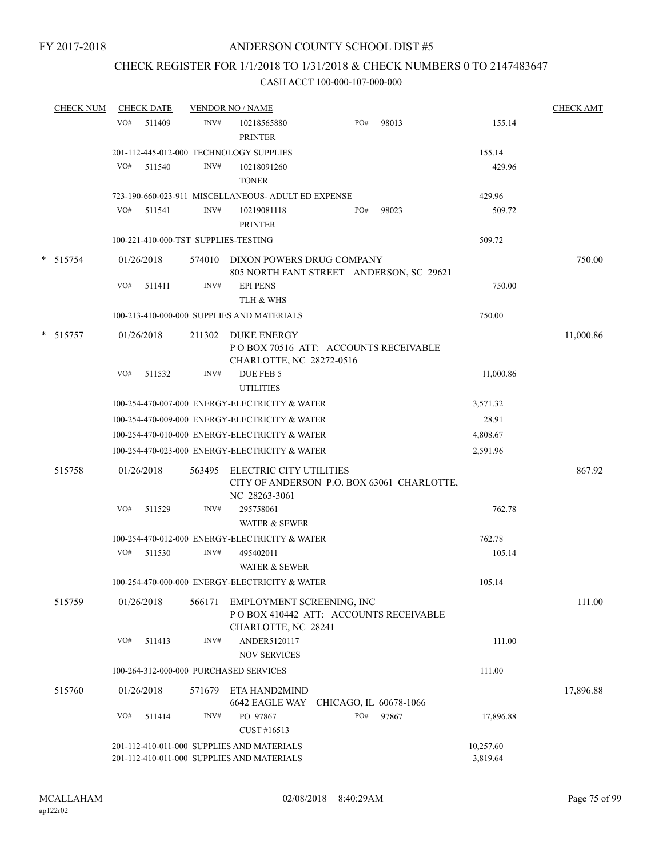### CHECK REGISTER FOR 1/1/2018 TO 1/31/2018 & CHECK NUMBERS 0 TO 2147483647

|   | <b>CHECK NUM</b> |     | <b>CHECK DATE</b> |        | <b>VENDOR NO / NAME</b>                                                                   |     |                        |                       | <b>CHECK AMT</b> |
|---|------------------|-----|-------------------|--------|-------------------------------------------------------------------------------------------|-----|------------------------|-----------------------|------------------|
|   |                  | VO# | 511409            | INV#   | 10218565880<br><b>PRINTER</b>                                                             | PO# | 98013                  | 155.14                |                  |
|   |                  |     |                   |        | 201-112-445-012-000 TECHNOLOGY SUPPLIES                                                   |     |                        | 155.14                |                  |
|   |                  | VO# | 511540            | INV#   | 10218091260<br><b>TONER</b>                                                               |     |                        | 429.96                |                  |
|   |                  |     |                   |        | 723-190-660-023-911 MISCELLANEOUS- ADULT ED EXPENSE                                       |     |                        | 429.96                |                  |
|   |                  | VO# | 511541            | INV#   | 10219081118<br><b>PRINTER</b>                                                             | PO# | 98023                  | 509.72                |                  |
|   |                  |     |                   |        | 100-221-410-000-TST SUPPLIES-TESTING                                                      |     |                        | 509.72                |                  |
| * | 515754           |     | 01/26/2018        |        | 574010 DIXON POWERS DRUG COMPANY                                                          |     |                        |                       | 750.00           |
|   |                  |     |                   |        | 805 NORTH FANT STREET ANDERSON, SC 29621                                                  |     |                        |                       |                  |
|   |                  | VO# | 511411            | INV#   | <b>EPI PENS</b><br>TLH & WHS                                                              |     |                        | 750.00                |                  |
|   |                  |     |                   |        | 100-213-410-000-000 SUPPLIES AND MATERIALS                                                |     |                        | 750.00                |                  |
|   | * 515757         |     | 01/26/2018        |        | 211302 DUKE ENERGY<br>PO BOX 70516 ATT: ACCOUNTS RECEIVABLE<br>CHARLOTTE, NC 28272-0516   |     |                        |                       | 11,000.86        |
|   |                  | VO# | 511532            | INV#   | DUE FEB 5<br><b>UTILITIES</b>                                                             |     |                        | 11,000.86             |                  |
|   |                  |     |                   |        | 100-254-470-007-000 ENERGY-ELECTRICITY & WATER                                            |     |                        | 3,571.32              |                  |
|   |                  |     |                   |        | 100-254-470-009-000 ENERGY-ELECTRICITY & WATER                                            |     |                        | 28.91                 |                  |
|   |                  |     |                   |        | 100-254-470-010-000 ENERGY-ELECTRICITY & WATER                                            |     |                        | 4,808.67              |                  |
|   |                  |     |                   |        | 100-254-470-023-000 ENERGY-ELECTRICITY & WATER                                            |     |                        | 2,591.96              |                  |
|   | 515758           |     | 01/26/2018        | 563495 | ELECTRIC CITY UTILITIES<br>CITY OF ANDERSON P.O. BOX 63061 CHARLOTTE,<br>NC 28263-3061    |     |                        |                       | 867.92           |
|   |                  | VO# | 511529            | INV#   | 295758061<br><b>WATER &amp; SEWER</b>                                                     |     |                        | 762.78                |                  |
|   |                  |     |                   |        | 100-254-470-012-000 ENERGY-ELECTRICITY & WATER                                            |     |                        | 762.78                |                  |
|   |                  | VO# | 511530            | INV#   | 495402011                                                                                 |     |                        | 105.14                |                  |
|   |                  |     |                   |        | <b>WATER &amp; SEWER</b>                                                                  |     |                        |                       |                  |
|   |                  |     |                   |        | 100-254-470-000-000 ENERGY-ELECTRICITY & WATER                                            |     |                        | 105.14                |                  |
|   | 515759           |     | 01/26/2018        | 566171 | EMPLOYMENT SCREENING, INC<br>POBOX 410442 ATT: ACCOUNTS RECEIVABLE<br>CHARLOTTE, NC 28241 |     |                        |                       | 111.00           |
|   |                  | VO# | 511413            | INV#   | ANDER5120117                                                                              |     |                        | 111.00                |                  |
|   |                  |     |                   |        | <b>NOV SERVICES</b>                                                                       |     |                        |                       |                  |
|   |                  |     |                   |        | 100-264-312-000-000 PURCHASED SERVICES                                                    |     |                        | 111.00                |                  |
|   | 515760           |     | 01/26/2018        | 571679 | ETA HAND2MIND<br>6642 EAGLE WAY                                                           |     | CHICAGO, IL 60678-1066 |                       | 17,896.88        |
|   |                  | VO# | 511414            | INV#   | PO 97867<br>CUST #16513                                                                   | PO# | 97867                  | 17,896.88             |                  |
|   |                  |     |                   |        | 201-112-410-011-000 SUPPLIES AND MATERIALS<br>201-112-410-011-000 SUPPLIES AND MATERIALS  |     |                        | 10,257.60<br>3,819.64 |                  |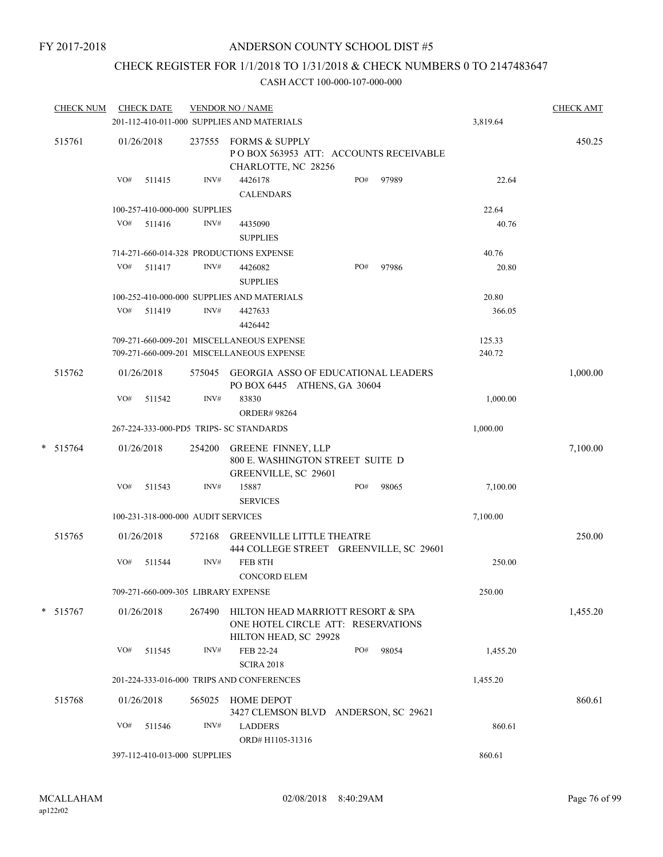### CHECK REGISTER FOR 1/1/2018 TO 1/31/2018 & CHECK NUMBERS 0 TO 2147483647

| <b>CHECK NUM</b> |            | <b>CHECK DATE</b>                  |        | <b>VENDOR NO / NAME</b><br>201-112-410-011-000 SUPPLIES AND MATERIALS                            |     |       | 3,819.64         | <b>CHECK AMT</b> |
|------------------|------------|------------------------------------|--------|--------------------------------------------------------------------------------------------------|-----|-------|------------------|------------------|
| 515761           | 01/26/2018 |                                    | 237555 | <b>FORMS &amp; SUPPLY</b><br>POBOX 563953 ATT: ACCOUNTS RECEIVABLE<br>CHARLOTTE, NC 28256        |     |       |                  | 450.25           |
|                  | VO#        | 511415                             | INV#   | 4426178<br><b>CALENDARS</b>                                                                      | PO# | 97989 | 22.64            |                  |
|                  |            | 100-257-410-000-000 SUPPLIES       |        |                                                                                                  |     |       | 22.64            |                  |
|                  | VO#        | 511416                             | INV#   | 4435090<br><b>SUPPLIES</b>                                                                       |     |       | 40.76            |                  |
|                  |            |                                    |        | 714-271-660-014-328 PRODUCTIONS EXPENSE                                                          |     |       | 40.76            |                  |
|                  | VO#        | 511417                             | INV#   | 4426082<br><b>SUPPLIES</b>                                                                       | PO# | 97986 | 20.80            |                  |
|                  |            |                                    |        | 100-252-410-000-000 SUPPLIES AND MATERIALS                                                       |     |       | 20.80            |                  |
|                  |            | VO# 511419                         | INV#   | 4427633<br>4426442                                                                               |     |       | 366.05           |                  |
|                  |            |                                    |        | 709-271-660-009-201 MISCELLANEOUS EXPENSE<br>709-271-660-009-201 MISCELLANEOUS EXPENSE           |     |       | 125.33<br>240.72 |                  |
| 515762           | 01/26/2018 |                                    | 575045 | <b>GEORGIA ASSO OF EDUCATIONAL LEADERS</b><br>PO BOX 6445 ATHENS, GA 30604                       |     |       |                  | 1,000.00         |
|                  | VO#        | 511542                             | INV#   | 83830<br><b>ORDER# 98264</b>                                                                     |     |       | 1,000.00         |                  |
|                  |            |                                    |        | 267-224-333-000-PD5 TRIPS- SC STANDARDS                                                          |     |       | 1,000.00         |                  |
| $* 515764$       | 01/26/2018 |                                    | 254200 | <b>GREENE FINNEY, LLP</b><br>800 E. WASHINGTON STREET SUITE D<br>GREENVILLE, SC 29601            |     |       |                  | 7,100.00         |
|                  | VO#        | 511543                             | INV#   | 15887<br><b>SERVICES</b>                                                                         | PO# | 98065 | 7,100.00         |                  |
|                  |            | 100-231-318-000-000 AUDIT SERVICES |        |                                                                                                  |     |       | 7,100.00         |                  |
| 515765           | 01/26/2018 |                                    |        | 572168 GREENVILLE LITTLE THEATRE<br>444 COLLEGE STREET GREENVILLE, SC 29601                      |     |       |                  | 250.00           |
|                  | VO#        | 511544                             | INV#   | FEB 8TH<br><b>CONCORD ELEM</b>                                                                   |     |       | 250.00           |                  |
|                  |            |                                    |        | 709-271-660-009-305 LIBRARY EXPENSE                                                              |     |       | 250.00           |                  |
| $* 515767$       | 01/26/2018 |                                    | 267490 | HILTON HEAD MARRIOTT RESORT & SPA<br>ONE HOTEL CIRCLE ATT: RESERVATIONS<br>HILTON HEAD, SC 29928 |     |       |                  | 1,455.20         |
|                  | VO#        | 511545                             | INV#   | FEB 22-24<br><b>SCIRA 2018</b>                                                                   | PO# | 98054 | 1,455.20         |                  |
|                  |            |                                    |        | 201-224-333-016-000 TRIPS AND CONFERENCES                                                        |     |       | 1,455.20         |                  |
| 515768           | 01/26/2018 |                                    | 565025 | <b>HOME DEPOT</b><br>3427 CLEMSON BLVD ANDERSON, SC 29621                                        |     |       |                  | 860.61           |
|                  | VO#        | 511546                             | INV#   | <b>LADDERS</b><br>ORD# H1105-31316                                                               |     |       | 860.61           |                  |
|                  |            | 397-112-410-013-000 SUPPLIES       |        |                                                                                                  |     |       | 860.61           |                  |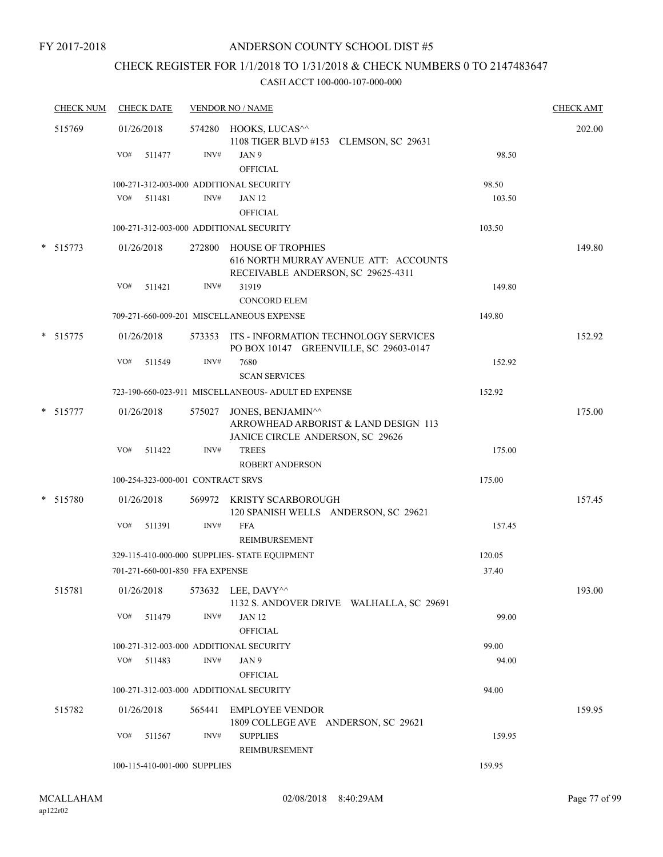FY 2017-2018

### ANDERSON COUNTY SCHOOL DIST #5

# CHECK REGISTER FOR 1/1/2018 TO 1/31/2018 & CHECK NUMBERS 0 TO 2147483647

| <b>CHECK NUM</b> | <b>CHECK DATE</b>                       |        | <b>VENDOR NO / NAME</b>                                                                                 |        | <b>CHECK AMT</b> |
|------------------|-----------------------------------------|--------|---------------------------------------------------------------------------------------------------------|--------|------------------|
| 515769           | 01/26/2018<br>VO#<br>511477             | INV#   | 574280 HOOKS, LUCAS^^<br>1108 TIGER BLVD #153 CLEMSON, SC 29631<br>JAN 9                                | 98.50  | 202.00           |
|                  |                                         |        | <b>OFFICIAL</b>                                                                                         |        |                  |
|                  | 100-271-312-003-000 ADDITIONAL SECURITY |        |                                                                                                         | 98.50  |                  |
|                  | VO# 511481                              | INV#   | <b>JAN 12</b><br><b>OFFICIAL</b>                                                                        | 103.50 |                  |
|                  | 100-271-312-003-000 ADDITIONAL SECURITY |        |                                                                                                         | 103.50 |                  |
| $* 515773$       | 01/26/2018                              |        | 272800 HOUSE OF TROPHIES<br>616 NORTH MURRAY AVENUE ATT: ACCOUNTS<br>RECEIVABLE ANDERSON, SC 29625-4311 |        | 149.80           |
|                  | VO#<br>511421                           | INV#   | 31919<br><b>CONCORD ELEM</b>                                                                            | 149.80 |                  |
|                  |                                         |        | 709-271-660-009-201 MISCELLANEOUS EXPENSE                                                               | 149.80 |                  |
| * 515775         | 01/26/2018                              |        | 573353 ITS - INFORMATION TECHNOLOGY SERVICES<br>PO BOX 10147 GREENVILLE, SC 29603-0147                  |        | 152.92           |
|                  | VO#<br>511549                           | INV#   | 7680<br><b>SCAN SERVICES</b>                                                                            | 152.92 |                  |
|                  |                                         |        | 723-190-660-023-911 MISCELLANEOUS- ADULT ED EXPENSE                                                     | 152.92 |                  |
| * 515777         | 01/26/2018                              |        | 575027 JONES, BENJAMIN^^<br>ARROWHEAD ARBORIST & LAND DESIGN 113<br>JANICE CIRCLE ANDERSON, SC 29626    |        | 175.00           |
|                  | VO# 511422                              | INV#   | <b>TREES</b><br><b>ROBERT ANDERSON</b>                                                                  | 175.00 |                  |
|                  | 100-254-323-000-001 CONTRACT SRVS       |        |                                                                                                         | 175.00 |                  |
| * 515780         | 01/26/2018                              |        | 569972 KRISTY SCARBOROUGH<br>120 SPANISH WELLS ANDERSON, SC 29621                                       |        | 157.45           |
|                  | VO#<br>511391                           | INV#   | <b>FFA</b><br>REIMBURSEMENT                                                                             | 157.45 |                  |
|                  |                                         |        | 329-115-410-000-000 SUPPLIES- STATE EQUIPMENT                                                           | 120.05 |                  |
|                  | 701-271-660-001-850 FFA EXPENSE         |        |                                                                                                         | 37.40  |                  |
| 515781           | 01/26/2018                              |        | 573632 LEE, DAVY^^<br>1132 S. ANDOVER DRIVE WALHALLA, SC 29691                                          |        | 193.00           |
|                  | VO#<br>511479                           | INV#   | <b>JAN 12</b><br><b>OFFICIAL</b>                                                                        | 99.00  |                  |
|                  | 100-271-312-003-000 ADDITIONAL SECURITY |        |                                                                                                         | 99.00  |                  |
|                  | VO# 511483                              | INV#   | JAN 9<br><b>OFFICIAL</b>                                                                                | 94.00  |                  |
|                  | 100-271-312-003-000 ADDITIONAL SECURITY |        |                                                                                                         | 94.00  |                  |
| 515782           | 01/26/2018                              | 565441 | <b>EMPLOYEE VENDOR</b><br>1809 COLLEGE AVE ANDERSON, SC 29621                                           |        | 159.95           |
|                  | VO#<br>511567                           | INV#   | <b>SUPPLIES</b><br>REIMBURSEMENT                                                                        | 159.95 |                  |
|                  | 100-115-410-001-000 SUPPLIES            |        |                                                                                                         | 159.95 |                  |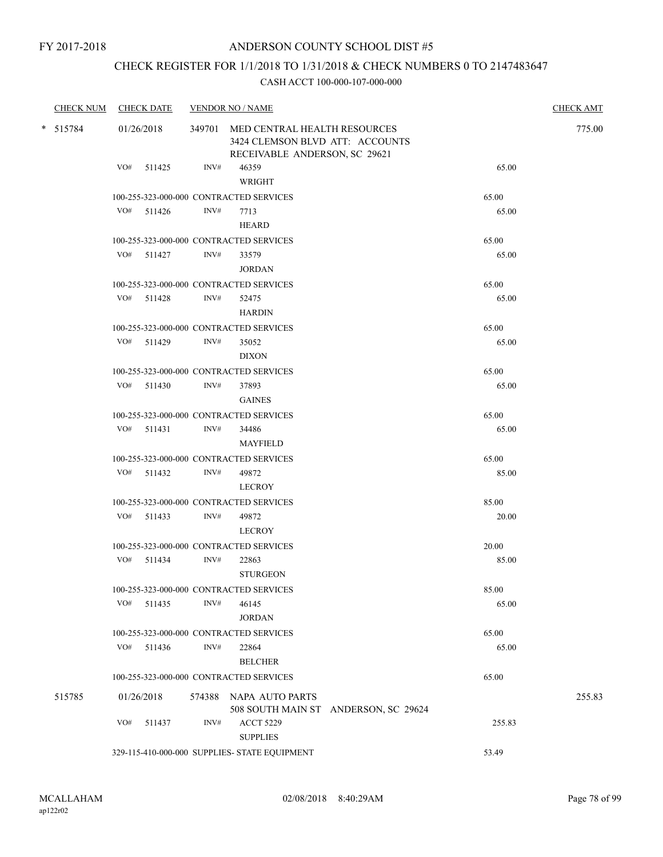# CHECK REGISTER FOR 1/1/2018 TO 1/31/2018 & CHECK NUMBERS 0 TO 2147483647

| <b>CHECK NUM</b> | <b>CHECK DATE</b> |                | <b>VENDOR NO / NAME</b>                                                                                 |                                      |        | <b>CHECK AMT</b> |
|------------------|-------------------|----------------|---------------------------------------------------------------------------------------------------------|--------------------------------------|--------|------------------|
| $*$ 515784       | 01/26/2018        |                | 349701 MED CENTRAL HEALTH RESOURCES<br>3424 CLEMSON BLVD ATT: ACCOUNTS<br>RECEIVABLE ANDERSON, SC 29621 |                                      |        | 775.00           |
|                  | VO# 511425        | INV#           | 46359<br>WRIGHT                                                                                         |                                      | 65.00  |                  |
|                  |                   |                | 100-255-323-000-000 CONTRACTED SERVICES                                                                 |                                      | 65.00  |                  |
|                  | $VO#$ 511426      | INV#           | 7713<br><b>HEARD</b>                                                                                    |                                      | 65.00  |                  |
|                  |                   |                | 100-255-323-000-000 CONTRACTED SERVICES                                                                 |                                      | 65.00  |                  |
|                  | VO# 511427        | INV#           | 33579<br><b>JORDAN</b>                                                                                  |                                      | 65.00  |                  |
|                  |                   |                | 100-255-323-000-000 CONTRACTED SERVICES                                                                 |                                      | 65.00  |                  |
|                  | VO# 511428        | INV#           | 52475<br><b>HARDIN</b>                                                                                  |                                      | 65.00  |                  |
|                  |                   |                | 100-255-323-000-000 CONTRACTED SERVICES                                                                 |                                      | 65.00  |                  |
|                  | VO# 511429        | INV#           | 35052<br><b>DIXON</b>                                                                                   |                                      | 65.00  |                  |
|                  |                   |                | 100-255-323-000-000 CONTRACTED SERVICES                                                                 |                                      | 65.00  |                  |
|                  | $VO#$ 511430      | INV#           | 37893<br><b>GAINES</b>                                                                                  |                                      | 65.00  |                  |
|                  |                   |                | 100-255-323-000-000 CONTRACTED SERVICES                                                                 |                                      | 65.00  |                  |
|                  | $VO#$ 511431      | INV#           | 34486<br><b>MAYFIELD</b>                                                                                |                                      | 65.00  |                  |
|                  |                   |                | 100-255-323-000-000 CONTRACTED SERVICES                                                                 |                                      | 65.00  |                  |
|                  | VO# 511432        | INV#           | 49872<br>LECROY                                                                                         |                                      | 85.00  |                  |
|                  |                   |                | 100-255-323-000-000 CONTRACTED SERVICES                                                                 |                                      | 85.00  |                  |
|                  | $VO#$ 511433      | INV#           | 49872<br>LECROY                                                                                         |                                      | 20.00  |                  |
|                  |                   |                | 100-255-323-000-000 CONTRACTED SERVICES                                                                 |                                      | 20.00  |                  |
|                  | $VO#$ 511434      | INV#           | 22863<br><b>STURGEON</b>                                                                                |                                      | 85.00  |                  |
|                  |                   |                | 100-255-323-000-000 CONTRACTED SERVICES                                                                 |                                      | 85.00  |                  |
|                  | VO#<br>511435     | INV#           | 46145<br><b>JORDAN</b>                                                                                  |                                      | 65.00  |                  |
|                  |                   |                | 100-255-323-000-000 CONTRACTED SERVICES                                                                 |                                      | 65.00  |                  |
|                  | VO# 511436        | INV#           | 22864<br><b>BELCHER</b>                                                                                 |                                      | 65.00  |                  |
|                  |                   |                | 100-255-323-000-000 CONTRACTED SERVICES                                                                 |                                      | 65.00  |                  |
| 515785           | 01/26/2018        |                | 574388 NAPA AUTO PARTS                                                                                  | 508 SOUTH MAIN ST ANDERSON, SC 29624 |        | 255.83           |
|                  | VO#<br>511437     | $\text{INV}\#$ | <b>ACCT 5229</b><br><b>SUPPLIES</b>                                                                     |                                      | 255.83 |                  |
|                  |                   |                | 329-115-410-000-000 SUPPLIES- STATE EQUIPMENT                                                           |                                      | 53.49  |                  |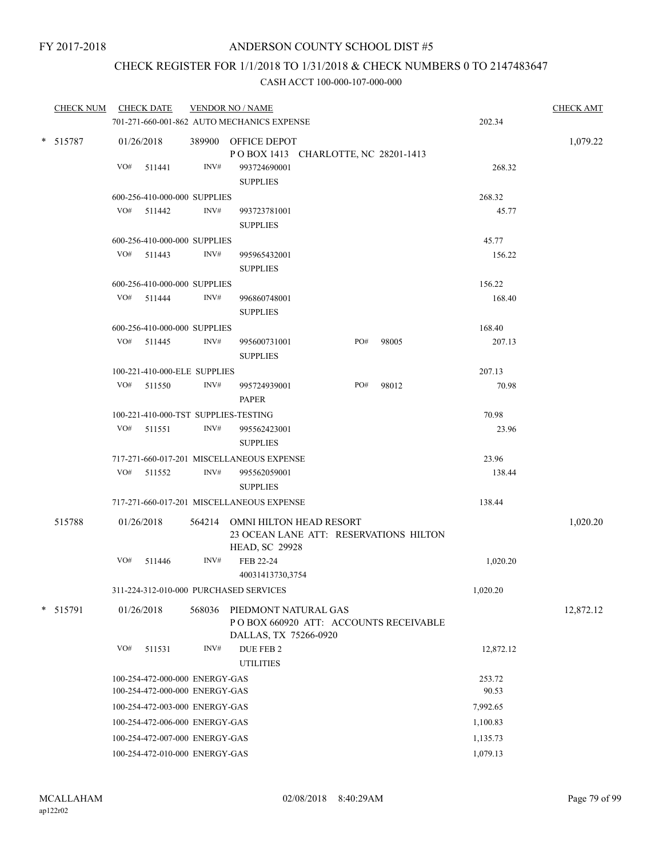# CHECK REGISTER FOR 1/1/2018 TO 1/31/2018 & CHECK NUMBERS 0 TO 2147483647

| CHECK NUM CHECK DATE |     |                                      |                | <b>VENDOR NO / NAME</b>                                                                           |     |       |           | <b>CHECK AMT</b> |
|----------------------|-----|--------------------------------------|----------------|---------------------------------------------------------------------------------------------------|-----|-------|-----------|------------------|
|                      |     |                                      |                | 701-271-660-001-862 AUTO MECHANICS EXPENSE                                                        |     |       | 202.34    |                  |
| * 515787             |     | 01/26/2018                           |                | 389900 OFFICE DEPOT<br>POBOX 1413 CHARLOTTE, NC 28201-1413                                        |     |       |           | 1,079.22         |
|                      | VO# | 511441                               | INV#           | 993724690001<br><b>SUPPLIES</b>                                                                   |     |       | 268.32    |                  |
|                      |     | 600-256-410-000-000 SUPPLIES         |                |                                                                                                   |     |       | 268.32    |                  |
|                      |     | VO# 511442                           | INV#           | 993723781001<br><b>SUPPLIES</b>                                                                   |     |       | 45.77     |                  |
|                      |     | 600-256-410-000-000 SUPPLIES         |                |                                                                                                   |     |       | 45.77     |                  |
|                      |     | VO# 511443                           | INV#           | 995965432001<br><b>SUPPLIES</b>                                                                   |     |       | 156.22    |                  |
|                      |     | 600-256-410-000-000 SUPPLIES         |                |                                                                                                   |     |       | 156.22    |                  |
|                      | VO# | 511444                               | $\text{INV}\#$ | 996860748001<br><b>SUPPLIES</b>                                                                   |     |       | 168.40    |                  |
|                      |     | 600-256-410-000-000 SUPPLIES         |                |                                                                                                   |     |       | 168.40    |                  |
|                      |     | VO# 511445                           | INV#           | 995600731001<br><b>SUPPLIES</b>                                                                   | PO# | 98005 | 207.13    |                  |
|                      |     | 100-221-410-000-ELE SUPPLIES         |                |                                                                                                   |     |       | 207.13    |                  |
|                      | VO# | 511550                               | INV#           | 995724939001<br><b>PAPER</b>                                                                      | PO# | 98012 | 70.98     |                  |
|                      |     | 100-221-410-000-TST SUPPLIES-TESTING |                |                                                                                                   |     |       | 70.98     |                  |
|                      | VO# | 511551                               | INV#           | 995562423001<br><b>SUPPLIES</b>                                                                   |     |       | 23.96     |                  |
|                      |     |                                      |                | 717-271-660-017-201 MISCELLANEOUS EXPENSE                                                         |     |       | 23.96     |                  |
|                      | VO# | 511552                               | INV#           | 995562059001<br><b>SUPPLIES</b>                                                                   |     |       | 138.44    |                  |
|                      |     |                                      |                | 717-271-660-017-201 MISCELLANEOUS EXPENSE                                                         |     |       | 138.44    |                  |
| 515788               |     | 01/26/2018                           |                | 564214 OMNI HILTON HEAD RESORT<br>23 OCEAN LANE ATT: RESERVATIONS HILTON<br><b>HEAD, SC 29928</b> |     |       |           | 1,020.20         |
|                      | VO# | 511446                               | INV#           | FEB 22-24<br>40031413730,3754                                                                     |     |       | 1,020.20  |                  |
|                      |     |                                      |                | 311-224-312-010-000 PURCHASED SERVICES                                                            |     |       | 1,020.20  |                  |
| * 515791             |     | 01/26/2018                           | 568036         | PIEDMONT NATURAL GAS<br>PO BOX 660920 ATT: ACCOUNTS RECEIVABLE<br>DALLAS, TX 75266-0920           |     |       |           | 12,872.12        |
|                      | VO# | 511531                               | INV#           | DUE FEB 2<br><b>UTILITIES</b>                                                                     |     |       | 12,872.12 |                  |
|                      |     | 100-254-472-000-000 ENERGY-GAS       |                |                                                                                                   |     |       | 253.72    |                  |
|                      |     | 100-254-472-000-000 ENERGY-GAS       |                |                                                                                                   |     |       | 90.53     |                  |
|                      |     | 100-254-472-003-000 ENERGY-GAS       |                |                                                                                                   |     |       | 7,992.65  |                  |
|                      |     | 100-254-472-006-000 ENERGY-GAS       |                |                                                                                                   |     |       | 1,100.83  |                  |
|                      |     | 100-254-472-007-000 ENERGY-GAS       |                |                                                                                                   |     |       | 1,135.73  |                  |
|                      |     | 100-254-472-010-000 ENERGY-GAS       |                |                                                                                                   |     |       | 1,079.13  |                  |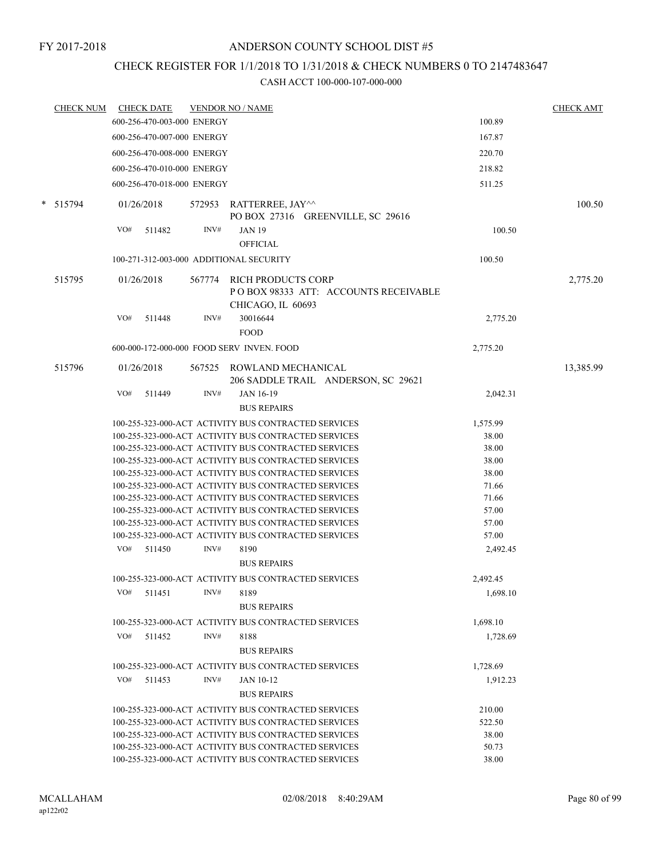### CHECK REGISTER FOR 1/1/2018 TO 1/31/2018 & CHECK NUMBERS 0 TO 2147483647

| <b>CHECK NUM</b> |     | <b>CHECK DATE</b>          |      | <b>VENDOR NO / NAME</b>                                                                                      |                | <b>CHECK AMT</b> |
|------------------|-----|----------------------------|------|--------------------------------------------------------------------------------------------------------------|----------------|------------------|
|                  |     | 600-256-470-003-000 ENERGY |      |                                                                                                              | 100.89         |                  |
|                  |     | 600-256-470-007-000 ENERGY |      |                                                                                                              | 167.87         |                  |
|                  |     | 600-256-470-008-000 ENERGY |      |                                                                                                              | 220.70         |                  |
|                  |     | 600-256-470-010-000 ENERGY |      |                                                                                                              | 218.82         |                  |
|                  |     | 600-256-470-018-000 ENERGY |      |                                                                                                              | 511.25         |                  |
|                  |     |                            |      |                                                                                                              |                |                  |
| * 515794         |     | 01/26/2018                 |      | 572953 RATTERREE, JAY^^                                                                                      |                | 100.50           |
|                  |     |                            |      | PO BOX 27316 GREENVILLE, SC 29616                                                                            |                |                  |
|                  | VO# | 511482                     | INV# | <b>JAN 19</b>                                                                                                | 100.50         |                  |
|                  |     |                            |      | <b>OFFICIAL</b>                                                                                              |                |                  |
|                  |     |                            |      | 100-271-312-003-000 ADDITIONAL SECURITY                                                                      | 100.50         |                  |
| 515795           |     | 01/26/2018                 |      | 567774 RICH PRODUCTS CORP                                                                                    |                | 2,775.20         |
|                  |     |                            |      | POBOX 98333 ATT: ACCOUNTS RECEIVABLE                                                                         |                |                  |
|                  |     |                            |      | CHICAGO, IL 60693                                                                                            |                |                  |
|                  | VO# | 511448                     | INV# | 30016644                                                                                                     | 2,775.20       |                  |
|                  |     |                            |      | <b>FOOD</b>                                                                                                  |                |                  |
|                  |     |                            |      | 600-000-172-000-000 FOOD SERV INVEN. FOOD                                                                    | 2,775.20       |                  |
|                  |     |                            |      |                                                                                                              |                |                  |
| 515796           |     | 01/26/2018                 |      | 567525 ROWLAND MECHANICAL                                                                                    |                | 13,385.99        |
|                  |     |                            |      | 206 SADDLE TRAIL ANDERSON, SC 29621                                                                          |                |                  |
|                  | VO# | 511449                     | INV# | <b>JAN 16-19</b>                                                                                             | 2,042.31       |                  |
|                  |     |                            |      | <b>BUS REPAIRS</b>                                                                                           |                |                  |
|                  |     |                            |      | 100-255-323-000-ACT ACTIVITY BUS CONTRACTED SERVICES                                                         | 1,575.99       |                  |
|                  |     |                            |      | 100-255-323-000-ACT ACTIVITY BUS CONTRACTED SERVICES                                                         | 38.00          |                  |
|                  |     |                            |      | 100-255-323-000-ACT ACTIVITY BUS CONTRACTED SERVICES                                                         | 38.00          |                  |
|                  |     |                            |      | 100-255-323-000-ACT ACTIVITY BUS CONTRACTED SERVICES<br>100-255-323-000-ACT ACTIVITY BUS CONTRACTED SERVICES | 38.00<br>38.00 |                  |
|                  |     |                            |      | 100-255-323-000-ACT ACTIVITY BUS CONTRACTED SERVICES                                                         | 71.66          |                  |
|                  |     |                            |      | 100-255-323-000-ACT ACTIVITY BUS CONTRACTED SERVICES                                                         | 71.66          |                  |
|                  |     |                            |      | 100-255-323-000-ACT ACTIVITY BUS CONTRACTED SERVICES                                                         | 57.00          |                  |
|                  |     |                            |      | 100-255-323-000-ACT ACTIVITY BUS CONTRACTED SERVICES                                                         | 57.00          |                  |
|                  |     |                            |      | 100-255-323-000-ACT ACTIVITY BUS CONTRACTED SERVICES                                                         | 57.00          |                  |
|                  | VO# | 511450                     | INV# | 8190                                                                                                         | 2,492.45       |                  |
|                  |     |                            |      | <b>BUS REPAIRS</b>                                                                                           |                |                  |
|                  |     |                            |      | 100-255-323-000-ACT ACTIVITY BUS CONTRACTED SERVICES                                                         | 2,492.45       |                  |
|                  | VO# | 511451                     | INV# | 8189                                                                                                         | 1.698.10       |                  |
|                  |     |                            |      | <b>BUS REPAIRS</b>                                                                                           |                |                  |
|                  |     |                            |      | 100-255-323-000-ACT ACTIVITY BUS CONTRACTED SERVICES                                                         | 1,698.10       |                  |
|                  | VO# |                            | INV# |                                                                                                              | 1.728.69       |                  |
|                  |     | 511452                     |      | 8188                                                                                                         |                |                  |
|                  |     |                            |      | <b>BUS REPAIRS</b>                                                                                           |                |                  |
|                  |     |                            |      | 100-255-323-000-ACT ACTIVITY BUS CONTRACTED SERVICES                                                         | 1,728.69       |                  |
|                  | VO# | 511453                     | INV# | <b>JAN 10-12</b>                                                                                             | 1,912.23       |                  |
|                  |     |                            |      | <b>BUS REPAIRS</b>                                                                                           |                |                  |
|                  |     |                            |      | 100-255-323-000-ACT ACTIVITY BUS CONTRACTED SERVICES                                                         | 210.00         |                  |
|                  |     |                            |      | 100-255-323-000-ACT ACTIVITY BUS CONTRACTED SERVICES                                                         | 522.50         |                  |
|                  |     |                            |      | 100-255-323-000-ACT ACTIVITY BUS CONTRACTED SERVICES                                                         | 38.00          |                  |
|                  |     |                            |      | 100-255-323-000-ACT ACTIVITY BUS CONTRACTED SERVICES                                                         | 50.73          |                  |
|                  |     |                            |      | 100-255-323-000-ACT ACTIVITY BUS CONTRACTED SERVICES                                                         | 38.00          |                  |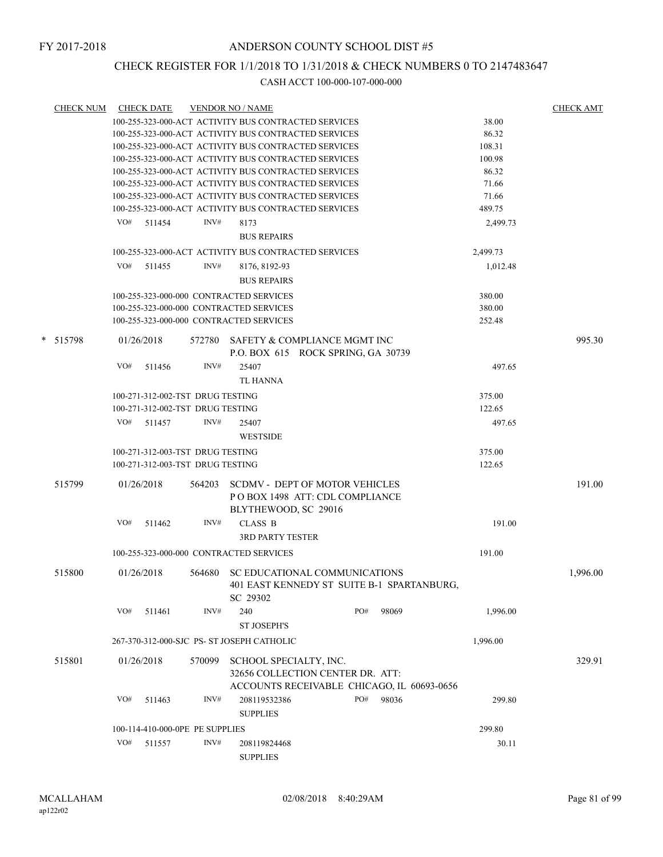### CHECK REGISTER FOR 1/1/2018 TO 1/31/2018 & CHECK NUMBERS 0 TO 2147483647

| <b>CHECK NUM</b> |     | <b>CHECK DATE</b> |                                  | <b>VENDOR NO / NAME</b>                    |                                                      |       |          | <b>CHECK AMT</b> |
|------------------|-----|-------------------|----------------------------------|--------------------------------------------|------------------------------------------------------|-------|----------|------------------|
|                  |     |                   |                                  |                                            | 100-255-323-000-ACT ACTIVITY BUS CONTRACTED SERVICES |       | 38.00    |                  |
|                  |     |                   |                                  |                                            | 100-255-323-000-ACT ACTIVITY BUS CONTRACTED SERVICES |       | 86.32    |                  |
|                  |     |                   |                                  |                                            | 100-255-323-000-ACT ACTIVITY BUS CONTRACTED SERVICES |       | 108.31   |                  |
|                  |     |                   |                                  |                                            | 100-255-323-000-ACT ACTIVITY BUS CONTRACTED SERVICES |       | 100.98   |                  |
|                  |     |                   |                                  |                                            | 100-255-323-000-ACT ACTIVITY BUS CONTRACTED SERVICES |       | 86.32    |                  |
|                  |     |                   |                                  |                                            | 100-255-323-000-ACT ACTIVITY BUS CONTRACTED SERVICES |       | 71.66    |                  |
|                  |     |                   |                                  |                                            | 100-255-323-000-ACT ACTIVITY BUS CONTRACTED SERVICES |       | 71.66    |                  |
|                  |     |                   |                                  |                                            | 100-255-323-000-ACT ACTIVITY BUS CONTRACTED SERVICES |       | 489.75   |                  |
|                  |     |                   |                                  |                                            |                                                      |       |          |                  |
|                  | VO# | 511454            | INV#                             | 8173                                       |                                                      |       | 2,499.73 |                  |
|                  |     |                   |                                  | <b>BUS REPAIRS</b>                         |                                                      |       |          |                  |
|                  |     |                   |                                  |                                            | 100-255-323-000-ACT ACTIVITY BUS CONTRACTED SERVICES |       | 2,499.73 |                  |
|                  | VO# | 511455            | INV#                             | 8176, 8192-93                              |                                                      |       | 1,012.48 |                  |
|                  |     |                   |                                  |                                            |                                                      |       |          |                  |
|                  |     |                   |                                  | <b>BUS REPAIRS</b>                         |                                                      |       |          |                  |
|                  |     |                   |                                  | 100-255-323-000-000 CONTRACTED SERVICES    |                                                      |       | 380.00   |                  |
|                  |     |                   |                                  | 100-255-323-000-000 CONTRACTED SERVICES    |                                                      |       | 380.00   |                  |
|                  |     |                   |                                  | 100-255-323-000-000 CONTRACTED SERVICES    |                                                      |       | 252.48   |                  |
| * 515798         |     | 01/26/2018        |                                  |                                            | 572780 SAFETY & COMPLIANCE MGMT INC                  |       |          | 995.30           |
|                  |     |                   |                                  |                                            | P.O. BOX 615 ROCK SPRING, GA 30739                   |       |          |                  |
|                  |     |                   |                                  |                                            |                                                      |       |          |                  |
|                  | VO# | 511456            | INV#                             | 25407                                      |                                                      |       | 497.65   |                  |
|                  |     |                   |                                  | TL HANNA                                   |                                                      |       |          |                  |
|                  |     |                   | 100-271-312-002-TST DRUG TESTING |                                            |                                                      |       | 375.00   |                  |
|                  |     |                   | 100-271-312-002-TST DRUG TESTING |                                            |                                                      |       | 122.65   |                  |
|                  | VO# | 511457            | INV#                             | 25407                                      |                                                      |       | 497.65   |                  |
|                  |     |                   |                                  | <b>WESTSIDE</b>                            |                                                      |       |          |                  |
|                  |     |                   |                                  |                                            |                                                      |       |          |                  |
|                  |     |                   | 100-271-312-003-TST DRUG TESTING |                                            |                                                      |       | 375.00   |                  |
|                  |     |                   | 100-271-312-003-TST DRUG TESTING |                                            |                                                      |       | 122.65   |                  |
| 515799           |     | 01/26/2018        | 564203                           |                                            | <b>SCDMV - DEPT OF MOTOR VEHICLES</b>                |       |          | 191.00           |
|                  |     |                   |                                  |                                            | POBOX 1498 ATT: CDL COMPLIANCE                       |       |          |                  |
|                  |     |                   |                                  |                                            |                                                      |       |          |                  |
|                  |     |                   |                                  | BLYTHEWOOD, SC 29016                       |                                                      |       |          |                  |
|                  | VO# | 511462            | INV#                             | <b>CLASS B</b>                             |                                                      |       | 191.00   |                  |
|                  |     |                   |                                  | <b>3RD PARTY TESTER</b>                    |                                                      |       |          |                  |
|                  |     |                   |                                  | 100-255-323-000-000 CONTRACTED SERVICES    |                                                      |       | 191.00   |                  |
|                  |     |                   |                                  |                                            |                                                      |       |          |                  |
| 515800           |     | 01/26/2018        | 564680                           |                                            | SC EDUCATIONAL COMMUNICATIONS                        |       |          | 1,996.00         |
|                  |     |                   |                                  |                                            | 401 EAST KENNEDY ST SUITE B-1 SPARTANBURG,           |       |          |                  |
|                  |     |                   |                                  | SC 29302                                   |                                                      |       |          |                  |
|                  | VO# | 511461            | INV#                             | 240                                        | PO#                                                  | 98069 | 1,996.00 |                  |
|                  |     |                   |                                  | <b>ST JOSEPH'S</b>                         |                                                      |       |          |                  |
|                  |     |                   |                                  |                                            |                                                      |       |          |                  |
|                  |     |                   |                                  | 267-370-312-000-SJC PS- ST JOSEPH CATHOLIC |                                                      |       | 1,996.00 |                  |
| 515801           |     | 01/26/2018        | 570099                           | SCHOOL SPECIALTY, INC.                     |                                                      |       |          | 329.91           |
|                  |     |                   |                                  |                                            | 32656 COLLECTION CENTER DR. ATT:                     |       |          |                  |
|                  |     |                   |                                  |                                            | ACCOUNTS RECEIVABLE CHICAGO, IL 60693-0656           |       |          |                  |
|                  | VO# |                   | INV#                             |                                            | PO#                                                  |       |          |                  |
|                  |     | 511463            |                                  | 208119532386                               |                                                      | 98036 | 299.80   |                  |
|                  |     |                   |                                  | <b>SUPPLIES</b>                            |                                                      |       |          |                  |
|                  |     |                   | 100-114-410-000-0PE PE SUPPLIES  |                                            |                                                      |       | 299.80   |                  |
|                  | VO# | 511557            | INV#                             | 208119824468                               |                                                      |       | 30.11    |                  |
|                  |     |                   |                                  | <b>SUPPLIES</b>                            |                                                      |       |          |                  |
|                  |     |                   |                                  |                                            |                                                      |       |          |                  |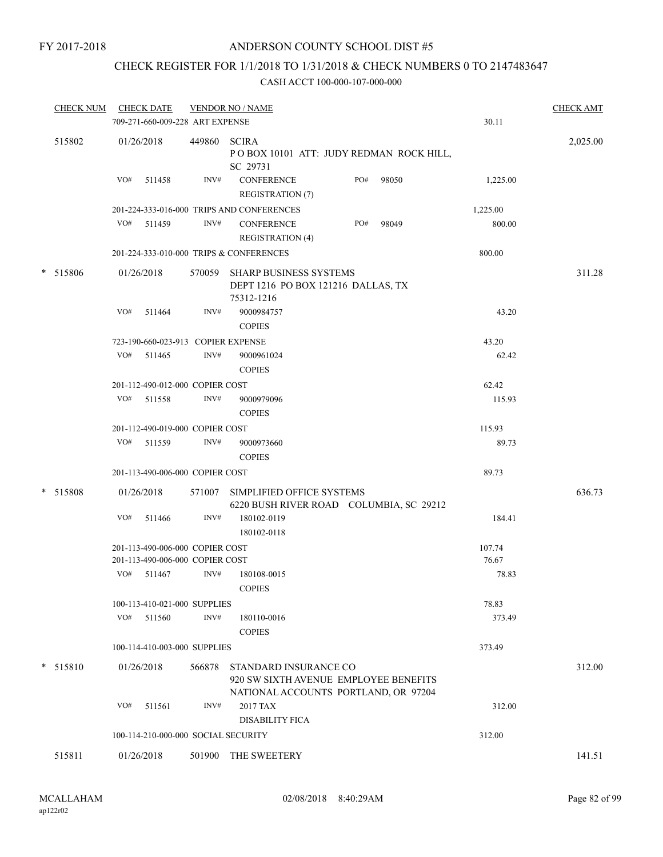### CHECK REGISTER FOR 1/1/2018 TO 1/31/2018 & CHECK NUMBERS 0 TO 2147483647

| <b>CHECK NUM</b> | <b>CHECK DATE</b> |                                 |                | <b>VENDOR NO / NAME</b>                                                                                |     |       |          | <b>CHECK AMT</b> |
|------------------|-------------------|---------------------------------|----------------|--------------------------------------------------------------------------------------------------------|-----|-------|----------|------------------|
|                  |                   | 709-271-660-009-228 ART EXPENSE |                |                                                                                                        |     |       | 30.11    |                  |
| 515802           | 01/26/2018        |                                 | 449860         | <b>SCIRA</b><br>POBOX 10101 ATT: JUDY REDMAN ROCK HILL,<br>SC 29731                                    |     |       |          | 2,025.00         |
|                  | VO#               | 511458                          | INV#           | <b>CONFERENCE</b><br><b>REGISTRATION (7)</b>                                                           | PO# | 98050 | 1,225.00 |                  |
|                  |                   |                                 |                | 201-224-333-016-000 TRIPS AND CONFERENCES                                                              |     |       | 1,225.00 |                  |
|                  | VO# 511459        |                                 | INV#           | <b>CONFERENCE</b><br><b>REGISTRATION (4)</b>                                                           | PO# | 98049 | 800.00   |                  |
|                  |                   |                                 |                | 201-224-333-010-000 TRIPS & CONFERENCES                                                                |     |       | 800.00   |                  |
| * 515806         | 01/26/2018        |                                 | 570059         | <b>SHARP BUSINESS SYSTEMS</b><br>DEPT 1216 PO BOX 121216 DALLAS, TX<br>75312-1216                      |     |       |          | 311.28           |
|                  | VO#               | 511464                          | INV#           | 9000984757<br><b>COPIES</b>                                                                            |     |       | 43.20    |                  |
|                  |                   |                                 |                | 723-190-660-023-913 COPIER EXPENSE                                                                     |     |       | 43.20    |                  |
|                  | VO# 511465        |                                 | INV#           | 9000961024<br><b>COPIES</b>                                                                            |     |       | 62.42    |                  |
|                  |                   | 201-112-490-012-000 COPIER COST |                |                                                                                                        |     |       | 62.42    |                  |
|                  | VO#               | 511558                          | $\text{INV}\#$ | 9000979096<br><b>COPIES</b>                                                                            |     |       | 115.93   |                  |
|                  |                   | 201-112-490-019-000 COPIER COST |                |                                                                                                        |     |       | 115.93   |                  |
|                  | VO#               | 511559                          | INV#           | 9000973660<br><b>COPIES</b>                                                                            |     |       | 89.73    |                  |
|                  |                   | 201-113-490-006-000 COPIER COST |                |                                                                                                        |     |       | 89.73    |                  |
| * 515808         | 01/26/2018        |                                 | 571007         | SIMPLIFIED OFFICE SYSTEMS<br>6220 BUSH RIVER ROAD COLUMBIA, SC 29212                                   |     |       |          | 636.73           |
|                  | VO#               | 511466                          | INV#           | 180102-0119<br>180102-0118                                                                             |     |       | 184.41   |                  |
|                  |                   | 201-113-490-006-000 COPIER COST |                |                                                                                                        |     |       | 107.74   |                  |
|                  |                   | 201-113-490-006-000 COPIER COST |                |                                                                                                        |     |       | 76.67    |                  |
|                  | VO#               | 511467                          | INV#           | 180108-0015<br><b>COPIES</b>                                                                           |     |       | 78.83    |                  |
|                  |                   | 100-113-410-021-000 SUPPLIES    |                |                                                                                                        |     |       | 78.83    |                  |
|                  | VO#               | 511560                          | INV#           | 180110-0016<br><b>COPIES</b>                                                                           |     |       | 373.49   |                  |
|                  |                   | 100-114-410-003-000 SUPPLIES    |                |                                                                                                        |     |       | 373.49   |                  |
| * 515810         | 01/26/2018        |                                 | 566878         | STANDARD INSURANCE CO<br>920 SW SIXTH AVENUE EMPLOYEE BENEFITS<br>NATIONAL ACCOUNTS PORTLAND, OR 97204 |     |       |          | 312.00           |
|                  | VO#               | 511561                          | INV#           | 2017 TAX<br><b>DISABILITY FICA</b>                                                                     |     |       | 312.00   |                  |
|                  |                   |                                 |                | 100-114-210-000-000 SOCIAL SECURITY                                                                    |     |       | 312.00   |                  |
| 515811           | 01/26/2018        |                                 | 501900         | THE SWEETERY                                                                                           |     |       |          | 141.51           |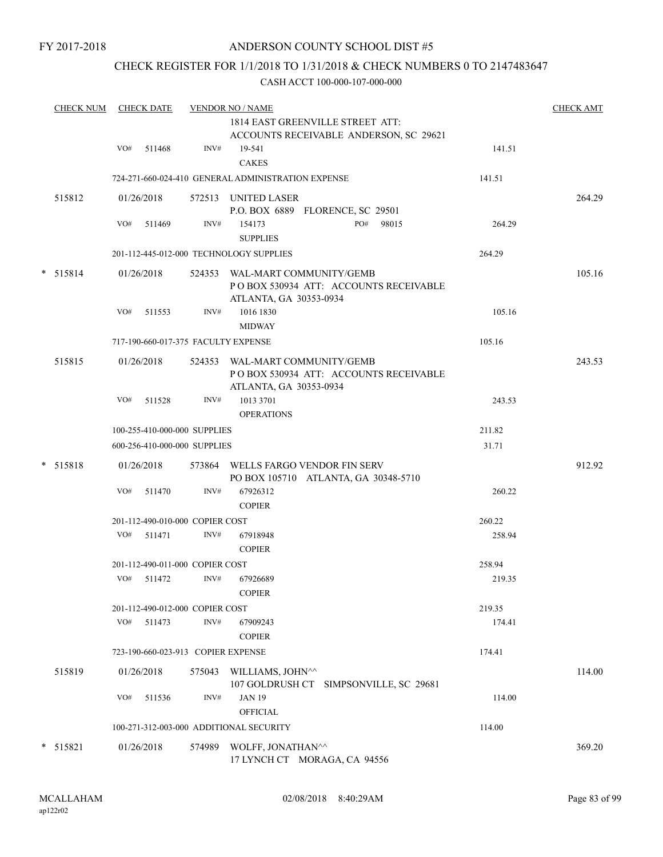### CHECK REGISTER FOR 1/1/2018 TO 1/31/2018 & CHECK NUMBERS 0 TO 2147483647

|        | <b>CHECK NUM</b> |     | <b>CHECK DATE</b> |                                    | <b>VENDOR NO / NAME</b>                                                                           |        | <b>CHECK AMT</b> |
|--------|------------------|-----|-------------------|------------------------------------|---------------------------------------------------------------------------------------------------|--------|------------------|
|        |                  |     |                   |                                    | 1814 EAST GREENVILLE STREET ATT:<br>ACCOUNTS RECEIVABLE ANDERSON, SC 29621                        |        |                  |
|        |                  | VO# | 511468            | INV#                               | 19-541<br><b>CAKES</b>                                                                            | 141.51 |                  |
|        |                  |     |                   |                                    | 724-271-660-024-410 GENERAL ADMINISTRATION EXPENSE                                                | 141.51 |                  |
|        | 515812           |     | 01/26/2018        |                                    | 572513 UNITED LASER<br>P.O. BOX 6889 FLORENCE, SC 29501                                           |        | 264.29           |
|        |                  | VO# | 511469            | INV#                               | PO#<br>98015<br>154173<br><b>SUPPLIES</b>                                                         | 264.29 |                  |
|        |                  |     |                   |                                    | 201-112-445-012-000 TECHNOLOGY SUPPLIES                                                           | 264.29 |                  |
| *      | 515814           |     | 01/26/2018        |                                    | 524353 WAL-MART COMMUNITY/GEMB<br>POBOX 530934 ATT: ACCOUNTS RECEIVABLE<br>ATLANTA, GA 30353-0934 |        | 105.16           |
|        |                  | VO# | 511553            | INV#                               | 1016 1830<br><b>MIDWAY</b>                                                                        | 105.16 |                  |
|        |                  |     |                   |                                    | 717-190-660-017-375 FACULTY EXPENSE                                                               | 105.16 |                  |
|        | 515815           |     | 01/26/2018        |                                    | 524353 WAL-MART COMMUNITY/GEMB<br>POBOX 530934 ATT: ACCOUNTS RECEIVABLE<br>ATLANTA, GA 30353-0934 |        | 243.53           |
|        |                  | VO# | 511528            | INV#                               | 1013 3701<br><b>OPERATIONS</b>                                                                    | 243.53 |                  |
|        |                  |     |                   | 100-255-410-000-000 SUPPLIES       |                                                                                                   | 211.82 |                  |
|        |                  |     |                   | 600-256-410-000-000 SUPPLIES       |                                                                                                   | 31.71  |                  |
|        | * 515818         |     | 01/26/2018        |                                    | 573864 WELLS FARGO VENDOR FIN SERV<br>PO BOX 105710 ATLANTA, GA 30348-5710                        |        | 912.92           |
|        |                  | VO# | 511470            | INV#                               | 67926312<br><b>COPIER</b>                                                                         | 260.22 |                  |
|        |                  |     |                   | 201-112-490-010-000 COPIER COST    |                                                                                                   | 260.22 |                  |
|        |                  |     | VO# 511471        | INV#                               | 67918948<br><b>COPIER</b>                                                                         | 258.94 |                  |
|        |                  |     |                   | 201-112-490-011-000 COPIER COST    |                                                                                                   | 258.94 |                  |
|        |                  | VO# | 511472            | INV#                               | 67926689<br><b>COPIER</b>                                                                         | 219.35 |                  |
|        |                  |     |                   | 201-112-490-012-000 COPIER COST    |                                                                                                   | 219.35 |                  |
|        |                  | VO# | 511473            | INV#                               | 67909243<br><b>COPIER</b>                                                                         | 174.41 |                  |
|        |                  |     |                   | 723-190-660-023-913 COPIER EXPENSE |                                                                                                   | 174.41 |                  |
|        | 515819           |     | 01/26/2018        | 575043                             | WILLIAMS, JOHN^^<br>107 GOLDRUSH CT<br>SIMPSONVILLE, SC 29681                                     |        | 114.00           |
|        |                  | VO# | 511536            | INV#                               | <b>JAN 19</b>                                                                                     | 114.00 |                  |
|        |                  |     |                   |                                    | <b>OFFICIAL</b>                                                                                   |        |                  |
|        |                  |     |                   |                                    | 100-271-312-003-000 ADDITIONAL SECURITY                                                           | 114.00 |                  |
| $\ast$ | 515821           |     | 01/26/2018        | 574989                             | WOLFF, JONATHAN^^<br>17 LYNCH CT MORAGA, CA 94556                                                 |        | 369.20           |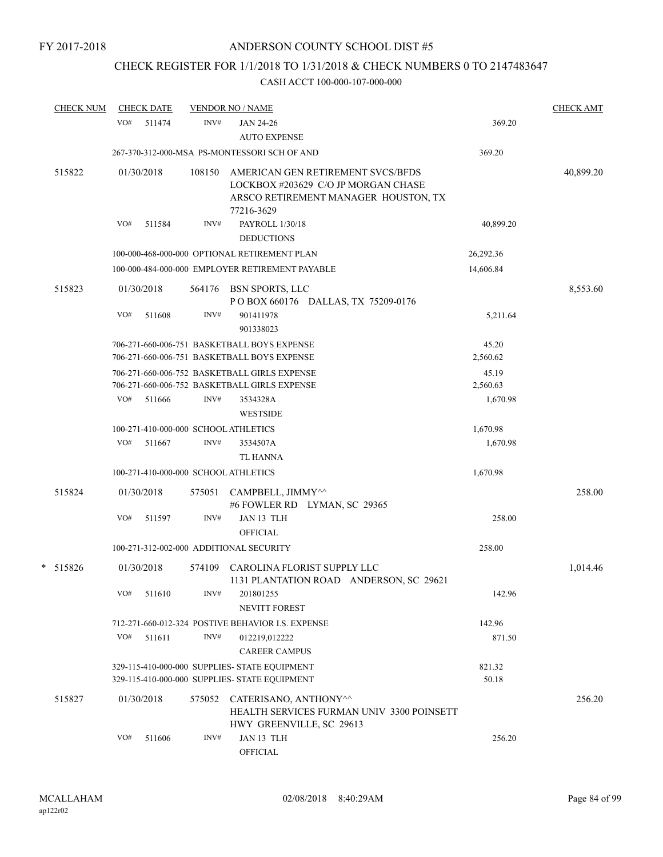# CHECK REGISTER FOR 1/1/2018 TO 1/31/2018 & CHECK NUMBERS 0 TO 2147483647

| <b>CHECK NUM</b> |     | <b>CHECK DATE</b> |        | <b>VENDOR NO / NAME</b>                                                                                                        |                               | <b>CHECK AMT</b> |
|------------------|-----|-------------------|--------|--------------------------------------------------------------------------------------------------------------------------------|-------------------------------|------------------|
|                  | VO# | 511474            | INV#   | <b>JAN 24-26</b><br><b>AUTO EXPENSE</b>                                                                                        | 369.20                        |                  |
|                  |     |                   |        | 267-370-312-000-MSA PS-MONTESSORI SCH OF AND                                                                                   | 369.20                        |                  |
| 515822           |     | 01/30/2018        | 108150 | AMERICAN GEN RETIREMENT SVCS/BFDS<br>LOCKBOX #203629 C/O JP MORGAN CHASE<br>ARSCO RETIREMENT MANAGER HOUSTON, TX<br>77216-3629 |                               | 40,899.20        |
|                  | VO# | 511584            | INV#   | PAYROLL 1/30/18<br><b>DEDUCTIONS</b>                                                                                           | 40,899.20                     |                  |
|                  |     |                   |        | 100-000-468-000-000 OPTIONAL RETIREMENT PLAN                                                                                   | 26,292.36                     |                  |
|                  |     |                   |        | 100-000-484-000-000 EMPLOYER RETIREMENT PAYABLE                                                                                | 14,606.84                     |                  |
| 515823           |     | 01/30/2018        |        | 564176 BSN SPORTS, LLC<br>POBOX 660176 DALLAS, TX 75209-0176                                                                   |                               | 8,553.60         |
|                  | VO# | 511608            | INV#   | 901411978<br>901338023                                                                                                         | 5,211.64                      |                  |
|                  |     |                   |        | 706-271-660-006-751 BASKETBALL BOYS EXPENSE<br>706-271-660-006-751 BASKETBALL BOYS EXPENSE                                     | 45.20<br>2,560.62             |                  |
|                  | VO# | 511666            | INV#   | 706-271-660-006-752 BASKETBALL GIRLS EXPENSE<br>706-271-660-006-752 BASKETBALL GIRLS EXPENSE<br>3534328A                       | 45.19<br>2,560.63<br>1,670.98 |                  |
|                  |     |                   |        | <b>WESTSIDE</b>                                                                                                                |                               |                  |
|                  |     |                   |        | 100-271-410-000-000 SCHOOL ATHLETICS                                                                                           | 1,670.98                      |                  |
|                  | VO# | 511667            | INV#   | 3534507A<br>TL HANNA                                                                                                           | 1,670.98                      |                  |
|                  |     |                   |        | 100-271-410-000-000 SCHOOL ATHLETICS                                                                                           | 1,670.98                      |                  |
| 515824           |     | 01/30/2018        | 575051 | CAMPBELL, JIMMY^^<br>#6 FOWLER RD LYMAN, SC 29365                                                                              |                               | 258.00           |
|                  | VO# | 511597            | INV#   | JAN 13 TLH<br><b>OFFICIAL</b>                                                                                                  | 258.00                        |                  |
|                  |     |                   |        | 100-271-312-002-000 ADDITIONAL SECURITY                                                                                        | 258.00                        |                  |
| * 515826         |     | 01/30/2018        | 574109 | CAROLINA FLORIST SUPPLY LLC<br>1131 PLANTATION ROAD ANDERSON, SC 29621                                                         |                               | 1,014.46         |
|                  | VO# | 511610            | INV#   | 201801255<br>NEVITT FOREST                                                                                                     | 142.96                        |                  |
|                  |     |                   |        | 712-271-660-012-324 POSTIVE BEHAVIOR I.S. EXPENSE                                                                              | 142.96                        |                  |
|                  | VO# | 511611            | INV#   | 012219,012222<br><b>CAREER CAMPUS</b>                                                                                          | 871.50                        |                  |
|                  |     |                   |        | 329-115-410-000-000 SUPPLIES- STATE EQUIPMENT                                                                                  | 821.32                        |                  |
|                  |     |                   |        | 329-115-410-000-000 SUPPLIES- STATE EQUIPMENT                                                                                  | 50.18                         |                  |
| 515827           |     | 01/30/2018        | 575052 | CATERISANO, ANTHONY^^<br>HEALTH SERVICES FURMAN UNIV 3300 POINSETT<br>HWY GREENVILLE, SC 29613                                 |                               | 256.20           |
|                  | VO# | 511606            | INV#   | JAN 13 TLH<br>OFFICIAL                                                                                                         | 256.20                        |                  |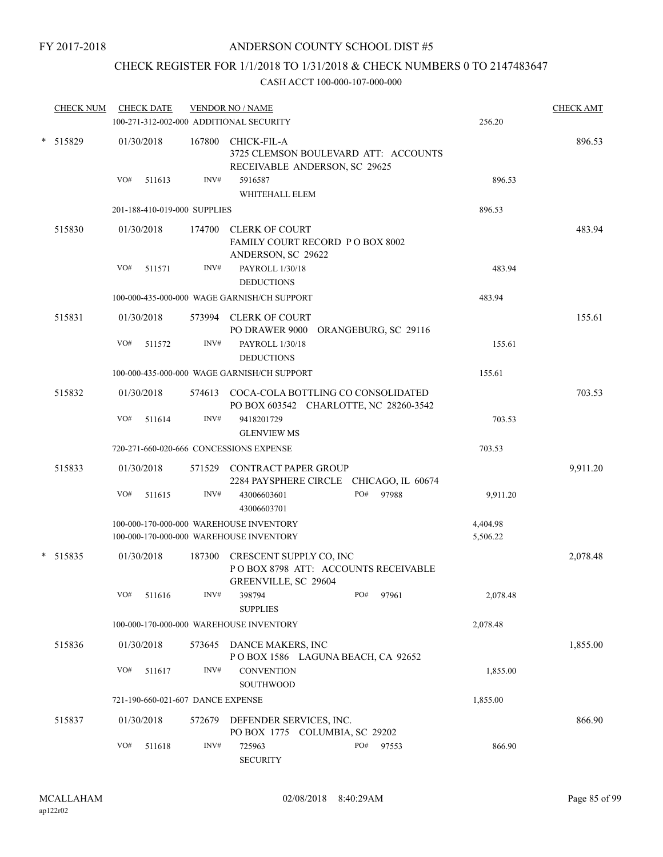# CHECK REGISTER FOR 1/1/2018 TO 1/31/2018 & CHECK NUMBERS 0 TO 2147483647

|          | <b>CHECK NUM</b> |     | <b>CHECK DATE</b>                 |        | <b>VENDOR NO / NAME</b><br>100-271-312-002-000 ADDITIONAL SECURITY                     |     |       | 256.20               | <b>CHECK AMT</b> |
|----------|------------------|-----|-----------------------------------|--------|----------------------------------------------------------------------------------------|-----|-------|----------------------|------------------|
|          |                  |     |                                   |        |                                                                                        |     |       |                      |                  |
| * 515829 |                  |     | 01/30/2018                        | 167800 | CHICK-FIL-A<br>3725 CLEMSON BOULEVARD ATT: ACCOUNTS<br>RECEIVABLE ANDERSON, SC 29625   |     |       |                      | 896.53           |
|          |                  | VO# | 511613                            | INV#   | 5916587<br>WHITEHALL ELEM                                                              |     |       | 896.53               |                  |
|          |                  |     | 201-188-410-019-000 SUPPLIES      |        |                                                                                        |     |       | 896.53               |                  |
|          | 515830           |     | 01/30/2018                        | 174700 | <b>CLERK OF COURT</b><br><b>FAMILY COURT RECORD P O BOX 8002</b><br>ANDERSON, SC 29622 |     |       |                      | 483.94           |
|          |                  | VO# | 511571                            | INV#   | PAYROLL 1/30/18<br><b>DEDUCTIONS</b>                                                   |     |       | 483.94               |                  |
|          |                  |     |                                   |        | 100-000-435-000-000 WAGE GARNISH/CH SUPPORT                                            |     |       | 483.94               |                  |
|          | 515831           |     | 01/30/2018                        |        | 573994 CLERK OF COURT<br>PO DRAWER 9000 ORANGEBURG, SC 29116                           |     |       |                      | 155.61           |
|          |                  | VO# | 511572                            | INV#   | PAYROLL 1/30/18<br><b>DEDUCTIONS</b>                                                   |     |       | 155.61               |                  |
|          |                  |     |                                   |        | 100-000-435-000-000 WAGE GARNISH/CH SUPPORT                                            |     |       | 155.61               |                  |
|          | 515832           |     | 01/30/2018                        |        | 574613 COCA-COLA BOTTLING CO CONSOLIDATED<br>PO BOX 603542 CHARLOTTE, NC 28260-3542    |     |       |                      | 703.53           |
|          |                  | VO# | 511614                            | INV#   | 9418201729<br><b>GLENVIEW MS</b>                                                       |     |       | 703.53               |                  |
|          |                  |     |                                   |        | 720-271-660-020-666 CONCESSIONS EXPENSE                                                |     |       | 703.53               |                  |
|          | 515833           |     | 01/30/2018                        |        | 571529 CONTRACT PAPER GROUP<br>2284 PAYSPHERE CIRCLE CHICAGO, IL 60674                 |     |       |                      | 9,911.20         |
|          |                  | VO# | 511615                            | INV#   | 43006603601<br>43006603701                                                             | PO# | 97988 | 9,911.20             |                  |
|          |                  |     |                                   |        | 100-000-170-000-000 WAREHOUSE INVENTORY<br>100-000-170-000-000 WAREHOUSE INVENTORY     |     |       | 4,404.98<br>5,506.22 |                  |
|          | * 515835         |     | 01/30/2018                        | 187300 | CRESCENT SUPPLY CO, INC<br>POBOX 8798 ATT: ACCOUNTS RECEIVABLE<br>GREENVILLE, SC 29604 |     |       |                      | 2,078.48         |
|          |                  | VO# | 511616                            | INV#   | 398794<br><b>SUPPLIES</b>                                                              | PO# | 97961 | 2,078.48             |                  |
|          |                  |     |                                   |        | 100-000-170-000-000 WAREHOUSE INVENTORY                                                |     |       | 2,078.48             |                  |
|          | 515836           |     | 01/30/2018                        | 573645 | DANCE MAKERS, INC<br>POBOX 1586 LAGUNA BEACH, CA 92652                                 |     |       |                      | 1,855.00         |
|          |                  | VO# | 511617                            | INV#   | <b>CONVENTION</b><br>SOUTHWOOD                                                         |     |       | 1,855.00             |                  |
|          |                  |     | 721-190-660-021-607 DANCE EXPENSE |        |                                                                                        |     |       | 1,855.00             |                  |
|          | 515837           |     | 01/30/2018                        | 572679 | DEFENDER SERVICES, INC.<br>PO BOX 1775 COLUMBIA, SC 29202                              |     |       |                      | 866.90           |
|          |                  | VO# | 511618                            | INV#   | 725963<br><b>SECURITY</b>                                                              | PO# | 97553 | 866.90               |                  |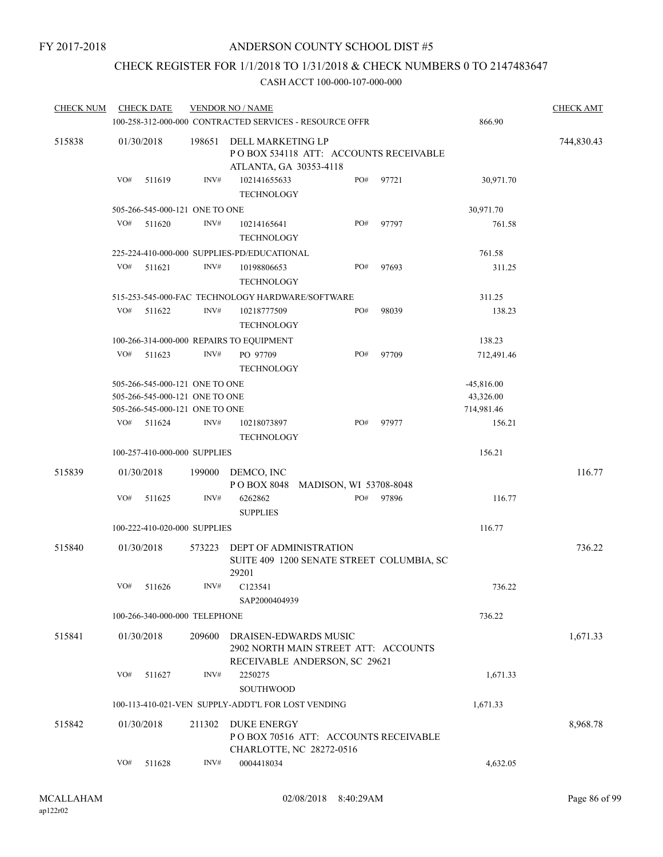# CHECK REGISTER FOR 1/1/2018 TO 1/31/2018 & CHECK NUMBERS 0 TO 2147483647

| <b>CHECK NUM</b> |     | <b>CHECK DATE</b>              |        | <b>VENDOR NO / NAME</b>                                                                        |     |       |              | <b>CHECK AMT</b> |
|------------------|-----|--------------------------------|--------|------------------------------------------------------------------------------------------------|-----|-------|--------------|------------------|
|                  |     |                                |        | 100-258-312-000-000 CONTRACTED SERVICES - RESOURCE OFFR                                        |     |       | 866.90       |                  |
| 515838           |     | 01/30/2018                     | 198651 | DELL MARKETING LP<br>PO BOX 534118 ATT: ACCOUNTS RECEIVABLE<br>ATLANTA, GA 30353-4118          |     |       |              | 744,830.43       |
|                  | VO# | 511619                         | INV#   | 102141655633<br><b>TECHNOLOGY</b>                                                              | PO# | 97721 | 30,971.70    |                  |
|                  |     | 505-266-545-000-121 ONE TO ONE |        |                                                                                                |     |       | 30,971.70    |                  |
|                  | VO# | 511620                         | INV#   | 10214165641<br><b>TECHNOLOGY</b>                                                               | PO# | 97797 | 761.58       |                  |
|                  |     |                                |        | 225-224-410-000-000 SUPPLIES-PD/EDUCATIONAL                                                    |     |       | 761.58       |                  |
|                  | VO# | 511621                         | INV#   | 10198806653<br><b>TECHNOLOGY</b>                                                               | PO# | 97693 | 311.25       |                  |
|                  |     |                                |        | 515-253-545-000-FAC TECHNOLOGY HARDWARE/SOFTWARE                                               |     |       | 311.25       |                  |
|                  | VO# | 511622                         | INV#   | 10218777509<br><b>TECHNOLOGY</b>                                                               | PO# | 98039 | 138.23       |                  |
|                  |     |                                |        | 100-266-314-000-000 REPAIRS TO EQUIPMENT                                                       |     |       | 138.23       |                  |
|                  | VO# | 511623                         | INV#   | PO 97709<br><b>TECHNOLOGY</b>                                                                  | PO# | 97709 | 712,491.46   |                  |
|                  |     | 505-266-545-000-121 ONE TO ONE |        |                                                                                                |     |       | $-45,816.00$ |                  |
|                  |     | 505-266-545-000-121 ONE TO ONE |        |                                                                                                |     |       | 43,326.00    |                  |
|                  |     | 505-266-545-000-121 ONE TO ONE |        |                                                                                                |     |       | 714,981.46   |                  |
|                  | VO# | 511624                         | INV#   | 10218073897<br><b>TECHNOLOGY</b>                                                               | PO# | 97977 | 156.21       |                  |
|                  |     | 100-257-410-000-000 SUPPLIES   |        |                                                                                                |     |       | 156.21       |                  |
| 515839           |     | 01/30/2018                     | 199000 | DEMCO, INC<br>POBOX 8048 MADISON, WI 53708-8048                                                |     |       |              | 116.77           |
|                  | VO# | 511625                         | INV#   | 6262862<br><b>SUPPLIES</b>                                                                     | PO# | 97896 | 116.77       |                  |
|                  |     | 100-222-410-020-000 SUPPLIES   |        |                                                                                                |     |       | 116.77       |                  |
| 515840           |     | 01/30/2018                     | 573223 | <b>DEPT OF ADMINISTRATION</b><br>SUITE 409 1200 SENATE STREET COLUMBIA, SC<br>29201            |     |       |              | 736.22           |
|                  | VO# | 511626                         | INV#   | C <sub>123541</sub><br>SAP2000404939                                                           |     |       | 736.22       |                  |
|                  |     | 100-266-340-000-000 TELEPHONE  |        |                                                                                                |     |       | 736.22       |                  |
| 515841           |     | 01/30/2018                     | 209600 | DRAISEN-EDWARDS MUSIC<br>2902 NORTH MAIN STREET ATT: ACCOUNTS<br>RECEIVABLE ANDERSON, SC 29621 |     |       |              | 1,671.33         |
|                  | VO# | 511627                         | INV#   | 2250275<br><b>SOUTHWOOD</b>                                                                    |     |       | 1,671.33     |                  |
|                  |     |                                |        | 100-113-410-021-VEN SUPPLY-ADDT'L FOR LOST VENDING                                             |     |       | 1,671.33     |                  |
| 515842           |     | 01/30/2018                     | 211302 | <b>DUKE ENERGY</b><br>POBOX 70516 ATT: ACCOUNTS RECEIVABLE<br>CHARLOTTE, NC 28272-0516         |     |       |              | 8,968.78         |
|                  | VO# | 511628                         | INV#   | 0004418034                                                                                     |     |       | 4,632.05     |                  |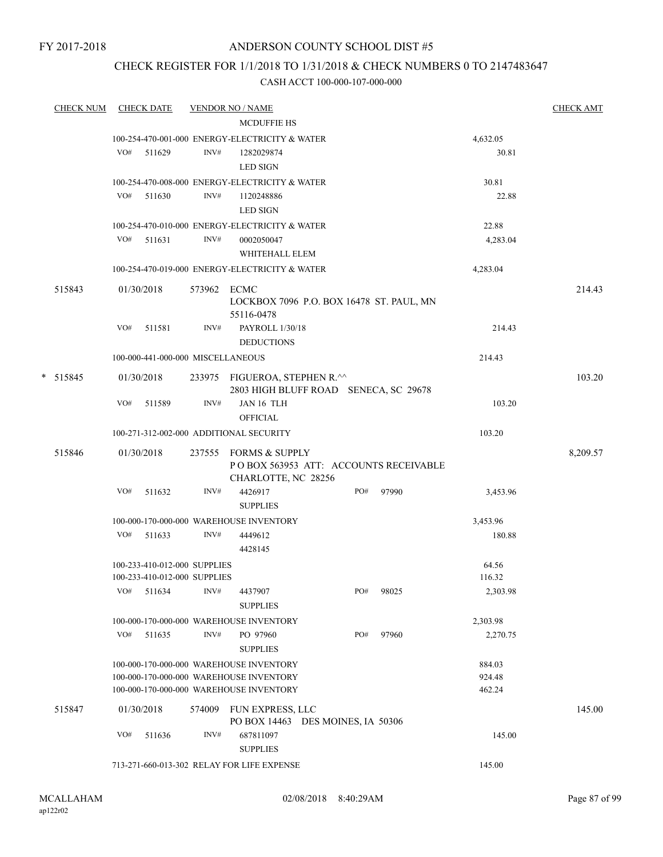FY 2017-2018

### ANDERSON COUNTY SCHOOL DIST #5

### CHECK REGISTER FOR 1/1/2018 TO 1/31/2018 & CHECK NUMBERS 0 TO 2147483647

|   | <b>CHECK NUM</b> |     | <b>CHECK DATE</b>                                            |             | <b>VENDOR NO / NAME</b>                                                            |     |       |                  | <b>CHECK AMT</b> |
|---|------------------|-----|--------------------------------------------------------------|-------------|------------------------------------------------------------------------------------|-----|-------|------------------|------------------|
|   |                  |     |                                                              |             | <b>MCDUFFIE HS</b>                                                                 |     |       |                  |                  |
|   |                  |     |                                                              |             | 100-254-470-001-000 ENERGY-ELECTRICITY & WATER                                     |     |       | 4,632.05         |                  |
|   |                  | VO# | 511629                                                       | INV#        | 1282029874                                                                         |     |       | 30.81            |                  |
|   |                  |     |                                                              |             | <b>LED SIGN</b>                                                                    |     |       |                  |                  |
|   |                  |     |                                                              |             | 100-254-470-008-000 ENERGY-ELECTRICITY & WATER                                     |     |       | 30.81            |                  |
|   |                  | VO# | 511630                                                       | INV#        | 1120248886                                                                         |     |       | 22.88            |                  |
|   |                  |     |                                                              |             | <b>LED SIGN</b>                                                                    |     |       |                  |                  |
|   |                  |     |                                                              |             | 100-254-470-010-000 ENERGY-ELECTRICITY & WATER                                     |     |       | 22.88            |                  |
|   |                  |     | $VO#$ 511631                                                 | INV#        | 0002050047                                                                         |     |       | 4,283.04         |                  |
|   |                  |     |                                                              |             | WHITEHALL ELEM                                                                     |     |       |                  |                  |
|   |                  |     |                                                              |             | 100-254-470-019-000 ENERGY-ELECTRICITY & WATER                                     |     |       | 4,283.04         |                  |
|   | 515843           |     | 01/30/2018                                                   | 573962 ECMC | LOCKBOX 7096 P.O. BOX 16478 ST. PAUL, MN<br>55116-0478                             |     |       |                  | 214.43           |
|   |                  | VO# | 511581                                                       | INV#        | PAYROLL 1/30/18<br><b>DEDUCTIONS</b>                                               |     |       | 214.43           |                  |
|   |                  |     | 100-000-441-000-000 MISCELLANEOUS                            |             |                                                                                    |     |       | 214.43           |                  |
| * | 515845           |     | 01/30/2018                                                   |             | 233975 FIGUEROA, STEPHEN R.^^<br>2803 HIGH BLUFF ROAD SENECA, SC 29678             |     |       |                  | 103.20           |
|   |                  | VO# | 511589                                                       | INV#        | JAN 16 TLH<br><b>OFFICIAL</b>                                                      |     |       | 103.20           |                  |
|   |                  |     |                                                              |             | 100-271-312-002-000 ADDITIONAL SECURITY                                            |     |       | 103.20           |                  |
|   | 515846           |     | 01/30/2018                                                   | 237555      | <b>FORMS &amp; SUPPLY</b>                                                          |     |       |                  | 8,209.57         |
|   |                  |     |                                                              |             | PO BOX 563953 ATT: ACCOUNTS RECEIVABLE<br>CHARLOTTE, NC 28256                      |     |       |                  |                  |
|   |                  | VO# | 511632                                                       | INV#        | 4426917<br><b>SUPPLIES</b>                                                         | PO# | 97990 | 3,453.96         |                  |
|   |                  |     |                                                              |             | 100-000-170-000-000 WAREHOUSE INVENTORY                                            |     |       | 3,453.96         |                  |
|   |                  |     | $VO#$ 511633                                                 | INV#        | 4449612<br>4428145                                                                 |     |       | 180.88           |                  |
|   |                  |     | 100-233-410-012-000 SUPPLIES<br>100-233-410-012-000 SUPPLIES |             |                                                                                    |     |       | 64.56<br>116.32  |                  |
|   |                  | VO# | 511634                                                       | INV#        | 4437907<br><b>SUPPLIES</b>                                                         | PO# | 98025 | 2,303.98         |                  |
|   |                  |     |                                                              |             | 100-000-170-000-000 WAREHOUSE INVENTORY                                            |     |       | 2,303.98         |                  |
|   |                  | VO# | 511635                                                       | INV#        | PO 97960                                                                           | PO# | 97960 | 2,270.75         |                  |
|   |                  |     |                                                              |             | <b>SUPPLIES</b>                                                                    |     |       |                  |                  |
|   |                  |     |                                                              |             | 100-000-170-000-000 WAREHOUSE INVENTORY                                            |     |       | 884.03           |                  |
|   |                  |     |                                                              |             | 100-000-170-000-000 WAREHOUSE INVENTORY<br>100-000-170-000-000 WAREHOUSE INVENTORY |     |       | 924.48<br>462.24 |                  |
|   |                  |     |                                                              |             |                                                                                    |     |       |                  |                  |
|   | 515847           |     | 01/30/2018                                                   | 574009      | <b>FUN EXPRESS, LLC</b>                                                            |     |       |                  | 145.00           |
|   |                  | VO# | 511636                                                       | INV#        | PO BOX 14463 DES MOINES, IA 50306<br>687811097<br><b>SUPPLIES</b>                  |     |       | 145.00           |                  |
|   |                  |     |                                                              |             | 713-271-660-013-302 RELAY FOR LIFE EXPENSE                                         |     |       | 145.00           |                  |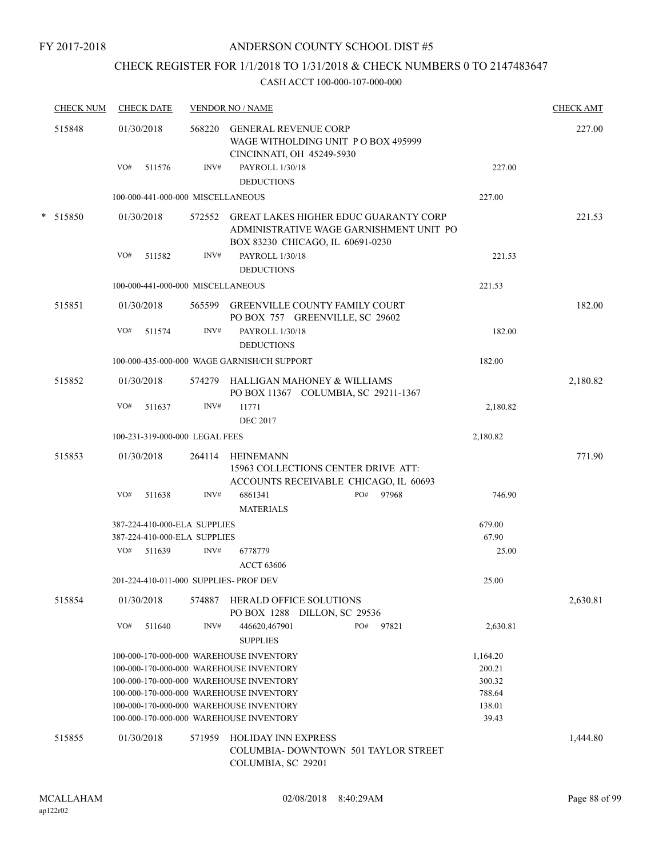FY 2017-2018

### ANDERSON COUNTY SCHOOL DIST #5

# CHECK REGISTER FOR 1/1/2018 TO 1/31/2018 & CHECK NUMBERS 0 TO 2147483647

| <b>CHECK NUM</b> | <b>CHECK DATE</b> |                             |                                                                                         |                                                                                                                                                                                                                                                                                                                                                                                                                                                                                                                                                                                                                                                                                                                                                                                                                                                                                                                                                                         | <b>CHECK AMT</b> |
|------------------|-------------------|-----------------------------|-----------------------------------------------------------------------------------------|-------------------------------------------------------------------------------------------------------------------------------------------------------------------------------------------------------------------------------------------------------------------------------------------------------------------------------------------------------------------------------------------------------------------------------------------------------------------------------------------------------------------------------------------------------------------------------------------------------------------------------------------------------------------------------------------------------------------------------------------------------------------------------------------------------------------------------------------------------------------------------------------------------------------------------------------------------------------------|------------------|
| 515848           | 01/30/2018        | 568220                      | <b>GENERAL REVENUE CORP</b><br>WAGE WITHOLDING UNIT PO BOX 495999                       |                                                                                                                                                                                                                                                                                                                                                                                                                                                                                                                                                                                                                                                                                                                                                                                                                                                                                                                                                                         | 227.00           |
|                  |                   |                             |                                                                                         |                                                                                                                                                                                                                                                                                                                                                                                                                                                                                                                                                                                                                                                                                                                                                                                                                                                                                                                                                                         |                  |
|                  |                   |                             |                                                                                         |                                                                                                                                                                                                                                                                                                                                                                                                                                                                                                                                                                                                                                                                                                                                                                                                                                                                                                                                                                         |                  |
|                  |                   |                             |                                                                                         |                                                                                                                                                                                                                                                                                                                                                                                                                                                                                                                                                                                                                                                                                                                                                                                                                                                                                                                                                                         |                  |
|                  |                   |                             |                                                                                         |                                                                                                                                                                                                                                                                                                                                                                                                                                                                                                                                                                                                                                                                                                                                                                                                                                                                                                                                                                         |                  |
| * 515850         | 01/30/2018        |                             | ADMINISTRATIVE WAGE GARNISHMENT UNIT PO                                                 |                                                                                                                                                                                                                                                                                                                                                                                                                                                                                                                                                                                                                                                                                                                                                                                                                                                                                                                                                                         | 221.53           |
|                  | VO#<br>511582     | INV#                        | PAYROLL 1/30/18                                                                         | 221.53                                                                                                                                                                                                                                                                                                                                                                                                                                                                                                                                                                                                                                                                                                                                                                                                                                                                                                                                                                  |                  |
|                  |                   |                             | <b>DEDUCTIONS</b>                                                                       |                                                                                                                                                                                                                                                                                                                                                                                                                                                                                                                                                                                                                                                                                                                                                                                                                                                                                                                                                                         |                  |
|                  |                   |                             |                                                                                         | 221.53                                                                                                                                                                                                                                                                                                                                                                                                                                                                                                                                                                                                                                                                                                                                                                                                                                                                                                                                                                  |                  |
| 515851           | 01/30/2018        |                             |                                                                                         |                                                                                                                                                                                                                                                                                                                                                                                                                                                                                                                                                                                                                                                                                                                                                                                                                                                                                                                                                                         | 182.00           |
|                  | VO#<br>511574     | INV#                        | PAYROLL 1/30/18<br><b>DEDUCTIONS</b>                                                    | 182.00                                                                                                                                                                                                                                                                                                                                                                                                                                                                                                                                                                                                                                                                                                                                                                                                                                                                                                                                                                  |                  |
|                  |                   |                             |                                                                                         | 182.00                                                                                                                                                                                                                                                                                                                                                                                                                                                                                                                                                                                                                                                                                                                                                                                                                                                                                                                                                                  |                  |
| 515852           | 01/30/2018        |                             |                                                                                         |                                                                                                                                                                                                                                                                                                                                                                                                                                                                                                                                                                                                                                                                                                                                                                                                                                                                                                                                                                         | 2,180.82         |
|                  | VO#<br>511637     | INV#                        | 11771<br><b>DEC 2017</b>                                                                | 2,180.82                                                                                                                                                                                                                                                                                                                                                                                                                                                                                                                                                                                                                                                                                                                                                                                                                                                                                                                                                                |                  |
|                  |                   |                             |                                                                                         | 2,180.82                                                                                                                                                                                                                                                                                                                                                                                                                                                                                                                                                                                                                                                                                                                                                                                                                                                                                                                                                                |                  |
|                  |                   |                             |                                                                                         |                                                                                                                                                                                                                                                                                                                                                                                                                                                                                                                                                                                                                                                                                                                                                                                                                                                                                                                                                                         |                  |
|                  |                   |                             | 15963 COLLECTIONS CENTER DRIVE ATT:                                                     |                                                                                                                                                                                                                                                                                                                                                                                                                                                                                                                                                                                                                                                                                                                                                                                                                                                                                                                                                                         | 771.90           |
|                  | VO#<br>511638     | INV#                        | 6861341<br>PO#<br>97968<br><b>MATERIALS</b>                                             | 746.90                                                                                                                                                                                                                                                                                                                                                                                                                                                                                                                                                                                                                                                                                                                                                                                                                                                                                                                                                                  |                  |
|                  |                   |                             |                                                                                         | 679.00                                                                                                                                                                                                                                                                                                                                                                                                                                                                                                                                                                                                                                                                                                                                                                                                                                                                                                                                                                  |                  |
|                  |                   |                             |                                                                                         | 67.90                                                                                                                                                                                                                                                                                                                                                                                                                                                                                                                                                                                                                                                                                                                                                                                                                                                                                                                                                                   |                  |
|                  | VO#<br>511639     | INV#                        | 6778779<br><b>ACCT 63606</b>                                                            | 25.00                                                                                                                                                                                                                                                                                                                                                                                                                                                                                                                                                                                                                                                                                                                                                                                                                                                                                                                                                                   |                  |
|                  |                   |                             |                                                                                         | 25.00                                                                                                                                                                                                                                                                                                                                                                                                                                                                                                                                                                                                                                                                                                                                                                                                                                                                                                                                                                   |                  |
| 515854           | 01/30/2018        | 574887                      | <b>HERALD OFFICE SOLUTIONS</b>                                                          |                                                                                                                                                                                                                                                                                                                                                                                                                                                                                                                                                                                                                                                                                                                                                                                                                                                                                                                                                                         | 2,630.81         |
|                  | VO#<br>511640     | INV#                        | PO#<br>97821<br>446620,467901<br><b>SUPPLIES</b>                                        | 2,630.81                                                                                                                                                                                                                                                                                                                                                                                                                                                                                                                                                                                                                                                                                                                                                                                                                                                                                                                                                                |                  |
|                  |                   |                             |                                                                                         | 1,164.20                                                                                                                                                                                                                                                                                                                                                                                                                                                                                                                                                                                                                                                                                                                                                                                                                                                                                                                                                                |                  |
|                  |                   |                             |                                                                                         | 200.21                                                                                                                                                                                                                                                                                                                                                                                                                                                                                                                                                                                                                                                                                                                                                                                                                                                                                                                                                                  |                  |
|                  |                   |                             |                                                                                         | 300.32                                                                                                                                                                                                                                                                                                                                                                                                                                                                                                                                                                                                                                                                                                                                                                                                                                                                                                                                                                  |                  |
|                  |                   |                             |                                                                                         | 788.64                                                                                                                                                                                                                                                                                                                                                                                                                                                                                                                                                                                                                                                                                                                                                                                                                                                                                                                                                                  |                  |
|                  |                   |                             |                                                                                         | 138.01                                                                                                                                                                                                                                                                                                                                                                                                                                                                                                                                                                                                                                                                                                                                                                                                                                                                                                                                                                  |                  |
|                  |                   |                             |                                                                                         | 39.43                                                                                                                                                                                                                                                                                                                                                                                                                                                                                                                                                                                                                                                                                                                                                                                                                                                                                                                                                                   |                  |
| 515855           | 01/30/2018        | 571959                      | <b>HOLIDAY INN EXPRESS</b><br>COLUMBIA-DOWNTOWN 501 TAYLOR STREET<br>COLUMBIA, SC 29201 |                                                                                                                                                                                                                                                                                                                                                                                                                                                                                                                                                                                                                                                                                                                                                                                                                                                                                                                                                                         | 1,444.80         |
|                  | 515853            | VO#<br>511576<br>01/30/2018 | INV#<br>264114                                                                          | <b>VENDOR NO / NAME</b><br>CINCINNATI, OH 45249-5930<br>PAYROLL 1/30/18<br><b>DEDUCTIONS</b><br>100-000-441-000-000 MISCELLANEOUS<br>572552 GREAT LAKES HIGHER EDUC GUARANTY CORP<br>BOX 83230 CHICAGO, IL 60691-0230<br>100-000-441-000-000 MISCELLANEOUS<br>565599 GREENVILLE COUNTY FAMILY COURT<br>PO BOX 757 GREENVILLE, SC 29602<br>100-000-435-000-000 WAGE GARNISH/CH SUPPORT<br>574279 HALLIGAN MAHONEY & WILLIAMS<br>PO BOX 11367 COLUMBIA, SC 29211-1367<br>100-231-319-000-000 LEGAL FEES<br>HEINEMANN<br>ACCOUNTS RECEIVABLE CHICAGO, IL 60693<br>387-224-410-000-ELA SUPPLIES<br>387-224-410-000-ELA SUPPLIES<br>201-224-410-011-000 SUPPLIES- PROF DEV<br>PO BOX 1288 DILLON, SC 29536<br>100-000-170-000-000 WAREHOUSE INVENTORY<br>100-000-170-000-000 WAREHOUSE INVENTORY<br>100-000-170-000-000 WAREHOUSE INVENTORY<br>100-000-170-000-000 WAREHOUSE INVENTORY<br>100-000-170-000-000 WAREHOUSE INVENTORY<br>100-000-170-000-000 WAREHOUSE INVENTORY | 227.00<br>227.00 |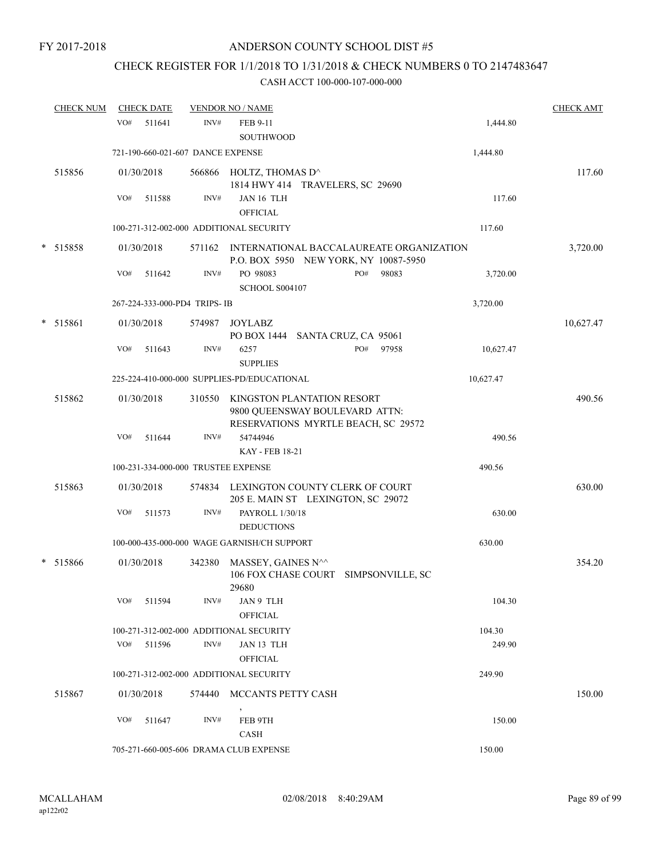# CHECK REGISTER FOR 1/1/2018 TO 1/31/2018 & CHECK NUMBERS 0 TO 2147483647

|   | <b>CHECK NUM</b> |     | <b>CHECK DATE</b> |                                     | <b>VENDOR NO / NAME</b>                                                                             |                      |     |       |           | <b>CHECK AMT</b> |
|---|------------------|-----|-------------------|-------------------------------------|-----------------------------------------------------------------------------------------------------|----------------------|-----|-------|-----------|------------------|
|   |                  | VO# | 511641            | INV#                                | FEB 9-11<br>SOUTHWOOD                                                                               |                      |     |       | 1,444.80  |                  |
|   |                  |     |                   | 721-190-660-021-607 DANCE EXPENSE   |                                                                                                     |                      |     |       | 1,444.80  |                  |
|   | 515856           |     | 01/30/2018        |                                     | 566866 HOLTZ, THOMAS D^<br>1814 HWY 414 TRAVELERS, SC 29690                                         |                      |     |       |           | 117.60           |
|   |                  | VO# | 511588            | INV#                                | JAN 16 TLH<br><b>OFFICIAL</b>                                                                       |                      |     |       | 117.60    |                  |
|   |                  |     |                   |                                     | 100-271-312-002-000 ADDITIONAL SECURITY                                                             |                      |     |       | 117.60    |                  |
|   | * 515858         |     | 01/30/2018        |                                     | 571162 INTERNATIONAL BACCALAUREATE ORGANIZATION<br>P.O. BOX 5950 NEW YORK, NY 10087-5950            |                      |     |       |           | 3,720.00         |
|   |                  | VO# | 511642            | INV#                                | PO 98083<br>SCHOOL S004107                                                                          |                      | PO# | 98083 | 3,720.00  |                  |
|   |                  |     |                   | 267-224-333-000-PD4 TRIPS-IB        |                                                                                                     |                      |     |       | 3,720.00  |                  |
| * | 515861           |     | 01/30/2018        | 574987                              | <b>JOYLABZ</b><br>PO BOX 1444                                                                       | SANTA CRUZ, CA 95061 |     |       |           | 10,627.47        |
|   |                  | VO# | 511643            | INV#                                | 6257<br><b>SUPPLIES</b>                                                                             |                      | PO# | 97958 | 10,627.47 |                  |
|   |                  |     |                   |                                     | 225-224-410-000-000 SUPPLIES-PD/EDUCATIONAL                                                         |                      |     |       | 10,627.47 |                  |
|   | 515862           |     | 01/30/2018        | 310550                              | KINGSTON PLANTATION RESORT<br>9800 QUEENSWAY BOULEVARD ATTN:<br>RESERVATIONS MYRTLE BEACH, SC 29572 |                      |     |       |           | 490.56           |
|   |                  | VO# | 511644            | INV#                                | 54744946<br><b>KAY - FEB 18-21</b>                                                                  |                      |     |       | 490.56    |                  |
|   |                  |     |                   | 100-231-334-000-000 TRUSTEE EXPENSE |                                                                                                     |                      |     |       | 490.56    |                  |
|   | 515863           |     | 01/30/2018        |                                     | 574834 LEXINGTON COUNTY CLERK OF COURT<br>205 E. MAIN ST LEXINGTON, SC 29072                        |                      |     |       |           | 630.00           |
|   |                  | VO# | 511573            | INV#                                | PAYROLL 1/30/18<br><b>DEDUCTIONS</b>                                                                |                      |     |       | 630.00    |                  |
|   |                  |     |                   |                                     | 100-000-435-000-000 WAGE GARNISH/CH SUPPORT                                                         |                      |     |       | 630.00    |                  |
|   | * 515866         |     | 01/30/2018        | 342380                              | MASSEY, GAINES N^^<br>106 FOX CHASE COURT SIMPSONVILLE, SC<br>29680                                 |                      |     |       |           | 354.20           |
|   |                  | VO# | 511594            | INV#                                | JAN 9 TLH<br><b>OFFICIAL</b>                                                                        |                      |     |       | 104.30    |                  |
|   |                  |     |                   |                                     | 100-271-312-002-000 ADDITIONAL SECURITY                                                             |                      |     |       | 104.30    |                  |
|   |                  | VO# | 511596            | INV#                                | JAN 13 TLH<br><b>OFFICIAL</b>                                                                       |                      |     |       | 249.90    |                  |
|   |                  |     |                   |                                     | 100-271-312-002-000 ADDITIONAL SECURITY                                                             |                      |     |       | 249.90    |                  |
|   | 515867           |     | 01/30/2018        | 574440                              | MCCANTS PETTY CASH                                                                                  |                      |     |       |           | 150.00           |
|   |                  | VO# | 511647            | INV#                                | FEB 9TH<br><b>CASH</b>                                                                              |                      |     |       | 150.00    |                  |
|   |                  |     |                   |                                     | 705-271-660-005-606 DRAMA CLUB EXPENSE                                                              |                      |     |       | 150.00    |                  |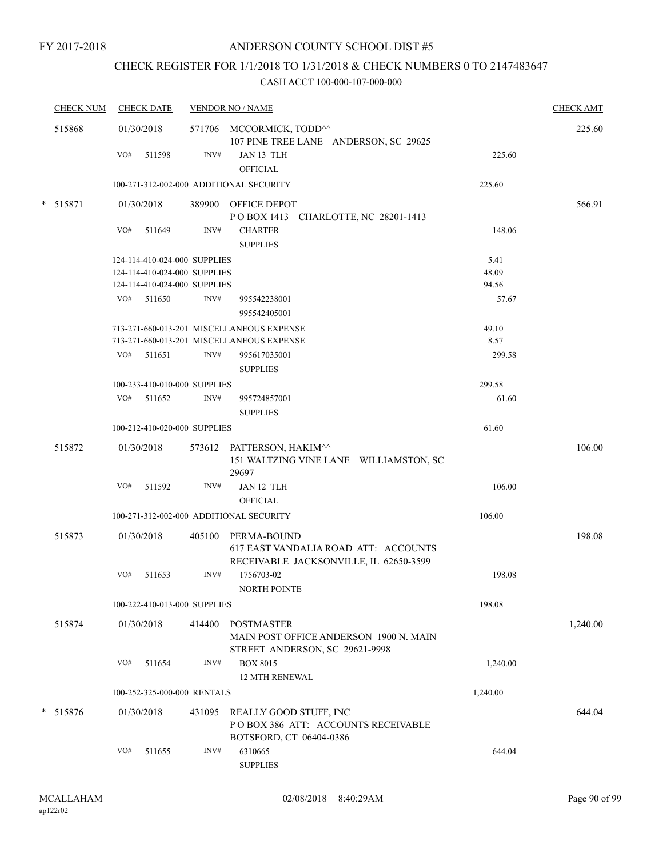# CHECK REGISTER FOR 1/1/2018 TO 1/31/2018 & CHECK NUMBERS 0 TO 2147483647

|        | <b>CHECK NUM</b> | <b>CHECK DATE</b>                       |        | <b>VENDOR NO / NAME</b>                                                                 |          | <b>CHECK AMT</b> |
|--------|------------------|-----------------------------------------|--------|-----------------------------------------------------------------------------------------|----------|------------------|
|        | 515868           | 01/30/2018                              |        | 571706 MCCORMICK, TODD <sup>^^</sup><br>107 PINE TREE LANE ANDERSON, SC 29625           |          | 225.60           |
|        |                  | VO#<br>511598                           | INV#   | JAN 13 TLH<br><b>OFFICIAL</b>                                                           | 225.60   |                  |
|        |                  | 100-271-312-002-000 ADDITIONAL SECURITY |        |                                                                                         | 225.60   |                  |
|        | * 515871         | 01/30/2018                              |        | 389900 OFFICE DEPOT<br>POBOX 1413 CHARLOTTE, NC 28201-1413                              |          | 566.91           |
|        |                  | VO# 511649                              | INV#   | <b>CHARTER</b><br><b>SUPPLIES</b>                                                       | 148.06   |                  |
|        |                  | 124-114-410-024-000 SUPPLIES            |        |                                                                                         | 5.41     |                  |
|        |                  | 124-114-410-024-000 SUPPLIES            |        |                                                                                         | 48.09    |                  |
|        |                  | 124-114-410-024-000 SUPPLIES            |        |                                                                                         | 94.56    |                  |
|        |                  | $VO#$ 511650                            | INV#   | 995542238001<br>995542405001                                                            | 57.67    |                  |
|        |                  |                                         |        | 713-271-660-013-201 MISCELLANEOUS EXPENSE                                               | 49.10    |                  |
|        |                  |                                         |        | 713-271-660-013-201 MISCELLANEOUS EXPENSE                                               | 8.57     |                  |
|        |                  | $VO#$ 511651                            | INV#   | 995617035001                                                                            | 299.58   |                  |
|        |                  |                                         |        | <b>SUPPLIES</b>                                                                         |          |                  |
|        |                  | 100-233-410-010-000 SUPPLIES            |        |                                                                                         | 299.58   |                  |
|        |                  | VO# 511652                              | INV#   | 995724857001                                                                            | 61.60    |                  |
|        |                  |                                         |        | <b>SUPPLIES</b>                                                                         |          |                  |
|        |                  | 100-212-410-020-000 SUPPLIES            |        |                                                                                         | 61.60    |                  |
|        | 515872           | 01/30/2018                              |        | 573612 PATTERSON, HAKIM^^<br>151 WALTZING VINE LANE WILLIAMSTON, SC<br>29697            |          | 106.00           |
|        |                  | VO# 511592                              | INV#   | JAN 12 TLH<br><b>OFFICIAL</b>                                                           | 106.00   |                  |
|        |                  | 100-271-312-002-000 ADDITIONAL SECURITY |        |                                                                                         | 106.00   |                  |
|        | 515873           | 01/30/2018                              |        | 405100 PERMA-BOUND                                                                      |          | 198.08           |
|        |                  |                                         |        | 617 EAST VANDALIA ROAD ATT: ACCOUNTS<br>RECEIVABLE JACKSONVILLE, IL 62650-3599          |          |                  |
|        |                  | VO#<br>511653                           | INV#   | 1756703-02                                                                              | 198.08   |                  |
|        |                  |                                         |        | NORTH POINTE                                                                            |          |                  |
|        |                  | 100-222-410-013-000 SUPPLIES            |        |                                                                                         | 198.08   |                  |
|        | 515874           | 01/30/2018                              | 414400 | POSTMASTER<br>MAIN POST OFFICE ANDERSON 1900 N. MAIN<br>STREET ANDERSON, SC 29621-9998  |          | 1,240.00         |
|        |                  | VO#<br>511654                           | INV#   | <b>BOX 8015</b><br><b>12 MTH RENEWAL</b>                                                | 1,240.00 |                  |
|        |                  | 100-252-325-000-000 RENTALS             |        |                                                                                         | 1,240.00 |                  |
| $\ast$ | 515876           | 01/30/2018                              | 431095 | REALLY GOOD STUFF, INC<br>POBOX 386 ATT: ACCOUNTS RECEIVABLE<br>BOTSFORD, CT 06404-0386 |          | 644.04           |
|        |                  | VO#<br>511655                           | INV#   | 6310665<br><b>SUPPLIES</b>                                                              | 644.04   |                  |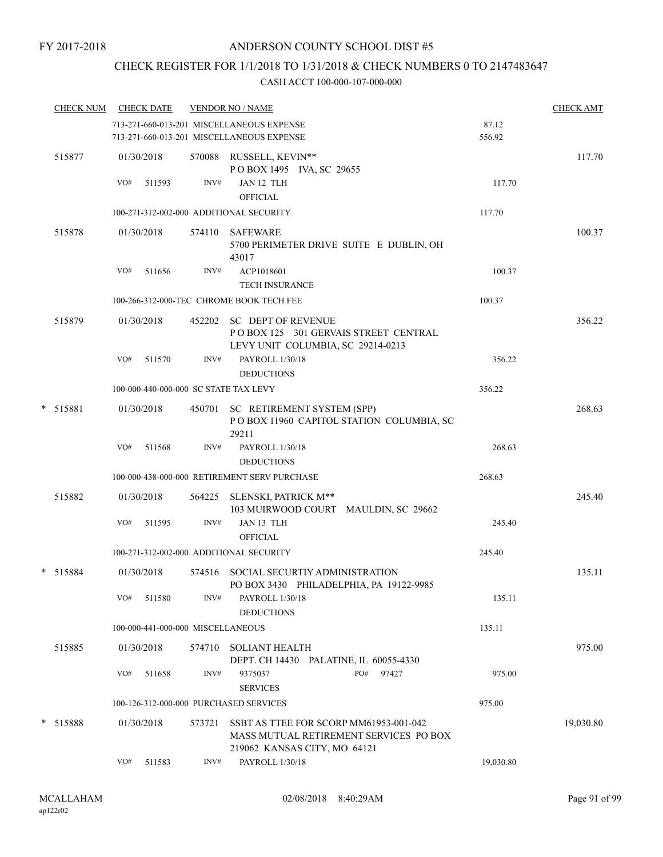### CHECK REGISTER FOR 1/1/2018 TO 1/31/2018 & CHECK NUMBERS 0 TO 2147483647

|   | <b>CHECK NUM</b> |     | <b>CHECK DATE</b>                 |        | <b>VENDOR NO / NAME</b>                                                                                          |                 | <b>CHECK AMT</b> |
|---|------------------|-----|-----------------------------------|--------|------------------------------------------------------------------------------------------------------------------|-----------------|------------------|
|   |                  |     |                                   |        | 713-271-660-013-201 MISCELLANEOUS EXPENSE<br>713-271-660-013-201 MISCELLANEOUS EXPENSE                           | 87.12<br>556.92 |                  |
|   | 515877           | VO# | 01/30/2018<br>511593              | INV#   | 570088 RUSSELL, KEVIN**<br>POBOX 1495 IVA, SC 29655<br>JAN 12 TLH<br><b>OFFICIAL</b>                             | 117.70          | 117.70           |
|   |                  |     |                                   |        | 100-271-312-002-000 ADDITIONAL SECURITY                                                                          | 117.70          |                  |
|   | 515878           |     | 01/30/2018                        | 574110 | SAFEWARE<br>5700 PERIMETER DRIVE SUITE E DUBLIN, OH<br>43017                                                     |                 | 100.37           |
|   |                  | VO# | 511656                            | INV#   | ACP1018601<br><b>TECH INSURANCE</b>                                                                              | 100.37          |                  |
|   |                  |     |                                   |        | 100-266-312-000-TEC CHROME BOOK TECH FEE                                                                         | 100.37          |                  |
|   | 515879           |     | 01/30/2018                        |        | 452202 SC DEPT OF REVENUE<br>POBOX 125 301 GERVAIS STREET CENTRAL<br>LEVY UNIT COLUMBIA, SC 29214-0213           |                 | 356.22           |
|   |                  | VO# | 511570                            | INV#   | PAYROLL 1/30/18<br><b>DEDUCTIONS</b>                                                                             | 356.22          |                  |
|   |                  |     |                                   |        | 100-000-440-000-000 SC STATE TAX LEVY                                                                            | 356.22          |                  |
|   | * 515881         |     | 01/30/2018                        |        | 450701 SC RETIREMENT SYSTEM (SPP)<br>POBOX 11960 CAPITOL STATION COLUMBIA, SC<br>29211                           |                 | 268.63           |
|   |                  | VO# | 511568                            | INV#   | PAYROLL 1/30/18<br><b>DEDUCTIONS</b>                                                                             | 268.63          |                  |
|   |                  |     |                                   |        | 100-000-438-000-000 RETIREMENT SERV PURCHASE                                                                     | 268.63          |                  |
|   | 515882           |     | 01/30/2018                        |        | 564225 SLENSKI, PATRICK M**<br>103 MUIRWOOD COURT MAULDIN, SC 29662                                              |                 | 245.40           |
|   |                  | VO# | 511595                            | INV#   | JAN 13 TLH<br><b>OFFICIAL</b>                                                                                    | 245.40          |                  |
|   |                  |     |                                   |        | 100-271-312-002-000 ADDITIONAL SECURITY                                                                          | 245.40          |                  |
|   | * 515884         |     | 01/30/2018                        |        | 574516 SOCIAL SECURTIY ADMINISTRATION<br>PO BOX 3430 PHILADELPHIA, PA 19122-9985                                 |                 | 135.11           |
|   |                  | VO# | 511580                            | INV#   | PAYROLL 1/30/18<br><b>DEDUCTIONS</b>                                                                             | 135.11          |                  |
|   |                  |     | 100-000-441-000-000 MISCELLANEOUS |        |                                                                                                                  | 135.11          |                  |
|   | 515885           |     | 01/30/2018                        | 574710 | <b>SOLIANT HEALTH</b><br>DEPT. CH 14430 PALATINE, IL 60055-4330                                                  |                 | 975.00           |
|   |                  | VO# | 511658                            | INV#   | 9375037<br>PO#<br>97427<br><b>SERVICES</b>                                                                       | 975.00          |                  |
|   |                  |     |                                   |        | 100-126-312-000-000 PURCHASED SERVICES                                                                           | 975.00          |                  |
| * | 515888           |     | 01/30/2018                        | 573721 | SSBT AS TTEE FOR SCORP MM61953-001-042<br>MASS MUTUAL RETIREMENT SERVICES PO BOX<br>219062 KANSAS CITY, MO 64121 |                 | 19,030.80        |
|   |                  | VO# | 511583                            | INV#   | PAYROLL 1/30/18                                                                                                  | 19,030.80       |                  |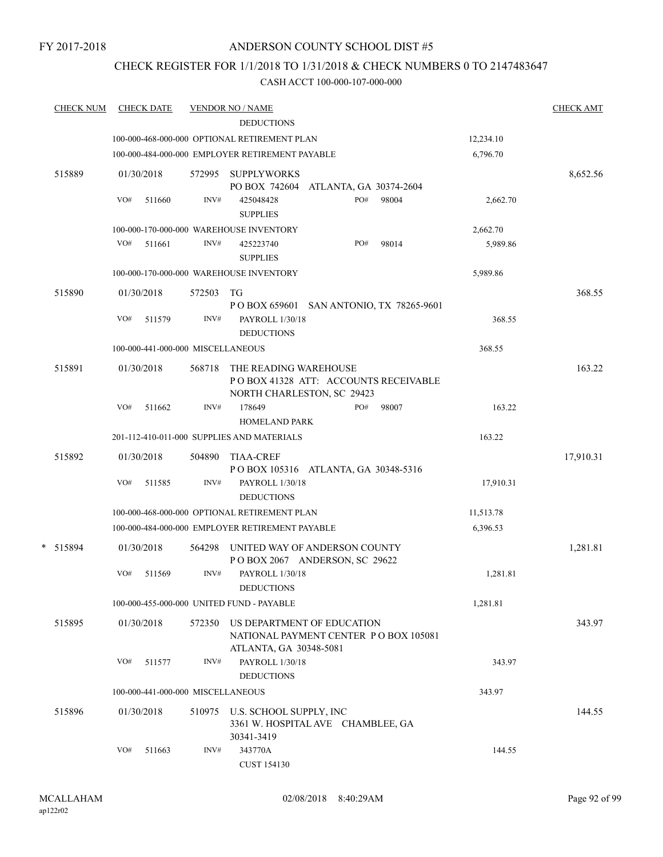### CHECK REGISTER FOR 1/1/2018 TO 1/31/2018 & CHECK NUMBERS 0 TO 2147483647

| <b>CHECK NUM</b> | <b>CHECK DATE</b>                 |        | <b>VENDOR NO / NAME</b><br><b>DEDUCTIONS</b>                                                |           | <b>CHECK AMT</b> |
|------------------|-----------------------------------|--------|---------------------------------------------------------------------------------------------|-----------|------------------|
|                  |                                   |        | 100-000-468-000-000 OPTIONAL RETIREMENT PLAN                                                | 12,234.10 |                  |
|                  |                                   |        | 100-000-484-000-000 EMPLOYER RETIREMENT PAYABLE                                             | 6,796.70  |                  |
| 515889           | 01/30/2018                        | 572995 | <b>SUPPLYWORKS</b><br>PO BOX 742604 ATLANTA, GA 30374-2604                                  |           | 8,652.56         |
|                  | VO#<br>511660                     | INV#   | PO#<br>98004<br>425048428<br><b>SUPPLIES</b>                                                | 2,662.70  |                  |
|                  |                                   |        | 100-000-170-000-000 WAREHOUSE INVENTORY                                                     | 2,662.70  |                  |
|                  | VO#<br>511661                     | INV#   | PO#<br>98014<br>425223740<br><b>SUPPLIES</b>                                                | 5,989.86  |                  |
|                  |                                   |        | 100-000-170-000-000 WAREHOUSE INVENTORY                                                     | 5,989.86  |                  |
| 515890           | 01/30/2018                        | 572503 | TG<br>P O BOX 659601 SAN ANTONIO, TX 78265-9601                                             |           | 368.55           |
|                  | VO#<br>511579                     | INV#   | PAYROLL 1/30/18<br><b>DEDUCTIONS</b>                                                        | 368.55    |                  |
|                  | 100-000-441-000-000 MISCELLANEOUS |        |                                                                                             | 368.55    |                  |
| 515891           | 01/30/2018                        | 568718 | THE READING WAREHOUSE<br>POBOX 41328 ATT: ACCOUNTS RECEIVABLE<br>NORTH CHARLESTON, SC 29423 |           | 163.22           |
|                  | VO#<br>511662                     | INV#   | 178649<br>PO#<br>98007<br><b>HOMELAND PARK</b>                                              | 163.22    |                  |
|                  |                                   |        | 201-112-410-011-000 SUPPLIES AND MATERIALS                                                  | 163.22    |                  |
| 515892           | 01/30/2018                        | 504890 | <b>TIAA-CREF</b><br>POBOX 105316 ATLANTA, GA 30348-5316                                     |           | 17,910.31        |
|                  | VO#<br>511585                     | INV#   | PAYROLL 1/30/18<br><b>DEDUCTIONS</b>                                                        | 17,910.31 |                  |
|                  |                                   |        | 100-000-468-000-000 OPTIONAL RETIREMENT PLAN                                                | 11,513.78 |                  |
|                  |                                   |        | 100-000-484-000-000 EMPLOYER RETIREMENT PAYABLE                                             | 6,396.53  |                  |
| * 515894         | 01/30/2018                        | 564298 | UNITED WAY OF ANDERSON COUNTY<br>POBOX 2067 ANDERSON, SC 29622                              |           | 1,281.81         |
|                  | VO#<br>511569                     | INV#   | PAYROLL 1/30/18<br><b>DEDUCTIONS</b>                                                        | 1,281.81  |                  |
|                  |                                   |        | 100-000-455-000-000 UNITED FUND - PAYABLE                                                   | 1,281.81  |                  |
| 515895           | 01/30/2018                        |        | 572350 US DEPARTMENT OF EDUCATION<br>NATIONAL PAYMENT CENTER PO BOX 105081                  |           | 343.97           |
|                  | VO#<br>511577                     | INV#   | ATLANTA, GA 30348-5081<br>PAYROLL 1/30/18<br><b>DEDUCTIONS</b>                              | 343.97    |                  |
|                  | 100-000-441-000-000 MISCELLANEOUS |        |                                                                                             | 343.97    |                  |
| 515896           | 01/30/2018                        |        | 510975 U.S. SCHOOL SUPPLY, INC<br>3361 W. HOSPITAL AVE CHAMBLEE, GA<br>30341-3419           |           | 144.55           |
|                  | VO#<br>511663                     | INV#   | 343770A<br><b>CUST 154130</b>                                                               | 144.55    |                  |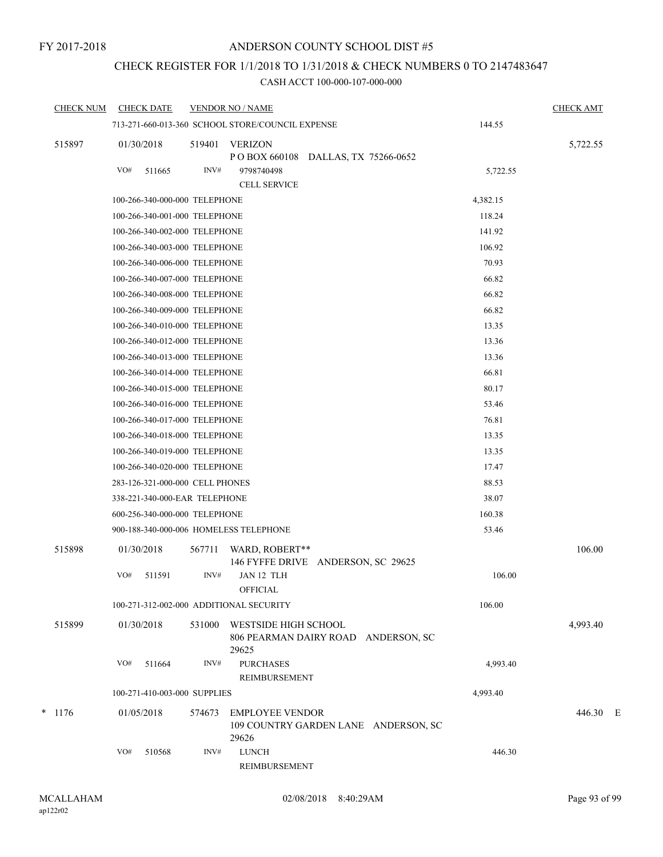# CHECK REGISTER FOR 1/1/2018 TO 1/31/2018 & CHECK NUMBERS 0 TO 2147483647

| <b>CHECK NUM</b> | <b>CHECK DATE</b> |                                 |                | <b>VENDOR NO / NAME</b>                                              |                                      |          | <b>CHECK AMT</b> |  |
|------------------|-------------------|---------------------------------|----------------|----------------------------------------------------------------------|--------------------------------------|----------|------------------|--|
|                  |                   |                                 |                | 713-271-660-013-360 SCHOOL STORE/COUNCIL EXPENSE                     |                                      | 144.55   |                  |  |
| 515897           | 01/30/2018<br>VO# | 511665                          | 519401<br>INV# | <b>VERIZON</b><br>P O BOX 660108 DALLAS, TX 75266-0652<br>9798740498 |                                      | 5,722.55 | 5,722.55         |  |
|                  |                   |                                 |                | <b>CELL SERVICE</b>                                                  |                                      |          |                  |  |
|                  |                   | 100-266-340-000-000 TELEPHONE   |                |                                                                      |                                      | 4,382.15 |                  |  |
|                  |                   | 100-266-340-001-000 TELEPHONE   |                |                                                                      |                                      | 118.24   |                  |  |
|                  |                   | 100-266-340-002-000 TELEPHONE   |                |                                                                      |                                      | 141.92   |                  |  |
|                  |                   | 100-266-340-003-000 TELEPHONE   |                |                                                                      |                                      | 106.92   |                  |  |
|                  |                   | 100-266-340-006-000 TELEPHONE   |                |                                                                      |                                      | 70.93    |                  |  |
|                  |                   | 100-266-340-007-000 TELEPHONE   |                |                                                                      |                                      | 66.82    |                  |  |
|                  |                   | 100-266-340-008-000 TELEPHONE   |                |                                                                      |                                      | 66.82    |                  |  |
|                  |                   | 100-266-340-009-000 TELEPHONE   |                |                                                                      |                                      | 66.82    |                  |  |
|                  |                   | 100-266-340-010-000 TELEPHONE   |                |                                                                      |                                      | 13.35    |                  |  |
|                  |                   | 100-266-340-012-000 TELEPHONE   |                |                                                                      |                                      | 13.36    |                  |  |
|                  |                   | 100-266-340-013-000 TELEPHONE   |                |                                                                      |                                      | 13.36    |                  |  |
|                  |                   | 100-266-340-014-000 TELEPHONE   |                |                                                                      |                                      | 66.81    |                  |  |
|                  |                   | 100-266-340-015-000 TELEPHONE   |                |                                                                      |                                      | 80.17    |                  |  |
|                  |                   | 100-266-340-016-000 TELEPHONE   |                |                                                                      |                                      | 53.46    |                  |  |
|                  |                   | 100-266-340-017-000 TELEPHONE   |                |                                                                      |                                      | 76.81    |                  |  |
|                  |                   | 100-266-340-018-000 TELEPHONE   |                |                                                                      |                                      | 13.35    |                  |  |
|                  |                   | 100-266-340-019-000 TELEPHONE   |                |                                                                      |                                      | 13.35    |                  |  |
|                  |                   | 100-266-340-020-000 TELEPHONE   |                |                                                                      |                                      | 17.47    |                  |  |
|                  |                   | 283-126-321-000-000 CELL PHONES |                |                                                                      |                                      | 88.53    |                  |  |
|                  |                   | 338-221-340-000-EAR TELEPHONE   |                |                                                                      |                                      | 38.07    |                  |  |
|                  |                   | 600-256-340-000-000 TELEPHONE   |                |                                                                      |                                      | 160.38   |                  |  |
|                  |                   |                                 |                | 900-188-340-000-006 HOMELESS TELEPHONE                               |                                      | 53.46    |                  |  |
| 515898           | 01/30/2018        |                                 | 567711         | WARD, ROBERT**<br>146 FYFFE DRIVE ANDERSON, SC 29625                 |                                      |          | 106.00           |  |
|                  | VO#               | 511591                          | INV#           | JAN 12 TLH                                                           |                                      | 106.00   |                  |  |
|                  |                   |                                 |                | <b>OFFICIAL</b>                                                      |                                      |          |                  |  |
|                  |                   |                                 |                | 100-271-312-002-000 ADDITIONAL SECURITY                              |                                      | 106.00   |                  |  |
| 515899           | 01/30/2018        |                                 | 531000         | WESTSIDE HIGH SCHOOL<br>806 PEARMAN DAIRY ROAD ANDERSON, SC<br>29625 |                                      |          | 4,993.40         |  |
|                  | VO#               | 511664                          | INV#           | <b>PURCHASES</b><br><b>REIMBURSEMENT</b>                             |                                      | 4,993.40 |                  |  |
|                  |                   | 100-271-410-003-000 SUPPLIES    |                |                                                                      |                                      | 4,993.40 |                  |  |
| $*$ 1176         | 01/05/2018        |                                 | 574673         | <b>EMPLOYEE VENDOR</b><br>29626                                      | 109 COUNTRY GARDEN LANE ANDERSON, SC |          | 446.30 E         |  |
|                  | VO#               | 510568                          | INV#           | <b>LUNCH</b><br>REIMBURSEMENT                                        |                                      | 446.30   |                  |  |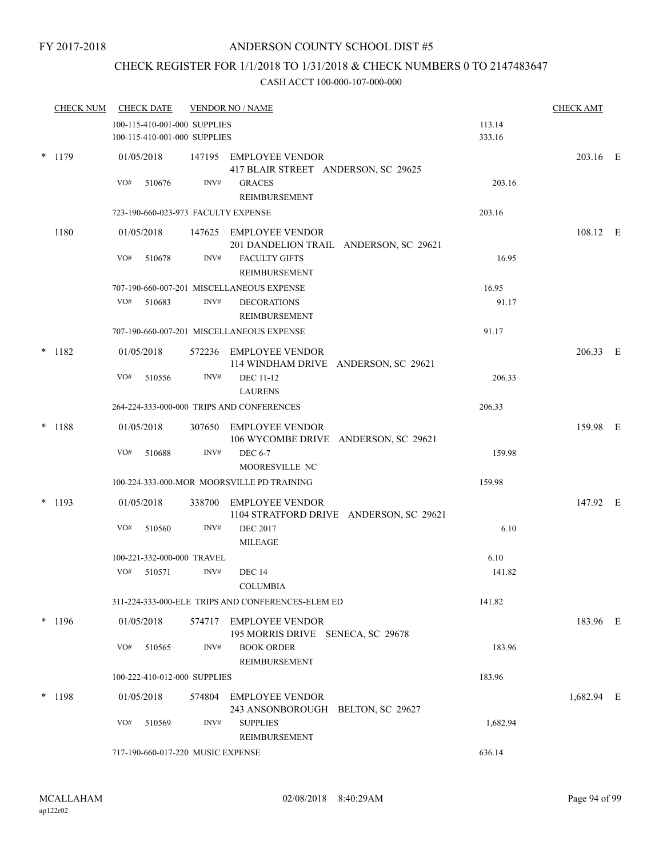# CHECK REGISTER FOR 1/1/2018 TO 1/31/2018 & CHECK NUMBERS 0 TO 2147483647

|        | <b>CHECK NUM</b> |     | <b>CHECK DATE</b> |                                                              | <b>VENDOR NO / NAME</b>                                           |                  | <b>CHECK AMT</b> |  |
|--------|------------------|-----|-------------------|--------------------------------------------------------------|-------------------------------------------------------------------|------------------|------------------|--|
|        |                  |     |                   | 100-115-410-001-000 SUPPLIES<br>100-115-410-001-000 SUPPLIES |                                                                   | 113.14<br>333.16 |                  |  |
| $\ast$ | 1179             |     | 01/05/2018        |                                                              | 147195 EMPLOYEE VENDOR<br>417 BLAIR STREET ANDERSON, SC 29625     |                  | 203.16 E         |  |
|        |                  | VO# | 510676            | INV#                                                         | <b>GRACES</b><br>REIMBURSEMENT                                    | 203.16           |                  |  |
|        |                  |     |                   |                                                              | 723-190-660-023-973 FACULTY EXPENSE                               | 203.16           |                  |  |
|        | 1180             |     | 01/05/2018        |                                                              | 147625 EMPLOYEE VENDOR<br>201 DANDELION TRAIL ANDERSON, SC 29621  |                  | 108.12 E         |  |
|        |                  | VO# | 510678            | INV#                                                         | <b>FACULTY GIFTS</b><br>REIMBURSEMENT                             | 16.95            |                  |  |
|        |                  |     |                   |                                                              | 707-190-660-007-201 MISCELLANEOUS EXPENSE                         | 16.95            |                  |  |
|        |                  |     | VO# 510683        | INV#                                                         | <b>DECORATIONS</b><br>REIMBURSEMENT                               | 91.17            |                  |  |
|        |                  |     |                   |                                                              | 707-190-660-007-201 MISCELLANEOUS EXPENSE                         | 91.17            |                  |  |
|        | $* 1182$         |     | 01/05/2018        |                                                              | 572236 EMPLOYEE VENDOR<br>114 WINDHAM DRIVE ANDERSON, SC 29621    |                  | 206.33 E         |  |
|        |                  | VO# | 510556            | INV#                                                         | <b>DEC 11-12</b><br><b>LAURENS</b>                                | 206.33           |                  |  |
|        |                  |     |                   |                                                              | 264-224-333-000-000 TRIPS AND CONFERENCES                         | 206.33           |                  |  |
|        | $* 1188$         |     | 01/05/2018        |                                                              | 307650 EMPLOYEE VENDOR<br>106 WYCOMBE DRIVE ANDERSON, SC 29621    |                  | 159.98 E         |  |
|        |                  | VO# | 510688            | INV#                                                         | <b>DEC 6-7</b><br>MOORESVILLE NC                                  | 159.98           |                  |  |
|        |                  |     |                   |                                                              | 100-224-333-000-MOR MOORSVILLE PD TRAINING                        | 159.98           |                  |  |
|        | $* 1193$         |     | 01/05/2018        |                                                              | 338700 EMPLOYEE VENDOR<br>1104 STRATFORD DRIVE ANDERSON, SC 29621 |                  | 147.92 E         |  |
|        |                  | VO# | 510560            | INV#                                                         | <b>DEC 2017</b><br><b>MILEAGE</b>                                 | 6.10             |                  |  |
|        |                  |     |                   | 100-221-332-000-000 TRAVEL                                   |                                                                   | 6.10             |                  |  |
|        |                  | VO# | 510571            | INV#                                                         | <b>DEC 14</b><br><b>COLUMBIA</b>                                  | 141.82           |                  |  |
|        |                  |     |                   |                                                              | 311-224-333-000-ELE TRIPS AND CONFERENCES-ELEM ED                 | 141.82           |                  |  |
|        | $*$ 1196         |     | 01/05/2018        |                                                              | 574717 EMPLOYEE VENDOR<br>195 MORRIS DRIVE SENECA, SC 29678       |                  | 183.96 E         |  |
|        |                  | VO# | 510565            | INV#                                                         | <b>BOOK ORDER</b><br>REIMBURSEMENT                                | 183.96           |                  |  |
|        |                  |     |                   | 100-222-410-012-000 SUPPLIES                                 |                                                                   | 183.96           |                  |  |
| $\ast$ | 1198             |     | 01/05/2018        |                                                              | 574804 EMPLOYEE VENDOR<br>243 ANSONBOROUGH BELTON, SC 29627       |                  | 1,682.94 E       |  |
|        |                  | VO# | 510569            | INV#                                                         | <b>SUPPLIES</b><br>REIMBURSEMENT                                  | 1,682.94         |                  |  |
|        |                  |     |                   | 717-190-660-017-220 MUSIC EXPENSE                            |                                                                   | 636.14           |                  |  |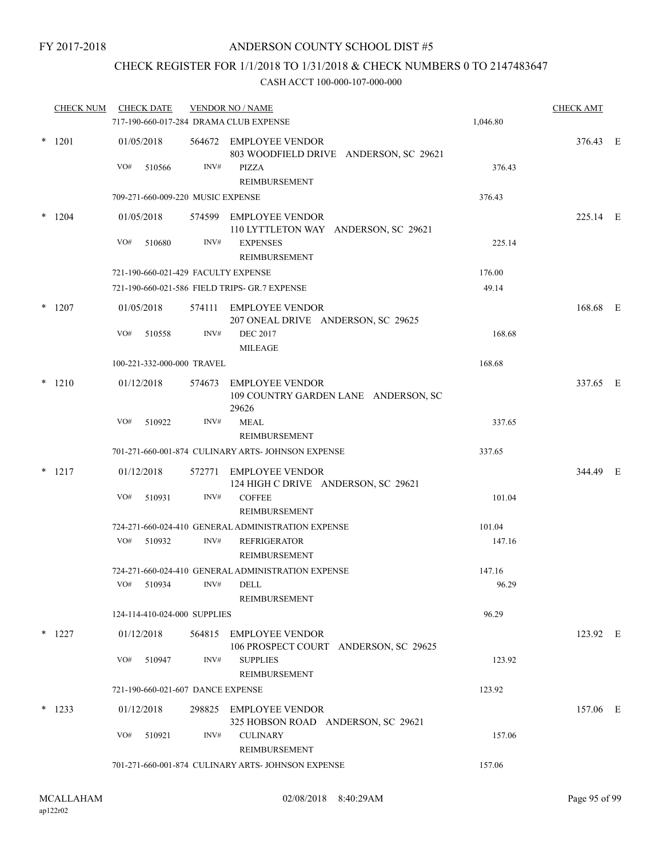## CHECK REGISTER FOR 1/1/2018 TO 1/31/2018 & CHECK NUMBERS 0 TO 2147483647

| <b>CHECK NUM</b> |     | <b>CHECK DATE</b>                 |      | <b>VENDOR NO / NAME</b><br>717-190-660-017-284 DRAMA CLUB EXPENSE                          | 1,046.80 | <b>CHECK AMT</b> |  |
|------------------|-----|-----------------------------------|------|--------------------------------------------------------------------------------------------|----------|------------------|--|
| $*$ 1201         | VO# | 01/05/2018<br>510566              | INV# | 564672 EMPLOYEE VENDOR<br>803 WOODFIELD DRIVE ANDERSON, SC 29621<br>PIZZA<br>REIMBURSEMENT | 376.43   | 376.43 E         |  |
|                  |     | 709-271-660-009-220 MUSIC EXPENSE |      |                                                                                            | 376.43   |                  |  |
| $*$ 1204         |     | 01/05/2018                        |      | 574599 EMPLOYEE VENDOR<br>110 LYTTLETON WAY ANDERSON, SC 29621                             |          | 225.14 E         |  |
|                  | VO# | 510680                            | INV# | <b>EXPENSES</b><br>REIMBURSEMENT                                                           | 225.14   |                  |  |
|                  |     |                                   |      | 721-190-660-021-429 FACULTY EXPENSE                                                        | 176.00   |                  |  |
|                  |     |                                   |      | 721-190-660-021-586 FIELD TRIPS- GR.7 EXPENSE                                              | 49.14    |                  |  |
| $*$ 1207         | VO# | 01/05/2018<br>510558              | INV# | 574111 EMPLOYEE VENDOR<br>207 ONEAL DRIVE ANDERSON, SC 29625<br><b>DEC 2017</b>            | 168.68   | 168.68 E         |  |
|                  |     |                                   |      | <b>MILEAGE</b>                                                                             |          |                  |  |
|                  |     | 100-221-332-000-000 TRAVEL        |      |                                                                                            | 168.68   |                  |  |
| $*$ 1210         |     | 01/12/2018                        |      | 574673 EMPLOYEE VENDOR<br>109 COUNTRY GARDEN LANE ANDERSON, SC<br>29626                    |          | 337.65 E         |  |
|                  | VO# | 510922                            | INV# | MEAL<br>REIMBURSEMENT                                                                      | 337.65   |                  |  |
|                  |     |                                   |      | 701-271-660-001-874 CULINARY ARTS- JOHNSON EXPENSE                                         | 337.65   |                  |  |
| $*$ 1217         |     | 01/12/2018                        |      | 572771 EMPLOYEE VENDOR<br>124 HIGH C DRIVE ANDERSON, SC 29621                              |          | 344.49 E         |  |
|                  | VO# | 510931                            | INV# | <b>COFFEE</b><br>REIMBURSEMENT                                                             | 101.04   |                  |  |
|                  |     |                                   |      | 724-271-660-024-410 GENERAL ADMINISTRATION EXPENSE                                         | 101.04   |                  |  |
|                  | VO# | 510932                            | INV# | <b>REFRIGERATOR</b><br><b>REIMBURSEMENT</b>                                                | 147.16   |                  |  |
|                  |     |                                   |      | 724-271-660-024-410 GENERAL ADMINISTRATION EXPENSE                                         | 147.16   |                  |  |
|                  |     | VO# 510934 INV# DELL              |      | REIMBURSEMENT                                                                              | 96.29    |                  |  |
|                  |     | 124-114-410-024-000 SUPPLIES      |      |                                                                                            | 96.29    |                  |  |
| $*$ 1227         |     | 01/12/2018                        |      | 564815 EMPLOYEE VENDOR<br>106 PROSPECT COURT ANDERSON, SC 29625                            |          | 123.92 E         |  |
|                  |     | VO# 510947                        | INV# | <b>SUPPLIES</b><br>REIMBURSEMENT                                                           | 123.92   |                  |  |
|                  |     | 721-190-660-021-607 DANCE EXPENSE |      |                                                                                            | 123.92   |                  |  |
| $*$ 1233         |     | 01/12/2018                        |      | 298825 EMPLOYEE VENDOR<br>325 HOBSON ROAD ANDERSON, SC 29621                               |          | 157.06 E         |  |
|                  |     | VO# 510921                        | INV# | <b>CULINARY</b><br>REIMBURSEMENT                                                           | 157.06   |                  |  |
|                  |     |                                   |      | 701-271-660-001-874 CULINARY ARTS- JOHNSON EXPENSE                                         | 157.06   |                  |  |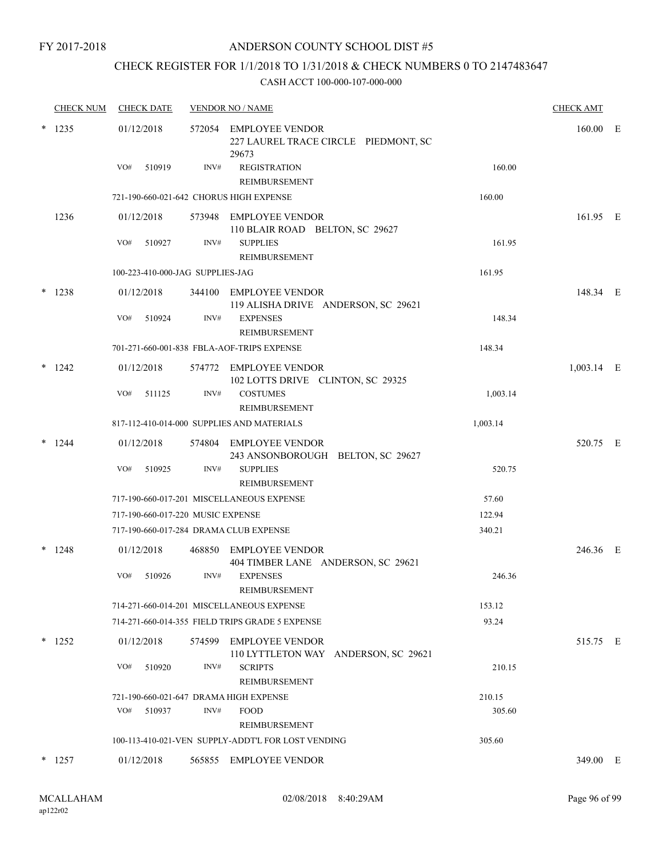FY 2017-2018

### ANDERSON COUNTY SCHOOL DIST #5

# CHECK REGISTER FOR 1/1/2018 TO 1/31/2018 & CHECK NUMBERS 0 TO 2147483647

|   | <b>CHECK NUM</b> | <b>CHECK DATE</b>                       |        | <b>VENDOR NO / NAME</b>                                                 |          | <b>CHECK AMT</b> |  |
|---|------------------|-----------------------------------------|--------|-------------------------------------------------------------------------|----------|------------------|--|
|   | $*$ 1235         | 01/12/2018                              |        | 572054 EMPLOYEE VENDOR<br>227 LAUREL TRACE CIRCLE PIEDMONT, SC<br>29673 |          | 160.00 E         |  |
|   |                  | VO#<br>510919                           | INV#   | <b>REGISTRATION</b><br>REIMBURSEMENT                                    | 160.00   |                  |  |
|   |                  | 721-190-660-021-642 CHORUS HIGH EXPENSE |        |                                                                         | 160.00   |                  |  |
|   | 1236             | 01/12/2018                              |        | 573948 EMPLOYEE VENDOR<br>110 BLAIR ROAD BELTON, SC 29627               |          | 161.95 E         |  |
|   |                  | VO#<br>510927                           | INV#   | <b>SUPPLIES</b><br>REIMBURSEMENT                                        | 161.95   |                  |  |
|   |                  | 100-223-410-000-JAG SUPPLIES-JAG        |        |                                                                         | 161.95   |                  |  |
|   | 1238             | 01/12/2018                              |        | 344100 EMPLOYEE VENDOR<br>119 ALISHA DRIVE ANDERSON, SC 29621           |          | 148.34 E         |  |
|   |                  | VO#<br>510924                           | INV#   | <b>EXPENSES</b><br>REIMBURSEMENT                                        | 148.34   |                  |  |
|   |                  |                                         |        | 701-271-660-001-838 FBLA-AOF-TRIPS EXPENSE                              | 148.34   |                  |  |
|   | 1242             | 01/12/2018                              |        | 574772 EMPLOYEE VENDOR<br>102 LOTTS DRIVE CLINTON, SC 29325             |          | 1,003.14 E       |  |
|   |                  | VO#<br>511125                           | INV#   | <b>COSTUMES</b><br>REIMBURSEMENT                                        | 1,003.14 |                  |  |
|   |                  |                                         |        | 817-112-410-014-000 SUPPLIES AND MATERIALS                              | 1,003.14 |                  |  |
| * | 1244             | 01/12/2018                              |        | 574804 EMPLOYEE VENDOR<br>243 ANSONBOROUGH BELTON, SC 29627             |          | 520.75 E         |  |
|   |                  | VO#<br>510925                           | INV#   | <b>SUPPLIES</b><br>REIMBURSEMENT                                        | 520.75   |                  |  |
|   |                  |                                         |        | 717-190-660-017-201 MISCELLANEOUS EXPENSE                               | 57.60    |                  |  |
|   |                  | 717-190-660-017-220 MUSIC EXPENSE       |        |                                                                         | 122.94   |                  |  |
|   |                  | 717-190-660-017-284 DRAMA CLUB EXPENSE  |        |                                                                         | 340.21   |                  |  |
|   | 1248             | 01/12/2018                              |        | 468850 EMPLOYEE VENDOR<br>404 TIMBER LANE ANDERSON, SC 29621            |          | 246.36 E         |  |
|   |                  | VO#<br>510926                           | INV#   | <b>EXPENSES</b><br>REIMBURSEMENT                                        | 246.36   |                  |  |
|   |                  |                                         |        | 714-271-660-014-201 MISCELLANEOUS EXPENSE                               | 153.12   |                  |  |
|   |                  |                                         |        | 714-271-660-014-355 FIELD TRIPS GRADE 5 EXPENSE                         | 93.24    |                  |  |
|   | $*$ 1252         | 01/12/2018                              | 574599 | <b>EMPLOYEE VENDOR</b><br>110 LYTTLETON WAY ANDERSON, SC 29621          |          | 515.75 E         |  |
|   |                  | VO#<br>510920                           | INV#   | <b>SCRIPTS</b><br>REIMBURSEMENT                                         | 210.15   |                  |  |
|   |                  | 721-190-660-021-647 DRAMA HIGH EXPENSE  |        |                                                                         | 210.15   |                  |  |
|   |                  | VO#<br>510937                           | INV#   | <b>FOOD</b><br>REIMBURSEMENT                                            | 305.60   |                  |  |
|   |                  |                                         |        | 100-113-410-021-VEN SUPPLY-ADDT'L FOR LOST VENDING                      | 305.60   |                  |  |
|   | $*$ 1257         | 01/12/2018                              |        | 565855 EMPLOYEE VENDOR                                                  |          | 349.00 E         |  |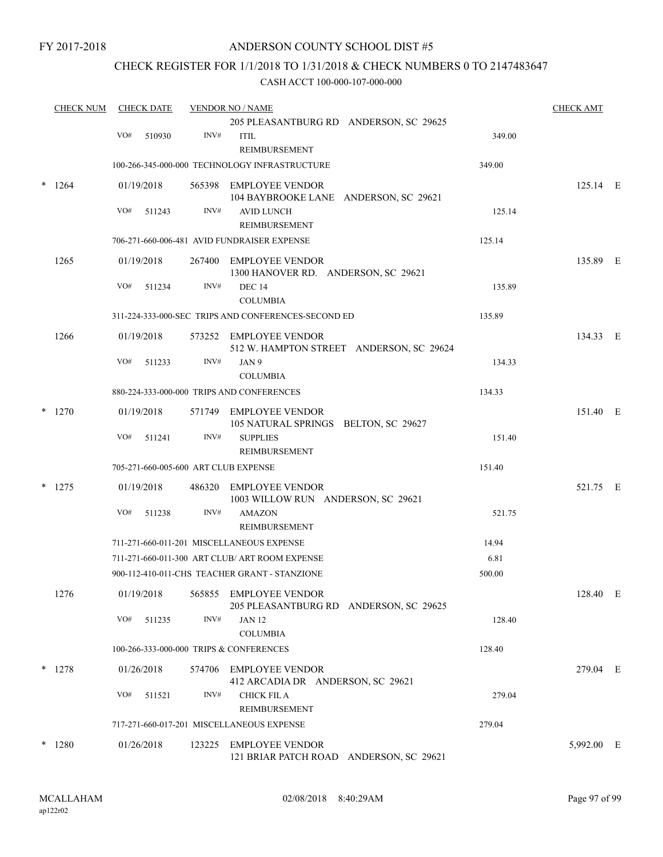### CHECK REGISTER FOR 1/1/2018 TO 1/31/2018 & CHECK NUMBERS 0 TO 2147483647

| <b>CHECK NUM</b> |          | <b>CHECK DATE</b>                                       |            | <b>VENDOR NO / NAME</b> | <b>CHECK AMT</b>                                                   |        |            |  |
|------------------|----------|---------------------------------------------------------|------------|-------------------------|--------------------------------------------------------------------|--------|------------|--|
|                  |          |                                                         |            |                         | 205 PLEASANTBURG RD ANDERSON, SC 29625                             |        |            |  |
|                  |          | VO#                                                     | 510930     | INV#                    | <b>ITIL</b><br>REIMBURSEMENT                                       | 349.00 |            |  |
|                  |          | 100-266-345-000-000 TECHNOLOGY INFRASTRUCTURE<br>349.00 |            |                         |                                                                    |        |            |  |
|                  | 1264     |                                                         | 01/19/2018 |                         | 565398 EMPLOYEE VENDOR<br>104 BAYBROOKE LANE ANDERSON, SC 29621    |        | $125.14$ E |  |
|                  |          | VO#                                                     | 511243     | INV#                    | <b>AVID LUNCH</b><br>REIMBURSEMENT                                 | 125.14 |            |  |
|                  |          |                                                         |            |                         | 706-271-660-006-481 AVID FUNDRAISER EXPENSE                        | 125.14 |            |  |
|                  | 1265     |                                                         | 01/19/2018 |                         | 267400 EMPLOYEE VENDOR<br>1300 HANOVER RD. ANDERSON, SC 29621      |        | 135.89 E   |  |
|                  |          | VO#                                                     | 511234     | INV#                    | <b>DEC 14</b><br><b>COLUMBIA</b>                                   | 135.89 |            |  |
|                  |          |                                                         |            |                         | 311-224-333-000-SEC TRIPS AND CONFERENCES-SECOND ED                | 135.89 |            |  |
|                  | 1266     |                                                         | 01/19/2018 |                         | 573252 EMPLOYEE VENDOR<br>512 W. HAMPTON STREET ANDERSON, SC 29624 |        | 134.33 E   |  |
|                  |          | VO#                                                     | 511233     | INV#                    | JAN 9<br><b>COLUMBIA</b>                                           | 134.33 |            |  |
|                  |          | 880-224-333-000-000 TRIPS AND CONFERENCES               | 134.33     |                         |                                                                    |        |            |  |
|                  | $*$ 1270 |                                                         | 01/19/2018 |                         | 571749 EMPLOYEE VENDOR<br>105 NATURAL SPRINGS BELTON, SC 29627     |        | 151.40 E   |  |
|                  |          | VO#                                                     | 511241     | INV#                    | <b>SUPPLIES</b><br>REIMBURSEMENT                                   | 151.40 |            |  |
|                  |          |                                                         |            |                         | 705-271-660-005-600 ART CLUB EXPENSE                               | 151.40 |            |  |
| *                | 1275     |                                                         | 01/19/2018 |                         | 486320 EMPLOYEE VENDOR<br>1003 WILLOW RUN ANDERSON, SC 29621       |        | 521.75 E   |  |
|                  |          | VO#                                                     | 511238     | INV#                    | <b>AMAZON</b><br>REIMBURSEMENT                                     | 521.75 |            |  |
|                  |          |                                                         |            |                         | 711-271-660-011-201 MISCELLANEOUS EXPENSE                          | 14.94  |            |  |
|                  |          |                                                         |            |                         | 711-271-660-011-300 ART CLUB/ ART ROOM EXPENSE                     | 6.81   |            |  |
|                  |          |                                                         |            |                         | 900-112-410-011-CHS TEACHER GRANT - STANZIONE                      | 500.00 |            |  |
|                  | 1276     |                                                         | 01/19/2018 |                         | 565855 EMPLOYEE VENDOR<br>205 PLEASANTBURG RD ANDERSON, SC 29625   |        | 128.40 E   |  |
|                  |          | VO#                                                     | 511235     | INV#                    | <b>JAN 12</b><br><b>COLUMBIA</b>                                   | 128.40 |            |  |
|                  |          | 100-266-333-000-000 TRIPS & CONFERENCES                 |            |                         |                                                                    |        |            |  |
|                  | $*$ 1278 |                                                         | 01/26/2018 |                         | 574706 EMPLOYEE VENDOR<br>412 ARCADIA DR ANDERSON, SC 29621        |        | 279.04 E   |  |
|                  |          | VO#                                                     | 511521     | INV#                    | <b>CHICK FIL A</b><br>REIMBURSEMENT                                | 279.04 |            |  |
|                  |          |                                                         |            |                         | 717-271-660-017-201 MISCELLANEOUS EXPENSE                          | 279.04 |            |  |
|                  | $*1280$  |                                                         | 01/26/2018 |                         | 123225 EMPLOYEE VENDOR<br>121 BRIAR PATCH ROAD ANDERSON, SC 29621  |        | 5,992.00 E |  |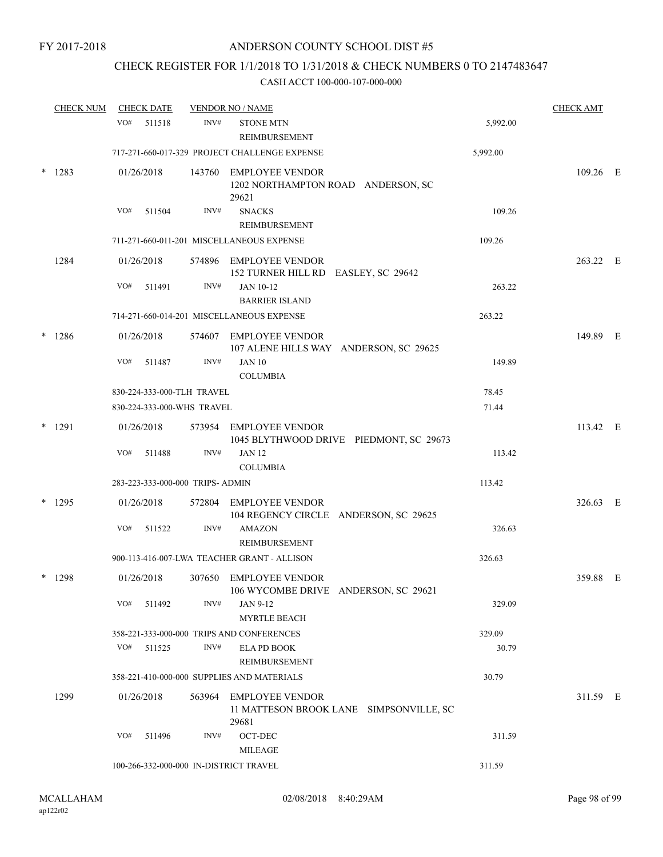### CHECK REGISTER FOR 1/1/2018 TO 1/31/2018 & CHECK NUMBERS 0 TO 2147483647

| <b>CHECK NUM</b> |          | <b>CHECK DATE</b> |                                           |      | <b>VENDOR NO / NAME</b>                                                    |          | <b>CHECK AMT</b> |  |
|------------------|----------|-------------------|-------------------------------------------|------|----------------------------------------------------------------------------|----------|------------------|--|
|                  |          | VO#               | 511518                                    | INV# | <b>STONE MTN</b><br>REIMBURSEMENT                                          | 5,992.00 |                  |  |
|                  |          |                   |                                           |      | 717-271-660-017-329 PROJECT CHALLENGE EXPENSE                              | 5,992.00 |                  |  |
| *                | 1283     |                   | 01/26/2018                                |      | 143760 EMPLOYEE VENDOR<br>1202 NORTHAMPTON ROAD ANDERSON, SC<br>29621      |          | 109.26 E         |  |
|                  |          | VO#               | 511504                                    | INV# | <b>SNACKS</b><br><b>REIMBURSEMENT</b>                                      | 109.26   |                  |  |
|                  |          |                   |                                           |      | 711-271-660-011-201 MISCELLANEOUS EXPENSE                                  | 109.26   |                  |  |
|                  | 1284     |                   | 01/26/2018                                |      | 574896 EMPLOYEE VENDOR<br>152 TURNER HILL RD EASLEY, SC 29642              |          | 263.22 E         |  |
|                  |          | VO#               | 511491                                    | INV# | JAN 10-12<br><b>BARRIER ISLAND</b>                                         | 263.22   |                  |  |
|                  |          |                   | 714-271-660-014-201 MISCELLANEOUS EXPENSE |      | 263.22                                                                     |          |                  |  |
| $\ast$           | 1286     |                   | 01/26/2018                                |      | 574607 EMPLOYEE VENDOR<br>107 ALENE HILLS WAY ANDERSON, SC 29625           |          | 149.89 E         |  |
|                  |          | VO#               | 511487                                    | INV# | <b>JAN 10</b><br><b>COLUMBIA</b>                                           | 149.89   |                  |  |
|                  |          |                   | 830-224-333-000-TLH TRAVEL                |      |                                                                            | 78.45    |                  |  |
|                  |          |                   | 830-224-333-000-WHS TRAVEL                |      |                                                                            | 71.44    |                  |  |
| $\ast$           | 1291     |                   | 01/26/2018                                |      | 573954 EMPLOYEE VENDOR<br>1045 BLYTHWOOD DRIVE PIEDMONT, SC 29673          |          | 113.42 E         |  |
|                  |          | VO#               | 511488                                    | INV# | <b>JAN 12</b><br><b>COLUMBIA</b>                                           | 113.42   |                  |  |
|                  |          |                   | 283-223-333-000-000 TRIPS- ADMIN          |      |                                                                            | 113.42   |                  |  |
|                  | $*$ 1295 |                   | 01/26/2018                                |      | 572804 EMPLOYEE VENDOR<br>104 REGENCY CIRCLE ANDERSON, SC 29625            |          | 326.63 E         |  |
|                  |          | VO#               | 511522                                    | INV# | <b>AMAZON</b><br>REIMBURSEMENT                                             | 326.63   |                  |  |
|                  |          |                   |                                           |      | 900-113-416-007-LWA TEACHER GRANT - ALLISON                                | 326.63   |                  |  |
| *                | 1298     |                   | 01/26/2018                                |      | 307650 EMPLOYEE VENDOR<br>106 WYCOMBE DRIVE ANDERSON, SC 29621             |          | 359.88 E         |  |
|                  |          | VO#               | 511492                                    | INV# | JAN 9-12<br><b>MYRTLE BEACH</b>                                            | 329.09   |                  |  |
|                  |          |                   |                                           |      | 358-221-333-000-000 TRIPS AND CONFERENCES                                  | 329.09   |                  |  |
|                  |          | VO#               | 511525                                    | INV# | <b>ELA PD BOOK</b><br>REIMBURSEMENT                                        | 30.79    |                  |  |
|                  |          |                   |                                           |      | 358-221-410-000-000 SUPPLIES AND MATERIALS                                 | 30.79    |                  |  |
|                  | 1299     |                   | 01/26/2018                                |      | 563964 EMPLOYEE VENDOR<br>11 MATTESON BROOK LANE SIMPSONVILLE, SC<br>29681 |          | 311.59 E         |  |
|                  |          | VO#               | 511496                                    | INV# | OCT-DEC<br><b>MILEAGE</b>                                                  | 311.59   |                  |  |
|                  |          |                   | 100-266-332-000-000 IN-DISTRICT TRAVEL    |      | 311.59                                                                     |          |                  |  |